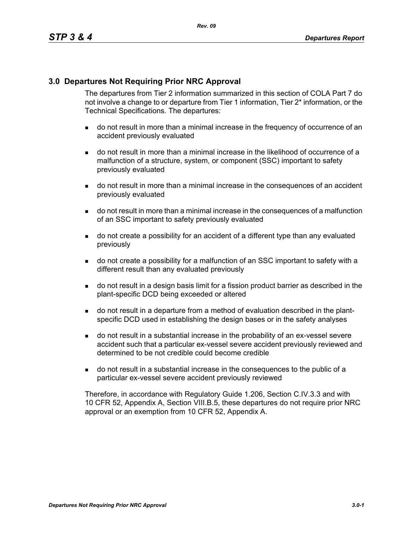### **3.0 Departures Not Requiring Prior NRC Approval**

The departures from Tier 2 information summarized in this section of COLA Part 7 do not involve a change to or departure from Tier 1 information, Tier 2\* information, or the Technical Specifications. The departures:

- do not result in more than a minimal increase in the frequency of occurrence of an accident previously evaluated
- do not result in more than a minimal increase in the likelihood of occurrence of a malfunction of a structure, system, or component (SSC) important to safety previously evaluated
- do not result in more than a minimal increase in the consequences of an accident previously evaluated
- do not result in more than a minimal increase in the consequences of a malfunction of an SSC important to safety previously evaluated
- do not create a possibility for an accident of a different type than any evaluated previously
- do not create a possibility for a malfunction of an SSC important to safety with a different result than any evaluated previously
- do not result in a design basis limit for a fission product barrier as described in the plant-specific DCD being exceeded or altered
- do not result in a departure from a method of evaluation described in the plantspecific DCD used in establishing the design bases or in the safety analyses
- do not result in a substantial increase in the probability of an ex-vessel severe accident such that a particular ex-vessel severe accident previously reviewed and determined to be not credible could become credible
- do not result in a substantial increase in the consequences to the public of a particular ex-vessel severe accident previously reviewed

Therefore, in accordance with Regulatory Guide 1.206, Section C.IV.3.3 and with 10 CFR 52, Appendix A, Section VIII.B.5, these departures do not require prior NRC approval or an exemption from 10 CFR 52, Appendix A.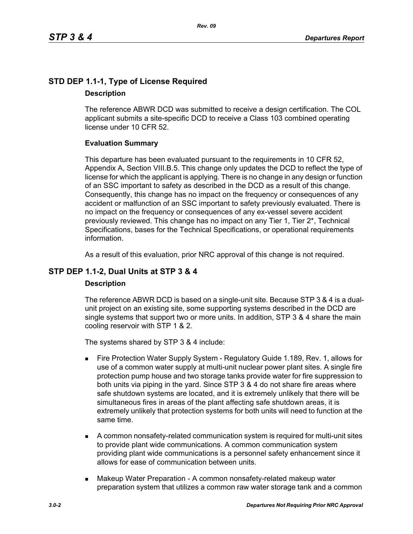## **STD DEP 1.1-1, Type of License Required Description**

The reference ABWR DCD was submitted to receive a design certification. The COL applicant submits a site-specific DCD to receive a Class 103 combined operating license under 10 CFR 52.

### **Evaluation Summary**

This departure has been evaluated pursuant to the requirements in 10 CFR 52, Appendix A, Section VIII.B.5. This change only updates the DCD to reflect the type of license for which the applicant is applying. There is no change in any design or function of an SSC important to safety as described in the DCD as a result of this change. Consequently, this change has no impact on the frequency or consequences of any accident or malfunction of an SSC important to safety previously evaluated. There is no impact on the frequency or consequences of any ex-vessel severe accident previously reviewed. This change has no impact on any Tier 1, Tier 2\*, Technical Specifications, bases for the Technical Specifications, or operational requirements information.

As a result of this evaluation, prior NRC approval of this change is not required.

## **STP DEP 1.1-2, Dual Units at STP 3 & 4**

### **Description**

The reference ABWR DCD is based on a single-unit site. Because STP 3 & 4 is a dualunit project on an existing site, some supporting systems described in the DCD are single systems that support two or more units. In addition, STP 3 & 4 share the main cooling reservoir with STP 1 & 2.

The systems shared by STP 3 & 4 include:

- Fire Protection Water Supply System Regulatory Guide 1.189, Rev. 1, allows for use of a common water supply at multi-unit nuclear power plant sites. A single fire protection pump house and two storage tanks provide water for fire suppression to both units via piping in the yard. Since STP 3 & 4 do not share fire areas where safe shutdown systems are located, and it is extremely unlikely that there will be simultaneous fires in areas of the plant affecting safe shutdown areas, it is extremely unlikely that protection systems for both units will need to function at the same time.
- A common nonsafety-related communication system is required for multi-unit sites to provide plant wide communications. A common communication system providing plant wide communications is a personnel safety enhancement since it allows for ease of communication between units.
- **Makeup Water Preparation A common nonsafety-related makeup water** preparation system that utilizes a common raw water storage tank and a common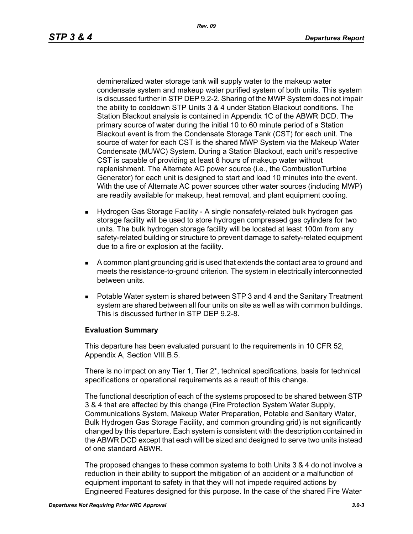demineralized water storage tank will supply water to the makeup water condensate system and makeup water purified system of both units. This system is discussed further in STP DEP 9.2-2. Sharing of the MWP System does not impair the ability to cooldown STP Units 3 & 4 under Station Blackout conditions. The Station Blackout analysis is contained in Appendix 1C of the ABWR DCD. The primary source of water during the initial 10 to 60 minute period of a Station Blackout event is from the Condensate Storage Tank (CST) for each unit. The source of water for each CST is the shared MWP System via the Makeup Water Condensate (MUWC) System. During a Station Blackout, each unit's respective CST is capable of providing at least 8 hours of makeup water without replenishment. The Alternate AC power source (i.e., the CombustionTurbine Generator) for each unit is designed to start and load 10 minutes into the event. With the use of Alternate AC power sources other water sources (including MWP) are readily available for makeup, heat removal, and plant equipment cooling.

- Hydrogen Gas Storage Facility A single nonsafety-related bulk hydrogen gas storage facility will be used to store hydrogen compressed gas cylinders for two units. The bulk hydrogen storage facility will be located at least 100m from any safety-related building or structure to prevent damage to safety-related equipment due to a fire or explosion at the facility.
- A common plant grounding grid is used that extends the contact area to ground and meets the resistance-to-ground criterion. The system in electrically interconnected between units.
- Potable Water system is shared between STP 3 and 4 and the Sanitary Treatment system are shared between all four units on site as well as with common buildings. This is discussed further in STP DEP 9.2-8.

#### **Evaluation Summary**

This departure has been evaluated pursuant to the requirements in 10 CFR 52, Appendix A, Section VIII.B.5.

There is no impact on any Tier 1, Tier  $2^*$ , technical specifications, basis for technical specifications or operational requirements as a result of this change.

The functional description of each of the systems proposed to be shared between STP 3 & 4 that are affected by this change (Fire Protection System Water Supply, Communications System, Makeup Water Preparation, Potable and Sanitary Water, Bulk Hydrogen Gas Storage Facility, and common grounding grid) is not significantly changed by this departure. Each system is consistent with the description contained in the ABWR DCD except that each will be sized and designed to serve two units instead of one standard ABWR.

The proposed changes to these common systems to both Units 3 & 4 do not involve a reduction in their ability to support the mitigation of an accident or a malfunction of equipment important to safety in that they will not impede required actions by Engineered Features designed for this purpose. In the case of the shared Fire Water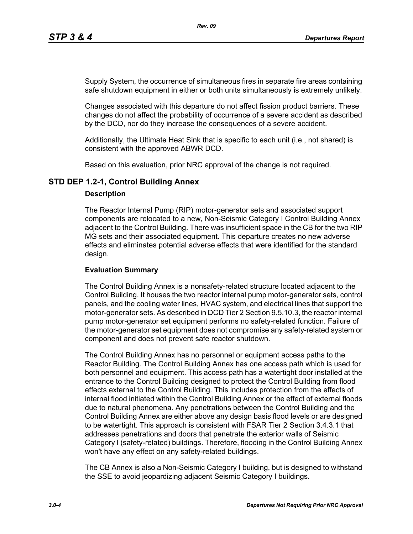Supply System, the occurrence of simultaneous fires in separate fire areas containing safe shutdown equipment in either or both units simultaneously is extremely unlikely.

Changes associated with this departure do not affect fission product barriers. These changes do not affect the probability of occurrence of a severe accident as described by the DCD, nor do they increase the consequences of a severe accident.

Additionally, the Ultimate Heat Sink that is specific to each unit (i.e., not shared) is consistent with the approved ABWR DCD.

Based on this evaluation, prior NRC approval of the change is not required.

### **STD DEP 1.2-1, Control Building Annex**

### **Description**

The Reactor Internal Pump (RIP) motor-generator sets and associated support components are relocated to a new, Non-Seismic Category I Control Building Annex adjacent to the Control Building. There was insufficient space in the CB for the two RIP MG sets and their associated equipment. This departure creates no new adverse effects and eliminates potential adverse effects that were identified for the standard design.

### **Evaluation Summary**

The Control Building Annex is a nonsafety-related structure located adjacent to the Control Building. It houses the two reactor internal pump motor-generator sets, control panels, and the cooling water lines, HVAC system, and electrical lines that support the motor-generator sets. As described in DCD Tier 2 Section 9.5.10.3, the reactor internal pump motor-generator set equipment performs no safety-related function. Failure of the motor-generator set equipment does not compromise any safety-related system or component and does not prevent safe reactor shutdown.

The Control Building Annex has no personnel or equipment access paths to the Reactor Building. The Control Building Annex has one access path which is used for both personnel and equipment. This access path has a watertight door installed at the entrance to the Control Building designed to protect the Control Building from flood effects external to the Control Building. This includes protection from the effects of internal flood initiated within the Control Building Annex or the effect of external floods due to natural phenomena. Any penetrations between the Control Building and the Control Building Annex are either above any design basis flood levels or are designed to be watertight. This approach is consistent with FSAR Tier 2 Section 3.4.3.1 that addresses penetrations and doors that penetrate the exterior walls of Seismic Category I (safety-related) buildings. Therefore, flooding in the Control Building Annex won't have any effect on any safety-related buildings.

The CB Annex is also a Non-Seismic Category I building, but is designed to withstand the SSE to avoid jeopardizing adjacent Seismic Category I buildings.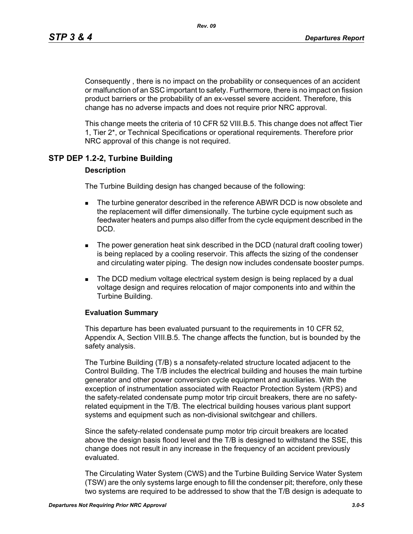Consequently , there is no impact on the probability or consequences of an accident or malfunction of an SSC important to safety. Furthermore, there is no impact on fission product barriers or the probability of an ex-vessel severe accident. Therefore, this change has no adverse impacts and does not require prior NRC approval.

This change meets the criteria of 10 CFR 52 VIII.B.5. This change does not affect Tier 1, Tier 2\*, or Technical Specifications or operational requirements. Therefore prior NRC approval of this change is not required.

### **STP DEP 1.2-2, Turbine Building**

### **Description**

The Turbine Building design has changed because of the following:

- **The turbine generator described in the reference ABWR DCD is now obsolete and** the replacement will differ dimensionally. The turbine cycle equipment such as feedwater heaters and pumps also differ from the cycle equipment described in the DCD.
- The power generation heat sink described in the DCD (natural draft cooling tower) is being replaced by a cooling reservoir. This affects the sizing of the condenser and circulating water piping. The design now includes condensate booster pumps.
- **The DCD medium voltage electrical system design is being replaced by a dual** voltage design and requires relocation of major components into and within the Turbine Building.

#### **Evaluation Summary**

This departure has been evaluated pursuant to the requirements in 10 CFR 52, Appendix A, Section VIII.B.5. The change affects the function, but is bounded by the safety analysis.

The Turbine Building (T/B) s a nonsafety-related structure located adjacent to the Control Building. The T/B includes the electrical building and houses the main turbine generator and other power conversion cycle equipment and auxiliaries. With the exception of instrumentation associated with Reactor Protection System (RPS) and the safety-related condensate pump motor trip circuit breakers, there are no safetyrelated equipment in the T/B. The electrical building houses various plant support systems and equipment such as non-divisional switchgear and chillers.

Since the safety-related condensate pump motor trip circuit breakers are located above the design basis flood level and the T/B is designed to withstand the SSE, this change does not result in any increase in the frequency of an accident previously evaluated.

The Circulating Water System (CWS) and the Turbine Building Service Water System (TSW) are the only systems large enough to fill the condenser pit; therefore, only these two systems are required to be addressed to show that the T/B design is adequate to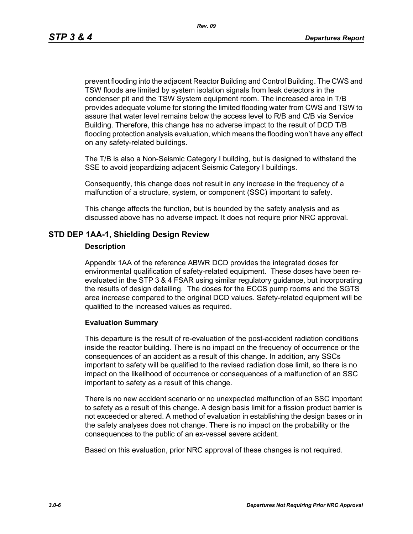*Rev. 09*

prevent flooding into the adjacent Reactor Building and Control Building. The CWS and TSW floods are limited by system isolation signals from leak detectors in the condenser pit and the TSW System equipment room. The increased area in T/B provides adequate volume for storing the limited flooding water from CWS and TSW to assure that water level remains below the access level to R/B and C/B via Service Building. Therefore, this change has no adverse impact to the result of DCD T/B flooding protection analysis evaluation, which means the flooding won't have any effect on any safety-related buildings.

The T/B is also a Non-Seismic Category I building, but is designed to withstand the SSE to avoid jeopardizing adjacent Seismic Category I buildings.

Consequently, this change does not result in any increase in the frequency of a malfunction of a structure, system, or component (SSC) important to safety.

This change affects the function, but is bounded by the safety analysis and as discussed above has no adverse impact. It does not require prior NRC approval.

### **STD DEP 1AA-1, Shielding Design Review**

#### **Description**

Appendix 1AA of the reference ABWR DCD provides the integrated doses for environmental qualification of safety-related equipment. These doses have been reevaluated in the STP 3 & 4 FSAR using similar regulatory guidance, but incorporating the results of design detailing. The doses for the ECCS pump rooms and the SGTS area increase compared to the original DCD values. Safety-related equipment will be qualified to the increased values as required.

### **Evaluation Summary**

This departure is the result of re-evaluation of the post-accident radiation conditions inside the reactor building. There is no impact on the frequency of occurrence or the consequences of an accident as a result of this change. In addition, any SSCs important to safety will be qualified to the revised radiation dose limit, so there is no impact on the likelihood of occurrence or consequences of a malfunction of an SSC important to safety as a result of this change.

There is no new accident scenario or no unexpected malfunction of an SSC important to safety as a result of this change. A design basis limit for a fission product barrier is not exceeded or altered. A method of evaluation in establishing the design bases or in the safety analyses does not change. There is no impact on the probability or the consequences to the public of an ex-vessel severe acident.

Based on this evaluation, prior NRC approval of these changes is not required.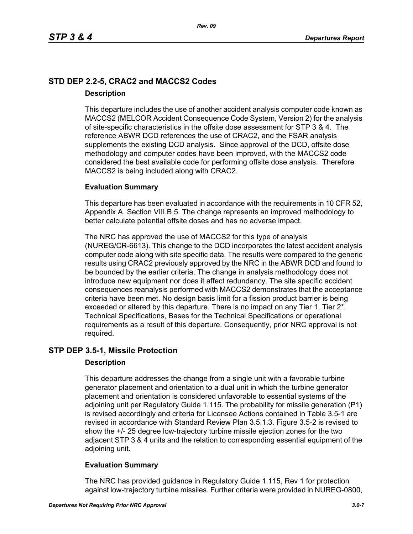## **STD DEP 2.2-5, CRAC2 and MACCS2 Codes Description**

This departure includes the use of another accident analysis computer code known as MACCS2 (MELCOR Accident Consequence Code System, Version 2) for the analysis of site-specific characteristics in the offsite dose assessment for STP 3 & 4. The reference ABWR DCD references the use of CRAC2, and the FSAR analysis supplements the existing DCD analysis. Since approval of the DCD, offsite dose methodology and computer codes have been improved, with the MACCS2 code considered the best available code for performing offsite dose analysis. Therefore MACCS2 is being included along with CRAC2.

### **Evaluation Summary**

This departure has been evaluated in accordance with the requirements in 10 CFR 52, Appendix A, Section VIII.B.5. The change represents an improved methodology to better calculate potential offsite doses and has no adverse impact.

The NRC has approved the use of MACCS2 for this type of analysis (NUREG/CR-6613). This change to the DCD incorporates the latest accident analysis computer code along with site specific data. The results were compared to the generic results using CRAC2 previously approved by the NRC in the ABWR DCD and found to be bounded by the earlier criteria. The change in analysis methodology does not introduce new equipment nor does it affect redundancy. The site specific accident consequences reanalysis performed with MACCS2 demonstrates that the acceptance criteria have been met. No design basis limit for a fission product barrier is being exceeded or altered by this departure. There is no impact on any Tier 1, Tier 2<sup>\*</sup>, Technical Specifications, Bases for the Technical Specifications or operational requirements as a result of this departure. Consequently, prior NRC approval is not required.

### **STP DEP 3.5-1, Missile Protection**

### **Description**

This departure addresses the change from a single unit with a favorable turbine generator placement and orientation to a dual unit in which the turbine generator placement and orientation is considered unfavorable to essential systems of the adjoining unit per Regulatory Guide 1.115. The probability for missile generation (P1) is revised accordingly and criteria for Licensee Actions contained in Table 3.5-1 are revised in accordance with Standard Review Plan 3.5.1.3. Figure 3.5-2 is revised to show the +/- 25 degree low-trajectory turbine missile ejection zones for the two adjacent STP 3 & 4 units and the relation to corresponding essential equipment of the adjoining unit.

### **Evaluation Summary**

The NRC has provided guidance in Regulatory Guide 1.115, Rev 1 for protection against low-trajectory turbine missiles. Further criteria were provided in NUREG-0800,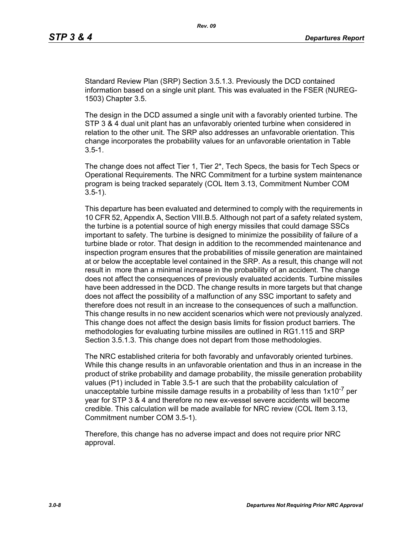Standard Review Plan (SRP) Section 3.5.1.3. Previously the DCD contained information based on a single unit plant. This was evaluated in the FSER (NUREG-1503) Chapter 3.5.

The design in the DCD assumed a single unit with a favorably oriented turbine. The STP 3 & 4 dual unit plant has an unfavorably oriented turbine when considered in relation to the other unit. The SRP also addresses an unfavorable orientation. This change incorporates the probability values for an unfavorable orientation in Table  $3.5 - 1.$ 

The change does not affect Tier 1, Tier 2\*, Tech Specs, the basis for Tech Specs or Operational Requirements. The NRC Commitment for a turbine system maintenance program is being tracked separately (COL Item 3.13, Commitment Number COM 3.5-1).

This departure has been evaluated and determined to comply with the requirements in 10 CFR 52, Appendix A, Section VIII.B.5. Although not part of a safety related system, the turbine is a potential source of high energy missiles that could damage SSCs important to safety. The turbine is designed to minimize the possibility of failure of a turbine blade or rotor. That design in addition to the recommended maintenance and inspection program ensures that the probabilities of missile generation are maintained at or below the acceptable level contained in the SRP. As a result, this change will not result in more than a minimal increase in the probability of an accident. The change does not affect the consequences of previously evaluated accidents. Turbine missiles have been addressed in the DCD. The change results in more targets but that change does not affect the possibility of a malfunction of any SSC important to safety and therefore does not result in an increase to the consequences of such a malfunction. This change results in no new accident scenarios which were not previously analyzed. This change does not affect the design basis limits for fission product barriers. The methodologies for evaluating turbine missiles are outlined in RG1.115 and SRP Section 3.5.1.3. This change does not depart from those methodologies.

The NRC established criteria for both favorably and unfavorably oriented turbines. While this change results in an unfavorable orientation and thus in an increase in the product of strike probability and damage probability, the missile generation probability values (P1) included in Table 3.5-1 are such that the probability calculation of unacceptable turbine missile damage results in a probability of less than  $1x10^{-7}$  per year for STP 3 & 4 and therefore no new ex-vessel severe accidents will become credible. This calculation will be made available for NRC review (COL Item 3.13, Commitment number COM 3.5-1).

Therefore, this change has no adverse impact and does not require prior NRC approval.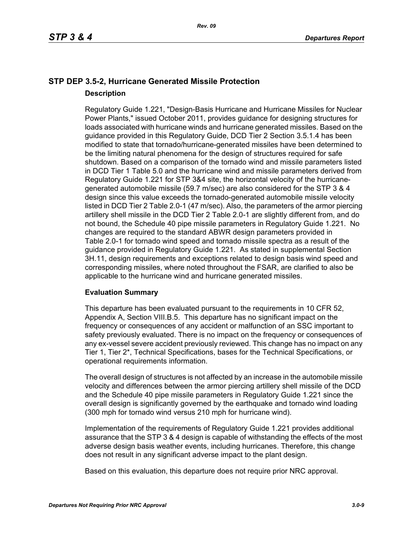## **STP DEP 3.5-2, Hurricane Generated Missile Protection Description**

Regulatory Guide 1.221, "Design-Basis Hurricane and Hurricane Missiles for Nuclear Power Plants," issued October 2011, provides guidance for designing structures for loads associated with hurricane winds and hurricane generated missiles. Based on the guidance provided in this Regulatory Guide, DCD Tier 2 Section 3.5.1.4 has been modified to state that tornado/hurricane-generated missiles have been determined to be the limiting natural phenomena for the design of structures required for safe shutdown. Based on a comparison of the tornado wind and missile parameters listed in DCD Tier 1 Table 5.0 and the hurricane wind and missile parameters derived from Regulatory Guide 1.221 for STP 3&4 site, the horizontal velocity of the hurricanegenerated automobile missile (59.7 m/sec) are also considered for the STP 3 & 4 design since this value exceeds the tornado-generated automobile missile velocity listed in DCD Tier 2 Table 2.0-1 (47 m/sec). Also, the parameters of the armor piercing artillery shell missile in the DCD Tier 2 Table 2.0-1 are slightly different from, and do not bound, the Schedule 40 pipe missile parameters in Regulatory Guide 1.221. No changes are required to the standard ABWR design parameters provided in Table 2.0-1 for tornado wind speed and tornado missile spectra as a result of the guidance provided in Regulatory Guide 1.221. As stated in supplemental Section 3H.11, design requirements and exceptions related to design basis wind speed and corresponding missiles, where noted throughout the FSAR, are clarified to also be applicable to the hurricane wind and hurricane generated missiles.

### **Evaluation Summary**

This departure has been evaluated pursuant to the requirements in 10 CFR 52, Appendix A, Section VIII.B.5. This departure has no significant impact on the frequency or consequences of any accident or malfunction of an SSC important to safety previously evaluated. There is no impact on the frequency or consequences of any ex-vessel severe accident previously reviewed. This change has no impact on any Tier 1, Tier 2\*, Technical Specifications, bases for the Technical Specifications, or operational requirements information.

The overall design of structures is not affected by an increase in the automobile missile velocity and differences between the armor piercing artillery shell missile of the DCD and the Schedule 40 pipe missile parameters in Regulatory Guide 1.221 since the overall design is significantly governed by the earthquake and tornado wind loading (300 mph for tornado wind versus 210 mph for hurricane wind).

Implementation of the requirements of Regulatory Guide 1.221 provides additional assurance that the STP 3 & 4 design is capable of withstanding the effects of the most adverse design basis weather events, including hurricanes. Therefore, this change does not result in any significant adverse impact to the plant design.

Based on this evaluation, this departure does not require prior NRC approval.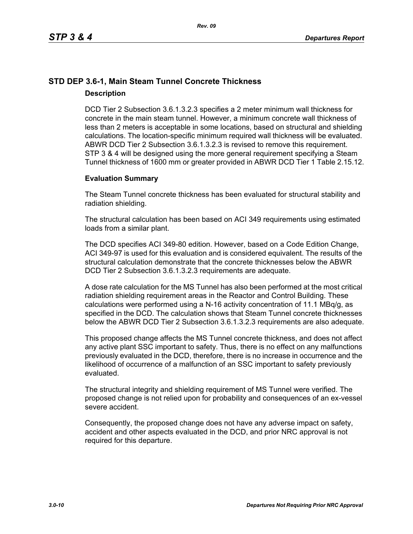## **STD DEP 3.6-1, Main Steam Tunnel Concrete Thickness Description**

DCD Tier 2 Subsection 3.6.1.3.2.3 specifies a 2 meter minimum wall thickness for concrete in the main steam tunnel. However, a minimum concrete wall thickness of less than 2 meters is acceptable in some locations, based on structural and shielding calculations. The location-specific minimum required wall thickness will be evaluated. ABWR DCD Tier 2 Subsection 3.6.1.3.2.3 is revised to remove this requirement. STP 3 & 4 will be designed using the more general requirement specifying a Steam Tunnel thickness of 1600 mm or greater provided in ABWR DCD Tier 1 Table 2.15.12.

### **Evaluation Summary**

The Steam Tunnel concrete thickness has been evaluated for structural stability and radiation shielding.

The structural calculation has been based on ACI 349 requirements using estimated loads from a similar plant.

The DCD specifies ACI 349-80 edition. However, based on a Code Edition Change, ACI 349-97 is used for this evaluation and is considered equivalent. The results of the structural calculation demonstrate that the concrete thicknesses below the ABWR DCD Tier 2 Subsection 3.6.1.3.2.3 requirements are adequate.

A dose rate calculation for the MS Tunnel has also been performed at the most critical radiation shielding requirement areas in the Reactor and Control Building. These calculations were performed using a N-16 activity concentration of 11.1 MBq/g, as specified in the DCD. The calculation shows that Steam Tunnel concrete thicknesses below the ABWR DCD Tier 2 Subsection 3.6.1.3.2.3 requirements are also adequate.

This proposed change affects the MS Tunnel concrete thickness, and does not affect any active plant SSC important to safety. Thus, there is no effect on any malfunctions previously evaluated in the DCD, therefore, there is no increase in occurrence and the likelihood of occurrence of a malfunction of an SSC important to safety previously evaluated.

The structural integrity and shielding requirement of MS Tunnel were verified. The proposed change is not relied upon for probability and consequences of an ex-vessel severe accident.

Consequently, the proposed change does not have any adverse impact on safety, accident and other aspects evaluated in the DCD, and prior NRC approval is not required for this departure.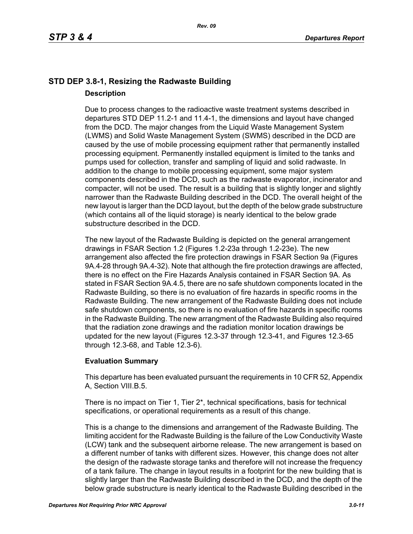## **STD DEP 3.8-1, Resizing the Radwaste Building Description**

Due to process changes to the radioactive waste treatment systems described in departures STD DEP 11.2-1 and 11.4-1, the dimensions and layout have changed from the DCD. The major changes from the Liquid Waste Management System (LWMS) and Solid Waste Management System (SWMS) described in the DCD are caused by the use of mobile processing equipment rather that permanently installed processing equipment. Permanently installed equipment is limited to the tanks and pumps used for collection, transfer and sampling of liquid and solid radwaste. In addition to the change to mobile processing equipment, some major system components described in the DCD, such as the radwaste evaporator, incinerator and compacter, will not be used. The result is a building that is slightly longer and slightly narrower than the Radwaste Building described in the DCD. The overall height of the new layout is larger than the DCD layout, but the depth of the below grade substructure (which contains all of the liquid storage) is nearly identical to the below grade substructure described in the DCD.

The new layout of the Radwaste Building is depicted on the general arrangement drawings in FSAR Section 1.2 (Figures 1.2-23a through 1.2-23e). The new arrangement also affected the fire protection drawings in FSAR Section 9a (Figures 9A.4-28 through 9A.4-32). Note that although the fire protection drawings are affected, there is no effect on the Fire Hazards Analysis contained in FSAR Section 9A. As stated in FSAR Section 9A.4.5, there are no safe shutdown components located in the Radwaste Building, so there is no evaluation of fire hazards in specific rooms in the Radwaste Building. The new arrangement of the Radwaste Building does not include safe shutdown components, so there is no evaluation of fire hazards in specific rooms in the Radwaste Building. The new arrangment of the Radwaste Building also required that the radiation zone drawings and the radiation monitor location drawings be updated for the new layout (Figures 12.3-37 through 12.3-41, and Figures 12.3-65 through 12.3-68, and Table 12.3-6).

### **Evaluation Summary**

This departure has been evaluated pursuant the requirements in 10 CFR 52, Appendix A, Section VIII.B.5.

There is no impact on Tier 1, Tier 2\*, technical specifications, basis for technical specifications, or operational requirements as a result of this change.

This is a change to the dimensions and arrangement of the Radwaste Building. The limiting accident for the Radwaste Building is the failure of the Low Conductivity Waste (LCW) tank and the subsequent airborne release. The new arrangement is based on a different number of tanks with different sizes. However, this change does not alter the design of the radwaste storage tanks and therefore will not increase the frequency of a tank failure. The change in layout results in a footprint for the new building that is slightly larger than the Radwaste Building described in the DCD, and the depth of the below grade substructure is nearly identical to the Radwaste Building described in the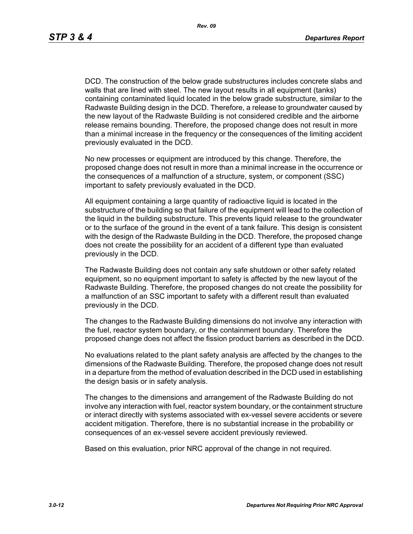DCD. The construction of the below grade substructures includes concrete slabs and walls that are lined with steel. The new layout results in all equipment (tanks) containing contaminated liquid located in the below grade substructure, similar to the Radwaste Building design in the DCD. Therefore, a release to groundwater caused by the new layout of the Radwaste Building is not considered credible and the airborne release remains bounding. Therefore, the proposed change does not result in more than a minimal increase in the frequency or the consequences of the limiting accident previously evaluated in the DCD.

No new processes or equipment are introduced by this change. Therefore, the proposed change does not result in more than a minimal increase in the occurrence or the consequences of a malfunction of a structure, system, or component (SSC) important to safety previously evaluated in the DCD.

All equipment containing a large quantity of radioactive liquid is located in the substructure of the building so that failure of the equipment will lead to the collection of the liquid in the building substructure. This prevents liquid release to the groundwater or to the surface of the ground in the event of a tank failure. This design is consistent with the design of the Radwaste Building in the DCD. Therefore, the proposed change does not create the possibility for an accident of a different type than evaluated previously in the DCD.

The Radwaste Building does not contain any safe shutdown or other safety related equipment, so no equipment important to safety is affected by the new layout of the Radwaste Building. Therefore, the proposed changes do not create the possibility for a malfunction of an SSC important to safety with a different result than evaluated previously in the DCD.

The changes to the Radwaste Building dimensions do not involve any interaction with the fuel, reactor system boundary, or the containment boundary. Therefore the proposed change does not affect the fission product barriers as described in the DCD.

No evaluations related to the plant safety analysis are affected by the changes to the dimensions of the Radwaste Building. Therefore, the proposed change does not result in a departure from the method of evaluation described in the DCD used in establishing the design basis or in safety analysis.

The changes to the dimensions and arrangement of the Radwaste Building do not involve any interaction with fuel, reactor system boundary, or the containment structure or interact directly with systems associated with ex-vessel severe accidents or severe accident mitigation. Therefore, there is no substantial increase in the probability or consequences of an ex-vessel severe accident previously reviewed.

Based on this evaluation, prior NRC approval of the change in not required.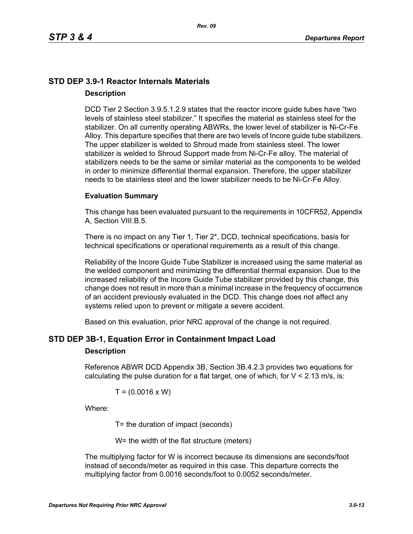## **STD DEP 3.9-1 Reactor Internals Materials Description**

DCD Tier 2 Section 3.9.5.1.2.9 states that the reactor incore guide tubes have "two levels of stainless steel stabilizer." It specifies the material as stainless steel for the stabilizer. On all currently operating ABWRs, the lower level of stabilizer is Ni-Cr-Fe Alloy. This departure specifies that there are two levels of Incore guide tube stabilizers. The upper stabilizer is welded to Shroud made from stainless steel. The lower stabilizer is welded to Shroud Support made from Ni-Cr-Fe alloy. The material of stabilizers needs to be the same or similar material as the components to be welded in order to minimize differential thermal expansion. Therefore, the upper stabilizer needs to be stainless steel and the lower stabilizer needs to be Ni-Cr-Fe Alloy.

#### **Evaluation Summary**

This change has been evaluated pursuant to the requirements in 10CFR52, Appendix A, Section VIII.B.5.

There is no impact on any Tier 1, Tier 2\*, DCD, technical specifications, basis for technical specifications or operational requirements as a result of this change.

Reliability of the Incore Guide Tube Stabilizer is increased using the same material as the welded component and minimizing the differential thermal expansion. Due to the increased reliability of the Incore Guide Tube stabilizer provided by this change, this change does not result in more than a minimal increase in the frequency of occurrence of an accident previously evaluated in the DCD. This change does not affect any systems relied upon to prevent or mitigate a severe accident.

Based on this evaluation, prior NRC approval of the change is not required.

### **STD DEP 3B-1, Equation Error in Containment Impact Load**

#### **Description**

Reference ABWR DCD Appendix 3B, Section 3B.4.2.3 provides two equations for calculating the pulse duration for a flat target, one of which, for  $V < 2.13$  m/s, is:

$$
T = (0.0016 \times W)
$$

Where:

T= the duration of impact (seconds)

W= the width of the flat structure (meters)

The multiplying factor for W is incorrect because its dimensions are seconds/foot instead of seconds/meter as required in this case. This departure corrects the multiplying factor from 0.0016 seconds/foot to 0.0052 seconds/meter.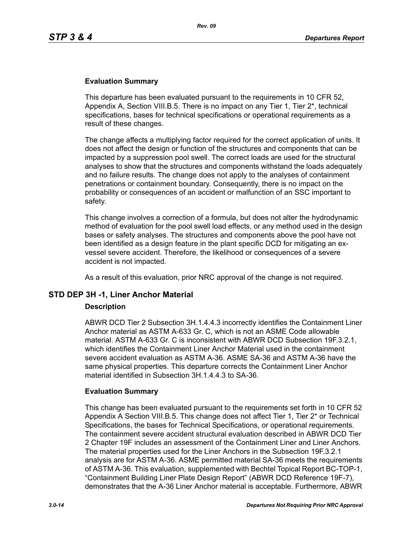### **Evaluation Summary**

This departure has been evaluated pursuant to the requirements in 10 CFR 52, Appendix A, Section VIII.B.5. There is no impact on any Tier 1, Tier 2\*, technical specifications, bases for technical specifications or operational requirements as a result of these changes.

The change affects a multiplying factor required for the correct application of units. It does not affect the design or function of the structures and components that can be impacted by a suppression pool swell. The correct loads are used for the structural analyses to show that the structures and components withstand the loads adequately and no failure results. The change does not apply to the analyses of containment penetrations or containment boundary. Consequently, there is no impact on the probability or consequences of an accident or malfunction of an SSC important to safety.

This change involves a correction of a formula, but does not alter the hydrodynamic method of evaluation for the pool swell load effects, or any method used in the design bases or safety analyses. The structures and components above the pool have not been identified as a design feature in the plant specific DCD for mitigating an exvessel severe accident. Therefore, the likelihood or consequences of a severe accident is not impacted.

As a result of this evaluation, prior NRC approval of the change is not required.

### **STD DEP 3H -1, Liner Anchor Material**

#### **Description**

ABWR DCD Tier 2 Subsection 3H.1.4.4.3 incorrectly identifies the Containment Liner Anchor material as ASTM A-633 Gr. C, which is not an ASME Code allowable material. ASTM A-633 Gr. C is inconsistent with ABWR DCD Subsection 19F.3.2.1, which identifies the Containment Liner Anchor Material used in the containment severe accident evaluation as ASTM A-36. ASME SA-36 and ASTM A-36 have the same physical properties. This departure corrects the Containment Liner Anchor material identified in Subsection 3H.1.4.4.3 to SA-36.

#### **Evaluation Summary**

This change has been evaluated pursuant to the requirements set forth in 10 CFR 52 Appendix A Section VIII.B.5. This change does not affect Tier 1, Tier 2\* or Technical Specifications, the bases for Technical Specifications, or operational requirements. The containment severe accident structural evaluation described in ABWR DCD Tier 2 Chapter 19F includes an assessment of the Containment Liner and Liner Anchors. The material properties used for the Liner Anchors in the Subsection 19F.3.2.1 analysis are for ASTM A-36. ASME permitted material SA-36 meets the requirements of ASTM A-36. This evaluation, supplemented with Bechtel Topical Report BC-TOP-1, "Containment Building Liner Plate Design Report" (ABWR DCD Reference 19F-7), demonstrates that the A-36 Liner Anchor material is acceptable. Furthermore, ABWR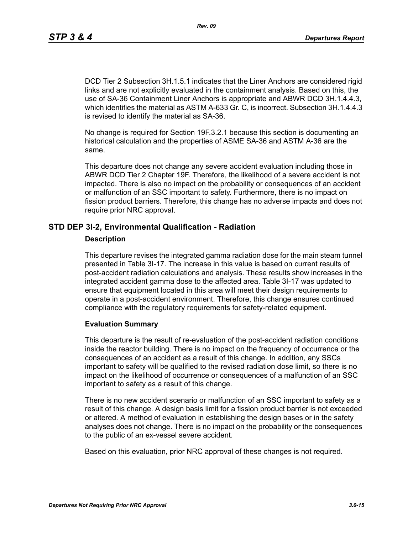DCD Tier 2 Subsection 3H.1.5.1 indicates that the Liner Anchors are considered rigid links and are not explicitly evaluated in the containment analysis. Based on this, the use of SA-36 Containment Liner Anchors is appropriate and ABWR DCD 3H.1.4.4.3, which identifies the material as ASTM A-633 Gr. C, is incorrect. Subsection 3H.1.4.4.3 is revised to identify the material as SA-36.

No change is required for Section 19F.3.2.1 because this section is documenting an historical calculation and the properties of ASME SA-36 and ASTM A-36 are the same.

This departure does not change any severe accident evaluation including those in ABWR DCD Tier 2 Chapter 19F. Therefore, the likelihood of a severe accident is not impacted. There is also no impact on the probability or consequences of an accident or malfunction of an SSC important to safety. Furthermore, there is no impact on fission product barriers. Therefore, this change has no adverse impacts and does not require prior NRC approval.

### **STD DEP 3I-2, Environmental Qualification - Radiation**

#### **Description**

This departure revises the integrated gamma radiation dose for the main steam tunnel presented in Table 3I-17. The increase in this value is based on current results of post-accident radiation calculations and analysis. These results show increases in the integrated accident gamma dose to the affected area. Table 3I-17 was updated to ensure that equipment located in this area will meet their design requirements to operate in a post-accident environment. Therefore, this change ensures continued compliance with the regulatory requirements for safety-related equipment.

#### **Evaluation Summary**

This departure is the result of re-evaluation of the post-accident radiation conditions inside the reactor building. There is no impact on the frequency of occurrence or the consequences of an accident as a result of this change. In addition, any SSCs important to safety will be qualified to the revised radiation dose limit, so there is no impact on the likelihood of occurrence or consequences of a malfunction of an SSC important to safety as a result of this change.

There is no new accident scenario or malfunction of an SSC important to safety as a result of this change. A design basis limit for a fission product barrier is not exceeded or altered. A method of evaluation in establishing the design bases or in the safety analyses does not change. There is no impact on the probability or the consequences to the public of an ex-vessel severe accident.

Based on this evaluation, prior NRC approval of these changes is not required.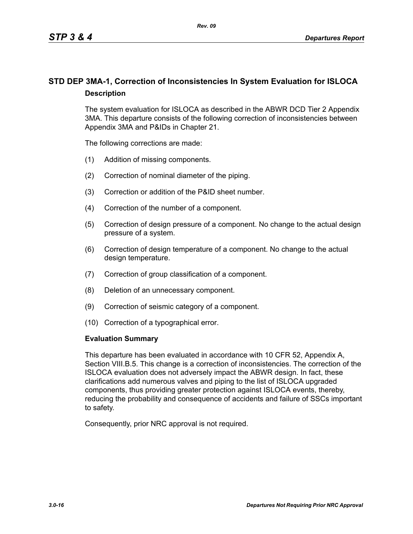## **STD DEP 3MA-1, Correction of Inconsistencies In System Evaluation for ISLOCA Description**

The system evaluation for ISLOCA as described in the ABWR DCD Tier 2 Appendix 3MA. This departure consists of the following correction of inconsistencies between Appendix 3MA and P&IDs in Chapter 21.

The following corrections are made:

- (1) Addition of missing components.
- (2) Correction of nominal diameter of the piping.
- (3) Correction or addition of the P&ID sheet number.
- (4) Correction of the number of a component.
- (5) Correction of design pressure of a component. No change to the actual design pressure of a system.
- (6) Correction of design temperature of a component. No change to the actual design temperature.
- (7) Correction of group classification of a component.
- (8) Deletion of an unnecessary component.
- (9) Correction of seismic category of a component.
- (10) Correction of a typographical error.

#### **Evaluation Summary**

This departure has been evaluated in accordance with 10 CFR 52, Appendix A, Section VIII.B.5. This change is a correction of inconsistencies. The correction of the ISLOCA evaluation does not adversely impact the ABWR design. In fact, these clarifications add numerous valves and piping to the list of ISLOCA upgraded components, thus providing greater protection against ISLOCA events, thereby, reducing the probability and consequence of accidents and failure of SSCs important to safety.

Consequently, prior NRC approval is not required.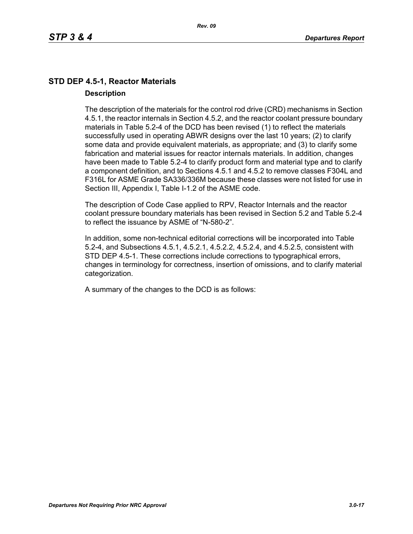## **STD DEP 4.5-1, Reactor Materials Description**

The description of the materials for the control rod drive (CRD) mechanisms in Section 4.5.1, the reactor internals in Section 4.5.2, and the reactor coolant pressure boundary materials in Table 5.2-4 of the DCD has been revised (1) to reflect the materials successfully used in operating ABWR designs over the last 10 years; (2) to clarify some data and provide equivalent materials, as appropriate; and (3) to clarify some fabrication and material issues for reactor internals materials. In addition, changes have been made to Table 5.2-4 to clarify product form and material type and to clarify a component definition, and to Sections 4.5.1 and 4.5.2 to remove classes F304L and F316L for ASME Grade SA336/336M because these classes were not listed for use in Section III, Appendix I, Table I-1.2 of the ASME code.

The description of Code Case applied to RPV, Reactor Internals and the reactor coolant pressure boundary materials has been revised in Section 5.2 and Table 5.2-4 to reflect the issuance by ASME of "N-580-2".

In addition, some non-technical editorial corrections will be incorporated into Table 5.2-4, and Subsections 4.5.1, 4.5.2.1, 4.5.2.2, 4.5.2.4, and 4.5.2.5, consistent with STD DEP 4.5-1. These corrections include corrections to typographical errors, changes in terminology for correctness, insertion of omissions, and to clarify material categorization.

A summary of the changes to the DCD is as follows: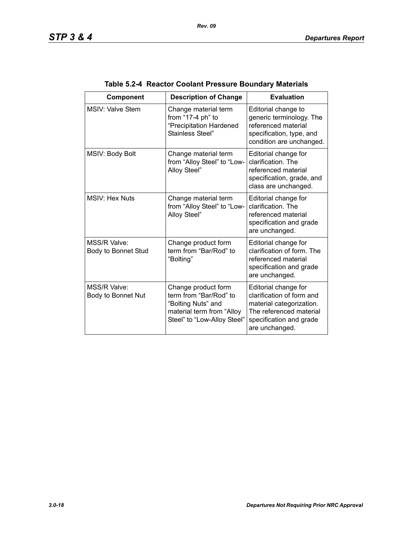| Component                           | <b>Description of Change</b>                                                                                                    | <b>Evaluation</b>                                                                                                                                     |
|-------------------------------------|---------------------------------------------------------------------------------------------------------------------------------|-------------------------------------------------------------------------------------------------------------------------------------------------------|
| MSIV: Valve Stem                    | Change material term<br>from "17-4 ph" to<br>"Precipitation Hardened<br>Stainless Steel"                                        | Editorial change to<br>generic terminology. The<br>referenced material<br>specification, type, and<br>condition are unchanged.                        |
| MSIV: Body Bolt                     | Change material term<br>from "Alloy Steel" to "Low-<br>Alloy Steel"                                                             | Editorial change for<br>clarification. The<br>referenced material<br>specification, grade, and<br>class are unchanged.                                |
| <b>MSIV: Hex Nuts</b>               | Change material term<br>from "Alloy Steel" to "Low-<br>Alloy Steel"                                                             | Editorial change for<br>clarification. The<br>referenced material<br>specification and grade<br>are unchanged.                                        |
| MSS/R Valve:<br>Body to Bonnet Stud | Change product form<br>term from "Bar/Rod" to<br>"Bolting"                                                                      | Editorial change for<br>clarification of form. The<br>referenced material<br>specification and grade<br>are unchanged.                                |
| MSS/R Valve:<br>Body to Bonnet Nut  | Change product form<br>term from "Bar/Rod" to<br>"Bolting Nuts" and<br>material term from "Alloy<br>Steel" to "Low-Alloy Steel" | Editorial change for<br>clarification of form and<br>material categorization.<br>The referenced material<br>specification and grade<br>are unchanged. |

## **Table 5.2-4 Reactor Coolant Pressure Boundary Materials**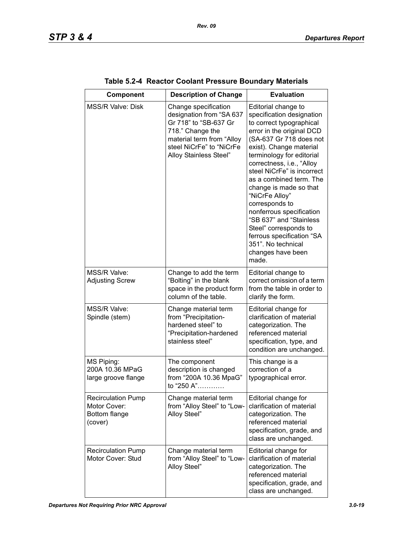| Component                                                             | <b>Description of Change</b>                                                                                                                                                     | <b>Evaluation</b>                                                                                                                                                                                                                                                                                                                                                                                                                                                                                                 |
|-----------------------------------------------------------------------|----------------------------------------------------------------------------------------------------------------------------------------------------------------------------------|-------------------------------------------------------------------------------------------------------------------------------------------------------------------------------------------------------------------------------------------------------------------------------------------------------------------------------------------------------------------------------------------------------------------------------------------------------------------------------------------------------------------|
| <b>MSS/R Valve: Disk</b>                                              | Change specification<br>designation from "SA 637<br>Gr 718" to "SB-637 Gr<br>718." Change the<br>material term from "Alloy<br>steel NiCrFe" to "NiCrFe<br>Alloy Stainless Steel" | Editorial change to<br>specification designation<br>to correct typographical<br>error in the original DCD<br>(SA-637 Gr 718 does not<br>exist). Change material<br>terminology for editorial<br>correctness, i.e., "Alloy<br>steel NiCrFe" is incorrect<br>as a combined term. The<br>change is made so that<br>"NiCrFe Alloy"<br>corresponds to<br>nonferrous specification<br>"SB 637" and "Stainless<br>Steel" corresponds to<br>ferrous specification "SA<br>351". No technical<br>changes have been<br>made. |
| MSS/R Valve:<br><b>Adjusting Screw</b>                                | Change to add the term<br>"Bolting" in the blank<br>space in the product form<br>column of the table.                                                                            | Editorial change to<br>correct omission of a term<br>from the table in order to<br>clarify the form.                                                                                                                                                                                                                                                                                                                                                                                                              |
| MSS/R Valve:<br>Spindle (stem)                                        | Change material term<br>from "Precipitation-<br>hardened steel" to<br>"Precipitation-hardened<br>stainless steel"                                                                | Editorial change for<br>clarification of material<br>categorization. The<br>referenced material<br>specification, type, and<br>condition are unchanged.                                                                                                                                                                                                                                                                                                                                                           |
| MS Piping:<br>200A 10.36 MPaG<br>large groove flange                  | The component<br>description is changed<br>from "200A 10.36 MpaG"<br>to "250 A"                                                                                                  | This change is a<br>correction of a<br>typographical error.                                                                                                                                                                                                                                                                                                                                                                                                                                                       |
| <b>Recirculation Pump</b><br>Motor Cover:<br>Bottom flange<br>(cover) | Change material term<br>from "Alloy Steel" to "Low-<br>Alloy Steel"                                                                                                              | Editorial change for<br>clarification of material<br>categorization. The<br>referenced material<br>specification, grade, and<br>class are unchanged.                                                                                                                                                                                                                                                                                                                                                              |
| <b>Recirculation Pump</b><br>Motor Cover: Stud                        | Change material term<br>from "Alloy Steel" to "Low-<br>Alloy Steel"                                                                                                              | Editorial change for<br>clarification of material<br>categorization. The<br>referenced material<br>specification, grade, and<br>class are unchanged.                                                                                                                                                                                                                                                                                                                                                              |

| Table 5.2-4 Reactor Coolant Pressure Boundary Materials |  |  |  |  |  |
|---------------------------------------------------------|--|--|--|--|--|
|---------------------------------------------------------|--|--|--|--|--|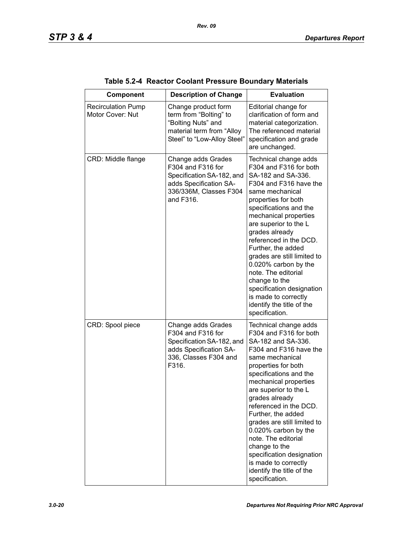| Component                                     | <b>Description of Change</b>                                                                                                          | <b>Evaluation</b>                                                                                                                                                                                                                                                                                                                                                                                                                                                                          |
|-----------------------------------------------|---------------------------------------------------------------------------------------------------------------------------------------|--------------------------------------------------------------------------------------------------------------------------------------------------------------------------------------------------------------------------------------------------------------------------------------------------------------------------------------------------------------------------------------------------------------------------------------------------------------------------------------------|
| <b>Recirculation Pump</b><br>Motor Cover: Nut | Change product form<br>term from "Bolting" to<br>"Bolting Nuts" and<br>material term from "Alloy<br>Steel" to "Low-Alloy Steel"       | Editorial change for<br>clarification of form and<br>material categorization.<br>The referenced material<br>specification and grade<br>are unchanged.                                                                                                                                                                                                                                                                                                                                      |
| CRD: Middle flange                            | Change adds Grades<br>F304 and F316 for<br>Specification SA-182, and<br>adds Specification SA-<br>336/336M, Classes F304<br>and F316. | Technical change adds<br>F304 and F316 for both<br>SA-182 and SA-336.<br>F304 and F316 have the<br>same mechanical<br>properties for both<br>specifications and the<br>mechanical properties<br>are superior to the L<br>grades already<br>referenced in the DCD.<br>Further, the added<br>grades are still limited to<br>0.020% carbon by the<br>note. The editorial<br>change to the<br>specification designation<br>is made to correctly<br>identify the title of the<br>specification. |
| CRD: Spool piece                              | Change adds Grades<br>F304 and F316 for<br>Specification SA-182, and<br>adds Specification SA-<br>336, Classes F304 and<br>F316.      | Technical change adds<br>F304 and F316 for both<br>SA-182 and SA-336.<br>F304 and F316 have the<br>same mechanical<br>properties for both<br>specifications and the<br>mechanical properties<br>are superior to the L<br>grades already<br>referenced in the DCD.<br>Further, the added<br>grades are still limited to<br>0.020% carbon by the<br>note. The editorial<br>change to the<br>specification designation<br>is made to correctly<br>identify the title of the<br>specification. |

### **Table 5.2-4 Reactor Coolant Pressure Boundary Materials**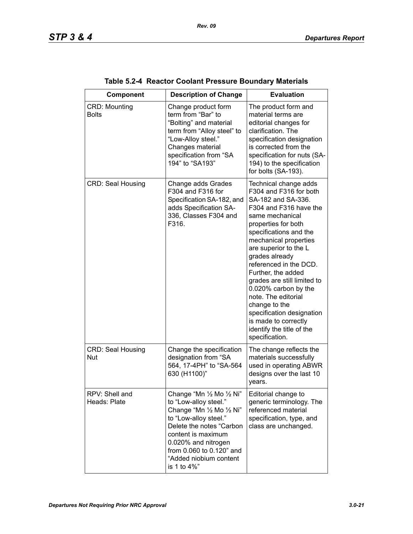| Component                              | <b>Description of Change</b>                                                                                                                                                                                                                           | <b>Evaluation</b>                                                                                                                                                                                                                                                                                                                                                                                                                                                                          |
|----------------------------------------|--------------------------------------------------------------------------------------------------------------------------------------------------------------------------------------------------------------------------------------------------------|--------------------------------------------------------------------------------------------------------------------------------------------------------------------------------------------------------------------------------------------------------------------------------------------------------------------------------------------------------------------------------------------------------------------------------------------------------------------------------------------|
| <b>CRD: Mounting</b><br><b>Bolts</b>   | Change product form<br>term from "Bar" to<br>"Bolting" and material<br>term from "Alloy steel" to<br>"Low-Alloy steel."<br>Changes material<br>specification from "SA<br>194" to "SA193"                                                               | The product form and<br>material terms are<br>editorial changes for<br>clarification. The<br>specification designation<br>is corrected from the<br>specification for nuts (SA-<br>194) to the specification<br>for bolts (SA-193).                                                                                                                                                                                                                                                         |
| <b>CRD: Seal Housing</b>               | Change adds Grades<br>F304 and F316 for<br>Specification SA-182, and<br>adds Specification SA-<br>336, Classes F304 and<br>F316.                                                                                                                       | Technical change adds<br>F304 and F316 for both<br>SA-182 and SA-336.<br>F304 and F316 have the<br>same mechanical<br>properties for both<br>specifications and the<br>mechanical properties<br>are superior to the L<br>grades already<br>referenced in the DCD.<br>Further, the added<br>grades are still limited to<br>0.020% carbon by the<br>note. The editorial<br>change to the<br>specification designation<br>is made to correctly<br>identify the title of the<br>specification. |
| <b>CRD: Seal Housing</b><br><b>Nut</b> | Change the specification<br>designation from "SA<br>564, 17-4PH" to "SA-564<br>630 (H1100)"                                                                                                                                                            | The change reflects the<br>materials successfully<br>used in operating ABWR<br>designs over the last 10<br>years.                                                                                                                                                                                                                                                                                                                                                                          |
| RPV: Shell and<br>Heads: Plate         | Change "Mn 1/2 Mo 1/2 Ni"<br>to "Low-alloy steel."<br>Change "Mn 1/2 Mo 1/2 Ni"<br>to "Low-alloy steel."<br>Delete the notes "Carbon<br>content is maximum<br>0.020% and nitrogen<br>from 0.060 to 0.120" and<br>"Added niobium content<br>is 1 to 4%" | Editorial change to<br>generic terminology. The<br>referenced material<br>specification, type, and<br>class are unchanged.                                                                                                                                                                                                                                                                                                                                                                 |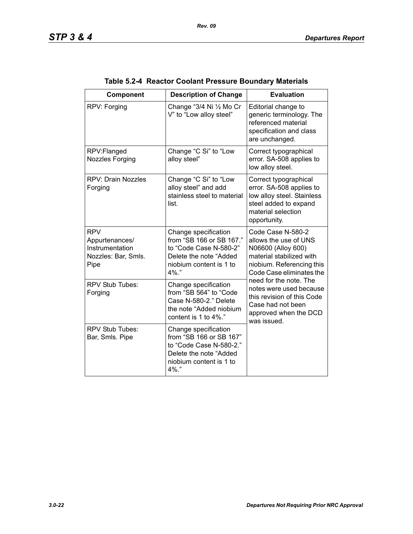| Component                                                                      | <b>Description of Change</b>                                                                                                                | <b>Evaluation</b>                                                                                                                                     |
|--------------------------------------------------------------------------------|---------------------------------------------------------------------------------------------------------------------------------------------|-------------------------------------------------------------------------------------------------------------------------------------------------------|
| RPV: Forging                                                                   | Change "3/4 Ni 1/2 Mo Cr<br>V" to "Low alloy steel"                                                                                         | Editorial change to<br>generic terminology. The<br>referenced material<br>specification and class<br>are unchanged.                                   |
| RPV:Flanged<br>Nozzles Forging                                                 | Change "C Si" to "Low<br>alloy steel"                                                                                                       | Correct typographical<br>error. SA-508 applies to<br>low alloy steel.                                                                                 |
| <b>RPV: Drain Nozzles</b><br>Forging                                           | Change "C Si" to "Low<br>alloy steel" and add<br>stainless steel to material<br>list.                                                       | Correct typographical<br>error. SA-508 applies to<br>low alloy steel. Stainless<br>steel added to expand<br>material selection<br>opportunity.        |
| <b>RPV</b><br>Appurtenances/<br>Instrumentation<br>Nozzles: Bar, Smls.<br>Pipe | Change specification<br>from "SB 166 or SB 167."<br>to "Code Case N-580-2"<br>Delete the note "Added<br>niobium content is 1 to<br>$4\%$ ." | Code Case N-580-2<br>allows the use of UNS<br>N06600 (Alloy 600)<br>material stabilized with<br>niobium. Referencing this<br>Code Case eliminates the |
| RPV Stub Tubes:<br>Forging                                                     | Change specification<br>from "SB 564" to "Code<br>Case N-580-2." Delete<br>the note "Added niobium<br>content is 1 to 4%."                  | need for the note. The<br>notes were used because<br>this revision of this Code<br>Case had not been<br>approved when the DCD<br>was issued.          |
| <b>RPV Stub Tubes:</b><br>Bar, Smls. Pipe                                      | Change specification<br>from "SB 166 or SB 167"<br>to "Code Case N-580-2."<br>Delete the note "Added<br>niobium content is 1 to<br>4%."     |                                                                                                                                                       |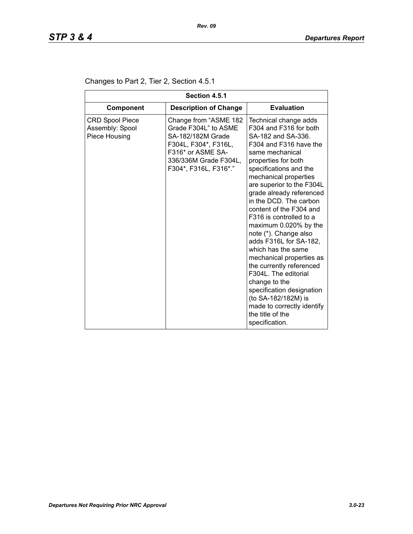| Section 4.5.1                                              |                                                                                                                                                                   |                                                                                                                                                                                                                                                                                                                                                                                                                                                                                                                                                                                                                                                                  |  |
|------------------------------------------------------------|-------------------------------------------------------------------------------------------------------------------------------------------------------------------|------------------------------------------------------------------------------------------------------------------------------------------------------------------------------------------------------------------------------------------------------------------------------------------------------------------------------------------------------------------------------------------------------------------------------------------------------------------------------------------------------------------------------------------------------------------------------------------------------------------------------------------------------------------|--|
| Component                                                  | <b>Description of Change</b>                                                                                                                                      | <b>Evaluation</b>                                                                                                                                                                                                                                                                                                                                                                                                                                                                                                                                                                                                                                                |  |
| <b>CRD Spool Piece</b><br>Assembly: Spool<br>Piece Housing | Change from "ASME 182<br>Grade F304L" to ASME<br>SA-182/182M Grade<br>F304L, F304*, F316L,<br>F316* or ASME SA-<br>336/336M Grade F304L,<br>F304*, F316L, F316*." | Technical change adds<br>F304 and F316 for both<br>SA-182 and SA-336.<br>F304 and F316 have the<br>same mechanical<br>properties for both<br>specifications and the<br>mechanical properties<br>are superior to the F304L<br>grade already referenced<br>in the DCD. The carbon<br>content of the F304 and<br>F316 is controlled to a<br>maximum 0.020% by the<br>note (*). Change also<br>adds F316L for SA-182,<br>which has the same<br>mechanical properties as<br>the currently referenced<br>F304L. The editorial<br>change to the<br>specification designation<br>(to SA-182/182M) is<br>made to correctly identify<br>the title of the<br>specification. |  |

### Changes to Part 2, Tier 2, Section 4.5.1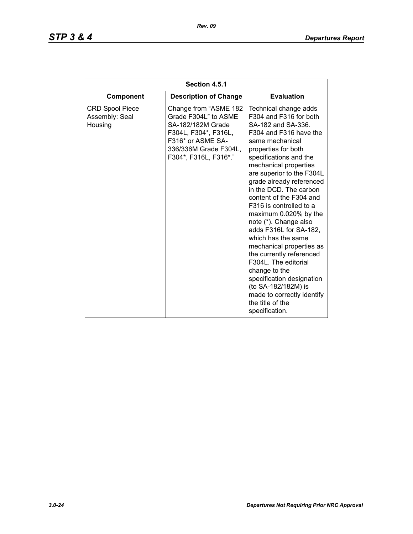# *STP 3 & 4 Departures Report*

| Section 4.5.1                                       |                                                                                                                                                                   |                                                                                                                                                                                                                                                                                                                                                                                                                                                                                                                                                                                                                                                                  |  |
|-----------------------------------------------------|-------------------------------------------------------------------------------------------------------------------------------------------------------------------|------------------------------------------------------------------------------------------------------------------------------------------------------------------------------------------------------------------------------------------------------------------------------------------------------------------------------------------------------------------------------------------------------------------------------------------------------------------------------------------------------------------------------------------------------------------------------------------------------------------------------------------------------------------|--|
| <b>Component</b>                                    | <b>Description of Change</b>                                                                                                                                      | <b>Evaluation</b>                                                                                                                                                                                                                                                                                                                                                                                                                                                                                                                                                                                                                                                |  |
| <b>CRD Spool Piece</b><br>Assembly: Seal<br>Housing | Change from "ASME 182<br>Grade F304L" to ASME<br>SA-182/182M Grade<br>F304L, F304*, F316L,<br>F316* or ASME SA-<br>336/336M Grade F304L,<br>F304*, F316L, F316*." | Technical change adds<br>F304 and F316 for both<br>SA-182 and SA-336.<br>F304 and F316 have the<br>same mechanical<br>properties for both<br>specifications and the<br>mechanical properties<br>are superior to the F304L<br>grade already referenced<br>in the DCD. The carbon<br>content of the F304 and<br>F316 is controlled to a<br>maximum 0.020% by the<br>note (*). Change also<br>adds F316L for SA-182,<br>which has the same<br>mechanical properties as<br>the currently referenced<br>F304L. The editorial<br>change to the<br>specification designation<br>(to SA-182/182M) is<br>made to correctly identify<br>the title of the<br>specification. |  |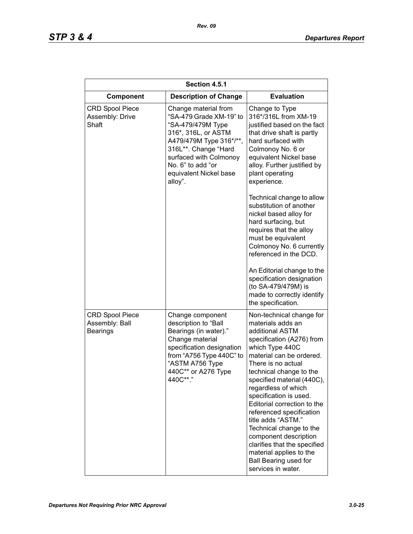| Section 4.5.1                                               |                                                                                                                                                                                                                                    |                                                                                                                                                                                                                                                                                                                                                                                                                                                                                                                             |  |
|-------------------------------------------------------------|------------------------------------------------------------------------------------------------------------------------------------------------------------------------------------------------------------------------------------|-----------------------------------------------------------------------------------------------------------------------------------------------------------------------------------------------------------------------------------------------------------------------------------------------------------------------------------------------------------------------------------------------------------------------------------------------------------------------------------------------------------------------------|--|
| <b>Component</b>                                            | <b>Description of Change</b>                                                                                                                                                                                                       | <b>Evaluation</b>                                                                                                                                                                                                                                                                                                                                                                                                                                                                                                           |  |
| <b>CRD Spool Piece</b><br>Assembly: Drive<br>Shaft          | Change material from<br>"SA-479 Grade XM-19" to<br>"SA-479/479M Type<br>316*, 316L, or ASTM<br>A479/479M Type 316*/**,<br>316L**. Change "Hard<br>surfaced with Colmonoy<br>No. 6" to add "or<br>equivalent Nickel base<br>alloy". | Change to Type<br>316*/316L from XM-19<br>justified based on the fact<br>that drive shaft is partly<br>hard surfaced with<br>Colmonoy No. 6 or<br>equivalent Nickel base<br>alloy. Further justified by<br>plant operating<br>experience.                                                                                                                                                                                                                                                                                   |  |
|                                                             |                                                                                                                                                                                                                                    | Technical change to allow<br>substitution of another<br>nickel based alloy for<br>hard surfacing, but<br>requires that the alloy<br>must be equivalent<br>Colmonoy No. 6 currently<br>referenced in the DCD.<br>An Editorial change to the<br>specification designation<br>(to SA-479/479M) is<br>made to correctly identify<br>the specification.                                                                                                                                                                          |  |
| <b>CRD Spool Piece</b><br>Assembly: Ball<br><b>Bearings</b> | Change component<br>description to "Ball<br>Bearings (in water)."<br>Change material<br>specification designation<br>from "A756 Type 440C" to<br>"ASTM A756 Type<br>440C** or A276 Type<br>440C**."                                | Non-technical change for<br>materials adds an<br>additional ASTM<br>specification (A276) from<br>which Type 440C<br>material can be ordered.<br>There is no actual<br>technical change to the<br>specified material (440C).<br>regardless of which<br>specification is used.<br>Editorial correction to the<br>referenced specification<br>title adds "ASTM."<br>Technical change to the<br>component description<br>clarifies that the specified<br>material applies to the<br>Ball Bearing used for<br>services in water. |  |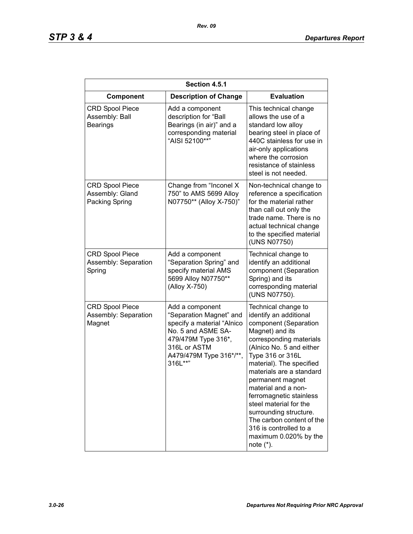| Section 4.5.1                                               |                                                                                                                                                                             |                                                                                                                                                                                                                                                                                                                                                                                                                                                        |  |
|-------------------------------------------------------------|-----------------------------------------------------------------------------------------------------------------------------------------------------------------------------|--------------------------------------------------------------------------------------------------------------------------------------------------------------------------------------------------------------------------------------------------------------------------------------------------------------------------------------------------------------------------------------------------------------------------------------------------------|--|
| Component                                                   | <b>Description of Change</b>                                                                                                                                                | <b>Evaluation</b>                                                                                                                                                                                                                                                                                                                                                                                                                                      |  |
| <b>CRD Spool Piece</b><br>Assembly: Ball<br><b>Bearings</b> | Add a component<br>description for "Ball<br>Bearings (in air)" and a<br>corresponding material<br>"AISI 52100**"                                                            | This technical change<br>allows the use of a<br>standard low alloy<br>bearing steel in place of<br>440C stainless for use in<br>air-only applications<br>where the corrosion<br>resistance of stainless<br>steel is not needed.                                                                                                                                                                                                                        |  |
| <b>CRD Spool Piece</b><br>Assembly: Gland<br>Packing Spring | Change from "Inconel X<br>750" to AMS 5699 Alloy<br>N07750** (Alloy X-750)"                                                                                                 | Non-technical change to<br>reference a specification<br>for the material rather<br>than call out only the<br>trade name. There is no<br>actual technical change<br>to the specified material<br>(UNS N07750)                                                                                                                                                                                                                                           |  |
| <b>CRD Spool Piece</b><br>Assembly: Separation<br>Spring    | Add a component<br>"Separation Spring" and<br>specify material AMS<br>5699 Alloy N07750**<br>(Alloy X-750)                                                                  | Technical change to<br>identify an additional<br>component (Separation<br>Spring) and its<br>corresponding material<br>(UNS N07750).                                                                                                                                                                                                                                                                                                                   |  |
| <b>CRD Spool Piece</b><br>Assembly: Separation<br>Magnet    | Add a component<br>"Separation Magnet" and<br>specify a material "Alnico<br>No. 5 and ASME SA-<br>479/479M Type 316*,<br>316L or ASTM<br>A479/479M Type 316*/**,<br>316L**" | Technical change to<br>identify an additional<br>component (Separation<br>Magnet) and its<br>corresponding materials<br>(Alnico No. 5 and either<br>Type 316 or 316L<br>material). The specified<br>materials are a standard<br>permanent magnet<br>material and a non-<br>ferromagnetic stainless<br>steel material for the<br>surrounding structure.<br>The carbon content of the<br>316 is controlled to a<br>maximum 0.020% by the<br>note $(*)$ . |  |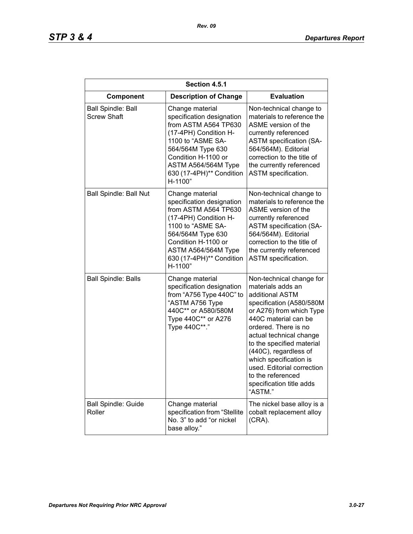| Section 4.5.1                                   |                                                                                                                                                                                                                              |                                                                                                                                                                                                                                                                                                                                                                               |  |
|-------------------------------------------------|------------------------------------------------------------------------------------------------------------------------------------------------------------------------------------------------------------------------------|-------------------------------------------------------------------------------------------------------------------------------------------------------------------------------------------------------------------------------------------------------------------------------------------------------------------------------------------------------------------------------|--|
| Component                                       | <b>Description of Change</b>                                                                                                                                                                                                 | <b>Evaluation</b>                                                                                                                                                                                                                                                                                                                                                             |  |
| <b>Ball Spindle: Ball</b><br><b>Screw Shaft</b> | Change material<br>specification designation<br>from ASTM A564 TP630<br>(17-4PH) Condition H-<br>1100 to "ASME SA-<br>564/564M Type 630<br>Condition H-1100 or<br>ASTM A564/564M Type<br>630 (17-4PH)** Condition<br>H-1100" | Non-technical change to<br>materials to reference the<br>ASME version of the<br>currently referenced<br><b>ASTM specification (SA-</b><br>564/564M). Editorial<br>correction to the title of<br>the currently referenced<br>ASTM specification.                                                                                                                               |  |
| <b>Ball Spindle: Ball Nut</b>                   | Change material<br>specification designation<br>from ASTM A564 TP630<br>(17-4PH) Condition H-<br>1100 to "ASME SA-<br>564/564M Type 630<br>Condition H-1100 or<br>ASTM A564/564M Type<br>630 (17-4PH)** Condition<br>H-1100" | Non-technical change to<br>materials to reference the<br>ASME version of the<br>currently referenced<br><b>ASTM</b> specification (SA-<br>564/564M). Editorial<br>correction to the title of<br>the currently referenced<br>ASTM specification.                                                                                                                               |  |
| <b>Ball Spindle: Balls</b>                      | Change material<br>specification designation<br>from "A756 Type 440C" to<br>"ASTM A756 Type<br>440C** or A580/580M<br>Type 440C** or A276<br>Type 440C**."                                                                   | Non-technical change for<br>materials adds an<br>additional ASTM<br>specification (A580/580M<br>or A276) from which Type<br>440C material can be<br>ordered. There is no<br>actual technical change<br>to the specified material<br>(440C), regardless of<br>which specification is<br>used. Editorial correction<br>to the referenced<br>specification title adds<br>"ASTM." |  |
| <b>Ball Spindle: Guide</b><br>Roller            | Change material<br>specification from "Stellite<br>No. 3" to add "or nickel<br>base alloy."                                                                                                                                  | The nickel base alloy is a<br>cobalt replacement alloy<br>$(CRA)$ .                                                                                                                                                                                                                                                                                                           |  |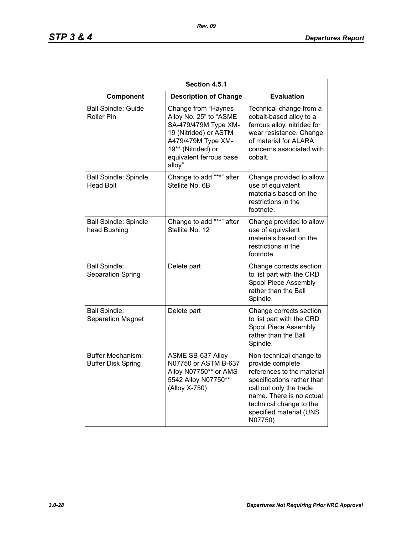# *STP 3 & 4 Departures Report*

| Section 4.5.1                                         |                                                                                                                                                                                 |                                                                                                                                                                                                                                 |  |
|-------------------------------------------------------|---------------------------------------------------------------------------------------------------------------------------------------------------------------------------------|---------------------------------------------------------------------------------------------------------------------------------------------------------------------------------------------------------------------------------|--|
| Component                                             | <b>Description of Change</b>                                                                                                                                                    | <b>Evaluation</b>                                                                                                                                                                                                               |  |
| <b>Ball Spindle: Guide</b><br><b>Roller Pin</b>       | Change from "Haynes<br>Alloy No. 25" to "ASME<br>SA-479/479M Type XM-<br>19 (Nitrided) or ASTM<br>A479/479M Type XM-<br>19** (Nitrided) or<br>equivalent ferrous base<br>alloy" | Technical change from a<br>cobalt-based alloy to a<br>ferrous alloy, nitrided for<br>wear resistance. Change<br>of material for ALARA<br>concerns associated with<br>cobalt.                                                    |  |
| <b>Ball Spindle: Spindle</b><br><b>Head Bolt</b>      | Change to add "**" after<br>Stellite No. 6B                                                                                                                                     | Change provided to allow<br>use of equivalent<br>materials based on the<br>restrictions in the<br>footnote.                                                                                                                     |  |
| Ball Spindle: Spindle<br>head Bushing                 | Change to add "**" after<br>Stellite No. 12                                                                                                                                     | Change provided to allow<br>use of equivalent<br>materials based on the<br>restrictions in the<br>footnote.                                                                                                                     |  |
| <b>Ball Spindle:</b><br>Separation Spring             | Delete part                                                                                                                                                                     | Change corrects section<br>to list part with the CRD<br>Spool Piece Assembly<br>rather than the Ball<br>Spindle.                                                                                                                |  |
| <b>Ball Spindle:</b><br><b>Separation Magnet</b>      | Delete part                                                                                                                                                                     | Change corrects section<br>to list part with the CRD<br>Spool Piece Assembly<br>rather than the Ball<br>Spindle.                                                                                                                |  |
| <b>Buffer Mechanism:</b><br><b>Buffer Disk Spring</b> | ASME SB-637 Alloy<br>N07750 or ASTM B-637<br>Alloy N07750** or AMS<br>5542 Alloy N07750**<br>(Alloy X-750)                                                                      | Non-technical change to<br>provide complete<br>references to the material<br>specifications rather than<br>call out only the trade<br>name. There is no actual<br>technical change to the<br>specified material (UNS<br>N07750) |  |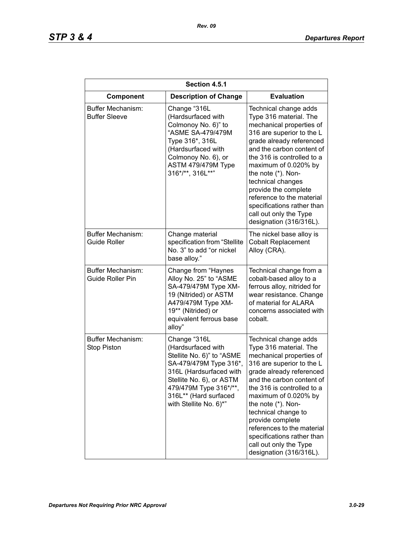| Section 4.5.1                                  |                                                                                                                                                                                                                               |                                                                                                                                                                                                                                                                                                                                                                                                            |  |
|------------------------------------------------|-------------------------------------------------------------------------------------------------------------------------------------------------------------------------------------------------------------------------------|------------------------------------------------------------------------------------------------------------------------------------------------------------------------------------------------------------------------------------------------------------------------------------------------------------------------------------------------------------------------------------------------------------|--|
| Component                                      | <b>Description of Change</b>                                                                                                                                                                                                  | <b>Evaluation</b>                                                                                                                                                                                                                                                                                                                                                                                          |  |
| Buffer Mechanism:<br><b>Buffer Sleeve</b>      | Change "316L<br>(Hardsurfaced with<br>Colmonoy No. 6)" to<br>"ASME SA-479/479M<br>Type 316*, 316L<br>(Hardsurfaced with<br>Colmonoy No. 6), or<br>ASTM 479/479M Type<br>316*/**, 316L**"                                      | Technical change adds<br>Type 316 material. The<br>mechanical properties of<br>316 are superior to the L<br>grade already referenced<br>and the carbon content of<br>the 316 is controlled to a<br>maximum of 0.020% by<br>the note (*). Non-<br>technical changes<br>provide the complete<br>reference to the material<br>specifications rather than<br>call out only the Type<br>designation (316/316L). |  |
| Buffer Mechanism:<br><b>Guide Roller</b>       | Change material<br>specification from "Stellite<br>No. 3" to add "or nickel<br>base alloy."                                                                                                                                   | The nickel base alloy is<br><b>Cobalt Replacement</b><br>Alloy (CRA).                                                                                                                                                                                                                                                                                                                                      |  |
| Buffer Mechanism:<br>Guide Roller Pin          | Change from "Haynes<br>Alloy No. 25" to "ASME<br>SA-479/479M Type XM-<br>19 (Nitrided) or ASTM<br>A479/479M Type XM-<br>19** (Nitrided) or<br>equivalent ferrous base<br>alloy"                                               | Technical change from a<br>cobalt-based alloy to a<br>ferrous alloy, nitrided for<br>wear resistance. Change<br>of material for ALARA<br>concerns associated with<br>cobalt.                                                                                                                                                                                                                               |  |
| <b>Buffer Mechanism:</b><br><b>Stop Piston</b> | Change "316L<br>(Hardsurfaced with<br>Stellite No. 6)" to "ASME<br>SA-479/479M Type 316*,<br>316L (Hardsurfaced with<br>Stellite No. 6), or ASTM<br>479/479M Type 316*/**,<br>316L** (Hard surfaced<br>with Stellite No. 6)*" | Technical change adds<br>Type 316 material. The<br>mechanical properties of<br>316 are superior to the L<br>grade already referenced<br>and the carbon content of<br>the 316 is controlled to a<br>maximum of 0.020% by<br>the note (*). Non-<br>technical change to<br>provide complete<br>references to the material<br>specifications rather than<br>call out only the Type<br>designation (316/316L).  |  |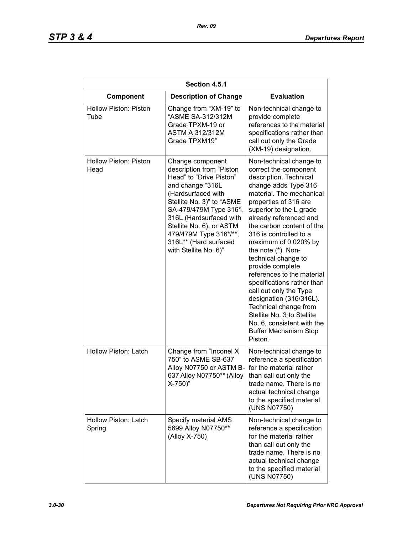| Section 4.5.1                        |                                                                                                                                                                                                                                                                                                             |                                                                                                                                                                                                                                                                                                                                                                                                                                                                                                                                                                                                               |  |
|--------------------------------------|-------------------------------------------------------------------------------------------------------------------------------------------------------------------------------------------------------------------------------------------------------------------------------------------------------------|---------------------------------------------------------------------------------------------------------------------------------------------------------------------------------------------------------------------------------------------------------------------------------------------------------------------------------------------------------------------------------------------------------------------------------------------------------------------------------------------------------------------------------------------------------------------------------------------------------------|--|
| Component                            | <b>Description of Change</b>                                                                                                                                                                                                                                                                                | <b>Evaluation</b>                                                                                                                                                                                                                                                                                                                                                                                                                                                                                                                                                                                             |  |
| <b>Hollow Piston: Piston</b><br>Tube | Change from "XM-19" to<br>"ASME SA-312/312M<br>Grade TPXM-19 or<br><b>ASTM A 312/312M</b><br>Grade TPXM19"                                                                                                                                                                                                  | Non-technical change to<br>provide complete<br>references to the material<br>specifications rather than<br>call out only the Grade<br>(XM-19) designation.                                                                                                                                                                                                                                                                                                                                                                                                                                                    |  |
| <b>Hollow Piston: Piston</b><br>Head | Change component<br>description from "Piston<br>Head" to "Drive Piston"<br>and change "316L<br>(Hardsurfaced with<br>Stellite No. 3)" to "ASME<br>SA-479/479M Type 316*,<br>316L (Hardsurfaced with<br>Stellite No. 6), or ASTM<br>479/479M Type 316*/**,<br>316L** (Hard surfaced<br>with Stellite No. 6)" | Non-technical change to<br>correct the component<br>description. Technical<br>change adds Type 316<br>material. The mechanical<br>properties of 316 are<br>superior to the L grade<br>already referenced and<br>the carbon content of the<br>316 is controlled to a<br>maximum of 0.020% by<br>the note (*). Non-<br>technical change to<br>provide complete<br>references to the material<br>specifications rather than<br>call out only the Type<br>designation (316/316L).<br>Technical change from<br>Stellite No. 3 to Stellite<br>No. 6, consistent with the<br><b>Buffer Mechanism Stop</b><br>Piston. |  |
| Hollow Piston: Latch                 | Change from "Inconel X<br>750" to ASME SB-637<br>Alloy N07750 or ASTM B-<br>637 Alloy N07750** (Alloy<br>$X-750$                                                                                                                                                                                            | Non-technical change to<br>reference a specification<br>for the material rather<br>than call out only the<br>trade name. There is no<br>actual technical change<br>to the specified material<br>(UNS N07750)                                                                                                                                                                                                                                                                                                                                                                                                  |  |
| Hollow Piston: Latch<br>Spring       | Specify material AMS<br>5699 Alloy N07750**<br>(Alloy X-750)                                                                                                                                                                                                                                                | Non-technical change to<br>reference a specification<br>for the material rather<br>than call out only the<br>trade name. There is no<br>actual technical change<br>to the specified material<br>(UNS N07750)                                                                                                                                                                                                                                                                                                                                                                                                  |  |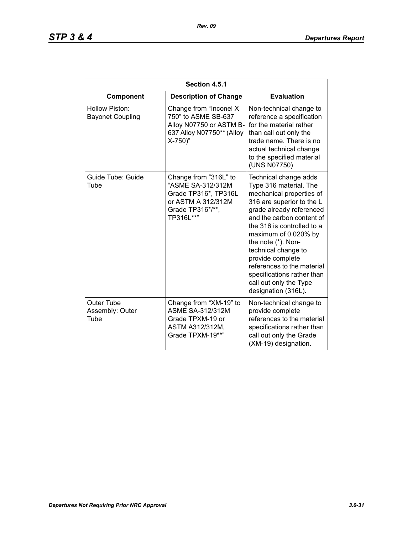| Section 4.5.1                             |                                                                                                                           |                                                                                                                                                                                                                                                                                                                                                                                                       |  |
|-------------------------------------------|---------------------------------------------------------------------------------------------------------------------------|-------------------------------------------------------------------------------------------------------------------------------------------------------------------------------------------------------------------------------------------------------------------------------------------------------------------------------------------------------------------------------------------------------|--|
| Component                                 | <b>Description of Change</b>                                                                                              | <b>Evaluation</b>                                                                                                                                                                                                                                                                                                                                                                                     |  |
| Hollow Piston:<br><b>Bayonet Coupling</b> | Change from "Inconel X<br>750" to ASME SB-637<br>Alloy N07750 or ASTM B-<br>637 Alloy N07750** (Alloy<br>$X-750$ )"       | Non-technical change to<br>reference a specification<br>for the material rather<br>than call out only the<br>trade name. There is no<br>actual technical change<br>to the specified material<br>(UNS N07750)                                                                                                                                                                                          |  |
| Guide Tube: Guide<br>Tube                 | Change from "316L" to<br>"ASME SA-312/312M<br>Grade TP316*, TP316L<br>or ASTM A 312/312M<br>Grade TP316*/**,<br>TP316L**" | Technical change adds<br>Type 316 material. The<br>mechanical properties of<br>316 are superior to the L<br>grade already referenced<br>and the carbon content of<br>the 316 is controlled to a<br>maximum of 0.020% by<br>the note (*). Non-<br>technical change to<br>provide complete<br>references to the material<br>specifications rather than<br>call out only the Type<br>designation (316L). |  |
| Outer Tube<br>Assembly: Outer<br>Tube     | Change from "XM-19" to<br><b>ASME SA-312/312M</b><br>Grade TPXM-19 or<br>ASTM A312/312M,<br>Grade TPXM-19**"              | Non-technical change to<br>provide complete<br>references to the material<br>specifications rather than<br>call out only the Grade<br>(XM-19) designation.                                                                                                                                                                                                                                            |  |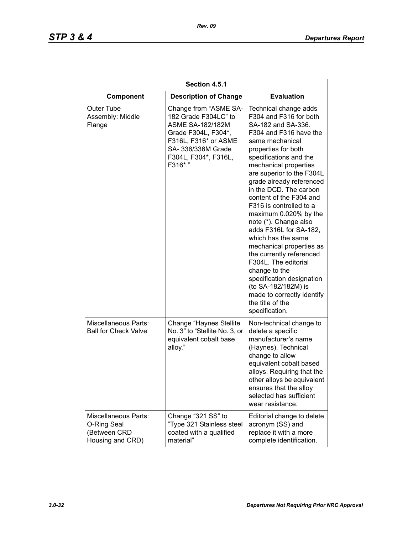| Section 4.5.1                                                           |                                                                                                                                                                                  |                                                                                                                                                                                                                                                                                                                                                                                                                                                                                                                                                                                                                                                                  |  |
|-------------------------------------------------------------------------|----------------------------------------------------------------------------------------------------------------------------------------------------------------------------------|------------------------------------------------------------------------------------------------------------------------------------------------------------------------------------------------------------------------------------------------------------------------------------------------------------------------------------------------------------------------------------------------------------------------------------------------------------------------------------------------------------------------------------------------------------------------------------------------------------------------------------------------------------------|--|
| <b>Component</b>                                                        | <b>Description of Change</b>                                                                                                                                                     | <b>Evaluation</b>                                                                                                                                                                                                                                                                                                                                                                                                                                                                                                                                                                                                                                                |  |
| Outer Tube<br>Assembly: Middle<br>Flange                                | Change from "ASME SA-<br>182 Grade F304LC" to<br><b>ASME SA-182/182M</b><br>Grade F304L, F304*,<br>F316L, F316* or ASME<br>SA- 336/336M Grade<br>F304L, F304*, F316L,<br>F316*." | Technical change adds<br>F304 and F316 for both<br>SA-182 and SA-336.<br>F304 and F316 have the<br>same mechanical<br>properties for both<br>specifications and the<br>mechanical properties<br>are superior to the F304L<br>grade already referenced<br>in the DCD. The carbon<br>content of the F304 and<br>F316 is controlled to a<br>maximum 0.020% by the<br>note (*). Change also<br>adds F316L for SA-182,<br>which has the same<br>mechanical properties as<br>the currently referenced<br>F304L. The editorial<br>change to the<br>specification designation<br>(to SA-182/182M) is<br>made to correctly identify<br>the title of the<br>specification. |  |
| <b>Miscellaneous Parts:</b><br><b>Ball for Check Valve</b>              | Change "Haynes Stellite"<br>No. 3" to "Stellite No. 3, or<br>equivalent cobalt base<br>alloy."                                                                                   | Non-technical change to<br>delete a specific<br>manufacturer's name<br>(Haynes). Technical<br>change to allow<br>equivalent cobalt based<br>alloys. Requiring that the<br>other alloys be equivalent<br>ensures that the alloy<br>selected has sufficient<br>wear resistance.                                                                                                                                                                                                                                                                                                                                                                                    |  |
| Miscellaneous Parts:<br>O-Ring Seal<br>(Between CRD<br>Housing and CRD) | Change "321 SS" to<br>"Type 321 Stainless steel<br>coated with a qualified<br>material"                                                                                          | Editorial change to delete<br>acronym (SS) and<br>replace it with a more<br>complete identification.                                                                                                                                                                                                                                                                                                                                                                                                                                                                                                                                                             |  |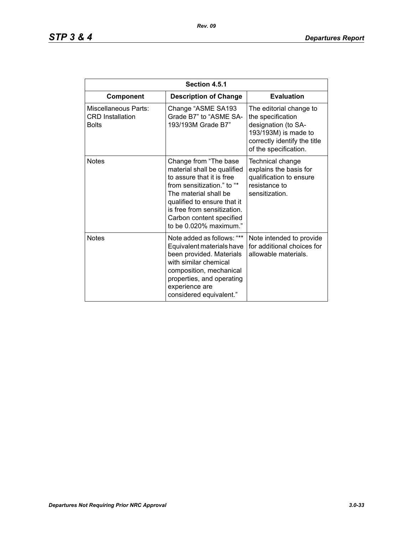| Section 4.5.1                                                   |                                                                                                                                                                                                                                                              |                                                                                                                                                      |  |
|-----------------------------------------------------------------|--------------------------------------------------------------------------------------------------------------------------------------------------------------------------------------------------------------------------------------------------------------|------------------------------------------------------------------------------------------------------------------------------------------------------|--|
| Component                                                       | <b>Description of Change</b>                                                                                                                                                                                                                                 | <b>Evaluation</b>                                                                                                                                    |  |
| Miscellaneous Parts:<br><b>CRD</b> Installation<br><b>Bolts</b> | Change "ASME SA193<br>Grade B7" to "ASME SA-<br>193/193M Grade B7"                                                                                                                                                                                           | The editorial change to<br>the specification<br>designation (to SA-<br>193/193M) is made to<br>correctly identify the title<br>of the specification. |  |
| <b>Notes</b>                                                    | Change from "The base<br>material shall be qualified<br>to assure that it is free<br>from sensitization." to "*<br>The material shall be<br>qualified to ensure that it<br>is free from sensitization.<br>Carbon content specified<br>to be 0.020% maximum." | Technical change<br>explains the basis for<br>qualification to ensure<br>resistance to<br>sensitization.                                             |  |
| <b>Notes</b>                                                    | Note added as follows: "**<br>Equivalent materials have<br>been provided. Materials<br>with similar chemical<br>composition, mechanical<br>properties, and operating<br>experience are<br>considered equivalent."                                            | Note intended to provide<br>for additional choices for<br>allowable materials.                                                                       |  |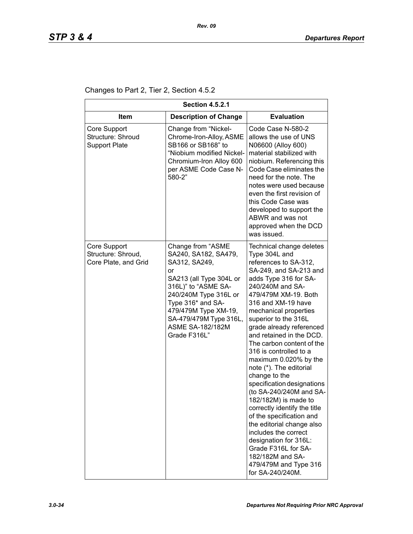Changes to Part 2, Tier 2, Section 4.5.2

| <b>Section 4.5.2.1</b>                                     |                                                                                                                                                                                                                                                               |                                                                                                                                                                                                                                                                                                                                                                                                                                                                                                                                                                                                                                                                                                                                                 |  |
|------------------------------------------------------------|---------------------------------------------------------------------------------------------------------------------------------------------------------------------------------------------------------------------------------------------------------------|-------------------------------------------------------------------------------------------------------------------------------------------------------------------------------------------------------------------------------------------------------------------------------------------------------------------------------------------------------------------------------------------------------------------------------------------------------------------------------------------------------------------------------------------------------------------------------------------------------------------------------------------------------------------------------------------------------------------------------------------------|--|
| <b>Item</b>                                                | <b>Description of Change</b>                                                                                                                                                                                                                                  | <b>Evaluation</b>                                                                                                                                                                                                                                                                                                                                                                                                                                                                                                                                                                                                                                                                                                                               |  |
| Core Support<br>Structure: Shroud<br><b>Support Plate</b>  | Change from "Nickel-<br>Chrome-Iron-Alloy, ASME<br>SB166 or SB168" to<br>"Niobium modified Nickel-<br>Chromium-Iron Alloy 600<br>per ASME Code Case N-<br>580-2"                                                                                              | Code Case N-580-2<br>allows the use of UNS<br>N06600 (Alloy 600)<br>material stabilized with<br>niobium. Referencing this<br>Code Case eliminates the<br>need for the note. The<br>notes were used because<br>even the first revision of<br>this Code Case was<br>developed to support the<br>ABWR and was not<br>approved when the DCD<br>was issued.                                                                                                                                                                                                                                                                                                                                                                                          |  |
| Core Support<br>Structure: Shroud,<br>Core Plate, and Grid | Change from "ASME<br>SA240, SA182, SA479,<br>SA312, SA249,<br>or<br>SA213 (all Type 304L or<br>316L)" to "ASME SA-<br>240/240M Type 316L or<br>Type 316* and SA-<br>479/479M Type XM-19,<br>SA-479/479M Type 316L,<br><b>ASME SA-182/182M</b><br>Grade F316L" | Technical change deletes<br>Type 304L and<br>references to SA-312,<br>SA-249, and SA-213 and<br>adds Type 316 for SA-<br>240/240M and SA-<br>479/479M XM-19. Both<br>316 and XM-19 have<br>mechanical properties<br>superior to the 316L<br>grade already referenced<br>and retained in the DCD.<br>The carbon content of the<br>316 is controlled to a<br>maximum 0.020% by the<br>note (*). The editorial<br>change to the<br>specification designations<br>(to SA-240/240M and SA-<br>182/182M) is made to<br>correctly identify the title<br>of the specification and<br>the editorial change also<br>includes the correct<br>designation for 316L:<br>Grade F316L for SA-<br>182/182M and SA-<br>479/479M and Type 316<br>for SA-240/240M. |  |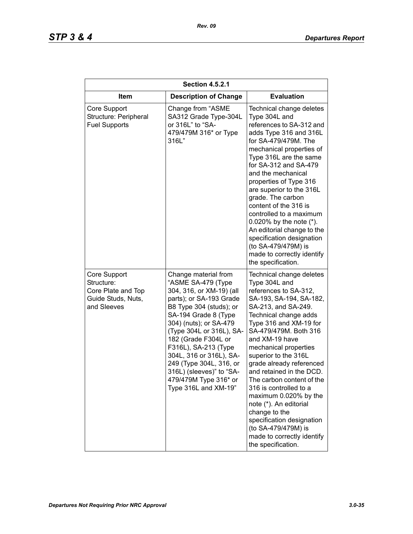| <b>Section 4.5.2.1</b>                                                                |                                                                                                                                                                                                                                                                                                                                                                                              |                                                                                                                                                                                                                                                                                                                                                                                                                                                                                                                                                                |  |
|---------------------------------------------------------------------------------------|----------------------------------------------------------------------------------------------------------------------------------------------------------------------------------------------------------------------------------------------------------------------------------------------------------------------------------------------------------------------------------------------|----------------------------------------------------------------------------------------------------------------------------------------------------------------------------------------------------------------------------------------------------------------------------------------------------------------------------------------------------------------------------------------------------------------------------------------------------------------------------------------------------------------------------------------------------------------|--|
| <b>Item</b>                                                                           | <b>Description of Change</b>                                                                                                                                                                                                                                                                                                                                                                 | <b>Evaluation</b>                                                                                                                                                                                                                                                                                                                                                                                                                                                                                                                                              |  |
| Core Support<br>Structure: Peripheral<br><b>Fuel Supports</b>                         | Change from "ASME<br>SA312 Grade Type-304L<br>or 316L" to "SA-<br>479/479M 316* or Type<br>316L"                                                                                                                                                                                                                                                                                             | Technical change deletes<br>Type 304L and<br>references to SA-312 and<br>adds Type 316 and 316L<br>for SA-479/479M. The<br>mechanical properties of<br>Type 316L are the same<br>for SA-312 and SA-479<br>and the mechanical<br>properties of Type 316<br>are superior to the 316L<br>grade. The carbon<br>content of the 316 is<br>controlled to a maximum<br>0.020% by the note $(*)$ .<br>An editorial change to the<br>specification designation<br>(to SA-479/479M) is<br>made to correctly identify<br>the specification.                                |  |
| Core Support<br>Structure:<br>Core Plate and Top<br>Guide Studs, Nuts,<br>and Sleeves | Change material from<br>"ASME SA-479 (Type<br>304, 316, or XM-19) (all<br>parts); or SA-193 Grade<br>B8 Type 304 (studs); or<br>SA-194 Grade 8 (Type<br>304) (nuts); or SA-479<br>(Type 304L or 316L), SA-<br>182 (Grade F304L or<br>F316L), SA-213 (Type<br>304L, 316 or 316L), SA-<br>249 (Type 304L, 316, or<br>316L) (sleeves)" to "SA-<br>479/479M Type 316* or<br>Type 316L and XM-19" | Technical change deletes<br>Type 304L and<br>references to SA-312,<br>SA-193, SA-194, SA-182,<br>SA-213, and SA-249.<br>Technical change adds<br>Type 316 and XM-19 for<br>SA-479/479M. Both 316<br>and XM-19 have<br>mechanical properties<br>superior to the 316L<br>grade already referenced<br>and retained in the DCD.<br>The carbon content of the<br>316 is controlled to a<br>maximum 0.020% by the<br>note (*). An editorial<br>change to the<br>specification designation<br>(to SA-479/479M) is<br>made to correctly identify<br>the specification. |  |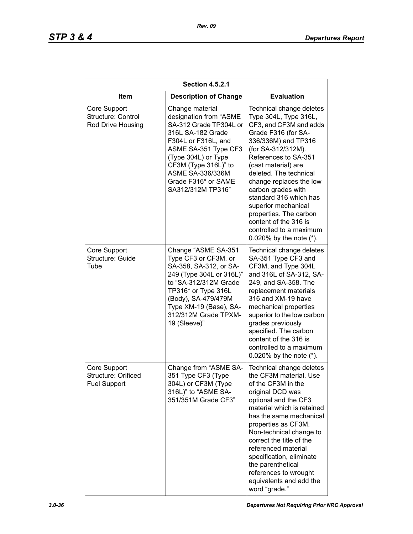| <b>Section 4.5.2.1</b>                                     |                                                                                                                                                                                                                                                        |                                                                                                                                                                                                                                                                                                                                                                                                                                        |  |
|------------------------------------------------------------|--------------------------------------------------------------------------------------------------------------------------------------------------------------------------------------------------------------------------------------------------------|----------------------------------------------------------------------------------------------------------------------------------------------------------------------------------------------------------------------------------------------------------------------------------------------------------------------------------------------------------------------------------------------------------------------------------------|--|
| <b>Item</b>                                                | <b>Description of Change</b>                                                                                                                                                                                                                           | <b>Evaluation</b>                                                                                                                                                                                                                                                                                                                                                                                                                      |  |
| Core Support<br>Structure: Control<br>Rod Drive Housing    | Change material<br>designation from "ASME<br>SA-312 Grade TP304L or<br>316L SA-182 Grade<br>F304L or F316L, and<br>ASME SA-351 Type CF3<br>(Type 304L) or Type<br>CF3M (Type 316L)" to<br>ASME SA-336/336M<br>Grade F316* or SAME<br>SA312/312M TP316" | Technical change deletes<br>Type 304L, Type 316L,<br>CF3, and CF3M and adds<br>Grade F316 (for SA-<br>336/336M) and TP316<br>(for SA-312/312M).<br>References to SA-351<br>(cast material) are<br>deleted. The technical<br>change replaces the low<br>carbon grades with<br>standard 316 which has<br>superior mechanical<br>properties. The carbon<br>content of the 316 is<br>controlled to a maximum<br>0.020% by the note $(*)$ . |  |
| Core Support<br>Structure: Guide<br>Tube                   | Change "ASME SA-351<br>Type CF3 or CF3M, or<br>SA-358, SA-312, or SA-<br>249 (Type 304L or 316L)"<br>to "SA-312/312M Grade<br>TP316* or Type 316L<br>(Body), SA-479/479M<br>Type XM-19 (Base), SA-<br>312/312M Grade TPXM-<br>19 (Sleeve)"             | Technical change deletes<br>SA-351 Type CF3 and<br>CF3M, and Type 304L<br>and 316L of SA-312, SA-<br>249, and SA-358. The<br>replacement materials<br>316 and XM-19 have<br>mechanical properties<br>superior to the low carbon<br>grades previously<br>specified. The carbon<br>content of the 316 is<br>controlled to a maximum<br>0.020% by the note $(*)$ .                                                                        |  |
| Core Support<br>Structure: Orificed<br><b>Fuel Support</b> | Change from "ASME SA-<br>351 Type CF3 (Type<br>304L) or CF3M (Type<br>316L)" to "ASME SA-<br>351/351M Grade CF3"                                                                                                                                       | Technical change deletes<br>the CF3M material. Use<br>of the CF3M in the<br>original DCD was<br>optional and the CF3<br>material which is retained<br>has the same mechanical<br>properties as CF3M.<br>Non-technical change to<br>correct the title of the<br>referenced material<br>specification, eliminate<br>the parenthetical<br>references to wrought<br>equivalents and add the<br>word "grade."                               |  |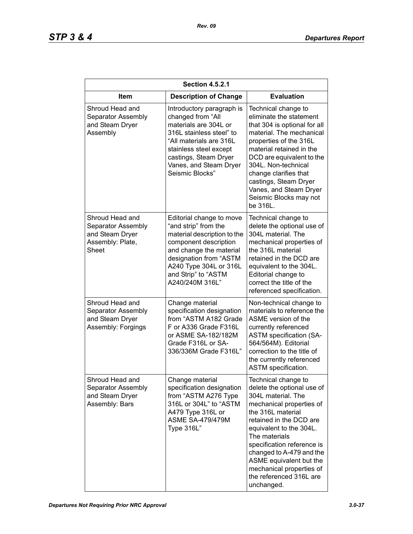| <b>Section 4.5.2.1</b>                                                                       |                                                                                                                                                                                                                                   |                                                                                                                                                                                                                                                                                                                                                           |  |
|----------------------------------------------------------------------------------------------|-----------------------------------------------------------------------------------------------------------------------------------------------------------------------------------------------------------------------------------|-----------------------------------------------------------------------------------------------------------------------------------------------------------------------------------------------------------------------------------------------------------------------------------------------------------------------------------------------------------|--|
| Item                                                                                         | <b>Description of Change</b>                                                                                                                                                                                                      | <b>Evaluation</b>                                                                                                                                                                                                                                                                                                                                         |  |
| Shroud Head and<br>Separator Assembly<br>and Steam Dryer<br>Assembly                         | Introductory paragraph is<br>changed from "All<br>materials are 304L or<br>316L stainless steel" to<br>"All materials are 316L<br>stainless steel except<br>castings, Steam Dryer<br>Vanes, and Steam Dryer<br>Seismic Blocks"    | Technical change to<br>eliminate the statement<br>that 304 is optional for all<br>material. The mechanical<br>properties of the 316L<br>material retained in the<br>DCD are equivalent to the<br>304L. Non-technical<br>change clarifies that<br>castings, Steam Dryer<br>Vanes, and Steam Dryer<br>Seismic Blocks may not<br>be 316L.                    |  |
| Shroud Head and<br>Separator Assembly<br>and Steam Dryer<br>Assembly: Plate,<br><b>Sheet</b> | Editorial change to move<br>"and strip" from the<br>material description to the<br>component description<br>and change the material<br>designation from "ASTM<br>A240 Type 304L or 316L<br>and Strip" to "ASTM<br>A240/240M 316L" | Technical change to<br>delete the optional use of<br>304L material. The<br>mechanical properties of<br>the 316L material<br>retained in the DCD are<br>equivalent to the 304L.<br>Editorial change to<br>correct the title of the<br>referenced specification.                                                                                            |  |
| Shroud Head and<br>Separator Assembly<br>and Steam Dryer<br>Assembly: Forgings               | Change material<br>specification designation<br>from "ASTM A182 Grade<br>F or A336 Grade F316L<br>or ASME SA-182/182M<br>Grade F316L or SA-<br>336/336M Grade F316L"                                                              | Non-technical change to<br>materials to reference the<br>ASME version of the<br>currently referenced<br><b>ASTM specification (SA-</b><br>564/564M). Editorial<br>correction to the title of<br>the currently referenced<br>ASTM specification.                                                                                                           |  |
| Shroud Head and<br>Separator Assembly<br>and Steam Dryer<br>Assembly: Bars                   | Change material<br>specification designation<br>from "ASTM A276 Type<br>316L or 304L" to "ASTM<br>A479 Type 316L or<br><b>ASME SA-479/479M</b><br>Type 316L"                                                                      | Technical change to<br>delete the optional use of<br>304L material. The<br>mechanical properties of<br>the 316L material<br>retained in the DCD are<br>equivalent to the 304L.<br>The materials<br>specification reference is<br>changed to A-479 and the<br>ASME equivalent but the<br>mechanical properties of<br>the referenced 316L are<br>unchanged. |  |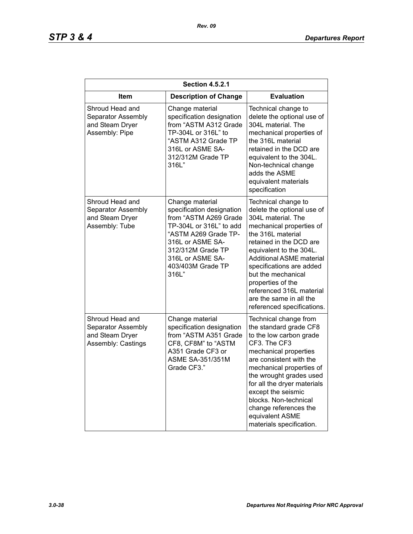| <b>Section 4.5.2.1</b>                                                         |                                                                                                                                                                                                                     |                                                                                                                                                                                                                                                                                                                                                                               |  |
|--------------------------------------------------------------------------------|---------------------------------------------------------------------------------------------------------------------------------------------------------------------------------------------------------------------|-------------------------------------------------------------------------------------------------------------------------------------------------------------------------------------------------------------------------------------------------------------------------------------------------------------------------------------------------------------------------------|--|
| Item                                                                           | <b>Description of Change</b>                                                                                                                                                                                        | <b>Evaluation</b>                                                                                                                                                                                                                                                                                                                                                             |  |
| Shroud Head and<br>Separator Assembly<br>and Steam Dryer<br>Assembly: Pipe     | Change material<br>specification designation<br>from "ASTM A312 Grade<br>TP-304L or 316L" to<br>"ASTM A312 Grade TP<br>316L or ASME SA-<br>312/312M Grade TP<br>316L"                                               | Technical change to<br>delete the optional use of<br>304L material. The<br>mechanical properties of<br>the 316L material<br>retained in the DCD are<br>equivalent to the 304L.<br>Non-technical change<br>adds the ASME<br>equivalent materials<br>specification                                                                                                              |  |
| Shroud Head and<br>Separator Assembly<br>and Steam Dryer<br>Assembly: Tube     | Change material<br>specification designation<br>from "ASTM A269 Grade<br>TP-304L or 316L" to add<br>"ASTM A269 Grade TP-<br>316L or ASME SA-<br>312/312M Grade TP<br>316L or ASME SA-<br>403/403M Grade TP<br>316L" | Technical change to<br>delete the optional use of<br>304L material. The<br>mechanical properties of<br>the 316L material<br>retained in the DCD are<br>equivalent to the 304L.<br><b>Additional ASME material</b><br>specifications are added<br>but the mechanical<br>properties of the<br>referenced 316L material<br>are the same in all the<br>referenced specifications. |  |
| Shroud Head and<br>Separator Assembly<br>and Steam Dryer<br>Assembly: Castings | Change material<br>specification designation<br>from "ASTM A351 Grade<br>CF8, CF8M" to "ASTM<br>A351 Grade CF3 or<br><b>ASME SA-351/351M</b><br>Grade CF3."                                                         | Technical change from<br>the standard grade CF8<br>to the low carbon grade<br>CF3. The CF3<br>mechanical properties<br>are consistent with the<br>mechanical properties of<br>the wrought grades used<br>for all the dryer materials<br>except the seismic<br>blocks. Non-technical<br>change references the<br>equivalent ASME<br>materials specification.                   |  |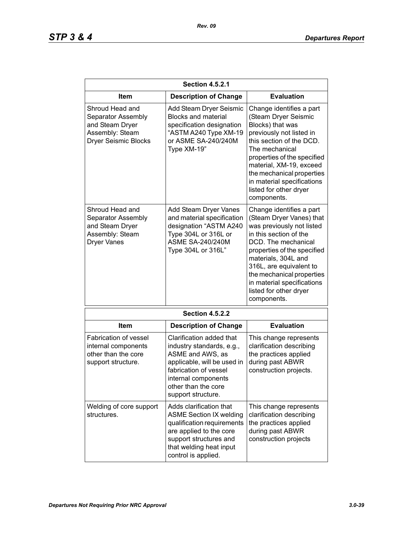| <b>Section 4.5.2.1</b>                                                                                     |                                                                                                                                                                                                       |                                                                                                                                                                                                                                                                                                                         |  |
|------------------------------------------------------------------------------------------------------------|-------------------------------------------------------------------------------------------------------------------------------------------------------------------------------------------------------|-------------------------------------------------------------------------------------------------------------------------------------------------------------------------------------------------------------------------------------------------------------------------------------------------------------------------|--|
| Item                                                                                                       | <b>Description of Change</b>                                                                                                                                                                          | <b>Evaluation</b>                                                                                                                                                                                                                                                                                                       |  |
| Shroud Head and<br>Separator Assembly<br>and Steam Dryer<br>Assembly: Steam<br><b>Dryer Seismic Blocks</b> | Add Steam Dryer Seismic<br><b>Blocks and material</b><br>specification designation<br>"ASTM A240 Type XM-19<br>or ASME SA-240/240M<br>Type XM-19"                                                     | Change identifies a part<br>(Steam Dryer Seismic<br>Blocks) that was<br>previously not listed in<br>this section of the DCD.<br>The mechanical<br>properties of the specified<br>material, XM-19, exceed<br>the mechanical properties<br>in material specifications<br>listed for other dryer<br>components.            |  |
| Shroud Head and<br>Separator Assembly<br>and Steam Dryer<br>Assembly: Steam<br><b>Dryer Vanes</b>          | Add Steam Dryer Vanes<br>and material specification<br>designation "ASTM A240<br>Type 304L or 316L or<br><b>ASME SA-240/240M</b><br>Type 304L or 316L"                                                | Change identifies a part<br>(Steam Dryer Vanes) that<br>was previously not listed<br>in this section of the<br>DCD. The mechanical<br>properties of the specified<br>materials, 304L and<br>316L, are equivalent to<br>the mechanical properties<br>in material specifications<br>listed for other dryer<br>components. |  |
|                                                                                                            | <b>Section 4.5.2.2</b>                                                                                                                                                                                |                                                                                                                                                                                                                                                                                                                         |  |
| Item                                                                                                       | <b>Description of Change</b>                                                                                                                                                                          | <b>Evaluation</b>                                                                                                                                                                                                                                                                                                       |  |
| <b>Fabrication of vessel</b><br>internal components<br>other than the core<br>support structure.           | Clarification added that<br>industry standards, e.g.,<br>ASME and AWS, as<br>applicable, will be used in<br>fabrication of vessel<br>internal components<br>other than the core<br>support structure. | This change represents<br>clarification describing<br>the practices applied<br>during past ABWR<br>construction projects.                                                                                                                                                                                               |  |
| Welding of core support<br>structures.                                                                     | Adds clarification that<br><b>ASME Section IX welding</b><br>qualification requirements<br>are applied to the core<br>support structures and<br>that welding heat input<br>control is applied.        | This change represents<br>clarification describing<br>the practices applied<br>during past ABWR<br>construction projects                                                                                                                                                                                                |  |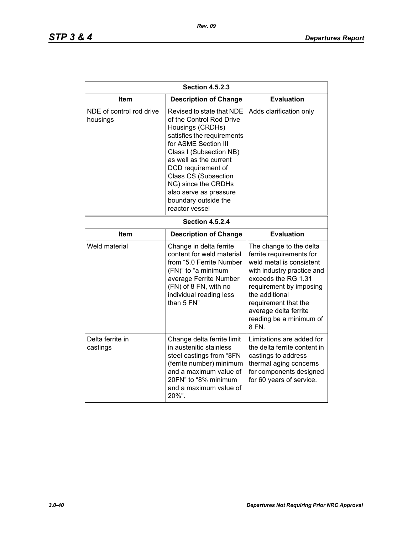| <b>Section 4.5.2.3</b>               |                                                                                                                                                                                                                                                                                                                                      |                                                                                                                                                                                                                                                                        |  |
|--------------------------------------|--------------------------------------------------------------------------------------------------------------------------------------------------------------------------------------------------------------------------------------------------------------------------------------------------------------------------------------|------------------------------------------------------------------------------------------------------------------------------------------------------------------------------------------------------------------------------------------------------------------------|--|
| <b>Item</b>                          | <b>Description of Change</b>                                                                                                                                                                                                                                                                                                         | <b>Evaluation</b>                                                                                                                                                                                                                                                      |  |
| NDE of control rod drive<br>housings | Revised to state that NDE<br>of the Control Rod Drive<br>Housings (CRDHs)<br>satisfies the requirements<br>for ASME Section III<br>Class I (Subsection NB)<br>as well as the current<br>DCD requirement of<br><b>Class CS (Subsection</b><br>NG) since the CRDHs<br>also serve as pressure<br>boundary outside the<br>reactor vessel | Adds clarification only                                                                                                                                                                                                                                                |  |
| <b>Section 4.5.2.4</b>               |                                                                                                                                                                                                                                                                                                                                      |                                                                                                                                                                                                                                                                        |  |
| <b>Item</b>                          | <b>Description of Change</b>                                                                                                                                                                                                                                                                                                         | <b>Evaluation</b>                                                                                                                                                                                                                                                      |  |
| Weld material                        | Change in delta ferrite<br>content for weld material<br>from "5.0 Ferrite Number<br>(FN)" to "a minimum<br>average Ferrite Number<br>(FN) of 8 FN, with no<br>individual reading less<br>than 5 FN"                                                                                                                                  | The change to the delta<br>ferrite requirements for<br>weld metal is consistent<br>with industry practice and<br>exceeds the RG 1.31<br>requirement by imposing<br>the additional<br>requirement that the<br>average delta ferrite<br>reading be a minimum of<br>8 FN. |  |
| Delta ferrite in<br>castings         | Change delta ferrite limit<br>in austenitic stainless<br>steel castings from "8FN<br>(ferrite number) minimum<br>and a maximum value of<br>20FN" to "8% minimum<br>and a maximum value of<br>20%".                                                                                                                                   | Limitations are added for<br>the delta ferrite content in<br>castings to address<br>thermal aging concerns<br>for components designed<br>for 60 years of service.                                                                                                      |  |

*Rev. 09*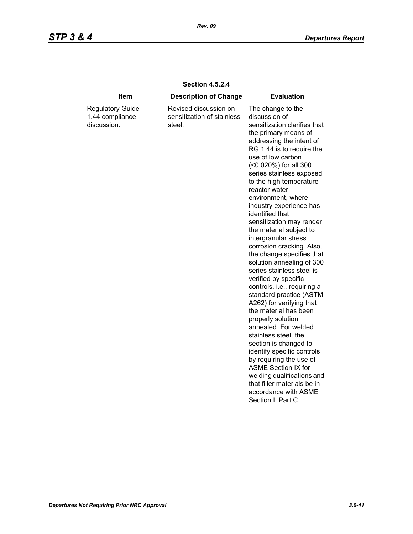# *STP 3 & 4 Departures Report*

| <b>Section 4.5.2.4</b>                                    |                                                               |                                                                                                                                                                                                                                                                                                                                                                                                                                                                                                                                                                                                                                                                                                                                                                                                                                                                                                                                                                                         |  |
|-----------------------------------------------------------|---------------------------------------------------------------|-----------------------------------------------------------------------------------------------------------------------------------------------------------------------------------------------------------------------------------------------------------------------------------------------------------------------------------------------------------------------------------------------------------------------------------------------------------------------------------------------------------------------------------------------------------------------------------------------------------------------------------------------------------------------------------------------------------------------------------------------------------------------------------------------------------------------------------------------------------------------------------------------------------------------------------------------------------------------------------------|--|
| Item                                                      | <b>Description of Change</b>                                  | <b>Evaluation</b>                                                                                                                                                                                                                                                                                                                                                                                                                                                                                                                                                                                                                                                                                                                                                                                                                                                                                                                                                                       |  |
| <b>Regulatory Guide</b><br>1.44 compliance<br>discussion. | Revised discussion on<br>sensitization of stainless<br>steel. | The change to the<br>discussion of<br>sensitization clarifies that<br>the primary means of<br>addressing the intent of<br>RG 1.44 is to require the<br>use of low carbon<br>(<0.020%) for all 300<br>series stainless exposed<br>to the high temperature<br>reactor water<br>environment, where<br>industry experience has<br>identified that<br>sensitization may render<br>the material subject to<br>intergranular stress<br>corrosion cracking. Also,<br>the change specifies that<br>solution annealing of 300<br>series stainless steel is<br>verified by specific<br>controls, i.e., requiring a<br>standard practice (ASTM<br>A262) for verifying that<br>the material has been<br>properly solution<br>annealed. For welded<br>stainless steel, the<br>section is changed to<br>identify specific controls<br>by requiring the use of<br><b>ASME Section IX for</b><br>welding qualifications and<br>that filler materials be in<br>accordance with ASME<br>Section II Part C. |  |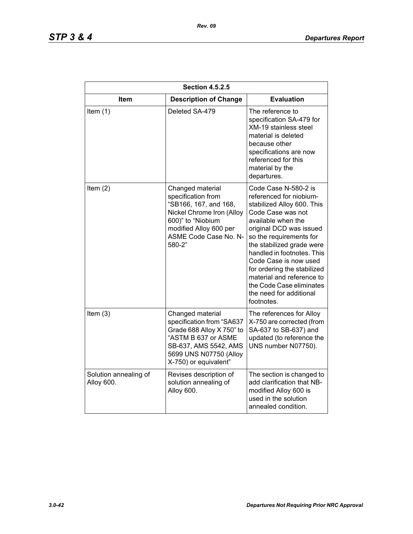| <b>Section 4.5.2.5</b>              |                                                                                                                                                                                |                                                                                                                                                                                                                                                                                                                                                                                                     |
|-------------------------------------|--------------------------------------------------------------------------------------------------------------------------------------------------------------------------------|-----------------------------------------------------------------------------------------------------------------------------------------------------------------------------------------------------------------------------------------------------------------------------------------------------------------------------------------------------------------------------------------------------|
| <b>Item</b>                         | <b>Description of Change</b>                                                                                                                                                   | <b>Evaluation</b>                                                                                                                                                                                                                                                                                                                                                                                   |
| Item $(1)$                          | Deleted SA-479                                                                                                                                                                 | The reference to<br>specification SA-479 for<br><b>XM-19 stainless steel</b><br>material is deleted<br>because other<br>specifications are now<br>referenced for this<br>material by the<br>departures.                                                                                                                                                                                             |
| Item $(2)$                          | Changed material<br>specification from<br>"SB166, 167, and 168,<br>Nickel Chrome Iron (Alloy<br>600)" to "Niobium<br>modified Alloy 600 per<br>ASME Code Case No. N-<br>580-2" | Code Case N-580-2 is<br>referenced for niobium-<br>stabilized Alloy 600. This<br>Code Case was not<br>available when the<br>original DCD was issued<br>so the requirements for<br>the stabilized grade were<br>handled in footnotes. This<br>Code Case is now used<br>for ordering the stabilized<br>material and reference to<br>the Code Case eliminates<br>the need for additional<br>footnotes. |
| Item $(3)$                          | Changed material<br>specification from "SA637<br>Grade 688 Alloy X 750" to<br>"ASTM B 637 or ASME<br>SB-637, AMS 5542, AMS<br>5699 UNS N07750 (Alloy<br>X-750) or equivalent"  | The references for Alloy<br>X-750 are corrected (from<br>SA-637 to SB-637) and<br>updated (to reference the<br>UNS number N07750).                                                                                                                                                                                                                                                                  |
| Solution annealing of<br>Alloy 600. | Revises description of<br>solution annealing of<br>Alloy 600.                                                                                                                  | The section is changed to<br>add clarification that NB-<br>modified Alloy 600 is<br>used in the solution<br>annealed condition.                                                                                                                                                                                                                                                                     |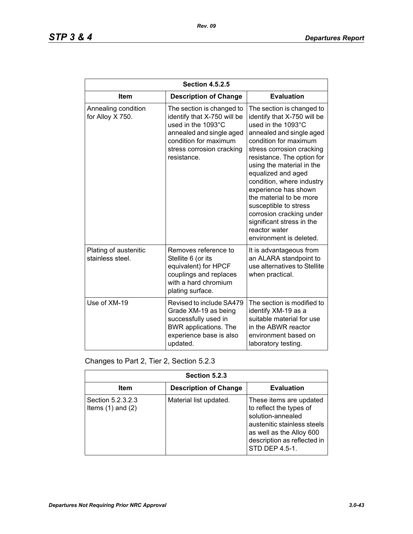| <b>Section 4.5.2.5</b>                    |                                                                                                                                                                                 |                                                                                                                                                                                                                                                                                                                                                                                                                                                                 |
|-------------------------------------------|---------------------------------------------------------------------------------------------------------------------------------------------------------------------------------|-----------------------------------------------------------------------------------------------------------------------------------------------------------------------------------------------------------------------------------------------------------------------------------------------------------------------------------------------------------------------------------------------------------------------------------------------------------------|
| <b>Item</b>                               | <b>Description of Change</b>                                                                                                                                                    | <b>Evaluation</b>                                                                                                                                                                                                                                                                                                                                                                                                                                               |
| Annealing condition<br>for Alloy X 750.   | The section is changed to<br>identify that X-750 will be<br>used in the 1093°C<br>annealed and single aged<br>condition for maximum<br>stress corrosion cracking<br>resistance. | The section is changed to<br>identify that X-750 will be<br>used in the 1093°C<br>annealed and single aged<br>condition for maximum<br>stress corrosion cracking<br>resistance. The option for<br>using the material in the<br>equalized and aged<br>condition, where industry<br>experience has shown<br>the material to be more<br>susceptible to stress<br>corrosion cracking under<br>significant stress in the<br>reactor water<br>environment is deleted. |
| Plating of austenitic<br>stainless steel. | Removes reference to<br>Stellite 6 (or its<br>equivalent) for HPCF<br>couplings and replaces<br>with a hard chromium<br>plating surface.                                        | It is advantageous from<br>an ALARA standpoint to<br>use alternatives to Stellite<br>when practical.                                                                                                                                                                                                                                                                                                                                                            |
| Use of XM-19                              | Revised to include SA479<br>Grade XM-19 as being<br>successfully used in<br>BWR applications. The<br>experience base is also<br>updated.                                        | The section is modified to<br>identify XM-19 as a<br>suitable material for use<br>in the ABWR reactor<br>environment based on<br>laboratory testing.                                                                                                                                                                                                                                                                                                            |

Changes to Part 2, Tier 2, Section 5.2.3

| Section 5.2.3                              |                              |                                                                                                                                                                                     |
|--------------------------------------------|------------------------------|-------------------------------------------------------------------------------------------------------------------------------------------------------------------------------------|
| Item                                       | <b>Description of Change</b> | <b>Evaluation</b>                                                                                                                                                                   |
| Section 5.2.3.2.3<br>Items $(1)$ and $(2)$ | Material list updated.       | These items are updated<br>to reflect the types of<br>solution-annealed<br>austenitic stainless steels<br>as well as the Alloy 600<br>description as reflected in<br>STD DEP 4.5-1. |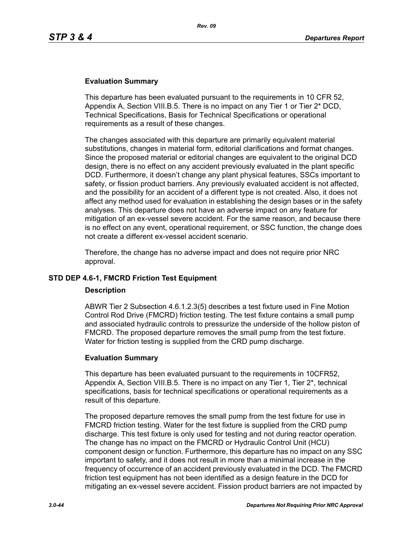### **Evaluation Summary**

This departure has been evaluated pursuant to the requirements in 10 CFR 52, Appendix A, Section VIII.B.5. There is no impact on any Tier 1 or Tier 2\* DCD, Technical Specifications, Basis for Technical Specifications or operational requirements as a result of these changes.

The changes associated with this departure are primarily equivalent material substitutions, changes in material form, editorial clarifications and format changes. Since the proposed material or editorial changes are equivalent to the original DCD design, there is no effect on any accident previously evaluated in the plant specific DCD. Furthermore, it doesn't change any plant physical features, SSCs important to safety, or fission product barriers. Any previously evaluated accident is not affected, and the possibility for an accident of a different type is not created. Also, it does not affect any method used for evaluation in establishing the design bases or in the safety analyses. This departure does not have an adverse impact on any feature for mitigation of an ex-vessel severe accident. For the same reason, and because there is no effect on any event, operational requirement, or SSC function, the change does not create a different ex-vessel accident scenario.

Therefore, the change has no adverse impact and does not require prior NRC approval.

### **STD DEP 4.6-1, FMCRD Friction Test Equipment**

#### **Description**

ABWR Tier 2 Subsection 4.6.1.2.3(5) describes a test fixture used in Fine Motion Control Rod Drive (FMCRD) friction testing. The test fixture contains a small pump and associated hydraulic controls to pressurize the underside of the hollow piston of FMCRD. The proposed departure removes the small pump from the test fixture. Water for friction testing is supplied from the CRD pump discharge.

#### **Evaluation Summary**

This departure has been evaluated pursuant to the requirements in 10CFR52, Appendix A, Section VIII.B.5. There is no impact on any Tier 1, Tier 2\*, technical specifications, basis for technical specifications or operational requirements as a result of this departure.

The proposed departure removes the small pump from the test fixture for use in FMCRD friction testing. Water for the test fixture is supplied from the CRD pump discharge. This test fixture is only used for testing and not during reactor operation. The change has no impact on the FMCRD or Hydraulic Control Unit (HCU) component design or function. Furthermore, this departure has no impact on any SSC important to safety, and it does not result in more than a minimal increase in the frequency of occurrence of an accident previously evaluated in the DCD. The FMCRD friction test equipment has not been identified as a design feature in the DCD for mitigating an ex-vessel severe accident. Fission product barriers are not impacted by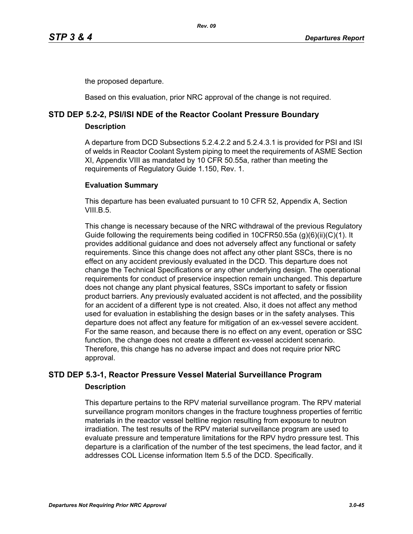the proposed departure.

Based on this evaluation, prior NRC approval of the change is not required.

# **STD DEP 5.2-2, PSI/ISI NDE of the Reactor Coolant Pressure Boundary**

**Description**

A departure from DCD Subsections 5.2.4.2.2 and 5.2.4.3.1 is provided for PSI and ISI of welds in Reactor Coolant System piping to meet the requirements of ASME Section XI, Appendix VIII as mandated by 10 CFR 50.55a, rather than meeting the requirements of Regulatory Guide 1.150, Rev. 1.

### **Evaluation Summary**

This departure has been evaluated pursuant to 10 CFR 52, Appendix A, Section VIII $B<sub>5</sub>$ 

This change is necessary because of the NRC withdrawal of the previous Regulatory Guide following the requirements being codified in 10CFR50.55a (g)(6)(ii)(C)(1). It provides additional guidance and does not adversely affect any functional or safety requirements. Since this change does not affect any other plant SSCs, there is no effect on any accident previously evaluated in the DCD. This departure does not change the Technical Specifications or any other underlying design. The operational requirements for conduct of preservice inspection remain unchanged. This departure does not change any plant physical features, SSCs important to safety or fission product barriers. Any previously evaluated accident is not affected, and the possibility for an accident of a different type is not created. Also, it does not affect any method used for evaluation in establishing the design bases or in the safety analyses. This departure does not affect any feature for mitigation of an ex-vessel severe accident. For the same reason, and because there is no effect on any event, operation or SSC function, the change does not create a different ex-vessel accident scenario. Therefore, this change has no adverse impact and does not require prior NRC approval.

# **STD DEP 5.3-1, Reactor Pressure Vessel Material Surveillance Program Description**

This departure pertains to the RPV material surveillance program. The RPV material surveillance program monitors changes in the fracture toughness properties of ferritic materials in the reactor vessel beltline region resulting from exposure to neutron irradiation. The test results of the RPV material surveillance program are used to evaluate pressure and temperature limitations for the RPV hydro pressure test. This departure is a clarification of the number of the test specimens, the lead factor, and it addresses COL License information Item 5.5 of the DCD. Specifically.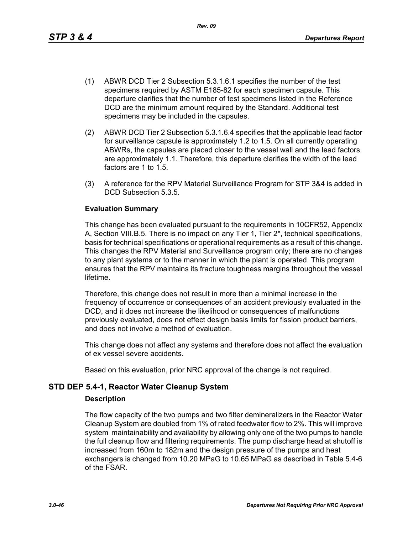This change has been evaluated pursuant to the requirements in 10CFR52, Appendix A, Section VIII.B.5. There is no impact on any Tier 1, Tier 2\*, technical specifications, basis for technical specifications or operational requirements as a result of this change. This changes the RPV Material and Surveillance program only; there are no changes to any plant systems or to the manner in which the plant is operated. This program ensures that the RPV maintains its fracture toughness margins throughout the vessel lifetime.

Therefore, this change does not result in more than a minimal increase in the frequency of occurrence or consequences of an accident previously evaluated in the DCD, and it does not increase the likelihood or consequences of malfunctions previously evaluated, does not effect design basis limits for fission product barriers, and does not involve a method of evaluation.

This change does not affect any systems and therefore does not affect the evaluation of ex vessel severe accidents.

Based on this evaluation, prior NRC approval of the change is not required.

### **STD DEP 5.4-1, Reactor Water Cleanup System**

factors are 1 to 1.5.

**Evaluation Summary**

DCD Subsection 5.3.5.

#### **Description**

The flow capacity of the two pumps and two filter demineralizers in the Reactor Water Cleanup System are doubled from 1% of rated feedwater flow to 2%. This will improve system maintainability and availability by allowing only one of the two pumps to handle the full cleanup flow and filtering requirements. The pump discharge head at shutoff is increased from 160m to 182m and the design pressure of the pumps and heat exchangers is changed from 10.20 MPaG to 10.65 MPaG as described in Table 5.4-6 of the FSAR.

(1) ABWR DCD Tier 2 Subsection 5.3.1.6.1 specifies the number of the test specimens required by ASTM E185-82 for each specimen capsule. This departure clarifies that the number of test specimens listed in the Reference DCD are the minimum amount required by the Standard. Additional test

(2) ABWR DCD Tier 2 Subsection 5.3.1.6.4 specifies that the applicable lead factor for surveillance capsule is approximately 1.2 to 1.5. On all currently operating ABWRs, the capsules are placed closer to the vessel wall and the lead factors are approximately 1.1. Therefore, this departure clarifies the width of the lead

(3) A reference for the RPV Material Surveillance Program for STP 3&4 is added in

specimens may be included in the capsules.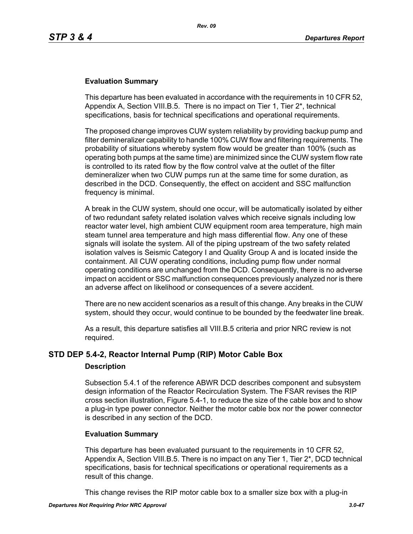### **Evaluation Summary**

This departure has been evaluated in accordance with the requirements in 10 CFR 52, Appendix A, Section VIII.B.5. There is no impact on Tier 1, Tier 2\*, technical specifications, basis for technical specifications and operational requirements.

The proposed change improves CUW system reliability by providing backup pump and filter demineralizer capability to handle 100% CUW flow and filtering requirements. The probability of situations whereby system flow would be greater than 100% (such as operating both pumps at the same time) are minimized since the CUW system flow rate is controlled to its rated flow by the flow control valve at the outlet of the filter demineralizer when two CUW pumps run at the same time for some duration, as described in the DCD. Consequently, the effect on accident and SSC malfunction frequency is minimal.

A break in the CUW system, should one occur, will be automatically isolated by either of two redundant safety related isolation valves which receive signals including low reactor water level, high ambient CUW equipment room area temperature, high main steam tunnel area temperature and high mass differential flow. Any one of these signals will isolate the system. All of the piping upstream of the two safety related isolation valves is Seismic Category I and Quality Group A and is located inside the containment. All CUW operating conditions, including pump flow under normal operating conditions are unchanged from the DCD. Consequently, there is no adverse impact on accident or SSC malfunction consequences previously analyzed nor is there an adverse affect on likelihood or consequences of a severe accident.

There are no new accident scenarios as a result of this change. Any breaks in the CUW system, should they occur, would continue to be bounded by the feedwater line break.

As a result, this departure satisfies all VIII.B.5 criteria and prior NRC review is not required.

### **STD DEP 5.4-2, Reactor Internal Pump (RIP) Motor Cable Box**

#### **Description**

Subsection 5.4.1 of the reference ABWR DCD describes component and subsystem design information of the Reactor Recirculation System. The FSAR revises the RIP cross section illustration, Figure 5.4-1, to reduce the size of the cable box and to show a plug-in type power connector. Neither the motor cable box nor the power connector is described in any section of the DCD.

#### **Evaluation Summary**

This departure has been evaluated pursuant to the requirements in 10 CFR 52, Appendix A, Section VIII.B.5. There is no impact on any Tier 1, Tier 2\*, DCD technical specifications, basis for technical specifications or operational requirements as a result of this change.

This change revises the RIP motor cable box to a smaller size box with a plug-in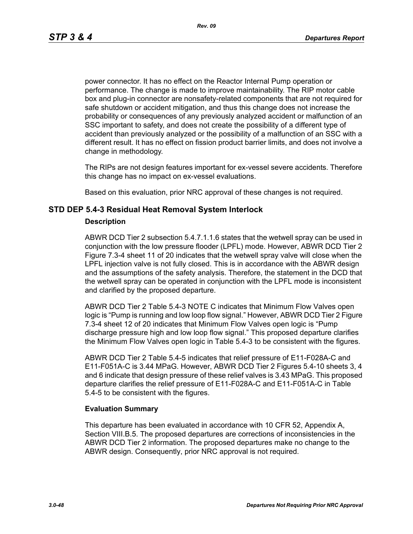power connector. It has no effect on the Reactor Internal Pump operation or performance. The change is made to improve maintainability. The RIP motor cable box and plug-in connector are nonsafety-related components that are not required for safe shutdown or accident mitigation, and thus this change does not increase the probability or consequences of any previously analyzed accident or malfunction of an SSC important to safety, and does not create the possibility of a different type of accident than previously analyzed or the possibility of a malfunction of an SSC with a different result. It has no effect on fission product barrier limits, and does not involve a change in methodology.

The RIPs are not design features important for ex-vessel severe accidents. Therefore this change has no impact on ex-vessel evaluations.

Based on this evaluation, prior NRC approval of these changes is not required.

### **STD DEP 5.4-3 Residual Heat Removal System Interlock**

#### **Description**

ABWR DCD Tier 2 subsection 5.4.7.1.1.6 states that the wetwell spray can be used in conjunction with the low pressure flooder (LPFL) mode. However, ABWR DCD Tier 2 Figure 7.3-4 sheet 11 of 20 indicates that the wetwell spray valve will close when the LPFL injection valve is not fully closed. This is in accordance with the ABWR design and the assumptions of the safety analysis. Therefore, the statement in the DCD that the wetwell spray can be operated in conjunction with the LPFL mode is inconsistent and clarified by the proposed departure.

ABWR DCD Tier 2 Table 5.4-3 NOTE C indicates that Minimum Flow Valves open logic is "Pump is running and low loop flow signal." However, ABWR DCD Tier 2 Figure 7.3-4 sheet 12 of 20 indicates that Minimum Flow Valves open logic is "Pump discharge pressure high and low loop flow signal." This proposed departure clarifies the Minimum Flow Valves open logic in Table 5.4-3 to be consistent with the figures.

ABWR DCD Tier 2 Table 5.4-5 indicates that relief pressure of E11-F028A-C and E11-F051A-C is 3.44 MPaG. However, ABWR DCD Tier 2 Figures 5.4-10 sheets 3, 4 and 6 indicate that design pressure of these relief valves is 3.43 MPaG. This proposed departure clarifies the relief pressure of E11-F028A-C and E11-F051A-C in Table 5.4-5 to be consistent with the figures.

#### **Evaluation Summary**

This departure has been evaluated in accordance with 10 CFR 52, Appendix A, Section VIII.B.5. The proposed departures are corrections of inconsistencies in the ABWR DCD Tier 2 information. The proposed departures make no change to the ABWR design. Consequently, prior NRC approval is not required.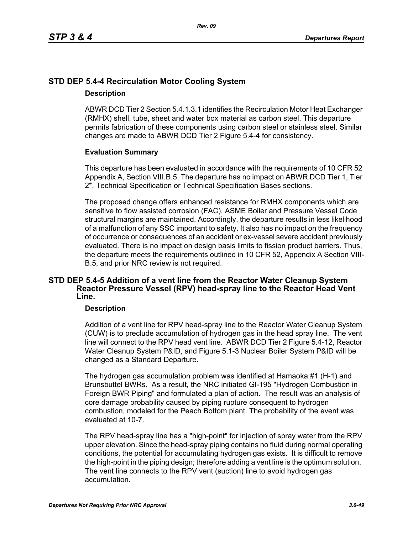# **STD DEP 5.4-4 Recirculation Motor Cooling System**

#### **Description**

ABWR DCD Tier 2 Section 5.4.1.3.1 identifies the Recirculation Motor Heat Exchanger (RMHX) shell, tube, sheet and water box material as carbon steel. This departure permits fabrication of these components using carbon steel or stainless steel. Similar changes are made to ABWR DCD Tier 2 Figure 5.4-4 for consistency.

### **Evaluation Summary**

This departure has been evaluated in accordance with the requirements of 10 CFR 52 Appendix A, Section VIII.B.5. The departure has no impact on ABWR DCD Tier 1, Tier 2\*, Technical Specification or Technical Specification Bases sections.

The proposed change offers enhanced resistance for RMHX components which are sensitive to flow assisted corrosion (FAC). ASME Boiler and Pressure Vessel Code structural margins are maintained. Accordingly, the departure results in less likelihood of a malfunction of any SSC important to safety. It also has no impact on the frequency of occurrence or consequences of an accident or ex-vessel severe accident previously evaluated. There is no impact on design basis limits to fission product barriers. Thus, the departure meets the requirements outlined in 10 CFR 52, Appendix A Section VIII-B.5, and prior NRC review is not required.

### **STD DEP 5.4-5 Addition of a vent line from the Reactor Water Cleanup System Reactor Pressure Vessel (RPV) head-spray line to the Reactor Head Vent Line.**

### **Description**

Addition of a vent line for RPV head-spray line to the Reactor Water Cleanup System (CUW) is to preclude accumulation of hydrogen gas in the head spray line. The vent line will connect to the RPV head vent line. ABWR DCD Tier 2 Figure 5.4-12, Reactor Water Cleanup System P&ID, and Figure 5.1-3 Nuclear Boiler System P&ID will be changed as a Standard Departure.

The hydrogen gas accumulation problem was identified at Hamaoka #1 (H-1) and Brunsbuttel BWRs. As a result, the NRC initiated GI-195 "Hydrogen Combustion in Foreign BWR Piping" and formulated a plan of action. The result was an analysis of core damage probability caused by piping rupture consequent to hydrogen combustion, modeled for the Peach Bottom plant. The probability of the event was evaluated at 10-7.

The RPV head-spray line has a "high-point" for injection of spray water from the RPV upper elevation. Since the head-spray piping contains no fluid during normal operating conditions, the potential for accumulating hydrogen gas exists. It is difficult to remove the high-point in the piping design; therefore adding a vent line is the optimum solution. The vent line connects to the RPV vent (suction) line to avoid hydrogen gas accumulation.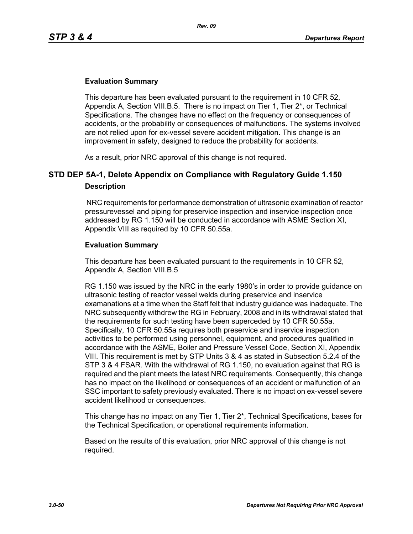### **Evaluation Summary**

This departure has been evaluated pursuant to the requirement in 10 CFR 52, Appendix A, Section VIII.B.5. There is no impact on Tier 1, Tier 2\*, or Technical Specifications. The changes have no effect on the frequency or consequences of accidents, or the probability or consequences of malfunctions. The systems involved are not relied upon for ex-vessel severe accident mitigation. This change is an improvement in safety, designed to reduce the probability for accidents.

As a result, prior NRC approval of this change is not required.

# **STD DEP 5A-1, Delete Appendix on Compliance with Regulatory Guide 1.150 Description**

 NRC requirements for performance demonstration of ultrasonic examination of reactor pressurevessel and piping for preservice inspection and inservice inspection once addressed by RG 1.150 will be conducted in accordance with ASME Section XI, Appendix VIII as required by 10 CFR 50.55a.

### **Evaluation Summary**

This departure has been evaluated pursuant to the requirements in 10 CFR 52, Appendix A, Section VIII.B.5

RG 1.150 was issued by the NRC in the early 1980's in order to provide guidance on ultrasonic testing of reactor vessel welds during preservice and inservice examanations at a time when the Staff felt that industry guidance was inadequate. The NRC subsequently withdrew the RG in February, 2008 and in its withdrawal stated that the requirements for such testing have been superceded by 10 CFR 50.55a. Specifically, 10 CFR 50.55a requires both preservice and inservice inspection activities to be performed using personnel, equipment, and procedures qualified in accordance with the ASME, Boiler and Pressure Vessel Code, Section XI, Appendix VIII. This requirement is met by STP Units 3 & 4 as stated in Subsection 5.2.4 of the STP 3 & 4 FSAR. With the withdrawal of RG 1.150, no evaluation against that RG is required and the plant meets the latest NRC requirements. Consequently, this change has no impact on the likelihood or consequences of an accident or malfunction of an SSC important to safety previously evaluated. There is no impact on ex-vessel severe accident likelihood or consequences.

This change has no impact on any Tier 1, Tier 2\*, Technical Specifications, bases for the Technical Specification, or operational requirements information.

Based on the results of this evaluation, prior NRC approval of this change is not required.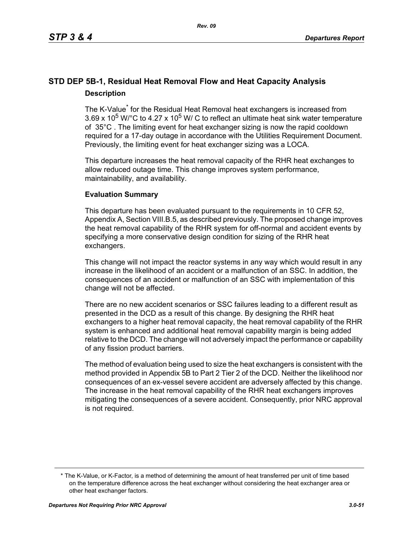# **STD DEP 5B-1, Residual Heat Removal Flow and Heat Capacity Analysis Description**

The K-Value<sup>\*</sup> for the Residual Heat Removal heat exchangers is increased from 3.69 x 10<sup>5</sup> W/ $^{\circ}$ C to 4.27 x 10<sup>5</sup> W/ C to reflect an ultimate heat sink water temperature of 35°C . The limiting event for heat exchanger sizing is now the rapid cooldown required for a 17-day outage in accordance with the Utilities Requirement Document. Previously, the limiting event for heat exchanger sizing was a LOCA.

This departure increases the heat removal capacity of the RHR heat exchanges to allow reduced outage time. This change improves system performance, maintainability, and availability.

### **Evaluation Summary**

This departure has been evaluated pursuant to the requirements in 10 CFR 52, Appendix A, Section VIII.B.5, as described previously. The proposed change improves the heat removal capability of the RHR system for off-normal and accident events by specifying a more conservative design condition for sizing of the RHR heat exchangers.

This change will not impact the reactor systems in any way which would result in any increase in the likelihood of an accident or a malfunction of an SSC. In addition, the consequences of an accident or malfunction of an SSC with implementation of this change will not be affected.

There are no new accident scenarios or SSC failures leading to a different result as presented in the DCD as a result of this change. By designing the RHR heat exchangers to a higher heat removal capacity, the heat removal capability of the RHR system is enhanced and additional heat removal capability margin is being added relative to the DCD. The change will not adversely impact the performance or capability of any fission product barriers.

The method of evaluation being used to size the heat exchangers is consistent with the method provided in Appendix 5B to Part 2 Tier 2 of the DCD. Neither the likelihood nor consequences of an ex-vessel severe accident are adversely affected by this change. The increase in the heat removal capability of the RHR heat exchangers improves mitigating the consequences of a severe accident. Consequently, prior NRC approval is not required.

<sup>\*</sup> The K-Value, or K-Factor, is a method of determining the amount of heat transferred per unit of time based on the temperature difference across the heat exchanger without considering the heat exchanger area or other heat exchanger factors.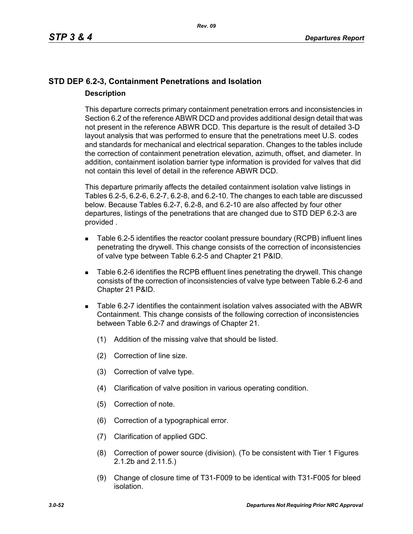# **STD DEP 6.2-3, Containment Penetrations and Isolation Description**

This departure corrects primary containment penetration errors and inconsistencies in Section 6.2 of the reference ABWR DCD and provides additional design detail that was not present in the reference ABWR DCD. This departure is the result of detailed 3-D layout analysis that was performed to ensure that the penetrations meet U.S. codes and standards for mechanical and electrical separation. Changes to the tables include the correction of containment penetration elevation, azimuth, offset, and diameter. In addition, containment isolation barrier type information is provided for valves that did not contain this level of detail in the reference ABWR DCD.

This departure primarily affects the detailed containment isolation valve listings in Tables 6.2-5, 6.2-6, 6.2-7, 6.2-8, and 6.2-10. The changes to each table are discussed below. Because Tables 6.2-7, 6.2-8, and 6.2-10 are also affected by four other departures, listings of the penetrations that are changed due to STD DEP 6.2-3 are provided .

- Table 6.2-5 identifies the reactor coolant pressure boundary (RCPB) influent lines penetrating the drywell. This change consists of the correction of inconsistencies of valve type between Table 6.2-5 and Chapter 21 P&ID.
- Table 6.2-6 identifies the RCPB effluent lines penetrating the drywell. This change consists of the correction of inconsistencies of valve type between Table 6.2-6 and Chapter 21 P&ID.
- Table 6.2-7 identifies the containment isolation valves associated with the ABWR Containment. This change consists of the following correction of inconsistencies between Table 6.2-7 and drawings of Chapter 21.
	- (1) Addition of the missing valve that should be listed.
	- (2) Correction of line size.
	- (3) Correction of valve type.
	- (4) Clarification of valve position in various operating condition.
	- (5) Correction of note.
	- (6) Correction of a typographical error.
	- (7) Clarification of applied GDC.
	- (8) Correction of power source (division). (To be consistent with Tier 1 Figures 2.1.2b and 2.11.5.)
	- (9) Change of closure time of T31-F009 to be identical with T31-F005 for bleed isolation.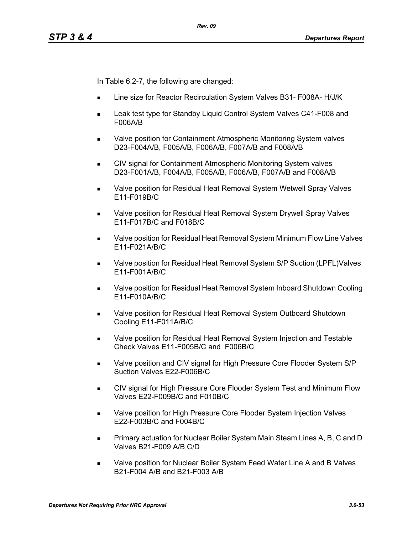In Table 6.2-7, the following are changed:

- Line size for Reactor Recirculation System Valves B31- F008A- H/J/K
- Leak test type for Standby Liquid Control System Valves C41-F008 and F006A/B
- Valve position for Containment Atmospheric Monitoring System valves D23-F004A/B, F005A/B, F006A/B, F007A/B and F008A/B
- **CIV signal for Containment Atmospheric Monitoring System valves** D23-F001A/B, F004A/B, F005A/B, F006A/B, F007A/B and F008A/B
- **Notable 20 as Valve position for Residual Heat Removal System Wetwell Spray Valves** E11-F019B/C
- Valve position for Residual Heat Removal System Drywell Spray Valves E11-F017B/C and F018B/C
- Valve position for Residual Heat Removal System Minimum Flow Line Valves E11-F021A/B/C
- Valve position for Residual Heat Removal System S/P Suction (LPFL)Valves E11-F001A/B/C
- Valve position for Residual Heat Removal System Inboard Shutdown Cooling E11-F010A/B/C
- Valve position for Residual Heat Removal System Outboard Shutdown Cooling E11-F011A/B/C
- **Nalve position for Residual Heat Removal System Injection and Testable** Check Valves E11-F005B/C and F006B/C
- Valve position and CIV signal for High Pressure Core Flooder System S/P Suction Valves E22-F006B/C
- CIV signal for High Pressure Core Flooder System Test and Minimum Flow Valves E22-F009B/C and F010B/C
- **Nalve position for High Pressure Core Flooder System Injection Valves** E22-F003B/C and F004B/C
- **Primary actuation for Nuclear Boiler System Main Steam Lines A, B, C and D** Valves B21-F009 A/B C/D
- Valve position for Nuclear Boiler System Feed Water Line A and B Valves B21-F004 A/B and B21-F003 A/B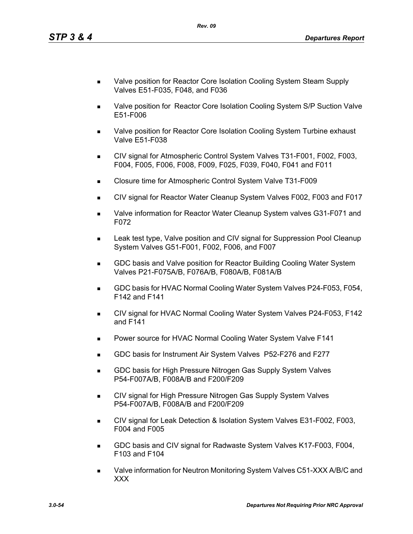- Valve position for Reactor Core Isolation Cooling System Steam Supply Valves E51-F035, F048, and F036
- Valve position for Reactor Core Isolation Cooling System S/P Suction Valve E51-F006
- Valve position for Reactor Core Isolation Cooling System Turbine exhaust Valve E51-F038
- CIV signal for Atmospheric Control System Valves T31-F001, F002, F003, F004, F005, F006, F008, F009, F025, F039, F040, F041 and F011
- Closure time for Atmospheric Control System Valve T31-F009
- CIV signal for Reactor Water Cleanup System Valves F002, F003 and F017
- Valve information for Reactor Water Cleanup System valves G31-F071 and F072
- Leak test type, Valve position and CIV signal for Suppression Pool Cleanup System Valves G51-F001, F002, F006, and F007
- GDC basis and Valve position for Reactor Building Cooling Water System Valves P21-F075A/B, F076A/B, F080A/B, F081A/B
- GDC basis for HVAC Normal Cooling Water System Valves P24-F053, F054, F142 and F141
- CIV signal for HVAC Normal Cooling Water System Valves P24-F053, F142 and F141
- **Power source for HVAC Normal Cooling Water System Valve F141**
- GDC basis for Instrument Air System Valves P52-F276 and F277
- **GDC basis for High Pressure Nitrogen Gas Supply System Valves** P54-F007A/B, F008A/B and F200/F209
- CIV signal for High Pressure Nitrogen Gas Supply System Valves P54-F007A/B, F008A/B and F200/F209
- CIV signal for Leak Detection & Isolation System Valves E31-F002, F003, F004 and F005
- GDC basis and CIV signal for Radwaste System Valves K17-F003, F004, F103 and F104
- Valve information for Neutron Monitoring System Valves C51-XXX A/B/C and XXX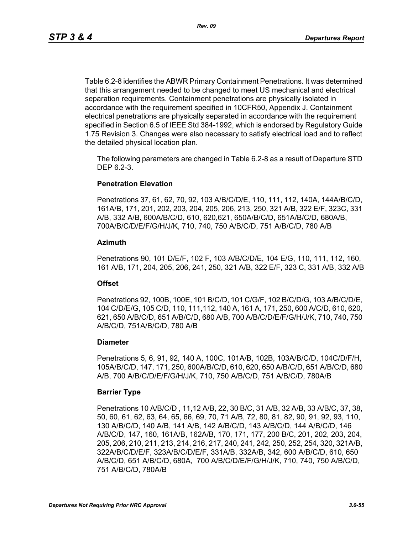Table 6.2-8 identifies the ABWR Primary Containment Penetrations. It was determined that this arrangement needed to be changed to meet US mechanical and electrical separation requirements. Containment penetrations are physically isolated in accordance with the requirement specified in 10CFR50, Appendix J. Containment electrical penetrations are physically separated in accordance with the requirement specified in Section 6.5 of IEEE Std 384-1992, which is endorsed by Regulatory Guide 1.75 Revision 3. Changes were also necessary to satisfy electrical load and to reflect the detailed physical location plan.

The following parameters are changed in Table 6.2-8 as a result of Departure STD DEP 6.2-3.

#### **Penetration Elevation**

Penetrations 37, 61, 62, 70, 92, 103 A/B/C/D/E, 110, 111, 112, 140A, 144A/B/C/D, 161A/B, 171, 201, 202, 203, 204, 205, 206, 213, 250, 321 A/B, 322 E/F, 323C, 331 A/B, 332 A/B, 600A/B/C/D, 610, 620,621, 650A/B/C/D, 651A/B/C/D, 680A/B, 700A/B/C/D/E/F/G/H/J/K, 710, 740, 750 A/B/C/D, 751 A/B/C/D, 780 A/B

#### **Azimuth**

Penetrations 90, 101 D/E/F, 102 F, 103 A/B/C/D/E, 104 E/G, 110, 111, 112, 160, 161 A/B, 171, 204, 205, 206, 241, 250, 321 A/B, 322 E/F, 323 C, 331 A/B, 332 A/B

#### **Offset**

Penetrations 92, 100B, 100E, 101 B/C/D, 101 C/G/F, 102 B/C/D/G, 103 A/B/C/D/E, 104 C/D/E/G, 105 C/D, 110, 111,112, 140 A, 161 A, 171, 250, 600 A/C/D, 610, 620, 621, 650 A/B/C/D, 651 A/B/C/D, 680 A/B, 700 A/B/C/D/E/F/G/H/J/K, 710, 740, 750 A/B/C/D, 751A/B/C/D, 780 A/B

#### **Diameter**

Penetrations 5, 6, 91, 92, 140 A, 100C, 101A/B, 102B, 103A/B/C/D, 104C/D/F/H, 105A/B/C/D, 147, 171, 250, 600A/B/C/D, 610, 620, 650 A/B/C/D, 651 A/B/C/D, 680 A/B, 700 A/B/C/D/E/F/G/H/J/K, 710, 750 A/B/C/D, 751 A/B/C/D, 780A/B

#### **Barrier Type**

Penetrations 10 A/B/C/D , 11,12 A/B, 22, 30 B/C, 31 A/B, 32 A/B, 33 A/B/C, 37, 38, 50, 60, 61, 62, 63, 64, 65, 66, 69, 70, 71 A/B, 72, 80, 81, 82, 90, 91, 92, 93, 110, 130 A/B/C/D, 140 A/B, 141 A/B, 142 A/B/C/D, 143 A/B/C/D, 144 A/B/C/D, 146 A/B/C/D, 147, 160, 161A/B, 162A/B, 170, 171, 177, 200 B/C, 201, 202, 203, 204, 205, 206, 210, 211, 213, 214, 216, 217, 240, 241, 242, 250, 252, 254, 320, 321A/B, 322A/B/C/D/E/F, 323A/B/C/D/E/F, 331A/B, 332A/B, 342, 600 A/B/C/D, 610, 650 A/B/C/D, 651 A/B/C/D, 680A, 700 A/B/C/D/E/F/G/H/J/K, 710, 740, 750 A/B/C/D, 751 A/B/C/D, 780A/B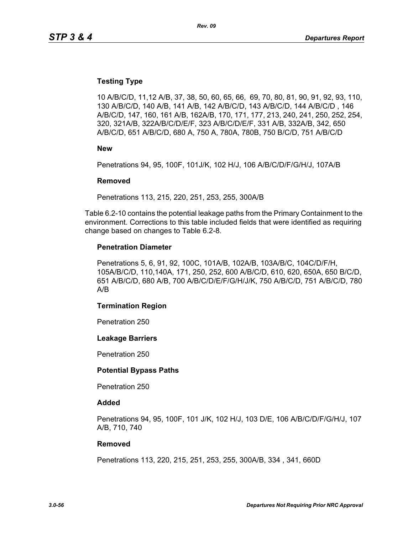#### **Testing Type**

10 A/B/C/D, 11,12 A/B, 37, 38, 50, 60, 65, 66, 69, 70, 80, 81, 90, 91, 92, 93, 110, 130 A/B/C/D, 140 A/B, 141 A/B, 142 A/B/C/D, 143 A/B/C/D, 144 A/B/C/D , 146 A/B/C/D, 147, 160, 161 A/B, 162A/B, 170, 171, 177, 213, 240, 241, 250, 252, 254, 320, 321A/B, 322A/B/C/D/E/F, 323 A/B/C/D/E/F, 331 A/B, 332A/B, 342, 650 A/B/C/D, 651 A/B/C/D, 680 A, 750 A, 780A, 780B, 750 B/C/D, 751 A/B/C/D

**New**

Penetrations 94, 95, 100F, 101J/K, 102 H/J, 106 A/B/C/D/F/G/H/J, 107A/B

#### **Removed**

Penetrations 113, 215, 220, 251, 253, 255, 300A/B

Table 6.2-10 contains the potential leakage paths from the Primary Containment to the environment. Corrections to this table included fields that were identified as requiring change based on changes to Table 6.2-8.

#### **Penetration Diameter**

Penetrations 5, 6, 91, 92, 100C, 101A/B, 102A/B, 103A/B/C, 104C/D/F/H, 105A/B/C/D, 110,140A, 171, 250, 252, 600 A/B/C/D, 610, 620, 650A, 650 B/C/D, 651 A/B/C/D, 680 A/B, 700 A/B/C/D/E/F/G/H/J/K, 750 A/B/C/D, 751 A/B/C/D, 780 A/B

#### **Termination Region**

Penetration 250

#### **Leakage Barriers**

Penetration 250

#### **Potential Bypass Paths**

Penetration 250

#### **Added**

Penetrations 94, 95, 100F, 101 J/K, 102 H/J, 103 D/E, 106 A/B/C/D/F/G/H/J, 107 A/B, 710, 740

#### **Removed**

Penetrations 113, 220, 215, 251, 253, 255, 300A/B, 334 , 341, 660D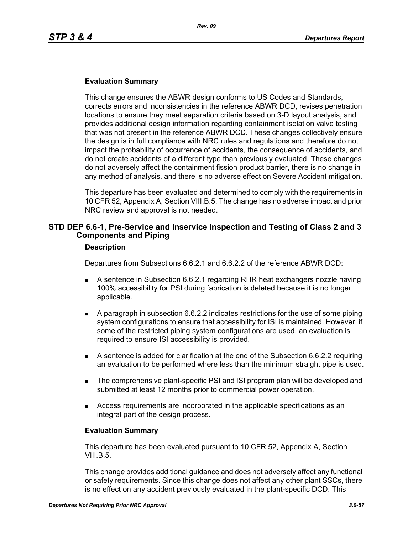### **Evaluation Summary**

This change ensures the ABWR design conforms to US Codes and Standards, corrects errors and inconsistencies in the reference ABWR DCD, revises penetration locations to ensure they meet separation criteria based on 3-D layout analysis, and provides additional design information regarding containment isolation valve testing that was not present in the reference ABWR DCD. These changes collectively ensure the design is in full compliance with NRC rules and regulations and therefore do not impact the probability of occurrence of accidents, the consequence of accidents, and do not create accidents of a different type than previously evaluated. These changes do not adversely affect the containment fission product barrier, there is no change in any method of analysis, and there is no adverse effect on Severe Accident mitigation.

This departure has been evaluated and determined to comply with the requirements in 10 CFR 52, Appendix A, Section VIII.B.5. The change has no adverse impact and prior NRC review and approval is not needed.

### **STD DEP 6.6-1, Pre-Service and Inservice Inspection and Testing of Class 2 and 3 Components and Piping**

#### **Description**

Departures from Subsections 6.6.2.1 and 6.6.2.2 of the reference ABWR DCD:

- A sentence in Subsection 6.6.2.1 regarding RHR heat exchangers nozzle having 100% accessibility for PSI during fabrication is deleted because it is no longer applicable.
- A paragraph in subsection 6.6.2.2 indicates restrictions for the use of some piping system configurations to ensure that accessibility for ISI is maintained. However, if some of the restricted piping system configurations are used, an evaluation is required to ensure ISI accessibility is provided.
- A sentence is added for clarification at the end of the Subsection 6.6.2.2 requiring an evaluation to be performed where less than the minimum straight pipe is used.
- **The comprehensive plant-specific PSI and ISI program plan will be developed and** submitted at least 12 months prior to commercial power operation.
- Access requirements are incorporated in the applicable specifications as an integral part of the design process.

#### **Evaluation Summary**

This departure has been evaluated pursuant to 10 CFR 52, Appendix A, Section VIII.B.5.

This change provides additional guidance and does not adversely affect any functional or safety requirements. Since this change does not affect any other plant SSCs, there is no effect on any accident previously evaluated in the plant-specific DCD. This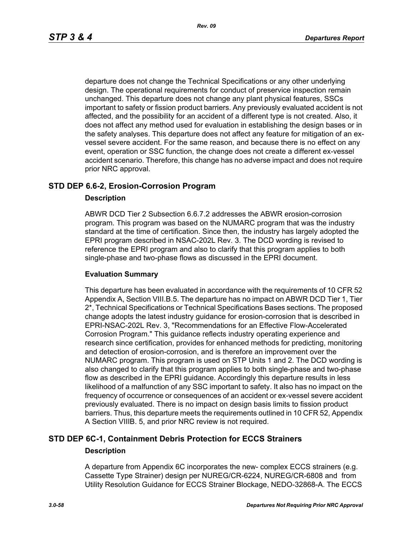departure does not change the Technical Specifications or any other underlying design. The operational requirements for conduct of preservice inspection remain unchanged. This departure does not change any plant physical features, SSCs important to safety or fission product barriers. Any previously evaluated accident is not affected, and the possibility for an accident of a different type is not created. Also, it does not affect any method used for evaluation in establishing the design bases or in the safety analyses. This departure does not affect any feature for mitigation of an exvessel severe accident. For the same reason, and because there is no effect on any event, operation or SSC function, the change does not create a different ex-vessel accident scenario. Therefore, this change has no adverse impact and does not require prior NRC approval.

### **STD DEP 6.6-2, Erosion-Corrosion Program**

#### **Description**

ABWR DCD Tier 2 Subsection 6.6.7.2 addresses the ABWR erosion-corrosion program. This program was based on the NUMARC program that was the industry standard at the time of certification. Since then, the industry has largely adopted the EPRI program described in NSAC-202L Rev. 3. The DCD wording is revised to reference the EPRI program and also to clarify that this program applies to both single-phase and two-phase flows as discussed in the EPRI document.

#### **Evaluation Summary**

This departure has been evaluated in accordance with the requirements of 10 CFR 52 Appendix A, Section VIII.B.5. The departure has no impact on ABWR DCD Tier 1, Tier 2\*, Technical Specifications or Technical Specifications Bases sections. The proposed change adopts the latest industry guidance for erosion-corrosion that is described in EPRI-NSAC-202L Rev. 3, "Recommendations for an Effective Flow-Accelerated Corrosion Program." This guidance reflects industry operating experience and research since certification, provides for enhanced methods for predicting, monitoring and detection of erosion-corrosion, and is therefore an improvement over the NUMARC program. This program is used on STP Units 1 and 2. The DCD wording is also changed to clarify that this program applies to both single-phase and two-phase flow as described in the EPRI guidance. Accordingly this departure results in less likelihood of a malfunction of any SSC important to safety. It also has no impact on the frequency of occurrence or consequences of an accident or ex-vessel severe accident previously evaluated. There is no impact on design basis limits to fission product barriers. Thus, this departure meets the requirements outlined in 10 CFR 52, Appendix A Section VIIIB. 5, and prior NRC review is not required.

### **STD DEP 6C-1, Containment Debris Protection for ECCS Strainers Description**

A departure from Appendix 6C incorporates the new- complex ECCS strainers (e.g. Cassette Type Strainer) design per NUREG/CR-6224, NUREG/CR-6808 and from Utility Resolution Guidance for ECCS Strainer Blockage, NEDO-32868-A. The ECCS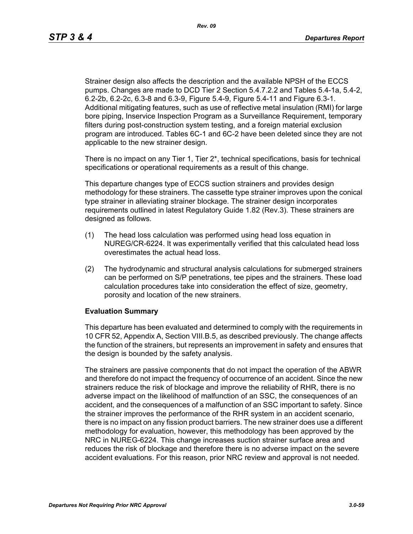Strainer design also affects the description and the available NPSH of the ECCS pumps. Changes are made to DCD Tier 2 Section 5.4.7.2.2 and Tables 5.4-1a, 5.4-2, 6.2-2b, 6.2-2c, 6.3-8 and 6.3-9, Figure 5.4-9, Figure 5.4-11 and Figure 6.3-1. Additional mitigating features, such as use of reflective metal insulation (RMI) for large bore piping, Inservice Inspection Program as a Surveillance Requirement, temporary filters during post-construction system testing, and a foreign material exclusion program are introduced. Tables 6C-1 and 6C-2 have been deleted since they are not applicable to the new strainer design.

There is no impact on any Tier 1, Tier 2\*, technical specifications, basis for technical specifications or operational requirements as a result of this change.

This departure changes type of ECCS suction strainers and provides design methodology for these strainers. The cassette type strainer improves upon the conical type strainer in alleviating strainer blockage. The strainer design incorporates requirements outlined in latest Regulatory Guide 1.82 (Rev.3). These strainers are designed as follows.

- (1) The head loss calculation was performed using head loss equation in NUREG/CR-6224. It was experimentally verified that this calculated head loss overestimates the actual head loss.
- (2) The hydrodynamic and structural analysis calculations for submerged strainers can be performed on S/P penetrations, tee pipes and the strainers. These load calculation procedures take into consideration the effect of size, geometry, porosity and location of the new strainers.

### **Evaluation Summary**

This departure has been evaluated and determined to comply with the requirements in 10 CFR 52, Appendix A, Section VIII.B.5, as described previously. The change affects the function of the strainers, but represents an improvement in safety and ensures that the design is bounded by the safety analysis.

The strainers are passive components that do not impact the operation of the ABWR and therefore do not impact the frequency of occurrence of an accident. Since the new strainers reduce the risk of blockage and improve the reliability of RHR, there is no adverse impact on the likelihood of malfunction of an SSC, the consequences of an accident, and the consequences of a malfunction of an SSC important to safety. Since the strainer improves the performance of the RHR system in an accident scenario, there is no impact on any fission product barriers. The new strainer does use a different methodology for evaluation, however, this methodology has been approved by the NRC in NUREG-6224. This change increases suction strainer surface area and reduces the risk of blockage and therefore there is no adverse impact on the severe accident evaluations. For this reason, prior NRC review and approval is not needed.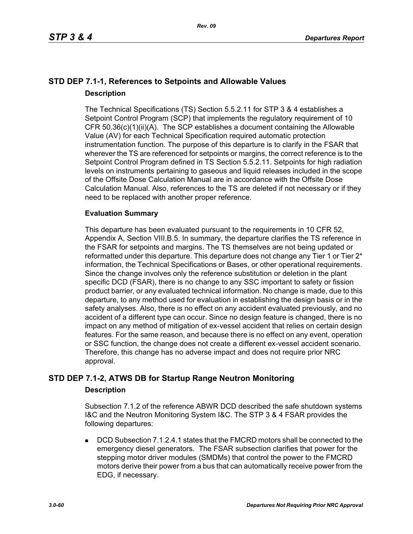# **STD DEP 7.1-1, References to Setpoints and Allowable Values Description**

The Technical Specifications (TS) Section 5.5.2.11 for STP 3 & 4 establishes a Setpoint Control Program (SCP) that implements the regulatory requirement of 10 CFR 50.36(c)(1)(ii)(A). The SCP establishes a document containing the Allowable Value (AV) for each Technical Specification required automatic protection instrumentation function. The purpose of this departure is to clarify in the FSAR that wherever the TS are referenced for setpoints or margins, the correct reference is to the Setpoint Control Program defined in TS Section 5.5.2.11. Setpoints for high radiation levels on instruments pertaining to gaseous and liquid releases included in the scope of the Offsite Dose Calculation Manual are in accordance with the Offsite Dose Calculation Manual. Also, references to the TS are deleted if not necessary or if they need to be replaced with another proper reference.

### **Evaluation Summary**

This departure has been evaluated pursuant to the requirements in 10 CFR 52, Appendix A, Section VIII.B.5. In summary, the departure clarifies the TS reference in the FSAR for setpoints and margins. The TS themselves are not being updated or reformatted under this departure. This departure does not change any Tier 1 or Tier 2<sup>\*</sup> information, the Technical Specifications or Bases, or other operational requirements. Since the change involves only the reference substitution or deletion in the plant specific DCD (FSAR), there is no change to any SSC important to safety or fission product barrier, or any evaluated technical information. No change is made, due to this departure, to any method used for evaluation in establishing the design basis or in the safety analyses. Also, there is no effect on any accident evaluated previously, and no accident of a different type can occur. Since no design feature is changed, there is no impact on any method of mitigation of ex-vessel accident that relies on certain design features. For the same reason, and because there is no effect on any event, operation or SSC function, the change does not create a different ex-vessel accident scenario. Therefore, this change has no adverse impact and does not require prior NRC approval.

### **STD DEP 7.1-2, ATWS DB for Startup Range Neutron Monitoring**

### **Description**

Subsection 7.1.2 of the reference ABWR DCD described the safe shutdown systems I&C and the Neutron Monitoring System I&C. The STP 3 & 4 FSAR provides the following departures:

 DCD Subsection 7.1.2.4.1 states that the FMCRD motors shall be connected to the emergency diesel generators. The FSAR subsection clarifies that power for the stepping motor driver modules (SMDMs) that control the power to the FMCRD motors derive their power from a bus that can automatically receive power from the EDG, if necessary.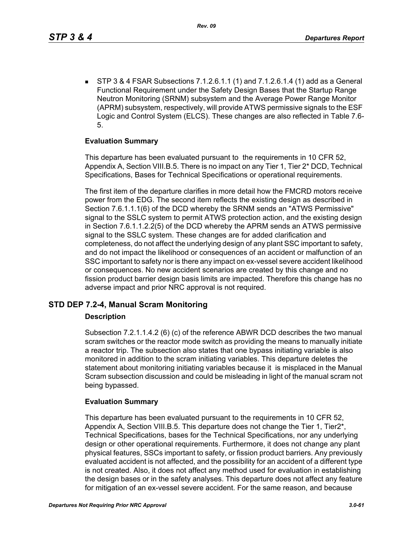STP 3 & 4 FSAR Subsections 7.1.2.6.1.1 (1) and 7.1.2.6.1.4 (1) add as a General Functional Requirement under the Safety Design Bases that the Startup Range Neutron Monitoring (SRNM) subsystem and the Average Power Range Monitor (APRM) subsystem, respectively, will provide ATWS permissive signals to the ESF Logic and Control System (ELCS). These changes are also reflected in Table 7.6- 5.

### **Evaluation Summary**

This departure has been evaluated pursuant to the requirements in 10 CFR 52, Appendix A, Section VIII.B.5. There is no impact on any Tier 1, Tier 2\* DCD, Technical Specifications, Bases for Technical Specifications or operational requirements.

The first item of the departure clarifies in more detail how the FMCRD motors receive power from the EDG. The second item reflects the existing design as described in Section 7.6.1.1.1(6) of the DCD whereby the SRNM sends an "ATWS Permissive" signal to the SSLC system to permit ATWS protection action, and the existing design in Section 7.6.1.1.2.2(5) of the DCD whereby the APRM sends an ATWS permissive signal to the SSLC system. These changes are for added clarification and completeness, do not affect the underlying design of any plant SSC important to safety, and do not impact the likelihood or consequences of an accident or malfunction of an SSC important to safety nor is there any impact on ex-vessel severe accident likelihood or consequences. No new accident scenarios are created by this change and no fission product barrier design basis limits are impacted. Therefore this change has no adverse impact and prior NRC approval is not required.

### **STD DEP 7.2-4, Manual Scram Monitoring**

### **Description**

Subsection 7.2.1.1.4.2 (6) (c) of the reference ABWR DCD describes the two manual scram switches or the reactor mode switch as providing the means to manually initiate a reactor trip. The subsection also states that one bypass initiating variable is also monitored in addition to the scram initiating variables. This departure deletes the statement about monitoring initiating variables because it is misplaced in the Manual Scram subsection discussion and could be misleading in light of the manual scram not being bypassed.

### **Evaluation Summary**

This departure has been evaluated pursuant to the requirements in 10 CFR 52, Appendix A, Section VIII.B.5. This departure does not change the Tier 1, Tier2\*, Technical Specifications, bases for the Technical Specifications, nor any underlying design or other operational requirements. Furthermore, it does not change any plant physical features, SSCs important to safety, or fission product barriers. Any previously evaluated accident is not affected, and the possibility for an accident of a different type is not created. Also, it does not affect any method used for evaluation in establishing the design bases or in the safety analyses. This departure does not affect any feature for mitigation of an ex-vessel severe accident. For the same reason, and because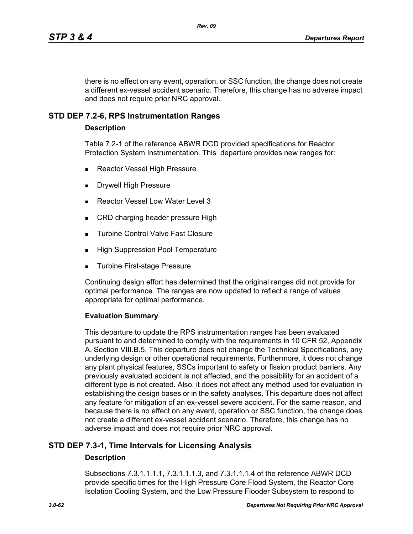there is no effect on any event, operation, or SSC function, the change does not create a different ex-vessel accident scenario. Therefore, this change has no adverse impact and does not require prior NRC approval.

### **STD DEP 7.2-6, RPS Instrumentation Ranges**

#### **Description**

Table 7.2-1 of the reference ABWR DCD provided specifications for Reactor Protection System Instrumentation. This departure provides new ranges for:

- Reactor Vessel High Pressure
- Drywell High Pressure
- Reactor Vessel Low Water Level 3
- CRD charging header pressure High
- **Turbine Control Valve Fast Closure**
- **High Suppression Pool Temperature**
- Turbine First-stage Pressure

Continuing design effort has determined that the original ranges did not provide for optimal performance. The ranges are now updated to reflect a range of values appropriate for optimal performance.

#### **Evaluation Summary**

This departure to update the RPS instrumentation ranges has been evaluated pursuant to and determined to comply with the requirements in 10 CFR 52, Appendix A, Section VIII.B.5. This departure does not change the Technical Specifications, any underlying design or other operational requirements. Furthermore, it does not change any plant physical features, SSCs important to safety or fission product barriers. Any previously evaluated accident is not affected, and the possibility for an accident of a different type is not created. Also, it does not affect any method used for evaluation in establishing the design bases or in the safety analyses. This departure does not affect any feature for mitigation of an ex-vessel severe accident. For the same reason, and because there is no effect on any event, operation or SSC function, the change does not create a different ex-vessel accident scenario. Therefore, this change has no adverse impact and does not require prior NRC approval.

### **STD DEP 7.3-1, Time Intervals for Licensing Analysis**

#### **Description**

Subsections 7.3.1.1.1.1, 7.3.1.1.1.3, and 7.3.1.1.1.4 of the reference ABWR DCD provide specific times for the High Pressure Core Flood System, the Reactor Core Isolation Cooling System, and the Low Pressure Flooder Subsystem to respond to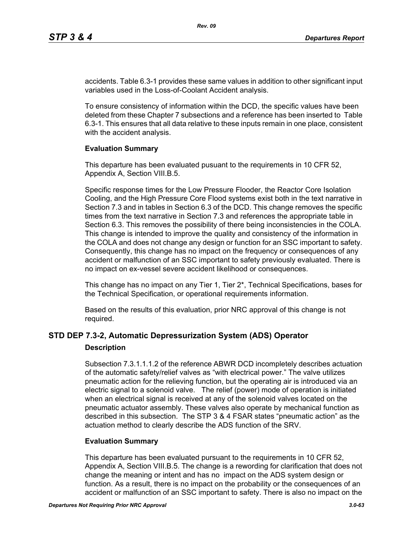accidents. Table 6.3-1 provides these same values in addition to other significant input variables used in the Loss-of-Coolant Accident analysis.

To ensure consistency of information within the DCD, the specific values have been deleted from these Chapter 7 subsections and a reference has been inserted to Table 6.3-1. This ensures that all data relative to these inputs remain in one place, consistent with the accident analysis.

#### **Evaluation Summary**

This departure has been evaluated pusuant to the requirements in 10 CFR 52, Appendix A, Section VIII.B.5.

Specific response times for the Low Pressure Flooder, the Reactor Core Isolation Cooling, and the High Pressure Core Flood systems exist both in the text narrative in Section 7.3 and in tables in Section 6.3 of the DCD. This change removes the specific times from the text narrative in Section 7.3 and references the appropriate table in Section 6.3. This removes the possibility of there being inconsistencies in the COLA. This change is intended to improve the quality and consistency of the information in the COLA and does not change any design or function for an SSC important to safety. Consequently, this change has no impact on the frequency or consequences of any accident or malfunction of an SSC important to safety previously evaluated. There is no impact on ex-vessel severe accident likelihood or consequences.

This change has no impact on any Tier 1, Tier 2\*, Technical Specifications, bases for the Technical Specification, or operational requirements information.

Based on the results of this evaluation, prior NRC approval of this change is not required.

# **STD DEP 7.3-2, Automatic Depressurization System (ADS) Operator**

#### **Description**

Subsection 7.3.1.1.1.2 of the reference ABWR DCD incompletely describes actuation of the automatic safety/relief valves as "with electrical power." The valve utilizes pneumatic action for the relieving function, but the operating air is introduced via an electric signal to a solenoid valve. The relief (power) mode of operation is initiated when an electrical signal is received at any of the solenoid valves located on the pneumatic actuator assembly. These valves also operate by mechanical function as described in this subsection. The STP 3 & 4 FSAR states "pneumatic action" as the actuation method to clearly describe the ADS function of the SRV.

### **Evaluation Summary**

This departure has been evaluated pursuant to the requirements in 10 CFR 52, Appendix A, Section VIII.B.5. The change is a rewording for clarification that does not change the meaning or intent and has no impact on the ADS system design or function. As a result, there is no impact on the probability or the consequences of an accident or malfunction of an SSC important to safety. There is also no impact on the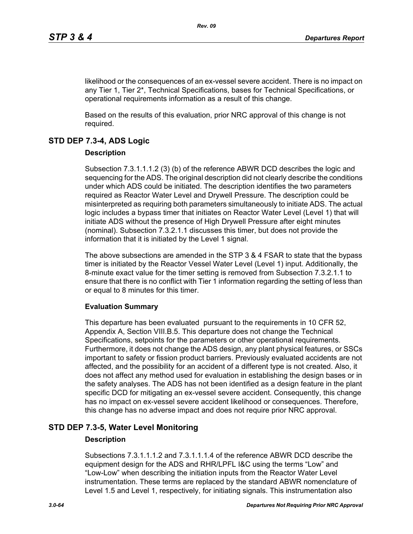likelihood or the consequences of an ex-vessel severe accident. There is no impact on any Tier 1, Tier 2\*, Technical Specifications, bases for Technical Specifications, or operational requirements information as a result of this change.

Based on the results of this evaluation, prior NRC approval of this change is not required.

# **STD DEP 7.3-4, ADS Logic**

### **Description**

Subsection 7.3.1.1.1.2 (3) (b) of the reference ABWR DCD describes the logic and sequencing for the ADS. The original description did not clearly describe the conditions under which ADS could be initiated. The description identifies the two parameters required as Reactor Water Level and Drywell Pressure. The description could be misinterpreted as requiring both parameters simultaneously to initiate ADS. The actual logic includes a bypass timer that initiates on Reactor Water Level (Level 1) that will initiate ADS without the presence of High Drywell Pressure after eight minutes (nominal). Subsection 7.3.2.1.1 discusses this timer, but does not provide the information that it is initiated by the Level 1 signal.

The above subsections are amended in the STP 3 & 4 FSAR to state that the bypass timer is initiated by the Reactor Vessel Water Level (Level 1) input. Additionally, the 8-minute exact value for the timer setting is removed from Subsection 7.3.2.1.1 to ensure that there is no conflict with Tier 1 information regarding the setting of less than or equal to 8 minutes for this timer.

### **Evaluation Summary**

This departure has been evaluated pursuant to the requirements in 10 CFR 52, Appendix A, Section VIII.B.5. This departure does not change the Technical Specifications, setpoints for the parameters or other operational requirements. Furthermore, it does not change the ADS design, any plant physical features, or SSCs important to safety or fission product barriers. Previously evaluated accidents are not affected, and the possibility for an accident of a different type is not created. Also, it does not affect any method used for evaluation in establishing the design bases or in the safety analyses. The ADS has not been identified as a design feature in the plant specific DCD for mitigating an ex-vessel severe accident. Consequently, this change has no impact on ex-vessel severe accident likelihood or consequences. Therefore, this change has no adverse impact and does not require prior NRC approval.

# **STD DEP 7.3-5, Water Level Monitoring**

### **Description**

Subsections 7.3.1.1.1.2 and 7.3.1.1.1.4 of the reference ABWR DCD describe the equipment design for the ADS and RHR/LPFL I&C using the terms "Low" and "Low-Low" when describing the initiation inputs from the Reactor Water Level instrumentation. These terms are replaced by the standard ABWR nomenclature of Level 1.5 and Level 1, respectively, for initiating signals. This instrumentation also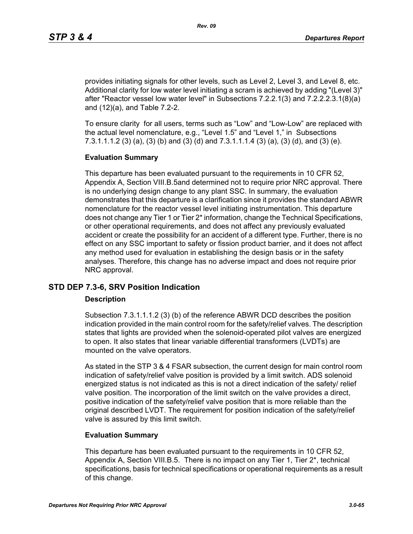provides initiating signals for other levels, such as Level 2, Level 3, and Level 8, etc. Additional clarity for low water level initiating a scram is achieved by adding "(Level 3)" after "Reactor vessel low water level" in Subsections 7.2.2.1(3) and 7.2.2.2.3.1(8)(a) and (12)(a), and Table 7.2-2.

To ensure clarity for all users, terms such as "Low" and "Low-Low" are replaced with the actual level nomenclature, e.g., "Level 1.5" and "Level 1," in Subsections 7.3.1.1.1.2 (3) (a), (3) (b) and (3) (d) and 7.3.1.1.1.4 (3) (a), (3) (d), and (3) (e).

#### **Evaluation Summary**

This departure has been evaluated pursuant to the requirements in 10 CFR 52, Appendix A, Section VIII.B.5and determined not to require prior NRC approval. There is no underlying design change to any plant SSC. In summary, the evaluation demonstrates that this departure is a clarification since it provides the standard ABWR nomenclature for the reactor vessel level initiating instrumentation. This departure does not change any Tier 1 or Tier 2\* information, change the Technical Specifications, or other operational requirements, and does not affect any previously evaluated accident or create the possibility for an accident of a different type. Further, there is no effect on any SSC important to safety or fission product barrier, and it does not affect any method used for evaluation in establishing the design basis or in the safety analyses. Therefore, this change has no adverse impact and does not require prior NRC approval.

### **STD DEP 7.3-6, SRV Position Indication**

#### **Description**

Subsection 7.3.1.1.1.2 (3) (b) of the reference ABWR DCD describes the position indication provided in the main control room for the safety/relief valves. The description states that lights are provided when the solenoid-operated pilot valves are energized to open. It also states that linear variable differential transformers (LVDTs) are mounted on the valve operators.

As stated in the STP 3 & 4 FSAR subsection, the current design for main control room indication of safety/relief valve position is provided by a limit switch. ADS solenoid energized status is not indicated as this is not a direct indication of the safety/ relief valve position. The incorporation of the limit switch on the valve provides a direct, positive indication of the safety/relief valve position that is more reliable than the original described LVDT. The requirement for position indication of the safety/relief valve is assured by this limit switch.

### **Evaluation Summary**

This departure has been evaluated pursuant to the requirements in 10 CFR 52, Appendix A, Section VIII.B.5. There is no impact on any Tier 1, Tier 2\*, technical specifications, basis for technical specifications or operational requirements as a result of this change.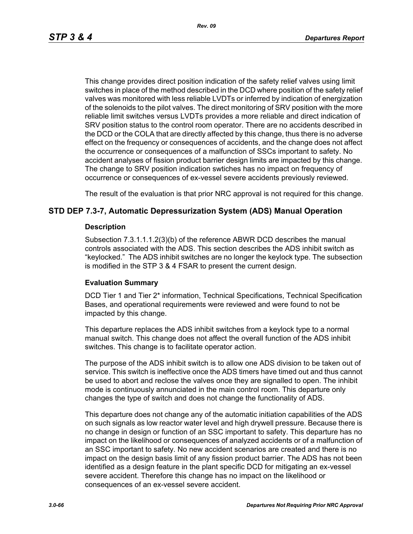*Rev. 09*

This change provides direct position indication of the safety relief valves using limit switches in place of the method described in the DCD where position of the safety relief valves was monitored with less reliable LVDTs or inferred by indication of energization of the solenoids to the pilot valves. The direct monitoring of SRV position with the more reliable limit switches versus LVDTs provides a more reliable and direct indication of SRV position status to the control room operator. There are no accidents described in the DCD or the COLA that are directly affected by this change, thus there is no adverse effect on the frequency or consequences of accidents, and the change does not affect the occurrence or consequences of a malfunction of SSCs important to safety. No accident analyses of fission product barrier design limits are impacted by this change. The change to SRV position indication swtiches has no impact on frequency of occurrence or consequences of ex-vessel severe accidents previously reviewed.

The result of the evaluation is that prior NRC approval is not required for this change.

### **STD DEP 7.3-7, Automatic Depressurization System (ADS) Manual Operation**

#### **Description**

Subsection 7.3.1.1.1.2(3)(b) of the reference ABWR DCD describes the manual controls associated with the ADS. This section describes the ADS inhibit switch as "keylocked." The ADS inhibit switches are no longer the keylock type. The subsection is modified in the STP 3 & 4 FSAR to present the current design.

### **Evaluation Summary**

DCD Tier 1 and Tier 2\* information, Technical Specifications, Technical Specification Bases, and operational requirements were reviewed and were found to not be impacted by this change.

This departure replaces the ADS inhibit switches from a keylock type to a normal manual switch. This change does not affect the overall function of the ADS inhibit switches. This change is to facilitate operator action.

The purpose of the ADS inhibit switch is to allow one ADS division to be taken out of service. This switch is ineffective once the ADS timers have timed out and thus cannot be used to abort and reclose the valves once they are signalled to open. The inhibit mode is continuously annunciated in the main control room. This departure only changes the type of switch and does not change the functionality of ADS.

This departure does not change any of the automatic initiation capabilities of the ADS on such signals as low reactor water level and high drywell pressure. Because there is no change in design or function of an SSC important to safety. This departure has no impact on the likelihood or consequences of analyzed accidents or of a malfunction of an SSC important to safety. No new accident scenarios are created and there is no impact on the design basis limit of any fission product barrier. The ADS has not been identified as a design feature in the plant specific DCD for mitigating an ex-vessel severe accident. Therefore this change has no impact on the likelihood or consequences of an ex-vessel severe accident.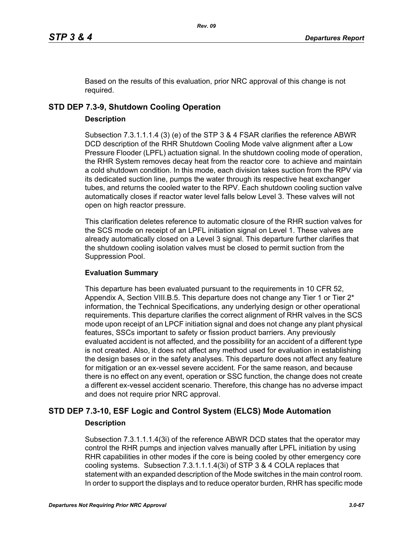Based on the results of this evaluation, prior NRC approval of this change is not required.

# **STD DEP 7.3-9, Shutdown Cooling Operation**

### **Description**

Subsection 7.3.1.1.1.4 (3) (e) of the STP 3 & 4 FSAR clarifies the reference ABWR DCD description of the RHR Shutdown Cooling Mode valve alignment after a Low Pressure Flooder (LPFL) actuation signal. In the shutdown cooling mode of operation, the RHR System removes decay heat from the reactor core to achieve and maintain a cold shutdown condition. In this mode, each division takes suction from the RPV via its dedicated suction line, pumps the water through its respective heat exchanger tubes, and returns the cooled water to the RPV. Each shutdown cooling suction valve automatically closes if reactor water level falls below Level 3. These valves will not open on high reactor pressure.

This clarification deletes reference to automatic closure of the RHR suction valves for the SCS mode on receipt of an LPFL initiation signal on Level 1. These valves are already automatically closed on a Level 3 signal. This departure further clarifies that the shutdown cooling isolation valves must be closed to permit suction from the Suppression Pool.

### **Evaluation Summary**

This departure has been evaluated pursuant to the requirements in 10 CFR 52, Appendix A, Section VIII.B.5. This departure does not change any Tier 1 or Tier 2<sup>\*</sup> information, the Technical Specifications, any underlying design or other operational requirements. This departure clarifies the correct alignment of RHR valves in the SCS mode upon receipt of an LPCF initiation signal and does not change any plant physical features, SSCs important to safety or fission product barriers. Any previously evaluated accident is not affected, and the possibility for an accident of a different type is not created. Also, it does not affect any method used for evaluation in establishing the design bases or in the safety analyses. This departure does not affect any feature for mitigation or an ex-vessel severe accident. For the same reason, and because there is no effect on any event, operation or SSC function, the change does not create a different ex-vessel accident scenario. Therefore, this change has no adverse impact and does not require prior NRC approval.

# **STD DEP 7.3-10, ESF Logic and Control System (ELCS) Mode Automation Description**

Subsection 7.3.1.1.1.4(3i) of the reference ABWR DCD states that the operator may control the RHR pumps and injection valves manually after LPFL initiation by using RHR capabilities in other modes if the core is being cooled by other emergency core cooling systems. Subsection 7.3.1.1.1.4(3i) of STP 3 & 4 COLA replaces that statement with an expanded description of the Mode switches in the main control room. In order to support the displays and to reduce operator burden, RHR has specific mode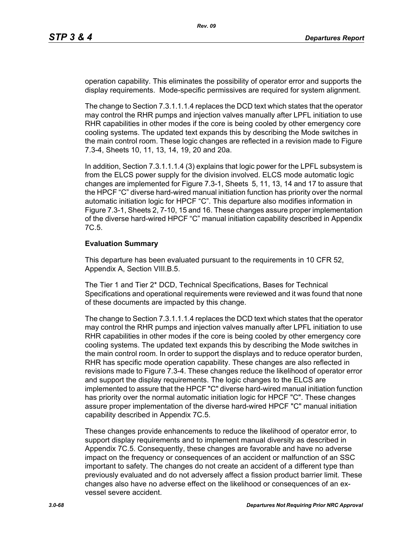operation capability. This eliminates the possibility of operator error and supports the display requirements. Mode-specific permissives are required for system alignment.

The change to Section 7.3.1.1.1.4 replaces the DCD text which states that the operator may control the RHR pumps and injection valves manually after LPFL initiation to use RHR capabilities in other modes if the core is being cooled by other emergency core cooling systems. The updated text expands this by describing the Mode switches in the main control room. These logic changes are reflected in a revision made to Figure 7.3-4, Sheets 10, 11, 13, 14, 19, 20 and 20a.

In addition, Section 7.3.1.1.1.4 (3) explains that logic power for the LPFL subsystem is from the ELCS power supply for the division involved. ELCS mode automatic logic changes are implemented for Figure 7.3-1, Sheets 5, 11, 13, 14 and 17 to assure that the HPCF "C" diverse hard-wired manual initiation function has priority over the normal automatic initiation logic for HPCF "C". This departure also modifies information in Figure 7.3-1, Sheets 2, 7-10, 15 and 16. These changes assure proper implementation of the diverse hard-wired HPCF "C" manual initiation capability described in Appendix 7C.5.

#### **Evaluation Summary**

This departure has been evaluated pursuant to the requirements in 10 CFR 52, Appendix A, Section VIII.B.5.

The Tier 1 and Tier 2\* DCD, Technical Specifications, Bases for Technical Specifications and operational requirements were reviewed and it was found that none of these documents are impacted by this change.

The change to Section 7.3.1.1.1.4 replaces the DCD text which states that the operator may control the RHR pumps and injection valves manually after LPFL initiation to use RHR capabilities in other modes if the core is being cooled by other emergency core cooling systems. The updated text expands this by describing the Mode switches in the main control room. In order to support the displays and to reduce operator burden, RHR has specific mode operation capability. These changes are also reflected in revisions made to Figure 7.3-4. These changes reduce the likelihood of operator error and support the display requirements. The logic changes to the ELCS are implemented to assure that the HPCF "C" diverse hard-wired manual initiation function has priority over the normal automatic initiation logic for HPCF "C". These changes assure proper implementation of the diverse hard-wired HPCF "C" manual initiation capability described in Appendix 7C.5.

These changes provide enhancements to reduce the likelihood of operator error, to support display requirements and to implement manual diversity as described in Appendix 7C.5. Consequently, these changes are favorable and have no adverse impact on the frequency or consequences of an accident or malfunction of an SSC important to safety. The changes do not create an accident of a different type than previously evaluated and do not adversely affect a fission product barrier limit. These changes also have no adverse effect on the likelihood or consequences of an exvessel severe accident.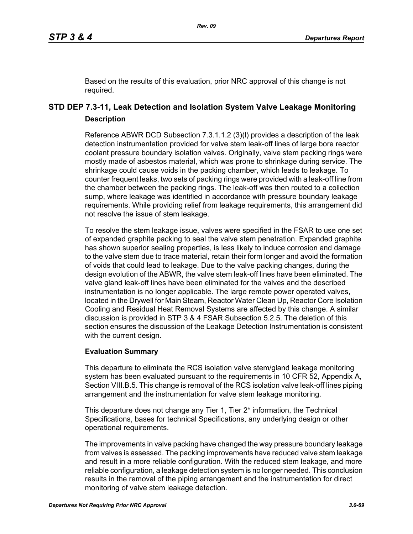Based on the results of this evaluation, prior NRC approval of this change is not required.

# **STD DEP 7.3-11, Leak Detection and Isolation System Valve Leakage Monitoring Description**

Reference ABWR DCD Subsection 7.3.1.1.2 (3)(l) provides a description of the leak detection instrumentation provided for valve stem leak-off lines of large bore reactor coolant pressure boundary isolation valves. Originally, valve stem packing rings were mostly made of asbestos material, which was prone to shrinkage during service. The shrinkage could cause voids in the packing chamber, which leads to leakage. To counter frequent leaks, two sets of packing rings were provided with a leak-off line from the chamber between the packing rings. The leak-off was then routed to a collection sump, where leakage was identified in accordance with pressure boundary leakage requirements. While providing relief from leakage requirements, this arrangement did not resolve the issue of stem leakage.

To resolve the stem leakage issue, valves were specified in the FSAR to use one set of expanded graphite packing to seal the valve stem penetration. Expanded graphite has shown superior sealing properties, is less likely to induce corrosion and damage to the valve stem due to trace material, retain their form longer and avoid the formation of voids that could lead to leakage. Due to the valve packing changes, during the design evolution of the ABWR, the valve stem leak-off lines have been eliminated. The valve gland leak-off lines have been eliminated for the valves and the described instrumentation is no longer applicable. The large remote power operated valves, located in the Drywell for Main Steam, Reactor Water Clean Up, Reactor Core Isolation Cooling and Residual Heat Removal Systems are affected by this change. A similar discussion is provided in STP 3 & 4 FSAR Subsection 5.2.5. The deletion of this section ensures the discussion of the Leakage Detection Instrumentation is consistent with the current design.

### **Evaluation Summary**

This departure to eliminate the RCS isolation valve stem/gland leakage monitoring system has been evaluated pursuant to the requirements in 10 CFR 52, Appendix A, Section VIII.B.5. This change is removal of the RCS isolation valve leak-off lines piping arrangement and the instrumentation for valve stem leakage monitoring.

This departure does not change any Tier 1, Tier 2<sup>\*</sup> information, the Technical Specifications, bases for technical Specifications, any underlying design or other operational requirements.

The improvements in valve packing have changed the way pressure boundary leakage from valves is assessed. The packing improvements have reduced valve stem leakage and result in a more reliable configuration. With the reduced stem leakage, and more reliable configuration, a leakage detection system is no longer needed. This conclusion results in the removal of the piping arrangement and the instrumentation for direct monitoring of valve stem leakage detection.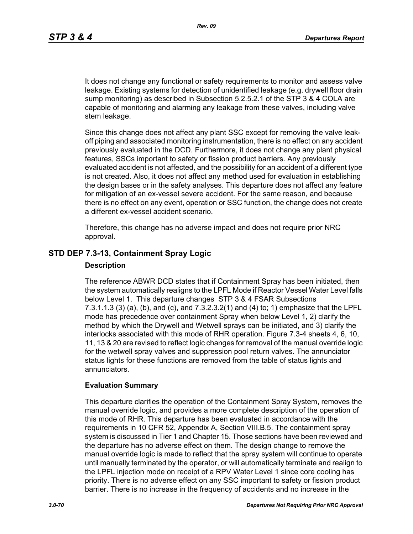It does not change any functional or safety requirements to monitor and assess valve leakage. Existing systems for detection of unidentified leakage (e.g. drywell floor drain sump monitoring) as described in Subsection 5.2.5.2.1 of the STP 3 & 4 COLA are capable of monitoring and alarming any leakage from these valves, including valve stem leakage.

Since this change does not affect any plant SSC except for removing the valve leakoff piping and associated monitoring instrumentation, there is no effect on any accident previously evaluated in the DCD. Furthermore, it does not change any plant physical features, SSCs important to safety or fission product barriers. Any previously evaluated accident is not affected, and the possibility for an accident of a different type is not created. Also, it does not affect any method used for evaluation in establishing the design bases or in the safety analyses. This departure does not affect any feature for mitigation of an ex-vessel severe accident. For the same reason, and because there is no effect on any event, operation or SSC function, the change does not create a different ex-vessel accident scenario.

Therefore, this change has no adverse impact and does not require prior NRC approval.

### **STD DEP 7.3-13, Containment Spray Logic**

#### **Description**

The reference ABWR DCD states that if Containment Spray has been initiated, then the system automatically realigns to the LPFL Mode if Reactor Vessel Water Level falls below Level 1. This departure changes STP 3 & 4 FSAR Subsections 7.3.1.1.3 (3) (a), (b), and (c), and 7.3.2.3.2(1) and (4) to; 1) emphasize that the LPFL mode has precedence over containment Spray when below Level 1, 2) clarify the method by which the Drywell and Wetwell sprays can be initiated, and 3) clarify the interlocks associated with this mode of RHR operation. Figure 7.3-4 sheets 4, 6, 10, 11, 13 & 20 are revised to reflect logic changes for removal of the manual override logic for the wetwell spray valves and suppression pool return valves. The annunciator status lights for these functions are removed from the table of status lights and annunciators.

#### **Evaluation Summary**

This departure clarifies the operation of the Containment Spray System, removes the manual override logic, and provides a more complete description of the operation of this mode of RHR. This departure has been evaluated in accordance with the requirements in 10 CFR 52, Appendix A, Section VIII.B.5. The containment spray system is discussed in Tier 1 and Chapter 15. Those sections have been reviewed and the departure has no adverse effect on them. The design change to remove the manual override logic is made to reflect that the spray system will continue to operate until manually terminated by the operator, or will automatically terminate and realign to the LPFL injection mode on receipt of a RPV Water Level 1 since core cooling has priority. There is no adverse effect on any SSC important to safety or fission product barrier. There is no increase in the frequency of accidents and no increase in the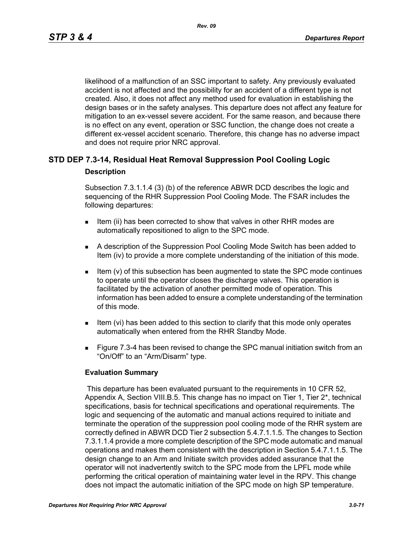likelihood of a malfunction of an SSC important to safety. Any previously evaluated accident is not affected and the possibility for an accident of a different type is not created. Also, it does not affect any method used for evaluation in establishing the design bases or in the safety analyses. This departure does not affect any feature for mitigation to an ex-vessel severe accident. For the same reason, and because there is no effect on any event, operation or SSC function, the change does not create a different ex-vessel accident scenario. Therefore, this change has no adverse impact and does not require prior NRC approval.

# **STD DEP 7.3-14, Residual Heat Removal Suppression Pool Cooling Logic Description**

Subsection 7.3.1.1.4 (3) (b) of the reference ABWR DCD describes the logic and sequencing of the RHR Suppression Pool Cooling Mode. The FSAR includes the following departures:

- Item (ii) has been corrected to show that valves in other RHR modes are automatically repositioned to align to the SPC mode.
- A description of the Suppression Pool Cooling Mode Switch has been added to Item (iv) to provide a more complete understanding of the initiation of this mode.
- Item (v) of this subsection has been augmented to state the SPC mode continues to operate until the operator closes the discharge valves. This operation is facilitated by the activation of another permitted mode of operation. This information has been added to ensure a complete understanding of the termination of this mode.
- Item (vi) has been added to this section to clarify that this mode only operates automatically when entered from the RHR Standby Mode.
- **Figure 7.3-4 has been revised to change the SPC manual initiation switch from an** "On/Off" to an "Arm/Disarm" type.

#### **Evaluation Summary**

 This departure has been evaluated pursuant to the requirements in 10 CFR 52, Appendix A, Section VIII.B.5. This change has no impact on Tier 1, Tier 2\*, technical specifications, basis for technical specifications and operational requirements. The logic and sequencing of the automatic and manual actions required to initiate and terminate the operation of the suppression pool cooling mode of the RHR system are correctly defined in ABWR DCD Tier 2 subsection 5.4.7.1.1.5. The changes to Section 7.3.1.1.4 provide a more complete description of the SPC mode automatic and manual operations and makes them consistent with the description in Section 5.4.7.1.1.5. The design change to an Arm and Initiate switch provides added assurance that the operator will not inadvertently switch to the SPC mode from the LPFL mode while performing the critical operation of maintaining water level in the RPV. This change does not impact the automatic initiation of the SPC mode on high SP temperature.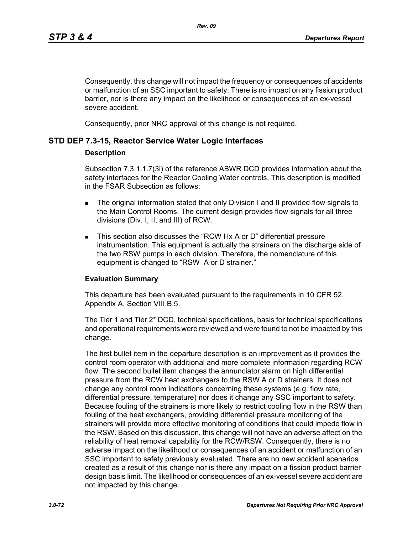Consequently, this change will not impact the frequency or consequences of accidents or malfunction of an SSC important to safety. There is no impact on any fission product barrier, nor is there any impact on the likelihood or consequences of an ex-vessel severe accident.

Consequently, prior NRC approval of this change is not required.

### **STD DEP 7.3-15, Reactor Service Water Logic Interfaces**

#### **Description**

Subsection 7.3.1.1.7(3i) of the reference ABWR DCD provides information about the safety interfaces for the Reactor Cooling Water controls. This description is modified in the FSAR Subsection as follows:

- The original information stated that only Division I and II provided flow signals to the Main Control Rooms. The current design provides flow signals for all three divisions (Div. I, II, and III) of RCW.
- This section also discusses the "RCW Hx A or D" differential pressure instrumentation. This equipment is actually the strainers on the discharge side of the two RSW pumps in each division. Therefore, the nomenclature of this equipment is changed to "RSW A or D strainer."

### **Evaluation Summary**

This departure has been evaluated pursuant to the requirements in 10 CFR 52, Appendix A, Section VIII.B.5.

The Tier 1 and Tier 2\* DCD, technical specifications, basis for technical specifications and operational requirements were reviewed and were found to not be impacted by this change.

The first bullet item in the departure description is an improvement as it provides the control room operator with additional and more complete information regarding RCW flow. The second bullet item changes the annunciator alarm on high differential pressure from the RCW heat exchangers to the RSW A or D strainers. It does not change any control room indications concerning these systems (e.g. flow rate, differential pressure, temperature) nor does it change any SSC important to safety. Because fouling of the strainers is more likely to restrict cooling flow in the RSW than fouling of the heat exchangers, providing differential pressure monitoring of the strainers will provide more effective monitoring of conditions that could impede flow in the RSW. Based on this discussion, this change will not have an adverse affect on the reliability of heat removal capability for the RCW/RSW. Consequently, there is no adverse impact on the likelihood or consequences of an accident or malfunction of an SSC important to safety previously evaluated. There are no new accident scenarios created as a result of this change nor is there any impact on a fission product barrier design basis limit. The likelihood or consequences of an ex-vessel severe accident are not impacted by this change.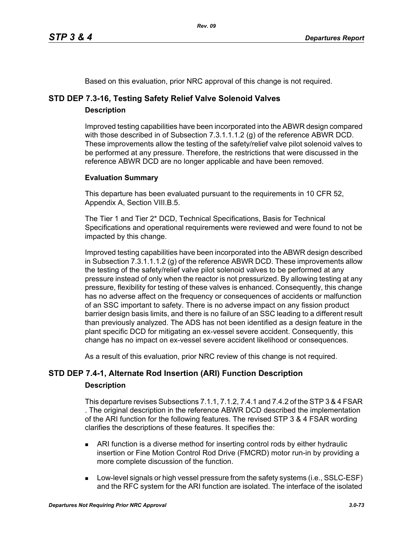Based on this evaluation, prior NRC approval of this change is not required.

# **STD DEP 7.3-16, Testing Safety Relief Valve Solenoid Valves**

# **Description**

Improved testing capabilities have been incorporated into the ABWR design compared with those described in of Subsection 7.3.1.1.1.2 (g) of the reference ABWR DCD. These improvements allow the testing of the safety/relief valve pilot solenoid valves to be performed at any pressure. Therefore, the restrictions that were discussed in the reference ABWR DCD are no longer applicable and have been removed.

# **Evaluation Summary**

This departure has been evaluated pursuant to the requirements in 10 CFR 52, Appendix A, Section VIII.B.5.

The Tier 1 and Tier 2\* DCD, Technical Specifications, Basis for Technical Specifications and operational requirements were reviewed and were found to not be impacted by this change.

Improved testing capabilities have been incorporated into the ABWR design described in Subsection 7.3.1.1.1.2 (g) of the reference ABWR DCD. These improvements allow the testing of the safety/relief valve pilot solenoid valves to be performed at any pressure instead of only when the reactor is not pressurized. By allowing testing at any pressure, flexibility for testing of these valves is enhanced. Consequently, this change has no adverse affect on the frequency or consequences of accidents or malfunction of an SSC important to safety. There is no adverse impact on any fission product barrier design basis limits, and there is no failure of an SSC leading to a different result than previously analyzed. The ADS has not been identified as a design feature in the plant specific DCD for mitigating an ex-vessel severe accident. Consequently, this change has no impact on ex-vessel severe accident likelihood or consequences.

As a result of this evaluation, prior NRC review of this change is not required.

# **STD DEP 7.4-1, Alternate Rod Insertion (ARI) Function Description**

# **Description**

This departure revises Subsections 7.1.1, 7.1.2, 7.4.1 and 7.4.2 of the STP 3 & 4 FSAR . The original description in the reference ABWR DCD described the implementation of the ARI function for the following features. The revised STP 3 & 4 FSAR wording clarifies the descriptions of these features. It specifies the:

- ARI function is a diverse method for inserting control rods by either hydraulic insertion or Fine Motion Control Rod Drive (FMCRD) motor run-in by providing a more complete discussion of the function.
- **Low-level signals or high vessel pressure from the safety systems (i.e., SSLC-ESF)** and the RFC system for the ARI function are isolated. The interface of the isolated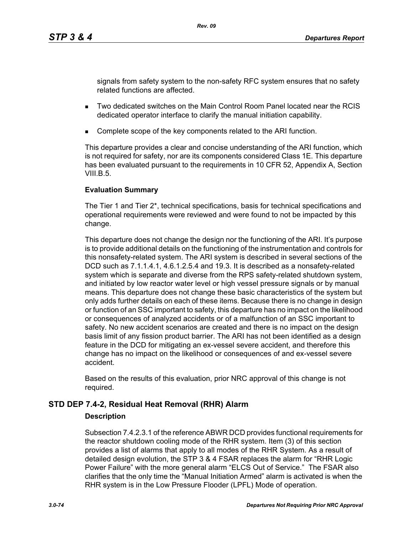signals from safety system to the non-safety RFC system ensures that no safety related functions are affected.

- Two dedicated switches on the Main Control Room Panel located near the RCIS dedicated operator interface to clarify the manual initiation capability.
- Complete scope of the key components related to the ARI function.

This departure provides a clear and concise understanding of the ARI function, which is not required for safety, nor are its components considered Class 1E. This departure has been evaluated pursuant to the requirements in 10 CFR 52, Appendix A, Section VIII.B. $5$ .

# **Evaluation Summary**

The Tier 1 and Tier 2\*, technical specifications, basis for technical specifications and operational requirements were reviewed and were found to not be impacted by this change.

This departure does not change the design nor the functioning of the ARI. It's purpose is to provide additional details on the functioning of the instrumentation and controls for this nonsafety-related system. The ARI system is described in several sections of the DCD such as 7.1.1.4.1, 4.6.1.2.5.4 and 19.3. It is described as a nonsafety-related system which is separate and diverse from the RPS safety-related shutdown system, and initiated by low reactor water level or high vessel pressure signals or by manual means. This departure does not change these basic characteristics of the system but only adds further details on each of these items. Because there is no change in design or function of an SSC important to safety, this departure has no impact on the likelihood or consequences of analyzed accidents or of a malfunction of an SSC important to safety. No new accident scenarios are created and there is no impact on the design basis limit of any fission product barrier. The ARI has not been identified as a design feature in the DCD for mitigating an ex-vessel severe accident, and therefore this change has no impact on the likelihood or consequences of and ex-vessel severe accident.

Based on the results of this evaluation, prior NRC approval of this change is not required.

# **STD DEP 7.4-2, Residual Heat Removal (RHR) Alarm**

# **Description**

Subsection 7.4.2.3.1 of the reference ABWR DCD provides functional requirements for the reactor shutdown cooling mode of the RHR system. Item (3) of this section provides a list of alarms that apply to all modes of the RHR System. As a result of detailed design evolution, the STP 3 & 4 FSAR replaces the alarm for "RHR Logic Power Failure" with the more general alarm "ELCS Out of Service." The FSAR also clarifies that the only time the "Manual Initiation Armed" alarm is activated is when the RHR system is in the Low Pressure Flooder (LPFL) Mode of operation.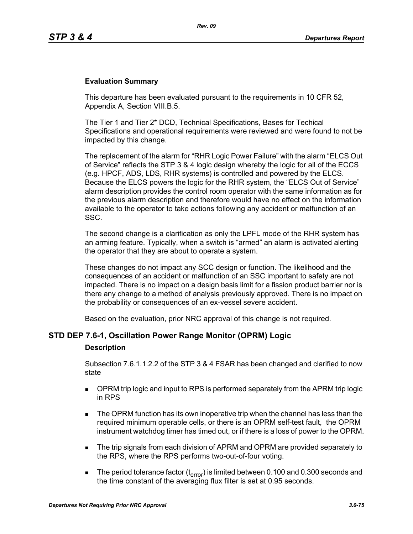### **Evaluation Summary**

This departure has been evaluated pursuant to the requirements in 10 CFR 52, Appendix A, Section VIII.B.5.

The Tier 1 and Tier 2\* DCD, Technical Specifications, Bases for Techical Specifications and operational requirements were reviewed and were found to not be impacted by this change.

The replacement of the alarm for "RHR Logic Power Failure" with the alarm "ELCS Out of Service" reflects the STP 3 & 4 logic design whereby the logic for all of the ECCS (e.g. HPCF, ADS, LDS, RHR systems) is controlled and powered by the ELCS. Because the ELCS powers the logic for the RHR system, the "ELCS Out of Service" alarm description provides the control room operator with the same information as for the previous alarm description and therefore would have no effect on the information available to the operator to take actions following any accident or malfunction of an SSC.

The second change is a clarification as only the LPFL mode of the RHR system has an arming feature. Typically, when a switch is "armed" an alarm is activated alerting the operator that they are about to operate a system.

These changes do not impact any SCC design or function. The likelihood and the consequences of an accident or malfunction of an SSC important to safety are not impacted. There is no impact on a design basis limit for a fission product barrier nor is there any change to a method of analysis previously approved. There is no impact on the probability or consequences of an ex-vessel severe accident.

Based on the evaluation, prior NRC approval of this change is not required.

# **STD DEP 7.6-1, Oscillation Power Range Monitor (OPRM) Logic**

#### **Description**

Subsection 7.6.1.1.2.2 of the STP 3 & 4 FSAR has been changed and clarified to now state

- **DPRM trip logic and input to RPS is performed separately from the APRM trip logic** in RPS
- The OPRM function has its own inoperative trip when the channel has less than the required minimum operable cells, or there is an OPRM self-test fault, the OPRM instrument watchdog timer has timed out, or if there is a loss of power to the OPRM.
- The trip signals from each division of APRM and OPRM are provided separately to the RPS, where the RPS performs two-out-of-four voting.
- The period tolerance factor ( $t_{\text{error}}$ ) is limited between 0.100 and 0.300 seconds and the time constant of the averaging flux filter is set at 0.95 seconds.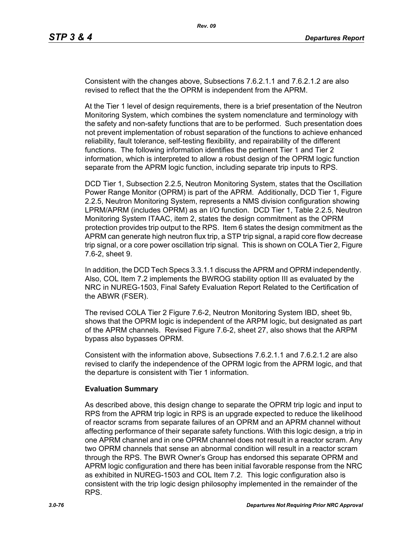Consistent with the changes above, Subsections 7.6.2.1.1 and 7.6.2.1.2 are also revised to reflect that the the OPRM is independent from the APRM.

At the Tier 1 level of design requirements, there is a brief presentation of the Neutron Monitoring System, which combines the system nomenclature and terminology with the safety and non-safety functions that are to be performed. Such presentation does not prevent implementation of robust separation of the functions to achieve enhanced reliability, fault tolerance, self-testing flexibility, and repairability of the different functions. The following information identifies the pertinent Tier 1 and Tier 2 information, which is interpreted to allow a robust design of the OPRM logic function separate from the APRM logic function, including separate trip inputs to RPS.

DCD Tier 1, Subsection 2.2.5, Neutron Monitoring System, states that the Oscillation Power Range Monitor (OPRM) is part of the APRM. Additionally, DCD Tier 1, Figure 2.2.5, Neutron Monitoring System, represents a NMS division configuration showing LPRM/APRM (includes OPRM) as an I/O function. DCD Tier 1, Table 2.2.5, Neutron Monitoring System ITAAC, item 2, states the design commitment as the OPRM protection provides trip output to the RPS. Item 6 states the design commitment as the APRM can generate high neutron flux trip, a STP trip signal, a rapid core flow decrease trip signal, or a core power oscillation trip signal. This is shown on COLA Tier 2, Figure 7.6-2, sheet 9.

In addition, the DCD Tech Specs 3.3.1.1 discuss the APRM and OPRM independently. Also, COL Item 7.2 implements the BWROG stability option III as evaluated by the NRC in NUREG-1503, Final Safety Evaluation Report Related to the Certification of the ABWR (FSER).

The revised COLA Tier 2 Figure 7.6-2, Neutron Monitoring System IBD, sheet 9b, shows that the OPRM logic is independent of the ARPM logic, but designated as part of the APRM channels. Revised Figure 7.6-2, sheet 27, also shows that the ARPM bypass also bypasses OPRM.

Consistent with the information above, Subsections 7.6.2.1.1 and 7.6.2.1.2 are also revised to clarify the independence of the OPRM logic from the APRM logic, and that the departure is consistent with Tier 1 information.

# **Evaluation Summary**

As described above, this design change to separate the OPRM trip logic and input to RPS from the APRM trip logic in RPS is an upgrade expected to reduce the likelihood of reactor scrams from separate failures of an OPRM and an APRM channel without affecting performance of their separate safety functions. With this logic design, a trip in one APRM channel and in one OPRM channel does not result in a reactor scram. Any two OPRM channels that sense an abnormal condition will result in a reactor scram through the RPS. The BWR Owner's Group has endorsed this separate OPRM and APRM logic configuration and there has been initial favorable response from the NRC as exhibited in NUREG-1503 and COL Item 7.2. This logic configuration also is consistent with the trip logic design philosophy implemented in the remainder of the RPS.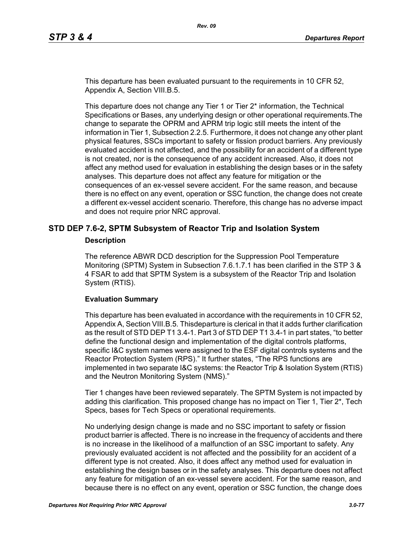This departure has been evaluated pursuant to the requirements in 10 CFR 52, Appendix A, Section VIII.B.5.

This departure does not change any Tier 1 or Tier 2\* information, the Technical Specifications or Bases, any underlying design or other operational requirements.The change to separate the OPRM and APRM trip logic still meets the intent of the information in Tier 1, Subsection 2.2.5. Furthermore, it does not change any other plant physical features, SSCs important to safety or fission product barriers. Any previously evaluated accident is not affected, and the possibility for an accident of a different type is not created, nor is the consequence of any accident increased. Also, it does not affect any method used for evaluation in establishing the design bases or in the safety analyses. This departure does not affect any feature for mitigation or the consequences of an ex-vessel severe accident. For the same reason, and because there is no effect on any event, operation or SSC function, the change does not create a different ex-vessel accident scenario. Therefore, this change has no adverse impact and does not require prior NRC approval.

# **STD DEP 7.6-2, SPTM Subsystem of Reactor Trip and Isolation System**

#### **Description**

The reference ABWR DCD description for the Suppression Pool Temperature Monitoring (SPTM) System in Subsection 7.6.1.7.1 has been clarified in the STP 3 & 4 FSAR to add that SPTM System is a subsystem of the Reactor Trip and Isolation System (RTIS).

### **Evaluation Summary**

This departure has been evaluated in accordance with the requirements in 10 CFR 52, Appendix A, Section VIII.B.5. Thisdeparture is clerical in that it adds further clarification as the result of STD DEP T1 3.4-1. Part 3 of STD DEP T1 3.4-1 in part states, "to better define the functional design and implementation of the digital controls platforms, specific I&C system names were assigned to the ESF digital controls systems and the Reactor Protection System (RPS)." It further states, "The RPS functions are implemented in two separate I&C systems: the Reactor Trip & Isolation System (RTIS) and the Neutron Monitoring System (NMS)."

Tier 1 changes have been reviewed separately. The SPTM System is not impacted by adding this clarification. This proposed change has no impact on Tier 1, Tier  $2^*$ , Tech Specs, bases for Tech Specs or operational requirements.

No underlying design change is made and no SSC important to safety or fission product barrier is affected. There is no increase in the frequency of accidents and there is no increase in the likelihood of a malfunction of an SSC important to safety. Any previously evaluated accident is not affected and the possibility for an accident of a different type is not created. Also, it does affect any method used for evaluation in establishing the design bases or in the safety analyses. This departure does not affect any feature for mitigation of an ex-vessel severe accident. For the same reason, and because there is no effect on any event, operation or SSC function, the change does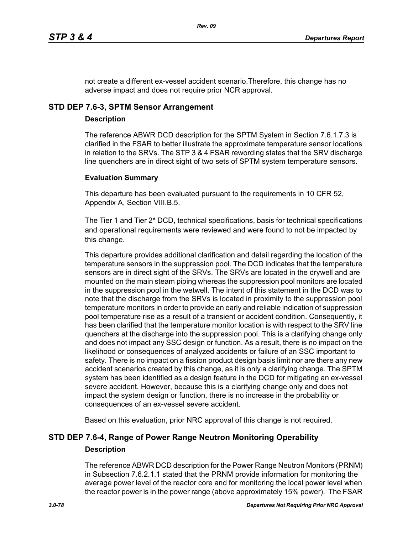not create a different ex-vessel accident scenario.Therefore, this change has no adverse impact and does not require prior NCR approval.

# **STD DEP 7.6-3, SPTM Sensor Arrangement**

# **Description**

The reference ABWR DCD description for the SPTM System in Section 7.6.1.7.3 is clarified in the FSAR to better illustrate the approximate temperature sensor locations in relation to the SRVs. The STP 3 & 4 FSAR rewording states that the SRV discharge line quenchers are in direct sight of two sets of SPTM system temperature sensors.

# **Evaluation Summary**

This departure has been evaluated pursuant to the requirements in 10 CFR 52, Appendix A, Section VIII.B.5.

The Tier 1 and Tier 2\* DCD, technical specifications, basis for technical specifications and operational requirements were reviewed and were found to not be impacted by this change.

This departure provides additional clarification and detail regarding the location of the temperature sensors in the suppression pool. The DCD indicates that the temperature sensors are in direct sight of the SRVs. The SRVs are located in the drywell and are mounted on the main steam piping whereas the suppression pool monitors are located in the suppression pool in the wetwell. The intent of this statement in the DCD was to note that the discharge from the SRVs is located in proximity to the suppression pool temperature monitors in order to provide an early and reliable indication of suppression pool temperature rise as a result of a transient or accident condition. Consequently, it has been clarified that the temperature monitor location is with respect to the SRV line quenchers at the discharge into the suppression pool. This is a clarifying change only and does not impact any SSC design or function. As a result, there is no impact on the likelihood or consequences of analyzed accidents or failure of an SSC important to safety. There is no impact on a fission product design basis limit nor are there any new accident scenarios created by this change, as it is only a clarifying change. The SPTM system has been identified as a design feature in the DCD for mitigating an ex-vessel severe accident. However, because this is a clarifying change only and does not impact the system design or function, there is no increase in the probability or consequences of an ex-vessel severe accident.

Based on this evaluation, prior NRC approval of this change is not required.

# **STD DEP 7.6-4, Range of Power Range Neutron Monitoring Operability Description**

The reference ABWR DCD description for the Power Range Neutron Monitors (PRNM) in Subsection 7.6.2.1.1 stated that the PRNM provide information for monitoring the average power level of the reactor core and for monitoring the local power level when the reactor power is in the power range (above approximately 15% power). The FSAR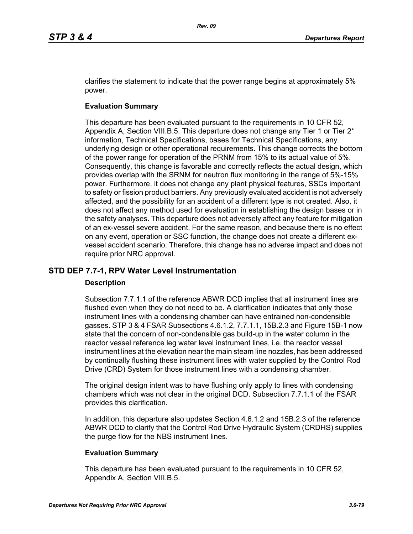clarifies the statement to indicate that the power range begins at approximately 5% power.

# **Evaluation Summary**

This departure has been evaluated pursuant to the requirements in 10 CFR 52, Appendix A, Section VIII.B.5. This departure does not change any Tier 1 or Tier  $2^*$ information, Technical Specifications, bases for Technical Specifications, any underlying design or other operational requirements. This change corrects the bottom of the power range for operation of the PRNM from 15% to its actual value of 5%. Consequently, this change is favorable and correctly reflects the actual design, which provides overlap with the SRNM for neutron flux monitoring in the range of 5%-15% power. Furthermore, it does not change any plant physical features, SSCs important to safety or fission product barriers. Any previously evaluated accident is not adversely affected, and the possibility for an accident of a different type is not created. Also, it does not affect any method used for evaluation in establishing the design bases or in the safety analyses. This departure does not adversely affect any feature for mitigation of an ex-vessel severe accident. For the same reason, and because there is no effect on any event, operation or SSC function, the change does not create a different exvessel accident scenario. Therefore, this change has no adverse impact and does not require prior NRC approval.

# **STD DEP 7.7-1, RPV Water Level Instrumentation**

# **Description**

Subsection 7.7.1.1 of the reference ABWR DCD implies that all instrument lines are flushed even when they do not need to be. A clarification indicates that only those instrument lines with a condensing chamber can have entrained non-condensible gasses. STP 3 & 4 FSAR Subsections 4.6.1.2, 7.7.1.1, 15B.2.3 and Figure 15B-1 now state that the concern of non-condensible gas build-up in the water column in the reactor vessel reference leg water level instrument lines, i.e. the reactor vessel instrument lines at the elevation near the main steam line nozzles, has been addressed by continually flushing these instrument lines with water supplied by the Control Rod Drive (CRD) System for those instrument lines with a condensing chamber.

The original design intent was to have flushing only apply to lines with condensing chambers which was not clear in the original DCD. Subsection 7.7.1.1 of the FSAR provides this clarification.

In addition, this departure also updates Section 4.6.1.2 and 15B.2.3 of the reference ABWR DCD to clarify that the Control Rod Drive Hydraulic System (CRDHS) supplies the purge flow for the NBS instrument lines.

# **Evaluation Summary**

This departure has been evaluated pursuant to the requirements in 10 CFR 52, Appendix A, Section VIII.B.5.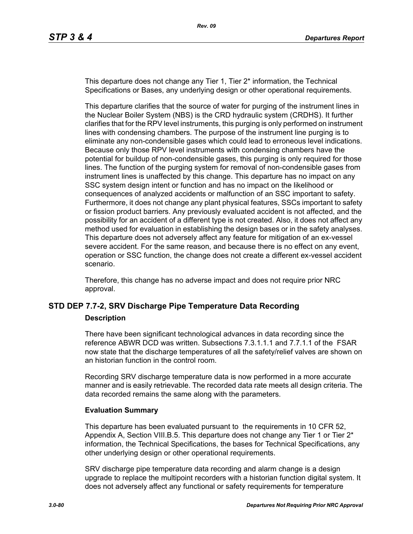This departure does not change any Tier 1, Tier 2<sup>\*</sup> information, the Technical Specifications or Bases, any underlying design or other operational requirements.

This departure clarifies that the source of water for purging of the instrument lines in the Nuclear Boiler System (NBS) is the CRD hydraulic system (CRDHS). It further clarifies that for the RPV level instruments, this purging is only performed on instrument lines with condensing chambers. The purpose of the instrument line purging is to eliminate any non-condensible gases which could lead to erroneous level indications. Because only those RPV level instruments with condensing chambers have the potential for buildup of non-condensible gases, this purging is only required for those lines. The function of the purging system for removal of non-condensible gases from instrument lines is unaffected by this change. This departure has no impact on any SSC system design intent or function and has no impact on the likelihood or consequences of analyzed accidents or malfunction of an SSC important to safety. Furthermore, it does not change any plant physical features, SSCs important to safety or fission product barriers. Any previously evaluated accident is not affected, and the possibility for an accident of a different type is not created. Also, it does not affect any method used for evaluation in establishing the design bases or in the safety analyses. This departure does not adversely affect any feature for mitigation of an ex-vessel severe accident. For the same reason, and because there is no effect on any event, operation or SSC function, the change does not create a different ex-vessel accident scenario.

Therefore, this change has no adverse impact and does not require prior NRC approval.

# **STD DEP 7.7-2, SRV Discharge Pipe Temperature Data Recording**

#### **Description**

There have been significant technological advances in data recording since the reference ABWR DCD was written. Subsections 7.3.1.1.1 and 7.7.1.1 of the FSAR now state that the discharge temperatures of all the safety/relief valves are shown on an historian function in the control room.

Recording SRV discharge temperature data is now performed in a more accurate manner and is easily retrievable. The recorded data rate meets all design criteria. The data recorded remains the same along with the parameters.

### **Evaluation Summary**

This departure has been evaluated pursuant to the requirements in 10 CFR 52, Appendix A, Section VIII.B.5. This departure does not change any Tier 1 or Tier  $2^*$ information, the Technical Specifications, the bases for Technical Specifications, any other underlying design or other operational requirements.

SRV discharge pipe temperature data recording and alarm change is a design upgrade to replace the multipoint recorders with a historian function digital system. It does not adversely affect any functional or safety requirements for temperature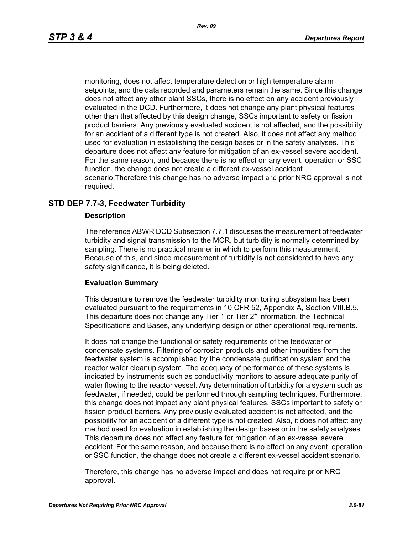monitoring, does not affect temperature detection or high temperature alarm setpoints, and the data recorded and parameters remain the same. Since this change does not affect any other plant SSCs, there is no effect on any accident previously evaluated in the DCD. Furthermore, it does not change any plant physical features other than that affected by this design change, SSCs important to safety or fission product barriers. Any previously evaluated accident is not affected, and the possibility for an accident of a different type is not created. Also, it does not affect any method used for evaluation in establishing the design bases or in the safety analyses. This departure does not affect any feature for mitigation of an ex-vessel severe accident. For the same reason, and because there is no effect on any event, operation or SSC function, the change does not create a different ex-vessel accident scenario.Therefore this change has no adverse impact and prior NRC approval is not required.

### **STD DEP 7.7-3, Feedwater Turbidity**

#### **Description**

The reference ABWR DCD Subsection 7.7.1 discusses the measurement of feedwater turbidity and signal transmission to the MCR, but turbidity is normally determined by sampling. There is no practical manner in which to perform this measurement. Because of this, and since measurement of turbidity is not considered to have any safety significance, it is being deleted.

#### **Evaluation Summary**

This departure to remove the feedwater turbidity monitoring subsystem has been evaluated pursuant to the requirements in 10 CFR 52, Appendix A, Section VIII.B.5. This departure does not change any Tier 1 or Tier 2\* information, the Technical Specifications and Bases, any underlying design or other operational requirements.

It does not change the functional or safety requirements of the feedwater or condensate systems. Filtering of corrosion products and other impurities from the feedwater system is accomplished by the condensate purification system and the reactor water cleanup system. The adequacy of performance of these systems is indicated by instruments such as conductivity monitors to assure adequate purity of water flowing to the reactor vessel. Any determination of turbidity for a system such as feedwater, if needed, could be performed through sampling techniques. Furthermore, this change does not impact any plant physical features, SSCs important to safety or fission product barriers. Any previously evaluated accident is not affected, and the possibility for an accident of a different type is not created. Also, it does not affect any method used for evaluation in establishing the design bases or in the safety analyses. This departure does not affect any feature for mitigation of an ex-vessel severe accident. For the same reason, and because there is no effect on any event, operation or SSC function, the change does not create a different ex-vessel accident scenario.

Therefore, this change has no adverse impact and does not require prior NRC approval.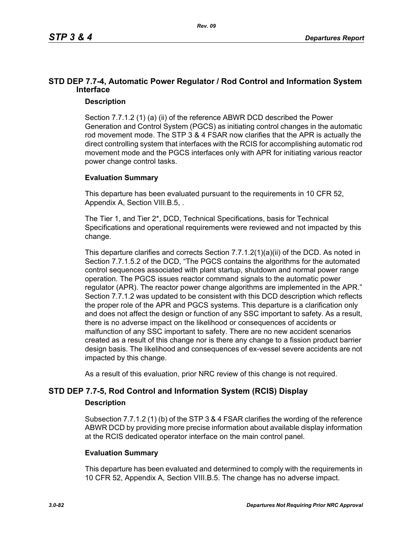# **STD DEP 7.7-4, Automatic Power Regulator / Rod Control and Information System Interface**

# **Description**

Section 7.7.1.2 (1) (a) (ii) of the reference ABWR DCD described the Power Generation and Control System (PGCS) as initiating control changes in the automatic rod movement mode. The STP 3 & 4 FSAR now clarifies that the APR is actually the direct controlling system that interfaces with the RCIS for accomplishing automatic rod movement mode and the PGCS interfaces only with APR for initiating various reactor power change control tasks.

# **Evaluation Summary**

This departure has been evaluated pursuant to the requirements in 10 CFR 52, Appendix A, Section VIII.B.5, .

The Tier 1, and Tier 2\*, DCD, Technical Specifications, basis for Technical Specifications and operational requirements were reviewed and not impacted by this change.

This departure clarifies and corrects Section 7.7.1.2(1)(a)(ii) of the DCD. As noted in Section 7.7.1.5.2 of the DCD, "The PGCS contains the algorithms for the automated control sequences associated with plant startup, shutdown and normal power range operation. The PGCS issues reactor command signals to the automatic power regulator (APR). The reactor power change algorithms are implemented in the APR." Section 7.7.1.2 was updated to be consistent with this DCD description which reflects the proper role of the APR and PGCS systems. This departure is a clarification only and does not affect the design or function of any SSC important to safety. As a result, there is no adverse impact on the likelihood or consequences of accidents or malfunction of any SSC important to safety. There are no new accident scenarios created as a result of this change nor is there any change to a fission product barrier design basis. The likelihood and consequences of ex-vessel severe accidents are not impacted by this change.

As a result of this evaluation, prior NRC review of this change is not required.

# **STD DEP 7.7-5, Rod Control and Information System (RCIS) Display**

# **Description**

Subsection 7.7.1.2 (1) (b) of the STP 3 & 4 FSAR clarifies the wording of the reference ABWR DCD by providing more precise information about available display information at the RCIS dedicated operator interface on the main control panel.

# **Evaluation Summary**

This departure has been evaluated and determined to comply with the requirements in 10 CFR 52, Appendix A, Section VIII.B.5. The change has no adverse impact.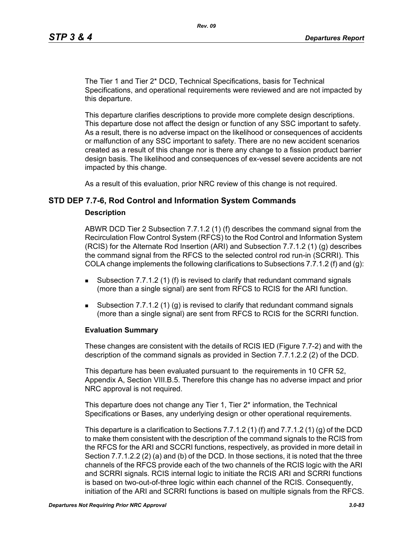The Tier 1 and Tier 2\* DCD, Technical Specifications, basis for Technical Specifications, and operational requirements were reviewed and are not impacted by this departure.

This departure clarifies descriptions to provide more complete design descriptions. This departure dose not affect the design or function of any SSC important to safety. As a result, there is no adverse impact on the likelihood or consequences of accidents or malfunction of any SSC important to safety. There are no new accident scenarios created as a result of this change nor is there any change to a fission product barrier design basis. The likelihood and consequences of ex-vessel severe accidents are not impacted by this change.

As a result of this evaluation, prior NRC review of this change is not required.

### **STD DEP 7.7-6, Rod Control and Information System Commands**

#### **Description**

ABWR DCD Tier 2 Subsection 7.7.1.2 (1) (f) describes the command signal from the Recirculation Flow Control System (RFCS) to the Rod Control and Information System (RCIS) for the Alternate Rod Insertion (ARI) and Subsection 7.7.1.2 (1) (g) describes the command signal from the RFCS to the selected control rod run-in (SCRRI). This COLA change implements the following clarifications to Subsections  $7.7.1.2$  (f) and (q):

- **Subsection 7.7.1.2 (1) (f) is revised to clarify that redundant command signals** (more than a single signal) are sent from RFCS to RCIS for the ARI function.
- Subsection 7.7.1.2 (1) (g) is revised to clarify that redundant command signals (more than a single signal) are sent from RFCS to RCIS for the SCRRI function.

### **Evaluation Summary**

These changes are consistent with the details of RCIS IED (Figure 7.7-2) and with the description of the command signals as provided in Section 7.7.1.2.2 (2) of the DCD.

This departure has been evaluated pursuant to the requirements in 10 CFR 52, Appendix A, Section VIII.B.5. Therefore this change has no adverse impact and prior NRC approval is not required.

This departure does not change any Tier 1, Tier 2\* information, the Technical Specifications or Bases, any underlying design or other operational requirements.

This departure is a clarification to Sections 7.7.1.2 (1) (f) and 7.7.1.2 (1) (g) of the DCD to make them consistent with the description of the command signals to the RCIS from the RFCS for the ARI and SCCRI functions, respectively, as provided in more detail in Section 7.7.1.2.2 (2) (a) and (b) of the DCD. In those sections, it is noted that the three channels of the RFCS provide each of the two channels of the RCIS logic with the ARI and SCRRI signals. RCIS internal logic to initiate the RCIS ARI and SCRRI functions is based on two-out-of-three logic within each channel of the RCIS. Consequently, initiation of the ARI and SCRRI functions is based on multiple signals from the RFCS.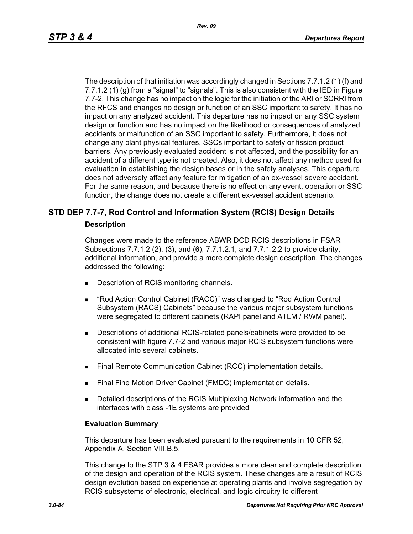The description of that initiation was accordingly changed in Sections 7.7.1.2 (1) (f) and 7.7.1.2 (1) (g) from a "signal" to "signals". This is also consistent with the IED in Figure 7.7-2. This change has no impact on the logic for the initiation of the ARI or SCRRI from the RFCS and changes no design or function of an SSC important to safety. It has no impact on any analyzed accident. This departure has no impact on any SSC system design or function and has no impact on the likelihood or consequences of analyzed accidents or malfunction of an SSC important to safety. Furthermore, it does not change any plant physical features, SSCs important to safety or fission product barriers. Any previously evaluated accident is not affected, and the possibility for an accident of a different type is not created. Also, it does not affect any method used for evaluation in establishing the design bases or in the safety analyses. This departure does not adversely affect any feature for mitigation of an ex-vessel severe accident. For the same reason, and because there is no effect on any event, operation or SSC function, the change does not create a different ex-vessel accident scenario.

# **STD DEP 7.7-7, Rod Control and Information System (RCIS) Design Details**

### **Description**

Changes were made to the reference ABWR DCD RCIS descriptions in FSAR Subsections 7.7.1.2 (2), (3), and (6), 7.7.1.2.1, and 7.7.1.2.2 to provide clarity, additional information, and provide a more complete design description. The changes addressed the following:

- Description of RCIS monitoring channels.
- "Rod Action Control Cabinet (RACC)" was changed to "Rod Action Control Subsystem (RACS) Cabinets" because the various major subsystem functions were segregated to different cabinets (RAPI panel and ATLM / RWM panel).
- Descriptions of additional RCIS-related panels/cabinets were provided to be consistent with figure 7.7-2 and various major RCIS subsystem functions were allocated into several cabinets.
- **Final Remote Communication Cabinet (RCC) implementation details.**
- Final Fine Motion Driver Cabinet (FMDC) implementation details.
- **Detailed descriptions of the RCIS Multiplexing Network information and the** interfaces with class -1E systems are provided

### **Evaluation Summary**

This departure has been evaluated pursuant to the requirements in 10 CFR 52, Appendix A, Section VIII.B.5.

This change to the STP 3 & 4 FSAR provides a more clear and complete description of the design and operation of the RCIS system. These changes are a result of RCIS design evolution based on experience at operating plants and involve segregation by RCIS subsystems of electronic, electrical, and logic circuitry to different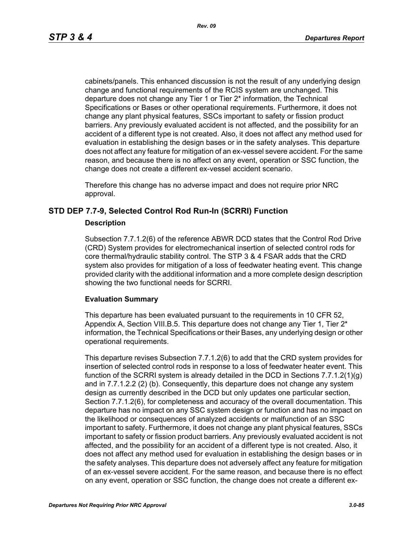cabinets/panels. This enhanced discussion is not the result of any underlying design change and functional requirements of the RCIS system are unchanged. This departure does not change any Tier 1 or Tier 2\* information, the Technical Specifications or Bases or other operational requirements. Furthermore, it does not change any plant physical features, SSCs important to safety or fission product barriers. Any previously evaluated accident is not affected, and the possibility for an accident of a different type is not created. Also, it does not affect any method used for evaluation in establishing the design bases or in the safety analyses. This departure does not affect any feature for mitigation of an ex-vessel severe accident. For the same reason, and because there is no affect on any event, operation or SSC function, the change does not create a different ex-vessel accident scenario.

Therefore this change has no adverse impact and does not require prior NRC approval.

# **STD DEP 7.7-9, Selected Control Rod Run-In (SCRRI) Function**

### **Description**

Subsection 7.7.1.2(6) of the reference ABWR DCD states that the Control Rod Drive (CRD) System provides for electromechanical insertion of selected control rods for core thermal/hydraulic stability control. The STP 3 & 4 FSAR adds that the CRD system also provides for mitigation of a loss of feedwater heating event. This change provided clarity with the additional information and a more complete design description showing the two functional needs for SCRRI.

# **Evaluation Summary**

This departure has been evaluated pursuant to the requirements in 10 CFR 52, Appendix A, Section VIII.B.5. This departure does not change any Tier 1, Tier 2\* information, the Technical Specifications or their Bases, any underlying design or other operational requirements.

This departure revises Subsection 7.7.1.2(6) to add that the CRD system provides for insertion of selected control rods in response to a loss of feedwater heater event. This function of the SCRRI system is already detailed in the DCD in Sections 7.7.1.2(1)(g) and in 7.7.1.2.2 (2) (b). Consequently, this departure does not change any system design as currently described in the DCD but only updates one particular section, Section 7.7.1.2(6), for completeness and accuracy of the overall documentation. This departure has no impact on any SSC system design or function and has no impact on the likelihood or consequences of analyzed accidents or malfunction of an SSC important to safety. Furthermore, it does not change any plant physical features, SSCs important to safety or fission product barriers. Any previously evaluated accident is not affected, and the possibility for an accident of a different type is not created. Also, it does not affect any method used for evaluation in establishing the design bases or in the safety analyses. This departure does not adversely affect any feature for mitigation of an ex-vessel severe accident. For the same reason, and because there is no effect on any event, operation or SSC function, the change does not create a different ex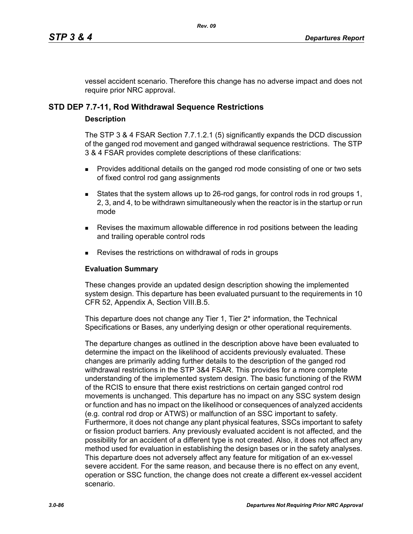vessel accident scenario. Therefore this change has no adverse impact and does not require prior NRC approval.

# **STD DEP 7.7-11, Rod Withdrawal Sequence Restrictions**

### **Description**

The STP 3 & 4 FSAR Section 7.7.1.2.1 (5) significantly expands the DCD discussion of the ganged rod movement and ganged withdrawal sequence restrictions. The STP 3 & 4 FSAR provides complete descriptions of these clarifications:

- **Provides additional details on the ganged rod mode consisting of one or two sets** of fixed control rod gang assignments
- States that the system allows up to 26-rod gangs, for control rods in rod groups 1, 2, 3, and 4, to be withdrawn simultaneously when the reactor is in the startup or run mode
- **Revises the maximum allowable difference in rod positions between the leading** and trailing operable control rods
- Revises the restrictions on withdrawal of rods in groups

### **Evaluation Summary**

These changes provide an updated design description showing the implemented system design. This departure has been evaluated pursuant to the requirements in 10 CFR 52, Appendix A, Section VIII.B.5.

This departure does not change any Tier 1, Tier 2<sup>\*</sup> information, the Technical Specifications or Bases, any underlying design or other operational requirements.

The departure changes as outlined in the description above have been evaluated to determine the impact on the likelihood of accidents previously evaluated. These changes are primarily adding further details to the description of the ganged rod withdrawal restrictions in the STP 3&4 FSAR. This provides for a more complete understanding of the implemented system design. The basic functioning of the RWM of the RCIS to ensure that there exist restrictions on certain ganged control rod movements is unchanged. This departure has no impact on any SSC system design or function and has no impact on the likelihood or consequences of analyzed accidents (e.g. contral rod drop or ATWS) or malfunction of an SSC important to safety. Furthermore, it does not change any plant physical features, SSCs important to safety or fission product barriers. Any previously evaluated accident is not affected, and the possibility for an accident of a different type is not created. Also, it does not affect any method used for evaluation in establishing the design bases or in the safety analyses. This departure does not adversely affect any feature for mitigation of an ex-vessel severe accident. For the same reason, and because there is no effect on any event, operation or SSC function, the change does not create a different ex-vessel accident scenario.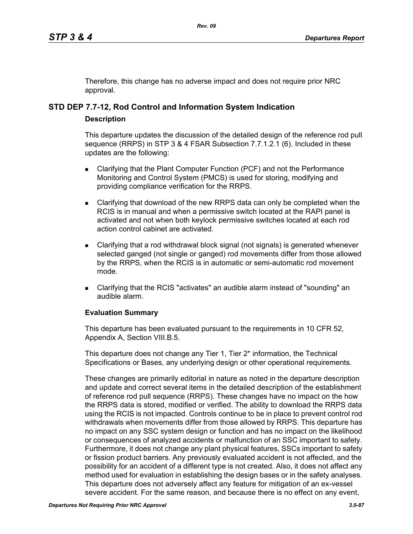Therefore, this change has no adverse impact and does not require prior NRC approval.

# **STD DEP 7.7-12, Rod Control and Information System Indication**

# **Description**

This departure updates the discussion of the detailed design of the reference rod pull sequence (RRPS) in STP 3 & 4 FSAR Subsection 7.7.1.2.1 (6). Included in these updates are the following:

- **EXECLARIGHT COMPUTER IS COMPUTER THE COMPUTER CONSTANT CONTEX** Clarifying that the Performance Monitoring and Control System (PMCS) is used for storing, modifying and providing compliance verification for the RRPS.
- Clarifying that download of the new RRPS data can only be completed when the RCIS is in manual and when a permissive switch located at the RAPI panel is activated and not when both keylock permissive switches located at each rod action control cabinet are activated.
- Clarifying that a rod withdrawal block signal (not signals) is generated whenever selected ganged (not single or ganged) rod movements differ from those allowed by the RRPS, when the RCIS is in automatic or semi-automatic rod movement mode.
- Clarifying that the RCIS "activates" an audible alarm instead of "sounding" an audible alarm.

# **Evaluation Summary**

This departure has been evaluated pursuant to the requirements in 10 CFR 52, Appendix A, Section VIII.B.5.

This departure does not change any Tier 1, Tier 2\* information, the Technical Specifications or Bases, any underlying design or other operational requirements.

These changes are primarily editorial in nature as noted in the departure description and update and correct several items in the detailed description of the establishment of reference rod pull sequence (RRPS). These changes have no impact on the how the RRPS data is stored, modified or verified. The ability to download the RRPS data using the RCIS is not impacted. Controls continue to be in place to prevent control rod withdrawals when movements differ from those allowed by RRPS. This departure has no impact on any SSC system design or function and has no impact on the likelihood or consequences of analyzed accidents or malfunction of an SSC important to safety. Furthermore, it does not change any plant physical features, SSCs important to safety or fission product barriers. Any previously evaluated accident is not affected, and the possibility for an accident of a different type is not created. Also, it does not affect any method used for evaluation in establishing the design bases or in the safety analyses. This departure does not adversely affect any feature for mitigation of an ex-vessel severe accident. For the same reason, and because there is no effect on any event,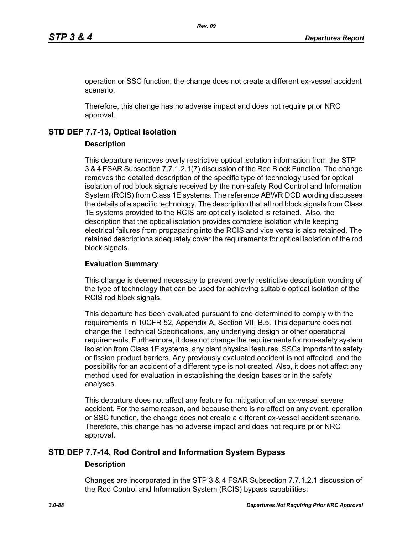operation or SSC function, the change does not create a different ex-vessel accident scenario.

Therefore, this change has no adverse impact and does not require prior NRC approval.

# **STD DEP 7.7-13, Optical Isolation**

### **Description**

This departure removes overly restrictive optical isolation information from the STP 3 & 4 FSAR Subsection 7.7.1.2.1(7) discussion of the Rod Block Function. The change removes the detailed description of the specific type of technology used for optical isolation of rod block signals received by the non-safety Rod Control and Information System (RCIS) from Class 1E systems. The reference ABWR DCD wording discusses the details of a specific technology. The description that all rod block signals from Class 1E systems provided to the RCIS are optically isolated is retained. Also, the description that the optical isolation provides complete isolation while keeping electrical failures from propagating into the RCIS and vice versa is also retained. The retained descriptions adequately cover the requirements for optical isolation of the rod block signals.

### **Evaluation Summary**

This change is deemed necessary to prevent overly restrictive description wording of the type of technology that can be used for achieving suitable optical isolation of the RCIS rod block signals.

This departure has been evaluated pursuant to and determined to comply with the requirements in 10CFR 52, Appendix A, Section VIII B.5. This departure does not change the Technical Specifications, any underlying design or other operational requirements. Furthermore, it does not change the requirements for non-safety system isolation from Class 1E systems, any plant physical features, SSCs important to safety or fission product barriers. Any previously evaluated accident is not affected, and the possibility for an accident of a different type is not created. Also, it does not affect any method used for evaluation in establishing the design bases or in the safety analyses.

This departure does not affect any feature for mitigation of an ex-vessel severe accident. For the same reason, and because there is no effect on any event, operation or SSC function, the change does not create a different ex-vessel accident scenario. Therefore, this change has no adverse impact and does not require prior NRC approval.

# **STD DEP 7.7-14, Rod Control and Information System Bypass**

### **Description**

Changes are incorporated in the STP 3 & 4 FSAR Subsection 7.7.1.2.1 discussion of the Rod Control and Information System (RCIS) bypass capabilities: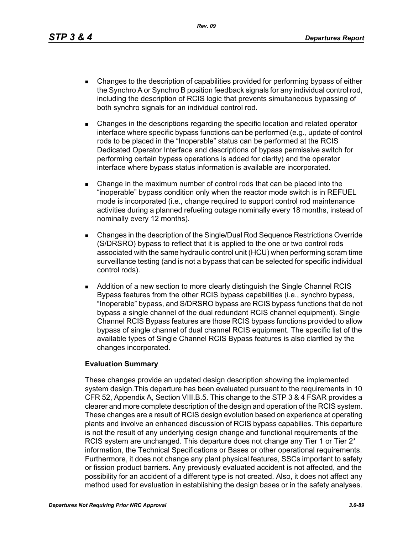*Rev. 09*

- Changes to the description of capabilities provided for performing bypass of either the Synchro A or Synchro B position feedback signals for any individual control rod, including the description of RCIS logic that prevents simultaneous bypassing of both synchro signals for an individual control rod.
- Changes in the descriptions regarding the specific location and related operator interface where specific bypass functions can be performed (e.g., update of control rods to be placed in the "Inoperable" status can be performed at the RCIS Dedicated Operator Interface and descriptions of bypass permissive switch for performing certain bypass operations is added for clarity) and the operator interface where bypass status information is available are incorporated.
- Change in the maximum number of control rods that can be placed into the "inoperable" bypass condition only when the reactor mode switch is in REFUEL mode is incorporated (i.e., change required to support control rod maintenance activities during a planned refueling outage nominally every 18 months, instead of nominally every 12 months).
- Changes in the description of the Single/Dual Rod Sequence Restrictions Override (S/DRSRO) bypass to reflect that it is applied to the one or two control rods associated with the same hydraulic control unit (HCU) when performing scram time surveillance testing (and is not a bypass that can be selected for specific individual control rods).
- **Addition of a new section to more clearly distinguish the Single Channel RCIS** Bypass features from the other RCIS bypass capabilities (i.e., synchro bypass, "Inoperable" bypass, and S/DRSRO bypass are RCIS bypass functions that do not bypass a single channel of the dual redundant RCIS channel equipment). Single Channel RCIS Bypass features are those RCIS bypass functions provided to allow bypass of single channel of dual channel RCIS equipment. The specific list of the available types of Single Channel RCIS Bypass features is also clarified by the changes incorporated.

# **Evaluation Summary**

These changes provide an updated design description showing the implemented system design.This departure has been evaluated pursuant to the requirements in 10 CFR 52, Appendix A, Section VIII.B.5. This change to the STP 3 & 4 FSAR provides a clearer and more complete description of the design and operation of the RCIS system. These changes are a result of RCIS design evolution based on experience at operating plants and involve an enhanced discussion of RCIS bypass capabilies. This departure is not the result of any underlying design change and functional requirements of the RCIS system are unchanged. This departure does not change any Tier 1 or Tier 2<sup>\*</sup> information, the Technical Specifications or Bases or other operational requirements. Furthermore, it does not change any plant physical features, SSCs important to safety or fission product barriers. Any previously evaluated accident is not affected, and the possibility for an accident of a different type is not created. Also, it does not affect any method used for evaluation in establishing the design bases or in the safety analyses.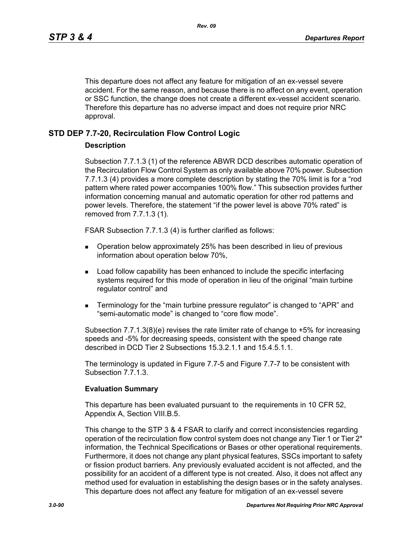This departure does not affect any feature for mitigation of an ex-vessel severe accident. For the same reason, and because there is no affect on any event, operation or SSC function, the change does not create a different ex-vessel accident scenario. Therefore this departure has no adverse impact and does not require prior NRC approval.

# **STD DEP 7.7-20, Recirculation Flow Control Logic**

### **Description**

Subsection 7.7.1.3 (1) of the reference ABWR DCD describes automatic operation of the Recirculation Flow Control System as only available above 70% power. Subsection 7.7.1.3 (4) provides a more complete description by stating the 70% limit is for a "rod pattern where rated power accompanies 100% flow." This subsection provides further information concerning manual and automatic operation for other rod patterns and power levels. Therefore, the statement "if the power level is above 70% rated" is removed from 7.7.1.3 (1).

FSAR Subsection 7.7.1.3 (4) is further clarified as follows:

- Operation below approximately 25% has been described in lieu of previous information about operation below 70%,
- **Load follow capability has been enhanced to include the specific interfacing** systems required for this mode of operation in lieu of the original "main turbine regulator control" and
- Terminology for the "main turbine pressure regulator" is changed to "APR" and "semi-automatic mode" is changed to "core flow mode".

Subsection 7.7.1.3(8)(e) revises the rate limiter rate of change to +5% for increasing speeds and -5% for decreasing speeds, consistent with the speed change rate described in DCD Tier 2 Subsections 15.3.2.1.1 and 15.4.5.1.1.

The terminology is updated in Figure 7.7-5 and Figure 7.7-7 to be consistent with Subsection 7.7.1.3.

### **Evaluation Summary**

This departure has been evaluated pursuant to the requirements in 10 CFR 52, Appendix A, Section VIII.B.5.

This change to the STP 3 & 4 FSAR to clarify and correct inconsistencies regarding operation of the recirculation flow control system does not change any Tier 1 or Tier 2\* information, the Technical Specifications or Bases or other operational requirements. Furthermore, it does not change any plant physical features, SSCs important to safety or fission product barriers. Any previously evaluated accident is not affected, and the possibility for an accident of a different type is not created. Also, it does not affect any method used for evaluation in establishing the design bases or in the safety analyses. This departure does not affect any feature for mitigation of an ex-vessel severe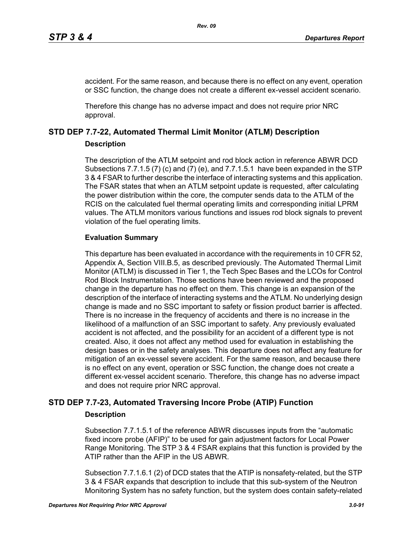accident. For the same reason, and because there is no effect on any event, operation or SSC function, the change does not create a different ex-vessel accident scenario.

Therefore this change has no adverse impact and does not require prior NRC approval.

# **STD DEP 7.7-22, Automated Thermal Limit Monitor (ATLM) Description**

# **Description**

The description of the ATLM setpoint and rod block action in reference ABWR DCD Subsections 7.7.1.5 (7) (c) and (7) (e), and 7.7.1.5.1 have been expanded in the STP 3 & 4 FSAR to further describe the interface of interacting systems and this application. The FSAR states that when an ATLM setpoint update is requested, after calculating the power distribution within the core, the computer sends data to the ATLM of the RCIS on the calculated fuel thermal operating limits and corresponding initial LPRM values. The ATLM monitors various functions and issues rod block signals to prevent violation of the fuel operating limits.

# **Evaluation Summary**

This departure has been evaluated in accordance with the requirements in 10 CFR 52, Appendix A, Section VIII.B.5, as described previously. The Automated Thermal Limit Monitor (ATLM) is discussed in Tier 1, the Tech Spec Bases and the LCOs for Control Rod Block Instrumentation. Those sections have been reviewed and the proposed change in the departure has no effect on them. This change is an expansion of the description of the interface of interacting systems and the ATLM. No underlying design change is made and no SSC important to safety or fission product barrier is affected. There is no increase in the frequency of accidents and there is no increase in the likelihood of a malfunction of an SSC important to safety. Any previously evaluated accident is not affected, and the possibility for an accident of a different type is not created. Also, it does not affect any method used for evaluation in establishing the design bases or in the safety analyses. This departure does not affect any feature for mitigation of an ex-vessel severe accident. For the same reason, and because there is no effect on any event, operation or SSC function, the change does not create a different ex-vessel accident scenario. Therefore, this change has no adverse impact and does not require prior NRC approval.

# **STD DEP 7.7-23, Automated Traversing Incore Probe (ATIP) Function**

# **Description**

Subsection 7.7.1.5.1 of the reference ABWR discusses inputs from the "automatic fixed incore probe (AFIP)" to be used for gain adjustment factors for Local Power Range Monitoring. The STP 3 & 4 FSAR explains that this function is provided by the ATIP rather than the AFIP in the US ABWR.

Subsection 7.7.1.6.1 (2) of DCD states that the ATIP is nonsafety-related, but the STP 3 & 4 FSAR expands that description to include that this sub-system of the Neutron Monitoring System has no safety function, but the system does contain safety-related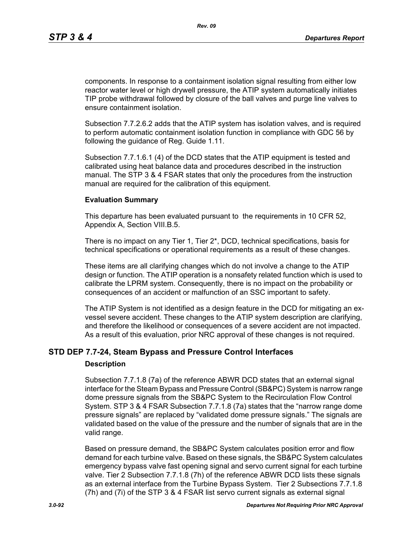components. In response to a containment isolation signal resulting from either low reactor water level or high drywell pressure, the ATIP system automatically initiates TIP probe withdrawal followed by closure of the ball valves and purge line valves to ensure containment isolation.

Subsection 7.7.2.6.2 adds that the ATIP system has isolation valves, and is required to perform automatic containment isolation function in compliance with GDC 56 by following the guidance of Reg. Guide 1.11.

Subsection 7.7.1.6.1 (4) of the DCD states that the ATIP equipment is tested and calibrated using heat balance data and procedures described in the instruction manual. The STP 3 & 4 FSAR states that only the procedures from the instruction manual are required for the calibration of this equipment.

### **Evaluation Summary**

This departure has been evaluated pursuant to the requirements in 10 CFR 52, Appendix A, Section VIII.B.5.

There is no impact on any Tier 1, Tier 2\*, DCD, technical specifications, basis for technical specifications or operational requirements as a result of these changes.

These items are all clarifying changes which do not involve a change to the ATIP design or function. The ATIP operation is a nonsafety related function which is used to calibrate the LPRM system. Consequently, there is no impact on the probability or consequences of an accident or malfunction of an SSC important to safety.

The ATIP System is not identified as a design feature in the DCD for mitigating an exvessel severe accident. These changes to the ATIP system description are clarifying, and therefore the likelihood or consequences of a severe accident are not impacted. As a result of this evaluation, prior NRC approval of these changes is not required.

# **STD DEP 7.7-24, Steam Bypass and Pressure Control Interfaces**

### **Description**

Subsection 7.7.1.8 (7a) of the reference ABWR DCD states that an external signal interface for the Steam Bypass and Pressure Control (SB&PC) System is narrow range dome pressure signals from the SB&PC System to the Recirculation Flow Control System. STP 3 & 4 FSAR Subsection 7.7.1.8 (7a) states that the "narrow range dome pressure signals" are replaced by "validated dome pressure signals." The signals are validated based on the value of the pressure and the number of signals that are in the valid range.

Based on pressure demand, the SB&PC System calculates position error and flow demand for each turbine valve. Based on these signals, the SB&PC System calculates emergency bypass valve fast opening signal and servo current signal for each turbine valve. Tier 2 Subsection 7.7.1.8 (7h) of the reference ABWR DCD lists these signals as an external interface from the Turbine Bypass System. Tier 2 Subsections 7.7.1.8 (7h) and (7i) of the STP 3 & 4 FSAR list servo current signals as external signal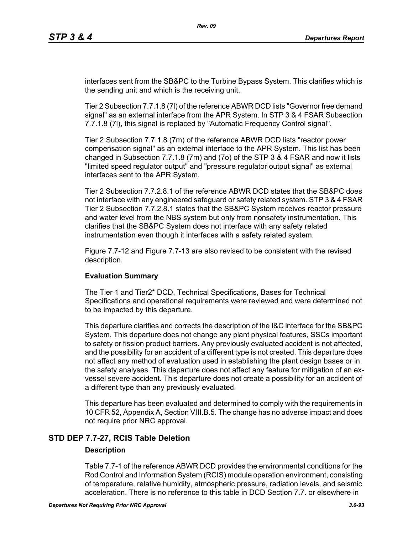interfaces sent from the SB&PC to the Turbine Bypass System. This clarifies which is the sending unit and which is the receiving unit.

Tier 2 Subsection 7.7.1.8 (7l) of the reference ABWR DCD lists "Governor free demand signal" as an external interface from the APR System. In STP 3 & 4 FSAR Subsection 7.7.1.8 (7l), this signal is replaced by "Automatic Frequency Control signal".

Tier 2 Subsection 7.7.1.8 (7m) of the reference ABWR DCD lists "reactor power compensation signal" as an external interface to the APR System. This list has been changed in Subsection 7.7.1.8 (7m) and (7o) of the STP 3 & 4 FSAR and now it lists "limited speed regulator output" and "pressure regulator output signal" as external interfaces sent to the APR System.

Tier 2 Subsection 7.7.2.8.1 of the reference ABWR DCD states that the SB&PC does not interface with any engineered safeguard or safety related system. STP 3 & 4 FSAR Tier 2 Subsection 7.7.2.8.1 states that the SB&PC System receives reactor pressure and water level from the NBS system but only from nonsafety instrumentation. This clarifies that the SB&PC System does not interface with any safety related instrumentation even though it interfaces with a safety related system.

Figure 7.7-12 and Figure 7.7-13 are also revised to be consistent with the revised description.

### **Evaluation Summary**

The Tier 1 and Tier2\* DCD, Technical Specifications, Bases for Technical Specifications and operational requirements were reviewed and were determined not to be impacted by this departure.

This departure clarifies and corrects the description of the I&C interface for the SB&PC System. This departure does not change any plant physical features, SSCs important to safety or fission product barriers. Any previously evaluated accident is not affected, and the possibility for an accident of a different type is not created. This departure does not affect any method of evaluation used in establishing the plant design bases or in the safety analyses. This departure does not affect any feature for mitigation of an exvessel severe accident. This departure does not create a possibility for an accident of a different type than any previously evaluated.

This departure has been evaluated and determined to comply with the requirements in 10 CFR 52, Appendix A, Section VIII.B.5. The change has no adverse impact and does not require prior NRC approval.

# **STD DEP 7.7-27, RCIS Table Deletion**

### **Description**

Table 7.7-1 of the reference ABWR DCD provides the environmental conditions for the Rod Control and Information System (RCIS) module operation environment, consisting of temperature, relative humidity, atmospheric pressure, radiation levels, and seismic acceleration. There is no reference to this table in DCD Section 7.7. or elsewhere in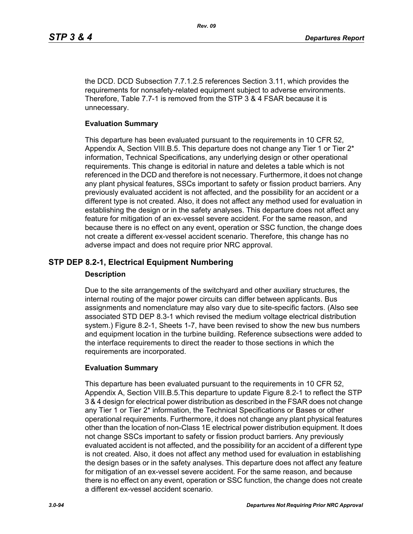the DCD. DCD Subsection 7.7.1.2.5 references Section 3.11, which provides the requirements for nonsafety-related equipment subject to adverse environments. Therefore, Table 7.7-1 is removed from the STP 3 & 4 FSAR because it is unnecessary.

### **Evaluation Summary**

This departure has been evaluated pursuant to the requirements in 10 CFR 52, Appendix A, Section VIII.B.5. This departure does not change any Tier 1 or Tier  $2^*$ information, Technical Specifications, any underlying design or other operational requirements. This change is editorial in nature and deletes a table which is not referenced in the DCD and therefore is not necessary. Furthermore, it does not change any plant physical features, SSCs important to safety or fission product barriers. Any previously evaluated accident is not affected, and the possibility for an accident or a different type is not created. Also, it does not affect any method used for evaluation in establishing the design or in the safety analyses. This departure does not affect any feature for mitigation of an ex-vessel severe accident. For the same reason, and because there is no effect on any event, operation or SSC function, the change does not create a different ex-vessel accident scenario. Therefore, this change has no adverse impact and does not require prior NRC approval.

# **STP DEP 8.2-1, Electrical Equipment Numbering**

### **Description**

Due to the site arrangements of the switchyard and other auxiliary structures, the internal routing of the major power circuits can differ between applicants. Bus assignments and nomenclature may also vary due to site-specific factors. (Also see associated STD DEP 8.3-1 which revised the medium voltage electrical distribution system.) Figure 8.2-1, Sheets 1-7, have been revised to show the new bus numbers and equipment location in the turbine building. Reference subsections were added to the interface requirements to direct the reader to those sections in which the requirements are incorporated.

# **Evaluation Summary**

This departure has been evaluated pursuant to the requirements in 10 CFR 52, Appendix A, Section VIII.B.5.This departure to update Figure 8.2-1 to reflect the STP 3 & 4 design for electrical power distribution as described in the FSAR does not change any Tier 1 or Tier 2\* information, the Technical Specifications or Bases or other operational requirements. Furthermore, it does not change any plant physical features other than the location of non-Class 1E electrical power distribution equipment. It does not change SSCs important to safety or fission product barriers. Any previously evaluated accident is not affected, and the possibility for an accident of a different type is not created. Also, it does not affect any method used for evaluation in establishing the design bases or in the safety analyses. This departure does not affect any feature for mitigation of an ex-vessel severe accident. For the same reason, and because there is no effect on any event, operation or SSC function, the change does not create a different ex-vessel accident scenario.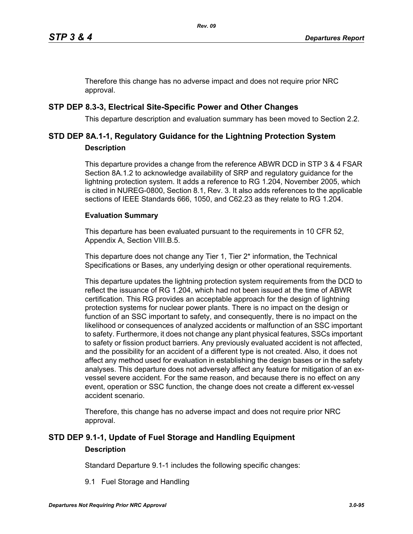Therefore this change has no adverse impact and does not require prior NRC approval.

# **STP DEP 8.3-3, Electrical Site-Specific Power and Other Changes**

This departure description and evaluation summary has been moved to Section 2.2.

# **STD DEP 8A.1-1, Regulatory Guidance for the Lightning Protection System Description**

This departure provides a change from the reference ABWR DCD in STP 3 & 4 FSAR Section 8A.1.2 to acknowledge availability of SRP and regulatory guidance for the lightning protection system. It adds a reference to RG 1.204, November 2005, which is cited in NUREG-0800, Section 8.1, Rev. 3. It also adds references to the applicable sections of IEEE Standards 666, 1050, and C62.23 as they relate to RG 1.204.

# **Evaluation Summary**

This departure has been evaluated pursuant to the requirements in 10 CFR 52, Appendix A, Section VIII.B.5.

This departure does not change any Tier 1, Tier 2\* information, the Technical Specifications or Bases, any underlying design or other operational requirements.

This departure updates the lightning protection system requirements from the DCD to reflect the issuance of RG 1.204, which had not been issued at the time of ABWR certification. This RG provides an acceptable approach for the design of lightning protection systems for nuclear power plants. There is no impact on the design or function of an SSC important to safety, and consequently, there is no impact on the likelihood or consequences of analyzed accidents or malfunction of an SSC important to safety. Furthermore, it does not change any plant physical features, SSCs important to safety or fission product barriers. Any previously evaluated accident is not affected, and the possibility for an accident of a different type is not created. Also, it does not affect any method used for evaluation in establishing the design bases or in the safety analyses. This departure does not adversely affect any feature for mitigation of an exvessel severe accident. For the same reason, and because there is no effect on any event, operation or SSC function, the change does not create a different ex-vessel accident scenario.

Therefore, this change has no adverse impact and does not require prior NRC approval.

# **STD DEP 9.1-1, Update of Fuel Storage and Handling Equipment Description**

Standard Departure 9.1-1 includes the following specific changes:

9.1 Fuel Storage and Handling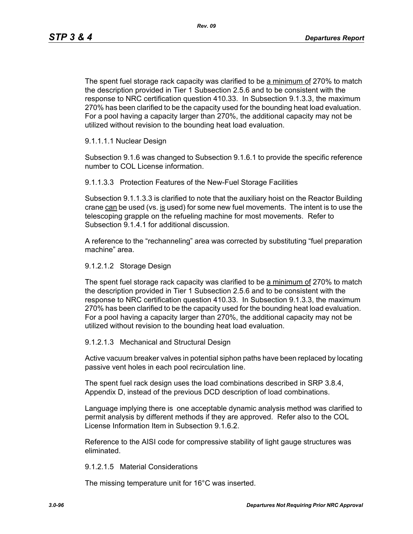The spent fuel storage rack capacity was clarified to be a minimum of 270% to match the description provided in Tier 1 Subsection 2.5.6 and to be consistent with the response to NRC certification question 410.33. In Subsection 9.1.3.3, the maximum 270% has been clarified to be the capacity used for the bounding heat load evaluation. For a pool having a capacity larger than 270%, the additional capacity may not be utilized without revision to the bounding heat load evaluation.

### 9.1.1.1.1 Nuclear Design

Subsection 9.1.6 was changed to Subsection 9.1.6.1 to provide the specific reference number to COL License information.

9.1.1.3.3 Protection Features of the New-Fuel Storage Facilities

Subsection 9.1.1.3.3 is clarified to note that the auxiliary hoist on the Reactor Building crane  $can$  be used (vs. is used) for some new fuel movements. The intent is to use the telescoping grapple on the refueling machine for most movements. Refer to Subsection 9.1.4.1 for additional discussion.

A reference to the "rechanneling" area was corrected by substituting "fuel preparation machine" area.

### 9.1.2.1.2 Storage Design

The spent fuel storage rack capacity was clarified to be a minimum of 270% to match the description provided in Tier 1 Subsection 2.5.6 and to be consistent with the response to NRC certification question 410.33. In Subsection 9.1.3.3, the maximum 270% has been clarified to be the capacity used for the bounding heat load evaluation. For a pool having a capacity larger than 270%, the additional capacity may not be utilized without revision to the bounding heat load evaluation.

### 9.1.2.1.3 Mechanical and Structural Design

Active vacuum breaker valves in potential siphon paths have been replaced by locating passive vent holes in each pool recirculation line.

The spent fuel rack design uses the load combinations described in SRP 3.8.4, Appendix D, instead of the previous DCD description of load combinations.

Language implying there is one acceptable dynamic analysis method was clarified to permit analysis by different methods if they are approved. Refer also to the COL License Information Item in Subsection 9.1.6.2.

Reference to the AISI code for compressive stability of light gauge structures was eliminated.

### 9.1.2.1.5 Material Considerations

The missing temperature unit for 16°C was inserted.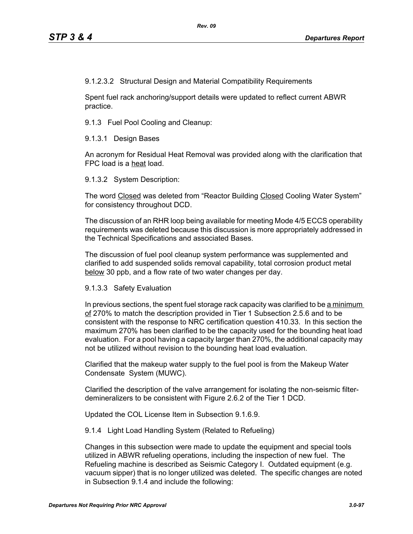9.1.2.3.2 Structural Design and Material Compatibility Requirements

Spent fuel rack anchoring/support details were updated to reflect current ABWR practice.

9.1.3 Fuel Pool Cooling and Cleanup:

9.1.3.1 Design Bases

An acronym for Residual Heat Removal was provided along with the clarification that FPC load is a heat load.

9.1.3.2 System Description:

The word Closed was deleted from "Reactor Building Closed Cooling Water System" for consistency throughout DCD.

The discussion of an RHR loop being available for meeting Mode 4/5 ECCS operability requirements was deleted because this discussion is more appropriately addressed in the Technical Specifications and associated Bases.

The discussion of fuel pool cleanup system performance was supplemented and clarified to add suspended solids removal capability, total corrosion product metal below 30 ppb, and a flow rate of two water changes per day.

9.1.3.3 Safety Evaluation

In previous sections, the spent fuel storage rack capacity was clarified to be a minimum of 270% to match the description provided in Tier 1 Subsection 2.5.6 and to be consistent with the response to NRC certification question 410.33. In this section the maximum 270% has been clarified to be the capacity used for the bounding heat load evaluation. For a pool having a capacity larger than 270%, the additional capacity may not be utilized without revision to the bounding heat load evaluation.

Clarified that the makeup water supply to the fuel pool is from the Makeup Water Condensate System (MUWC).

Clarified the description of the valve arrangement for isolating the non-seismic filterdemineralizers to be consistent with Figure 2.6.2 of the Tier 1 DCD.

Updated the COL License Item in Subsection 9.1.6.9.

9.1.4 Light Load Handling System (Related to Refueling)

Changes in this subsection were made to update the equipment and special tools utilized in ABWR refueling operations, including the inspection of new fuel. The Refueling machine is described as Seismic Category I. Outdated equipment (e.g. vacuum sipper) that is no longer utilized was deleted. The specific changes are noted in Subsection 9.1.4 and include the following: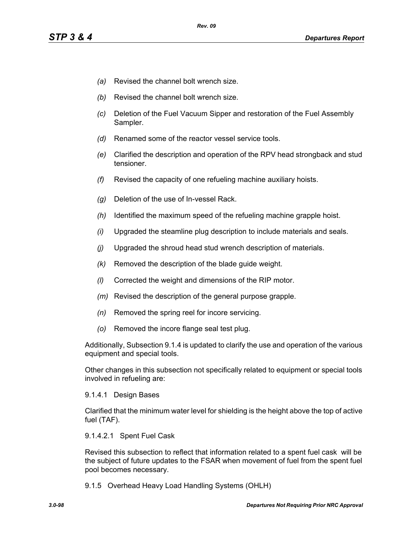- *(a)* Revised the channel bolt wrench size.
- *(b)* Revised the channel bolt wrench size.
- *(c)* Deletion of the Fuel Vacuum Sipper and restoration of the Fuel Assembly Sampler.
- *(d)* Renamed some of the reactor vessel service tools.
- *(e)* Clarified the description and operation of the RPV head strongback and stud tensioner.
- *(f)* Revised the capacity of one refueling machine auxiliary hoists.
- *(g)* Deletion of the use of In-vessel Rack.
- *(h)* Identified the maximum speed of the refueling machine grapple hoist.
- *(i)* Upgraded the steamline plug description to include materials and seals.
- *(j)* Upgraded the shroud head stud wrench description of materials.
- *(k)* Removed the description of the blade guide weight.
- *(l)* Corrected the weight and dimensions of the RIP motor.
- *(m)* Revised the description of the general purpose grapple.
- *(n)* Removed the spring reel for incore servicing.
- *(o)* Removed the incore flange seal test plug.

Additionally, Subsection 9.1.4 is updated to clarify the use and operation of the various equipment and special tools.

Other changes in this subsection not specifically related to equipment or special tools involved in refueling are:

### 9.1.4.1 Design Bases

Clarified that the minimum water level for shielding is the height above the top of active fuel (TAF).

### 9.1.4.2.1 Spent Fuel Cask

Revised this subsection to reflect that information related to a spent fuel cask will be the subject of future updates to the FSAR when movement of fuel from the spent fuel pool becomes necessary.

9.1.5 Overhead Heavy Load Handling Systems (OHLH)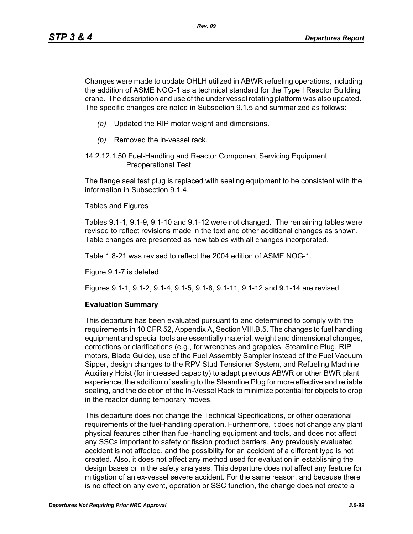Changes were made to update OHLH utilized in ABWR refueling operations, including the addition of ASME NOG-1 as a technical standard for the Type I Reactor Building crane. The description and use of the under vessel rotating platform was also updated. The specific changes are noted in Subsection 9.1.5 and summarized as follows:

- *(a)* Updated the RIP motor weight and dimensions.
- *(b)* Removed the in-vessel rack.
- 14.2.12.1.50 Fuel-Handling and Reactor Component Servicing Equipment Preoperational Test

The flange seal test plug is replaced with sealing equipment to be consistent with the information in Subsection 9.1.4.

Tables and Figures

Tables 9.1-1, 9.1-9, 9.1-10 and 9.1-12 were not changed. The remaining tables were revised to reflect revisions made in the text and other additional changes as shown. Table changes are presented as new tables with all changes incorporated.

Table 1.8-21 was revised to reflect the 2004 edition of ASME NOG-1.

Figure 9.1-7 is deleted.

Figures 9.1-1, 9.1-2, 9.1-4, 9.1-5, 9.1-8, 9.1-11, 9.1-12 and 9.1-14 are revised.

### **Evaluation Summary**

This departure has been evaluated pursuant to and determined to comply with the requirements in 10 CFR 52, Appendix A, Section VIII.B.5. The changes to fuel handling equipment and special tools are essentially material, weight and dimensional changes, corrections or clarifications (e.g., for wrenches and grapples, Steamline Plug, RIP motors, Blade Guide), use of the Fuel Assembly Sampler instead of the Fuel Vacuum Sipper, design changes to the RPV Stud Tensioner System, and Refueling Machine Auxiliary Hoist (for increased capacity) to adapt previous ABWR or other BWR plant experience, the addition of sealing to the Steamline Plug for more effective and reliable sealing, and the deletion of the In-Vessel Rack to minimize potential for objects to drop in the reactor during temporary moves.

This departure does not change the Technical Specifications, or other operational requirements of the fuel-handling operation. Furthermore, it does not change any plant physical features other than fuel-handling equipment and tools, and does not affect any SSCs important to safety or fission product barriers. Any previously evaluated accident is not affected, and the possibility for an accident of a different type is not created. Also, it does not affect any method used for evaluation in establishing the design bases or in the safety analyses. This departure does not affect any feature for mitigation of an ex-vessel severe accident. For the same reason, and because there is no effect on any event, operation or SSC function, the change does not create a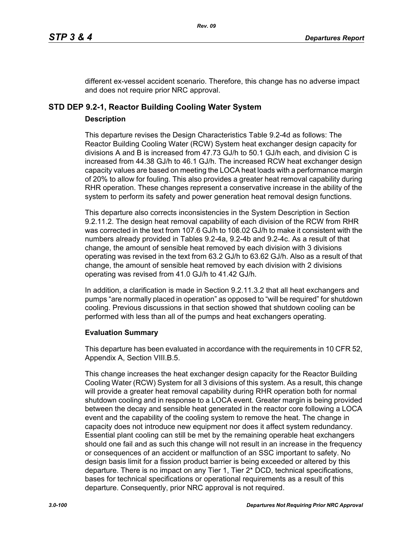different ex-vessel accident scenario. Therefore, this change has no adverse impact and does not require prior NRC approval.

# **STD DEP 9.2-1, Reactor Building Cooling Water System**

### **Description**

This departure revises the Design Characteristics Table 9.2-4d as follows: The Reactor Building Cooling Water (RCW) System heat exchanger design capacity for divisions A and B is increased from 47.73 GJ/h to 50.1 GJ/h each, and division C is increased from 44.38 GJ/h to 46.1 GJ/h. The increased RCW heat exchanger design capacity values are based on meeting the LOCA heat loads with a performance margin of 20% to allow for fouling. This also provides a greater heat removal capability during RHR operation. These changes represent a conservative increase in the ability of the system to perform its safety and power generation heat removal design functions.

This departure also corrects inconsistencies in the System Description in Section 9.2.11.2. The design heat removal capability of each division of the RCW from RHR was corrected in the text from 107.6 GJ/h to 108.02 GJ/h to make it consistent with the numbers already provided in Tables 9.2-4a, 9.2-4b and 9.2-4c. As a result of that change, the amount of sensible heat removed by each division with 3 divisions operating was revised in the text from 63.2 GJ/h to 63.62 GJ/h. Also as a result of that change, the amount of sensible heat removed by each division with 2 divisions operating was revised from 41.0 GJ/h to 41.42 GJ/h.

In addition, a clarification is made in Section 9.2.11.3.2 that all heat exchangers and pumps "are normally placed in operation" as opposed to "will be required" for shutdown cooling. Previous discussions in that section showed that shutdown cooling can be performed with less than all of the pumps and heat exchangers operating.

# **Evaluation Summary**

This departure has been evaluated in accordance with the requirements in 10 CFR 52, Appendix A, Section VIII.B.5.

This change increases the heat exchanger design capacity for the Reactor Building Cooling Water (RCW) System for all 3 divisions of this system. As a result, this change will provide a greater heat removal capability during RHR operation both for normal shutdown cooling and in response to a LOCA event. Greater margin is being provided between the decay and sensible heat generated in the reactor core following a LOCA event and the capability of the cooling system to remove the heat. The change in capacity does not introduce new equipment nor does it affect system redundancy. Essential plant cooling can still be met by the remaining operable heat exchangers should one fail and as such this change will not result in an increase in the frequency or consequences of an accident or malfunction of an SSC important to safety. No design basis limit for a fission product barrier is being exceeded or altered by this departure. There is no impact on any Tier 1, Tier 2\* DCD, technical specifications, bases for technical specifications or operational requirements as a result of this departure. Consequently, prior NRC approval is not required.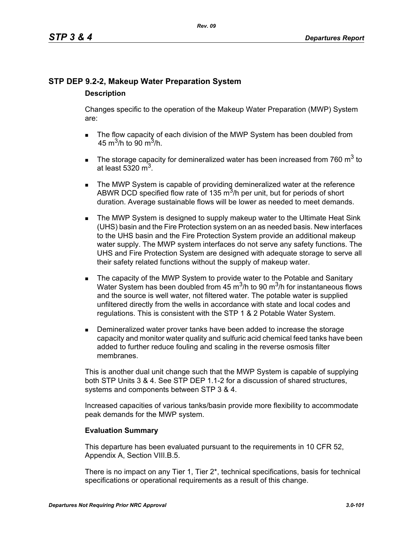# **STP DEP 9.2-2, Makeup Water Preparation System**

# **Description**

Changes specific to the operation of the Makeup Water Preparation (MWP) System are:

- The flow capacity of each division of the MWP System has been doubled from 45 m<sup>3</sup>/h to 90 m<sup>3</sup>/h.
- The storage capacity for demineralized water has been increased from 760  $m^3$  to at least 5320  $m<sup>3</sup>$ .
- **The MWP System is capable of providing demineralized water at the reference** ABWR DCD specified flow rate of 135  $\mathrm{m}^3$ /h per unit, but for periods of short duration. Average sustainable flows will be lower as needed to meet demands.
- **The MWP System is designed to supply makeup water to the Ultimate Heat Sink** (UHS) basin and the Fire Protection system on an as needed basis. New interfaces to the UHS basin and the Fire Protection System provide an additional makeup water supply. The MWP system interfaces do not serve any safety functions. The UHS and Fire Protection System are designed with adequate storage to serve all their safety related functions without the supply of makeup water.
- The capacity of the MWP System to provide water to the Potable and Sanitary Water System has been doubled from 45  $\mathrm{m}^3$ /h to 90  $\mathrm{m}^3$ /h for instantaneous flows and the source is well water, not filtered water. The potable water is supplied unfiltered directly from the wells in accordance with state and local codes and regulations. This is consistent with the STP 1 & 2 Potable Water System.
- **Demineralized water prover tanks have been added to increase the storage** capacity and monitor water quality and sulfuric acid chemical feed tanks have been added to further reduce fouling and scaling in the reverse osmosis filter membranes.

This is another dual unit change such that the MWP System is capable of supplying both STP Units 3 & 4. See STP DEP 1.1-2 for a discussion of shared structures, systems and components between STP 3 & 4.

Increased capacities of various tanks/basin provide more flexibility to accommodate peak demands for the MWP system.

# **Evaluation Summary**

This departure has been evaluated pursuant to the requirements in 10 CFR 52, Appendix A, Section VIII.B.5.

There is no impact on any Tier 1, Tier  $2^*$ , technical specifications, basis for technical specifications or operational requirements as a result of this change.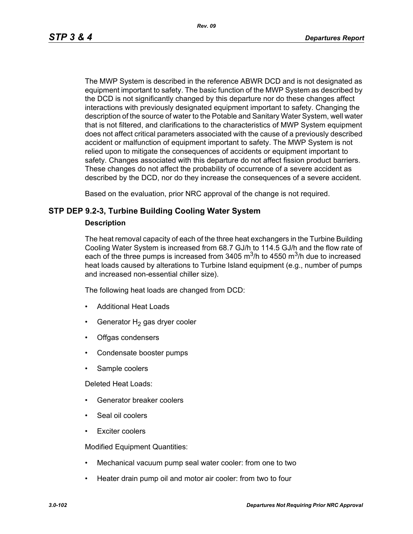The MWP System is described in the reference ABWR DCD and is not designated as equipment important to safety. The basic function of the MWP System as described by the DCD is not significantly changed by this departure nor do these changes affect interactions with previously designated equipment important to safety. Changing the description of the source of water to the Potable and Sanitary Water System, well water that is not filtered, and clarifications to the characteristics of MWP System equipment does not affect critical parameters associated with the cause of a previously described accident or malfunction of equipment important to safety. The MWP System is not relied upon to mitigate the consequences of accidents or equipment important to safety. Changes associated with this departure do not affect fission product barriers. These changes do not affect the probability of occurrence of a severe accident as described by the DCD, nor do they increase the consequences of a severe accident.

Based on the evaluation, prior NRC approval of the change is not required.

# **STP DEP 9.2-3, Turbine Building Cooling Water System**

### **Description**

The heat removal capacity of each of the three heat exchangers in the Turbine Building Cooling Water System is increased from 68.7 GJ/h to 114.5 GJ/h and the flow rate of each of the three pumps is increased from 3405  $\mathrm{m}^3$ /h to 4550  $\mathrm{m}^3$ /h due to increased heat loads caused by alterations to Turbine Island equipment (e.g., number of pumps and increased non-essential chiller size).

The following heat loads are changed from DCD:

- Additional Heat Loads
- Generator  $H_2$  gas dryer cooler
- Offgas condensers
- Condensate booster pumps
- Sample coolers

Deleted Heat Loads:

- Generator breaker coolers
- Seal oil coolers
- Exciter coolers

Modified Equipment Quantities:

- Mechanical vacuum pump seal water cooler: from one to two
- Heater drain pump oil and motor air cooler: from two to four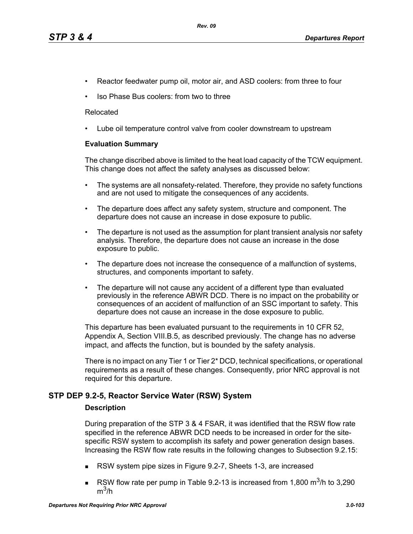- Reactor feedwater pump oil, motor air, and ASD coolers: from three to four
- Iso Phase Bus coolers: from two to three

### Relocated

• Lube oil temperature control valve from cooler downstream to upstream

### **Evaluation Summary**

The change discribed above is limited to the heat load capacity of the TCW equipment. This change does not affect the safety analyses as discussed below:

- The systems are all nonsafety-related. Therefore, they provide no safety functions and are not used to mitigate the consequences of any accidents.
- The departure does affect any safety system, structure and component. The departure does not cause an increase in dose exposure to public.
- The departure is not used as the assumption for plant transient analysis nor safety analysis. Therefore, the departure does not cause an increase in the dose exposure to public.
- The departure does not increase the consequence of a malfunction of systems, structures, and components important to safety.
- The departure will not cause any accident of a different type than evaluated previously in the reference ABWR DCD. There is no impact on the probability or consequences of an accident of malfunction of an SSC important to safety. This departure does not cause an increase in the dose exposure to public.

This departure has been evaluated pursuant to the requirements in 10 CFR 52, Appendix A, Section VIII.B.5, as described previously. The change has no adverse impact, and affects the function, but is bounded by the safety analysis.

There is no impact on any Tier 1 or Tier 2\* DCD, technical specifications, or operational requirements as a result of these changes. Consequently, prior NRC approval is not required for this departure.

# **STP DEP 9.2-5, Reactor Service Water (RSW) System**

### **Description**

During preparation of the STP 3 & 4 FSAR, it was identified that the RSW flow rate specified in the reference ABWR DCD needs to be increased in order for the sitespecific RSW system to accomplish its safety and power generation design bases. Increasing the RSW flow rate results in the following changes to Subsection 9.2.15:

- RSW system pipe sizes in Figure 9.2-7, Sheets 1-3, are increased
- RSW flow rate per pump in Table 9.2-13 is increased from 1,800  $\text{m}^3$ /h to 3,290  $m^3/h$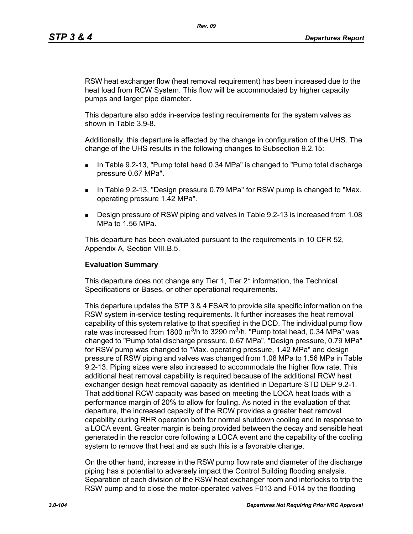RSW heat exchanger flow (heat removal requirement) has been increased due to the heat load from RCW System. This flow will be accommodated by higher capacity pumps and larger pipe diameter.

This departure also adds in-service testing requirements for the system valves as shown in Table 3.9-8.

Additionally, this departure is affected by the change in configuration of the UHS. The change of the UHS results in the following changes to Subsection 9.2.15:

- In Table 9.2-13, "Pump total head 0.34 MPa" is changed to "Pump total discharge pressure 0.67 MPa".
- **IF IN Table 9.2-13, "Design pressure 0.79 MPa" for RSW pump is changed to "Max.** operating pressure 1.42 MPa".
- Design pressure of RSW piping and valves in Table 9.2-13 is increased from 1.08 MPa to 1.56 MPa.

This departure has been evaluated pursuant to the requirements in 10 CFR 52, Appendix A, Section VIII.B.5.

### **Evaluation Summary**

This departure does not change any Tier 1, Tier 2\* information, the Technical Specifications or Bases, or other operational requirements.

This departure updates the STP 3 & 4 FSAR to provide site specific information on the RSW system in-service testing requirements. It further increases the heat removal capability of this system relative to that specified in the DCD. The individual pump flow rate was increased from 1800 m<sup>3</sup>/h to 3290 m<sup>3</sup>/h, "Pump total head, 0.34 MPa" was changed to "Pump total discharge pressure, 0.67 MPa", "Design pressure, 0.79 MPa" for RSW pump was changed to "Max. operating pressure, 1.42 MPa" and design pressure of RSW piping and valves was changed from 1.08 MPa to 1.56 MPa in Table 9.2-13. Piping sizes were also increased to accommodate the higher flow rate. This additional heat removal capability is required because of the additional RCW heat exchanger design heat removal capacity as identified in Departure STD DEP 9.2-1. That additional RCW capacity was based on meeting the LOCA heat loads with a performance margin of 20% to allow for fouling. As noted in the evaluation of that departure, the increased capacity of the RCW provides a greater heat removal capability during RHR operation both for normal shutdown cooling and in response to a LOCA event. Greater margin is being provided between the decay and sensible heat generated in the reactor core following a LOCA event and the capability of the cooling system to remove that heat and as such this is a favorable change.

On the other hand, increase in the RSW pump flow rate and diameter of the discharge piping has a potential to adversely impact the Control Building flooding analysis. Separation of each division of the RSW heat exchanger room and interlocks to trip the RSW pump and to close the motor-operated valves F013 and F014 by the flooding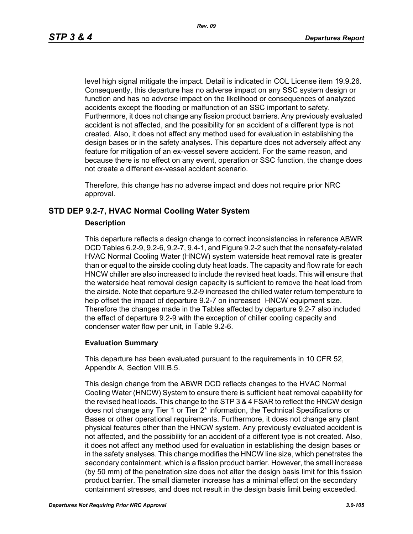level high signal mitigate the impact. Detail is indicated in COL License item 19.9.26. Consequently, this departure has no adverse impact on any SSC system design or function and has no adverse impact on the likelihood or consequences of analyzed accidents except the flooding or malfunction of an SSC important to safety. Furthermore, it does not change any fission product barriers. Any previously evaluated accident is not affected, and the possibility for an accident of a different type is not created. Also, it does not affect any method used for evaluation in establishing the design bases or in the safety analyses. This departure does not adversely affect any feature for mitigation of an ex-vessel severe accident. For the same reason, and because there is no effect on any event, operation or SSC function, the change does not create a different ex-vessel accident scenario.

Therefore, this change has no adverse impact and does not require prior NRC approval.

# **STD DEP 9.2-7, HVAC Normal Cooling Water System**

### **Description**

This departure reflects a design change to correct inconsistencies in reference ABWR DCD Tables 6.2-9, 9.2-6, 9.2-7, 9.4-1, and Figure 9.2-2 such that the nonsafety-related HVAC Normal Cooling Water (HNCW) system waterside heat removal rate is greater than or equal to the airside cooling duty heat loads. The capacity and flow rate for each HNCW chiller are also increased to include the revised heat loads. This will ensure that the waterside heat removal design capacity is sufficient to remove the heat load from the airside. Note that departure 9.2-9 increased the chilled water return temperature to help offset the impact of departure 9.2-7 on increased HNCW equipment size. Therefore the changes made in the Tables affected by departure 9.2-7 also included the effect of departure 9.2-9 with the exception of chiller cooling capacity and condenser water flow per unit, in Table 9.2-6.

### **Evaluation Summary**

This departure has been evaluated pursuant to the requirements in 10 CFR 52, Appendix A, Section VIII.B.5.

This design change from the ABWR DCD reflects changes to the HVAC Normal Cooling Water (HNCW) System to ensure there is sufficient heat removal capability for the revised heat loads. This change to the STP 3 & 4 FSAR to reflect the HNCW design does not change any Tier 1 or Tier 2\* information, the Technical Specifications or Bases or other operational requirements. Furthermore, it does not change any plant physical features other than the HNCW system. Any previously evaluated accident is not affected, and the possibility for an accident of a different type is not created. Also, it does not affect any method used for evaluation in establishing the design bases or in the safety analyses. This change modifies the HNCW line size, which penetrates the secondary containment, which is a fission product barrier. However, the small increase (by 50 mm) of the penetration size does not alter the design basis limit for this fission product barrier. The small diameter increase has a minimal effect on the secondary containment stresses, and does not result in the design basis limit being exceeded.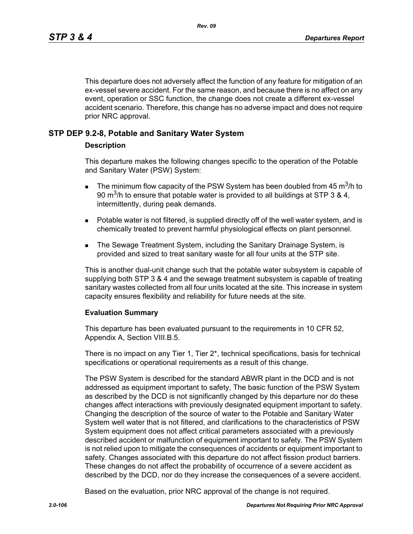This departure does not adversely affect the function of any feature for mitigation of an ex-vessel severe accident. For the same reason, and because there is no affect on any event, operation or SSC function, the change does not create a different ex-vessel accident scenario. Therefore, this change has no adverse impact and does not require prior NRC approval.

# **STP DEP 9.2-8, Potable and Sanitary Water System**

### **Description**

This departure makes the following changes specific to the operation of the Potable and Sanitary Water (PSW) System:

- **The minimum flow capacity of the PSW System has been doubled from 45 m<sup>3</sup>/h to** 90 m<sup>3</sup>/h to ensure that potable water is provided to all buildings at STP 3 & 4, intermittently, during peak demands.
- **Potable water is not filtered, is supplied directly off of the well water system, and is** chemically treated to prevent harmful physiological effects on plant personnel.
- **The Sewage Treatment System, including the Sanitary Drainage System, is** provided and sized to treat sanitary waste for all four units at the STP site.

This is another dual-unit change such that the potable water subsystem is capable of supplying both STP 3 & 4 and the sewage treatment subsystem is capable of treating sanitary wastes collected from all four units located at the site. This increase in system capacity ensures flexibility and reliability for future needs at the site.

### **Evaluation Summary**

This departure has been evaluated pursuant to the requirements in 10 CFR 52, Appendix A, Section VIII.B.5.

There is no impact on any Tier 1, Tier 2\*, technical specifications, basis for technical specifications or operational requirements as a result of this change.

The PSW System is described for the standard ABWR plant in the DCD and is not addressed as equipment important to safety, The basic function of the PSW System as described by the DCD is not significantly changed by this departure nor do these changes affect interactions with previously designated equipment important to safety. Changing the description of the source of water to the Potable and Sanitary Water System well water that is not filtered, and clarifications to the characteristics of PSW System equipment does not affect critical parameters associated with a previously described accident or malfunction of equipment important to safety. The PSW System is not relied upon to mitigate the consequences of accidents or equipment important to safety. Changes associated with this departure do not affect fission product barriers. These changes do not affect the probability of occurrence of a severe accident as described by the DCD, nor do they increase the consequences of a severe accident.

Based on the evaluation, prior NRC approval of the change is not required.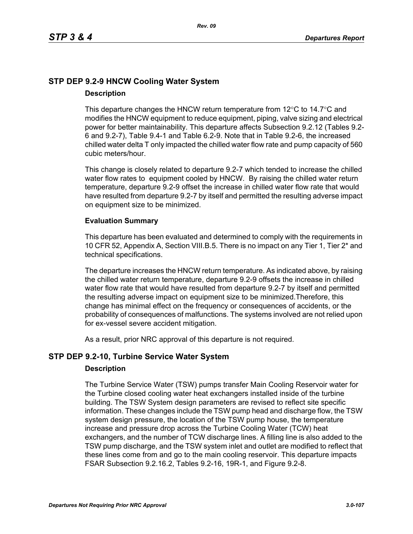# **STP DEP 9.2-9 HNCW Cooling Water System Description**

### This departure changes the HNCW return temperature from  $12^{\circ}$ C to  $14.7^{\circ}$ C and modifies the HNCW equipment to reduce equipment, piping, valve sizing and electrical power for better maintainability. This departure affects Subsection 9.2.12 (Tables 9.2- 6 and 9.2-7), Table 9.4-1 and Table 6.2-9. Note that in Table 9.2-6, the increased chilled water delta T only impacted the chilled water flow rate and pump capacity of 560 cubic meters/hour.

This change is closely related to departure 9.2-7 which tended to increase the chilled water flow rates to equipment cooled by HNCW. By raising the chilled water return temperature, departure 9.2-9 offset the increase in chilled water flow rate that would have resulted from departure 9.2-7 by itself and permitted the resulting adverse impact on equipment size to be minimized.

# **Evaluation Summary**

This departure has been evaluated and determined to comply with the requirements in 10 CFR 52, Appendix A, Section VIII.B.5. There is no impact on any Tier 1, Tier 2\* and technical specifications.

The departure increases the HNCW return temperature. As indicated above, by raising the chilled water return temperature, departure 9.2-9 offsets the increase in chilled water flow rate that would have resulted from departure 9.2-7 by itself and permitted the resulting adverse impact on equipment size to be minimized.Therefore, this change has minimal effect on the frequency or consequences of accidents, or the probability of consequences of malfunctions. The systems involved are not relied upon for ex-vessel severe accident mitigation.

As a result, prior NRC approval of this departure is not required.

# **STP DEP 9.2-10, Turbine Service Water System**

# **Description**

The Turbine Service Water (TSW) pumps transfer Main Cooling Reservoir water for the Turbine closed cooling water heat exchangers installed inside of the turbine building. The TSW System design parameters are revised to reflect site specific information. These changes include the TSW pump head and discharge flow, the TSW system design pressure, the location of the TSW pump house, the temperature increase and pressure drop across the Turbine Cooling Water (TCW) heat exchangers, and the number of TCW discharge lines. A filling line is also added to the TSW pump discharge, and the TSW system inlet and outlet are modified to reflect that these lines come from and go to the main cooling reservoir. This departure impacts FSAR Subsection 9.2.16.2, Tables 9.2-16, 19R-1, and Figure 9.2-8.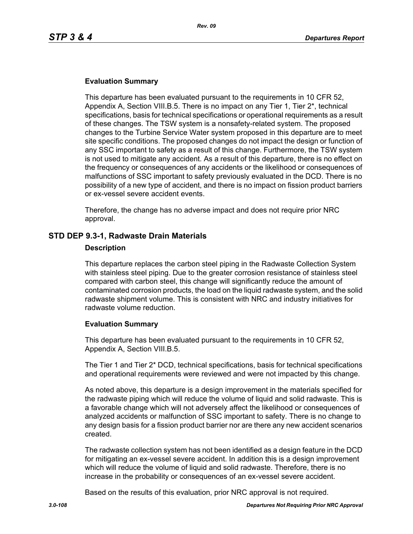### **Evaluation Summary**

This departure has been evaluated pursuant to the requirements in 10 CFR 52, Appendix A, Section VIII.B.5. There is no impact on any Tier 1, Tier 2\*, technical specifications, basis for technical specifications or operational requirements as a result of these changes. The TSW system is a nonsafety-related system. The proposed changes to the Turbine Service Water system proposed in this departure are to meet site specific conditions. The proposed changes do not impact the design or function of any SSC important to safety as a result of this change. Furthermore, the TSW system is not used to mitigate any accident. As a result of this departure, there is no effect on the frequency or consequences of any accidents or the likelihood or consequences of malfunctions of SSC important to safety previously evaluated in the DCD. There is no possibility of a new type of accident, and there is no impact on fission product barriers or ex-vessel severe accident events.

Therefore, the change has no adverse impact and does not require prior NRC approval.

### **STD DEP 9.3-1, Radwaste Drain Materials**

#### **Description**

This departure replaces the carbon steel piping in the Radwaste Collection System with stainless steel piping. Due to the greater corrosion resistance of stainless steel compared with carbon steel, this change will significantly reduce the amount of contaminated corrosion products, the load on the liquid radwaste system, and the solid radwaste shipment volume. This is consistent with NRC and industry initiatives for radwaste volume reduction.

### **Evaluation Summary**

This departure has been evaluated pursuant to the requirements in 10 CFR 52, Appendix A, Section VIII.B.5.

The Tier 1 and Tier 2\* DCD, technical specifications, basis for technical specifications and operational requirements were reviewed and were not impacted by this change.

As noted above, this departure is a design improvement in the materials specified for the radwaste piping which will reduce the volume of liquid and solid radwaste. This is a favorable change which will not adversely affect the likelihood or consequences of analyzed accidents or malfunction of SSC important to safety. There is no change to any design basis for a fission product barrier nor are there any new accident scenarios created.

The radwaste collection system has not been identified as a design feature in the DCD for mitigating an ex-vessel severe accident. In addition this is a design improvement which will reduce the volume of liquid and solid radwaste. Therefore, there is no increase in the probability or consequences of an ex-vessel severe accident.

Based on the results of this evaluation, prior NRC approval is not required.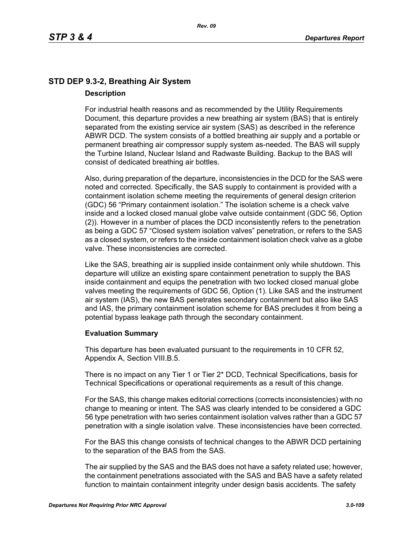# **STD DEP 9.3-2, Breathing Air System Description**

For industrial health reasons and as recommended by the Utility Requirements Document, this departure provides a new breathing air system (BAS) that is entirely separated from the existing service air system (SAS) as described in the reference ABWR DCD. The system consists of a bottled breathing air supply and a portable or permanent breathing air compressor supply system as-needed. The BAS will supply the Turbine Island, Nuclear Island and Radwaste Building. Backup to the BAS will consist of dedicated breathing air bottles.

Also, during preparation of the departure, inconsistencies in the DCD for the SAS were noted and corrected. Specifically, the SAS supply to containment is provided with a containment isolation scheme meeting the requirements of general design criterion (GDC) 56 "Primary containment isolation." The isolation scheme is a check valve inside and a locked closed manual globe valve outside containment (GDC 56, Option (2)). However in a number of places the DCD inconsistently refers to the penetration as being a GDC 57 "Closed system isolation valves" penetration, or refers to the SAS as a closed system, or refers to the inside containment isolation check valve as a globe valve. These inconsistencies are corrected.

Like the SAS, breathing air is supplied inside containment only while shutdown. This departure will utilize an existing spare containment penetration to supply the BAS inside containment and equips the penetration with two locked closed manual globe valves meeting the requirements of GDC 56, Option (1). Like SAS and the instrument air system (IAS), the new BAS penetrates secondary containment but also like SAS and IAS, the primary containment isolation scheme for BAS precludes it from being a potential bypass leakage path through the secondary containment.

# **Evaluation Summary**

This departure has been evaluated pursuant to the requirements in 10 CFR 52, Appendix A, Section VIII.B.5.

There is no impact on any Tier 1 or Tier 2\* DCD, Technical Specifications, basis for Technical Specifications or operational requirements as a result of this change.

For the SAS, this change makes editorial corrections (corrects inconsistencies) with no change to meaning or intent. The SAS was clearly intended to be considered a GDC 56 type penetration with two series containment isolation valves rather than a GDC 57 penetration with a single isolation valve. These inconsistencies have been corrected.

For the BAS this change consists of technical changes to the ABWR DCD pertaining to the separation of the BAS from the SAS.

The air supplied by the SAS and the BAS does not have a safety related use; however, the containment penetrations associated with the SAS and BAS have a safety related function to maintain containment integrity under design basis accidents. The safety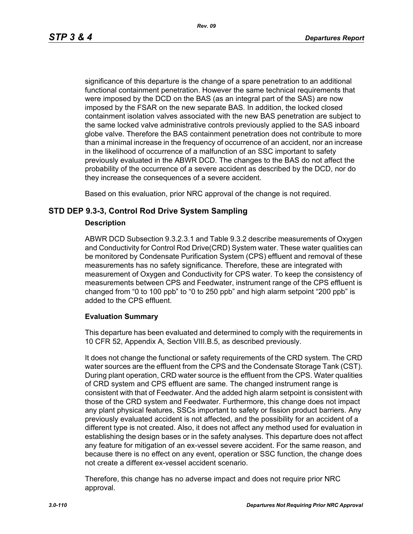significance of this departure is the change of a spare penetration to an additional functional containment penetration. However the same technical requirements that were imposed by the DCD on the BAS (as an integral part of the SAS) are now imposed by the FSAR on the new separate BAS. In addition, the locked closed containment isolation valves associated with the new BAS penetration are subject to the same locked valve administrative controls previously applied to the SAS inboard globe valve. Therefore the BAS containment penetration does not contribute to more than a minimal increase in the frequency of occurrence of an accident, nor an increase in the likelihood of occurrence of a malfunction of an SSC important to safety previously evaluated in the ABWR DCD. The changes to the BAS do not affect the probability of the occurrence of a severe accident as described by the DCD, nor do they increase the consequences of a severe accident.

Based on this evaluation, prior NRC approval of the change is not required.

# **STD DEP 9.3-3, Control Rod Drive System Sampling**

## **Description**

ABWR DCD Subsection 9.3.2.3.1 and Table 9.3.2 describe measurements of Oxygen and Conductivity for Control Rod Drive(CRD) System water. These water qualities can be monitored by Condensate Purification System (CPS) effluent and removal of these measurements has no safety significance. Therefore, these are integrated with measurement of Oxygen and Conductivity for CPS water. To keep the consistency of measurements between CPS and Feedwater, instrument range of the CPS effluent is changed from "0 to 100 ppb" to "0 to 250 ppb" and high alarm setpoint "200 ppb" is added to the CPS effluent.

# **Evaluation Summary**

This departure has been evaluated and determined to comply with the requirements in 10 CFR 52, Appendix A, Section VIII.B.5, as described previously.

It does not change the functional or safety requirements of the CRD system. The CRD water sources are the effluent from the CPS and the Condensate Storage Tank (CST). During plant operation, CRD water source is the effluent from the CPS. Water qualities of CRD system and CPS effluent are same. The changed instrument range is consistent with that of Feedwater. And the added high alarm setpoint is consistent with those of the CRD system and Feedwater. Furthermore, this change does not impact any plant physical features, SSCs important to safety or fission product barriers. Any previously evaluated accident is not affected, and the possibility for an accident of a different type is not created. Also, it does not affect any method used for evaluation in establishing the design bases or in the safety analyses. This departure does not affect any feature for mitigation of an ex-vessel severe accident. For the same reason, and because there is no effect on any event, operation or SSC function, the change does not create a different ex-vessel accident scenario.

Therefore, this change has no adverse impact and does not require prior NRC approval.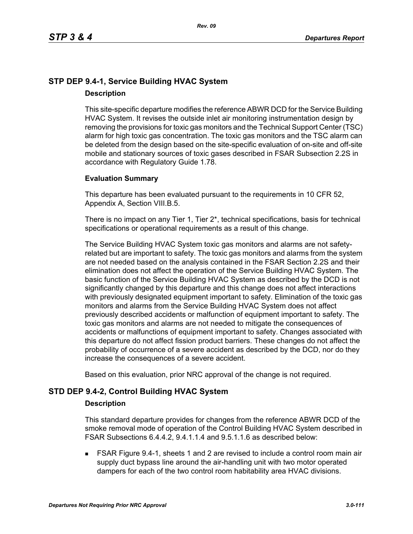# **STP DEP 9.4-1, Service Building HVAC System Description**

This site-specific departure modifies the reference ABWR DCD for the Service Building HVAC System. It revises the outside inlet air monitoring instrumentation design by removing the provisions for toxic gas monitors and the Technical Support Center (TSC) alarm for high toxic gas concentration. The toxic gas monitors and the TSC alarm can be deleted from the design based on the site-specific evaluation of on-site and off-site mobile and stationary sources of toxic gases described in FSAR Subsection 2.2S in accordance with Regulatory Guide 1.78.

# **Evaluation Summary**

This departure has been evaluated pursuant to the requirements in 10 CFR 52, Appendix A, Section VIII.B.5.

There is no impact on any Tier 1, Tier  $2^*$ , technical specifications, basis for technical specifications or operational requirements as a result of this change.

The Service Building HVAC System toxic gas monitors and alarms are not safetyrelated but are important to safety. The toxic gas monitors and alarms from the system are not needed based on the analysis contained in the FSAR Section 2.2S and their elimination does not affect the operation of the Service Building HVAC System. The basic function of the Service Building HVAC System as described by the DCD is not significantly changed by this departure and this change does not affect interactions with previously designated equipment important to safety. Elimination of the toxic gas monitors and alarms from the Service Building HVAC System does not affect previously described accidents or malfunction of equipment important to safety. The toxic gas monitors and alarms are not needed to mitigate the consequences of accidents or malfunctions of equipment important to safety. Changes associated with this departure do not affect fission product barriers. These changes do not affect the probability of occurrence of a severe accident as described by the DCD, nor do they increase the consequences of a severe accident.

Based on this evaluation, prior NRC approval of the change is not required.

# **STD DEP 9.4-2, Control Building HVAC System**

#### **Description**

This standard departure provides for changes from the reference ABWR DCD of the smoke removal mode of operation of the Control Building HVAC System described in FSAR Subsections 6.4.4.2, 9.4.1.1.4 and 9.5.1.1.6 as described below:

 FSAR Figure 9.4-1, sheets 1 and 2 are revised to include a control room main air supply duct bypass line around the air-handling unit with two motor operated dampers for each of the two control room habitability area HVAC divisions.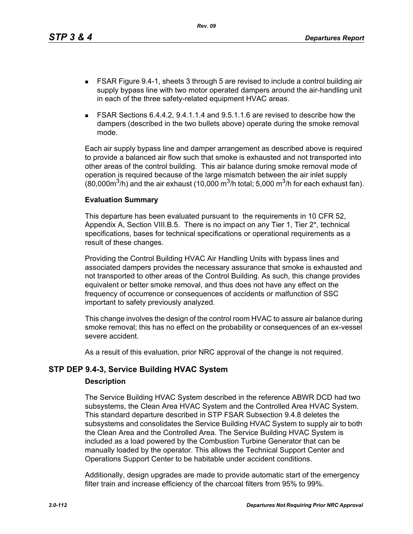This departure has been evaluated pursuant to the requirements in 10 CFR 52, Appendix A, Section VIII.B.5. There is no impact on any Tier 1, Tier 2\*, technical specifications, bases for technical specifications or operational requirements as a result of these changes.

Providing the Control Building HVAC Air Handling Units with bypass lines and associated dampers provides the necessary assurance that smoke is exhausted and not transported to other areas of the Control Building. As such, this change provides equivalent or better smoke removal, and thus does not have any effect on the frequency of occurrence or consequences of accidents or malfunction of SSC important to safety previously analyzed.

This change involves the design of the control room HVAC to assure air balance during smoke removal; this has no effect on the probability or consequences of an ex-vessel severe accident.

As a result of this evaluation, prior NRC approval of the change is not required.

# **STP DEP 9.4-3, Service Building HVAC System**

**Evaluation Summary**

# **Description**

The Service Building HVAC System described in the reference ABWR DCD had two subsystems, the Clean Area HVAC System and the Controlled Area HVAC System. This standard departure described in STP FSAR Subsection 9.4.8 deletes the subsystems and consolidates the Service Building HVAC System to supply air to both the Clean Area and the Controlled Area. The Service Building HVAC System is included as a load powered by the Combustion Turbine Generator that can be manually loaded by the operator. This allows the Technical Support Center and Operations Support Center to be habitable under accident conditions.

Additionally, design upgrades are made to provide automatic start of the emergency filter train and increase efficiency of the charcoal filters from 95% to 99%.

- FSAR Figure 9.4-1, sheets 3 through 5 are revised to include a control building air supply bypass line with two motor operated dampers around the air-handling unit in each of the three safety-related equipment HVAC areas.
- FSAR Sections 6.4.4.2, 9.4.1.1.4 and 9.5.1.1.6 are revised to describe how the dampers (described in the two bullets above) operate during the smoke removal mode.

Each air supply bypass line and damper arrangement as described above is required

to provide a balanced air flow such that smoke is exhausted and not transported into other areas of the control building. This air balance during smoke removal mode of operation is required because of the large mismatch between the air inlet supply (80,000 $\mathrm{m}^3$ /h) and the air exhaust (10,000  $\mathrm{m}^3$ /h total; 5,000  $\mathrm{m}^3$ /h for each exhaust fan).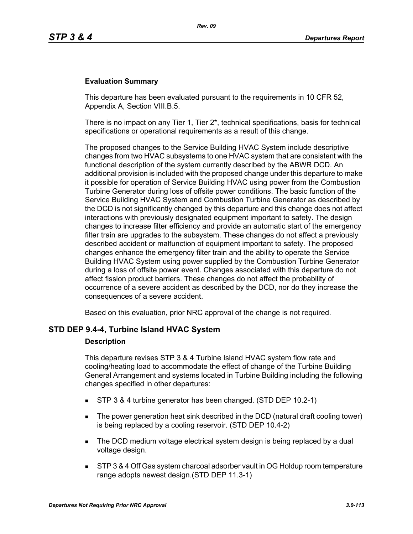## **Evaluation Summary**

This departure has been evaluated pursuant to the requirements in 10 CFR 52, Appendix A, Section VIII.B.5.

There is no impact on any Tier 1, Tier  $2^*$ , technical specifications, basis for technical specifications or operational requirements as a result of this change.

The proposed changes to the Service Building HVAC System include descriptive changes from two HVAC subsystems to one HVAC system that are consistent with the functional description of the system currently described by the ABWR DCD. An additional provision is included with the proposed change under this departure to make it possible for operation of Service Building HVAC using power from the Combustion Turbine Generator during loss of offsite power conditions. The basic function of the Service Building HVAC System and Combustion Turbine Generator as described by the DCD is not significantly changed by this departure and this change does not affect interactions with previously designated equipment important to safety. The design changes to increase filter efficiency and provide an automatic start of the emergency filter train are upgrades to the subsystem. These changes do not affect a previously described accident or malfunction of equipment important to safety. The proposed changes enhance the emergency filter train and the ability to operate the Service Building HVAC System using power supplied by the Combustion Turbine Generator during a loss of offsite power event. Changes associated with this departure do not affect fission product barriers. These changes do not affect the probability of occurrence of a severe accident as described by the DCD, nor do they increase the consequences of a severe accident.

Based on this evaluation, prior NRC approval of the change is not required.

#### **STD DEP 9.4-4, Turbine Island HVAC System**

#### **Description**

This departure revises STP 3 & 4 Turbine Island HVAC system flow rate and cooling/heating load to accommodate the effect of change of the Turbine Building General Arrangement and systems located in Turbine Building including the following changes specified in other departures:

- STP 3 & 4 turbine generator has been changed. (STD DEP 10.2-1)
- The power generation heat sink described in the DCD (natural draft cooling tower) is being replaced by a cooling reservoir. (STD DEP 10.4-2)
- The DCD medium voltage electrical system design is being replaced by a dual voltage design.
- STP 3 & 4 Off Gas system charcoal adsorber vault in OG Holdup room temperature range adopts newest design.(STD DEP 11.3-1)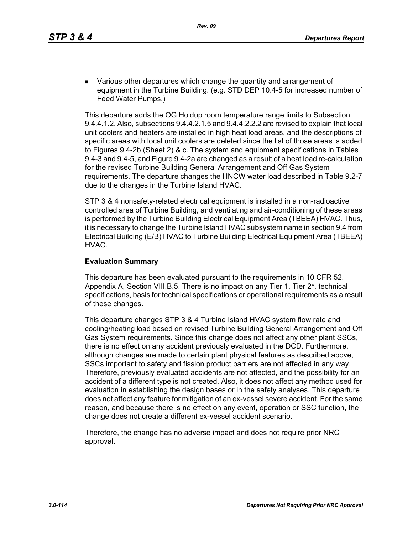**EXECT** Various other departures which change the quantity and arrangement of equipment in the Turbine Building. (e.g. STD DEP 10.4-5 for increased number of Feed Water Pumps.)

This departure adds the OG Holdup room temperature range limits to Subsection 9.4.4.1.2. Also, subsections 9.4.4.2.1.5 and 9.4.4.2.2.2 are revised to explain that local unit coolers and heaters are installed in high heat load areas, and the descriptions of specific areas with local unit coolers are deleted since the list of those areas is added to Figures 9.4-2b (Sheet 2) & c. The system and equipment specifications in Tables 9.4-3 and 9.4-5, and Figure 9.4-2a are changed as a result of a heat load re-calculation for the revised Turbine Building General Arrangement and Off Gas System requirements. The departure changes the HNCW water load described in Table 9.2-7 due to the changes in the Turbine Island HVAC.

STP 3 & 4 nonsafety-related electrical equipment is installed in a non-radioactive controlled area of Turbine Building, and ventilating and air-conditioning of these areas is performed by the Turbine Building Electrical Equipment Area (TBEEA) HVAC. Thus, it is necessary to change the Turbine Island HVAC subsystem name in section 9.4 from Electrical Building (E/B) HVAC to Turbine Building Electrical Equipment Area (TBEEA) HVAC.

## **Evaluation Summary**

This departure has been evaluated pursuant to the requirements in 10 CFR 52, Appendix A, Section VIII.B.5. There is no impact on any Tier 1, Tier 2\*, technical specifications, basis for technical specifications or operational requirements as a result of these changes.

This departure changes STP 3 & 4 Turbine Island HVAC system flow rate and cooling/heating load based on revised Turbine Building General Arrangement and Off Gas System requirements. Since this change does not affect any other plant SSCs, there is no effect on any accident previously evaluated in the DCD. Furthermore, although changes are made to certain plant physical features as described above, SSCs important to safety and fission product barriers are not affected in any way. Therefore, previously evaluated accidents are not affected, and the possibility for an accident of a different type is not created. Also, it does not affect any method used for evaluation in establishing the design bases or in the safety analyses. This departure does not affect any feature for mitigation of an ex-vessel severe accident. For the same reason, and because there is no effect on any event, operation or SSC function, the change does not create a different ex-vessel accident scenario.

Therefore, the change has no adverse impact and does not require prior NRC approval.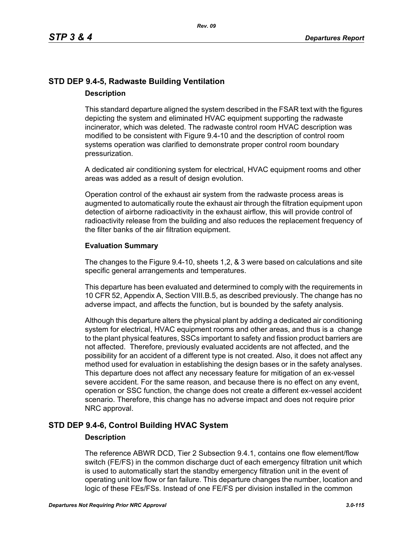# **STD DEP 9.4-5, Radwaste Building Ventilation Description**

This standard departure aligned the system described in the FSAR text with the figures depicting the system and eliminated HVAC equipment supporting the radwaste incinerator, which was deleted. The radwaste control room HVAC description was modified to be consistent with Figure 9.4-10 and the description of control room systems operation was clarified to demonstrate proper control room boundary pressurization.

A dedicated air conditioning system for electrical, HVAC equipment rooms and other areas was added as a result of design evolution.

Operation control of the exhaust air system from the radwaste process areas is augmented to automatically route the exhaust air through the filtration equipment upon detection of airborne radioactivity in the exhaust airflow, this will provide control of radioactivity release from the building and also reduces the replacement frequency of the filter banks of the air filtration equipment.

## **Evaluation Summary**

The changes to the Figure 9.4-10, sheets 1,2, & 3 were based on calculations and site specific general arrangements and temperatures.

This departure has been evaluated and determined to comply with the requirements in 10 CFR 52, Appendix A, Section VIII.B.5, as described previously. The change has no adverse impact, and affects the function, but is bounded by the safety analysis.

Although this departure alters the physical plant by adding a dedicated air conditioning system for electrical, HVAC equipment rooms and other areas, and thus is a change to the plant physical features, SSCs important to safety and fission product barriers are not affected. Therefore, previously evaluated accidents are not affected, and the possibility for an accident of a different type is not created. Also, it does not affect any method used for evaluation in establishing the design bases or in the safety analyses. This departure does not affect any necessary feature for mitigation of an ex-vessel severe accident. For the same reason, and because there is no effect on any event, operation or SSC function, the change does not create a different ex-vessel accident scenario. Therefore, this change has no adverse impact and does not require prior NRC approval.

# **STD DEP 9.4-6, Control Building HVAC System**

# **Description**

The reference ABWR DCD, Tier 2 Subsection 9.4.1, contains one flow element/flow switch (FE/FS) in the common discharge duct of each emergency filtration unit which is used to automatically start the standby emergency filtration unit in the event of operating unit low flow or fan failure. This departure changes the number, location and logic of these FEs/FSs. Instead of one FE/FS per division installed in the common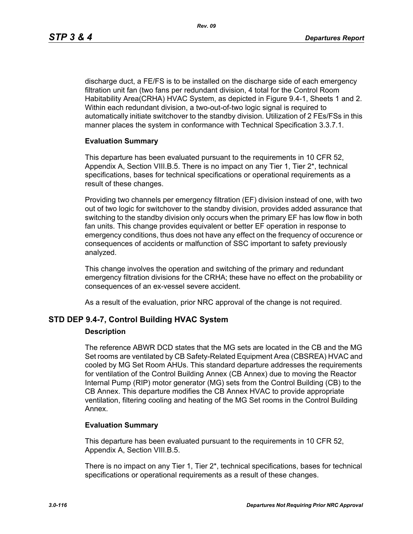discharge duct, a FE/FS is to be installed on the discharge side of each emergency filtration unit fan (two fans per redundant division, 4 total for the Control Room Habitability Area(CRHA) HVAC System, as depicted in Figure 9.4-1, Sheets 1 and 2. Within each redundant division, a two-out-of-two logic signal is required to automatically initiate switchover to the standby division. Utilization of 2 FEs/FSs in this manner places the system in conformance with Technical Specification 3.3.7.1.

## **Evaluation Summary**

This departure has been evaluated pursuant to the requirements in 10 CFR 52, Appendix A, Section VIII.B.5. There is no impact on any Tier 1, Tier 2\*, technical specifications, bases for technical specifications or operational requirements as a result of these changes.

Providing two channels per emergency filtration (EF) division instead of one, with two out of two logic for switchover to the standby division, provides added assurance that switching to the standby division only occurs when the primary EF has low flow in both fan units. This change provides equivalent or better EF operation in response to emergency conditions, thus does not have any effect on the frequency of occurence or consequences of accidents or malfunction of SSC important to safety previously analyzed.

This change involves the operation and switching of the primary and redundant emergency filtration divisions for the CRHA; these have no effect on the probability or consequences of an ex-vessel severe accident.

As a result of the evaluation, prior NRC approval of the change is not required.

# **STD DEP 9.4-7, Control Building HVAC System**

#### **Description**

The reference ABWR DCD states that the MG sets are located in the CB and the MG Set rooms are ventilated by CB Safety-Related Equipment Area (CBSREA) HVAC and cooled by MG Set Room AHUs. This standard departure addresses the requirements for ventilation of the Control Building Annex (CB Annex) due to moving the Reactor Internal Pump (RIP) motor generator (MG) sets from the Control Building (CB) to the CB Annex. This departure modifies the CB Annex HVAC to provide appropriate ventilation, filtering cooling and heating of the MG Set rooms in the Control Building Annex.

#### **Evaluation Summary**

This departure has been evaluated pursuant to the requirements in 10 CFR 52, Appendix A, Section VIII.B.5.

There is no impact on any Tier 1, Tier 2\*, technical specifications, bases for technical specifications or operational requirements as a result of these changes.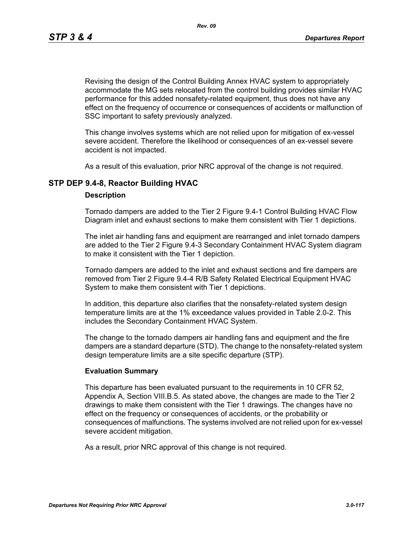*Rev. 09*

Revising the design of the Control Building Annex HVAC system to appropriately accommodate the MG sets relocated from the control building provides similar HVAC performance for this added nonsafety-related equipment, thus does not have any effect on the frequency of occurrence or consequences of accidents or malfunction of SSC important to safety previously analyzed.

This change involves systems which are not relied upon for mitigation of ex-vessel severe accident. Therefore the likelihood or consequences of an ex-vessel severe accident is not impacted.

As a result of this evaluation, prior NRC approval of the change is not required.

# **STP DEP 9.4-8, Reactor Building HVAC**

#### **Description**

Tornado dampers are added to the Tier 2 Figure 9.4-1 Control Building HVAC Flow Diagram inlet and exhaust sections to make them consistent with Tier 1 depictions.

The inlet air handling fans and equipment are rearranged and inlet tornado dampers are added to the Tier 2 Figure 9.4-3 Secondary Containment HVAC System diagram to make it consistent with the Tier 1 depiction.

Tornado dampers are added to the inlet and exhaust sections and fire dampers are removed from Tier 2 Figure 9.4-4 R/B Safety Related Electrical Equipment HVAC System to make them consistent with Tier 1 depictions.

In addition, this departure also clarifies that the nonsafety-related system design temperature limits are at the 1% exceedance values provided in Table 2.0-2. This includes the Secondary Containment HVAC System.

The change to the tornado dampers air handling fans and equipment and the fire dampers are a standard departure (STD). The change to the nonsafety-related system design temperature limits are a site specific departure (STP).

## **Evaluation Summary**

This departure has been evaluated pursuant to the requirements in 10 CFR 52, Appendix A, Section VIII.B.5. As stated above, the changes are made to the Tier 2 drawings to make them consistent with the Tier 1 drawings. The changes have no effect on the frequency or consequences of accidents, or the probability or consequences of malfunctions. The systems involved are not relied upon for ex-vessel severe accident mitigation.

As a result, prior NRC approval of this change is not required.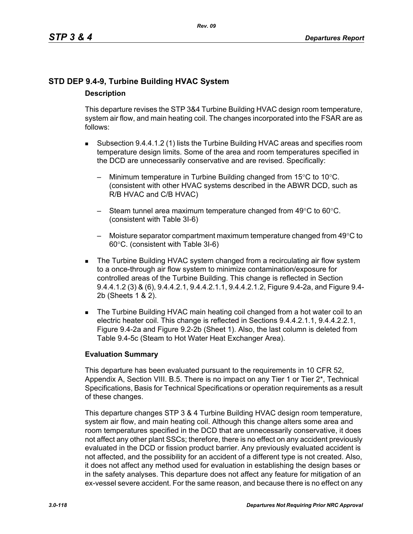# **STD DEP 9.4-9, Turbine Building HVAC System Description**

This departure revises the STP 3&4 Turbine Building HVAC design room temperature, system air flow, and main heating coil. The changes incorporated into the FSAR are as follows:

- Subsection 9.4.4.1.2 (1) lists the Turbine Building HVAC areas and specifies room temperature design limits. Some of the area and room temperatures specified in the DCD are unnecessarily conservative and are revised. Specifically:
	- Minimum temperature in Turbine Building changed from  $15^{\circ}$ C to  $10^{\circ}$ C. (consistent with other HVAC systems described in the ABWR DCD, such as R/B HVAC and C/B HVAC)
	- Steam tunnel area maximum temperature changed from 49°C to 60°C. (consistent with Table 3I-6)
	- Moisture separator compartment maximum temperature changed from  $49^{\circ}$ C to 60°C. (consistent with Table 3I-6)
- The Turbine Building HVAC system changed from a recirculating air flow system to a once-through air flow system to minimize contamination/exposure for controlled areas of the Turbine Building. This change is reflected in Section 9.4.4.1.2 (3) & (6), 9.4.4.2.1, 9.4.4.2.1.1, 9.4.4.2.1.2, Figure 9.4-2a, and Figure 9.4- 2b (Sheets 1 & 2).
- The Turbine Building HVAC main heating coil changed from a hot water coil to an electric heater coil. This change is reflected in Sections 9.4.4.2.1.1, 9.4.4.2.2.1, Figure 9.4-2a and Figure 9.2-2b (Sheet 1). Also, the last column is deleted from Table 9.4-5c (Steam to Hot Water Heat Exchanger Area).

# **Evaluation Summary**

This departure has been evaluated pursuant to the requirements in 10 CFR 52, Appendix A, Section VIII. B.5. There is no impact on any Tier 1 or Tier 2<sup>\*</sup>, Technical Specifications, Basis for Technical Specifications or operation requirements as a result of these changes.

This departure changes STP 3 & 4 Turbine Building HVAC design room temperature, system air flow, and main heating coil. Although this change alters some area and room temperatures specified in the DCD that are unnecessarily conservative, it does not affect any other plant SSCs; therefore, there is no effect on any accident previously evaluated in the DCD or fission product barrier. Any previously evaluated accident is not affected, and the possibility for an accident of a different type is not created. Also, it does not affect any method used for evaluation in establishing the design bases or in the safety analyses. This departure does not affect any feature for mitigation of an ex-vessel severe accident. For the same reason, and because there is no effect on any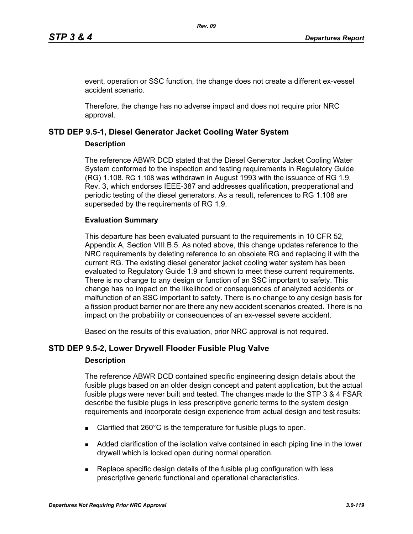event, operation or SSC function, the change does not create a different ex-vessel accident scenario.

Therefore, the change has no adverse impact and does not require prior NRC approval.

# **STD DEP 9.5-1, Diesel Generator Jacket Cooling Water System**

## **Description**

The reference ABWR DCD stated that the Diesel Generator Jacket Cooling Water System conformed to the inspection and testing requirements in Regulatory Guide (RG) 1.108. RG 1.108 was withdrawn in August 1993 with the issuance of RG 1.9, Rev. 3, which endorses IEEE-387 and addresses qualification, preoperational and periodic testing of the diesel generators. As a result, references to RG 1.108 are superseded by the requirements of RG 1.9.

# **Evaluation Summary**

This departure has been evaluated pursuant to the requirements in 10 CFR 52, Appendix A, Section VIII.B.5. As noted above, this change updates reference to the NRC requirements by deleting reference to an obsolete RG and replacing it with the current RG. The existing diesel generator jacket cooling water system has been evaluated to Regulatory Guide 1.9 and shown to meet these current requirements. There is no change to any design or function of an SSC important to safety. This change has no impact on the likelihood or consequences of analyzed accidents or malfunction of an SSC important to safety. There is no change to any design basis for a fission product barrier nor are there any new accident scenarios created. There is no impact on the probability or consequences of an ex-vessel severe accident.

Based on the results of this evaluation, prior NRC approval is not required.

# **STD DEP 9.5-2, Lower Drywell Flooder Fusible Plug Valve**

# **Description**

The reference ABWR DCD contained specific engineering design details about the fusible plugs based on an older design concept and patent application, but the actual fusible plugs were never built and tested. The changes made to the STP 3 & 4 FSAR describe the fusible plugs in less prescriptive generic terms to the system design requirements and incorporate design experience from actual design and test results:

- Clarified that 260°C is the temperature for fusible plugs to open.
- Added clarification of the isolation valve contained in each piping line in the lower drywell which is locked open during normal operation.
- **Replace specific design details of the fusible plug configuration with less** prescriptive generic functional and operational characteristics.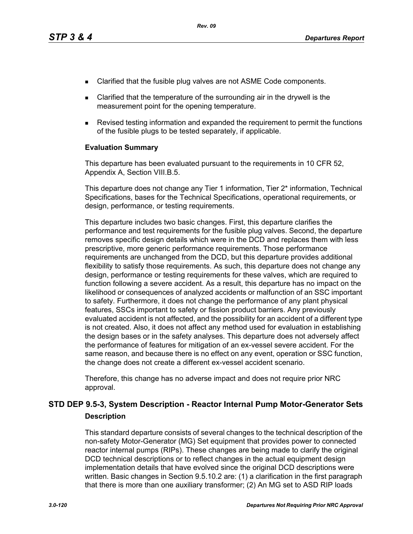- Clarified that the fusible plug valves are not ASME Code components.
- Clarified that the temperature of the surrounding air in the drywell is the measurement point for the opening temperature.
- Revised testing information and expanded the requirement to permit the functions of the fusible plugs to be tested separately, if applicable.

#### **Evaluation Summary**

This departure has been evaluated pursuant to the requirements in 10 CFR 52, Appendix A, Section VIII.B.5.

This departure does not change any Tier 1 information, Tier 2\* information, Technical Specifications, bases for the Technical Specifications, operational requirements, or design, performance, or testing requirements.

This departure includes two basic changes. First, this departure clarifies the performance and test requirements for the fusible plug valves. Second, the departure removes specific design details which were in the DCD and replaces them with less prescriptive, more generic performance requirements. Those performance requirements are unchanged from the DCD, but this departure provides additional flexibility to satisfy those requirements. As such, this departure does not change any design, performance or testing requirements for these valves, which are required to function following a severe accident. As a result, this departure has no impact on the likelihood or consequences of analyzed accidents or malfunction of an SSC important to safety. Furthermore, it does not change the performance of any plant physical features, SSCs important to safety or fission product barriers. Any previously evaluated accident is not affected, and the possibility for an accident of a different type is not created. Also, it does not affect any method used for evaluation in establishing the design bases or in the safety analyses. This departure does not adversely affect the performance of features for mitigation of an ex-vessel severe accident. For the same reason, and because there is no effect on any event, operation or SSC function, the change does not create a different ex-vessel accident scenario.

Therefore, this change has no adverse impact and does not require prior NRC approval.

# **STD DEP 9.5-3, System Description - Reactor Internal Pump Motor-Generator Sets Description**

This standard departure consists of several changes to the technical description of the non-safety Motor-Generator (MG) Set equipment that provides power to connected reactor internal pumps (RIPs). These changes are being made to clarify the original DCD technical descriptions or to reflect changes in the actual equipment design implementation details that have evolved since the original DCD descriptions were written. Basic changes in Section 9.5.10.2 are: (1) a clarification in the first paragraph that there is more than one auxiliary transformer; (2) An MG set to ASD RIP loads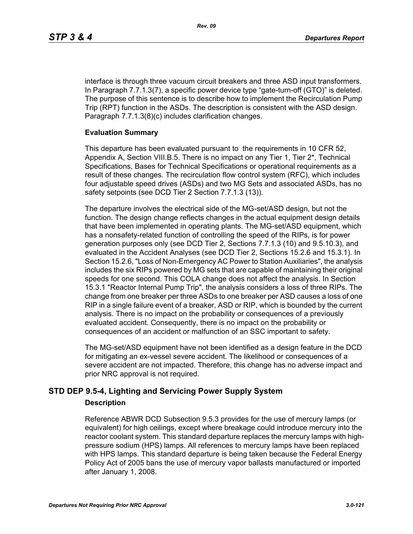interface is through three vacuum circuit breakers and three ASD input transformers. In Paragraph 7.7.1.3(7), a specific power device type "gate-turn-off (GTO)" is deleted. The purpose of this sentence is to describe how to implement the Recirculation Pump Trip (RPT) function in the ASDs. The description is consistent with the ASD design. Paragraph 7.7.1.3(8)(c) includes clarification changes.

## **Evaluation Summary**

This departure has been evaluated pursuant to the requirements in 10 CFR 52, Appendix A, Section VIII.B.5. There is no impact on any Tier 1, Tier 2\*, Technical Specifications, Bases for Technical Specifications or operational requirements as a result of these changes. The recirculation flow control system (RFC), which includes four adjustable speed drives (ASDs) and two MG Sets and associated ASDs, has no safety setpoints (see DCD Tier 2 Section 7.7.1.3 (13)).

The departure involves the electrical side of the MG-set/ASD design, but not the function. The design change reflects changes in the actual equipment design details that have been implemented in operating plants. The MG-set/ASD equipment, which has a nonsafety-related function of controlling the speed of the RIPs, is for power generation purposes only (see DCD Tier 2, Sections 7.7.1.3 (10) and 9.5.10.3), and evaluated in the Accident Analyses (see DCD Tier 2, Sections 15.2.6 and 15.3.1). In Section 15.2.6, "Loss of Non-Emergency AC Power to Station Auxiliaries", the analysis includes the six RIPs powered by MG sets that are capable of maintaining their original speeds for one second. This COLA change does not affect the analysis. In Section 15.3.1 "Reactor Internal Pump Trip", the analysis considers a loss of three RIPs. The change from one breaker per three ASDs to one breaker per ASD causes a loss of one RIP in a single failure event of a breaker, ASD or RIP, which is bounded by the current analysis. There is no impact on the probability or consequences of a previously evaluated accident. Consequently, there is no impact on the probability or consequences of an accident or malfunction of an SSC important to safety.

The MG-set/ASD equipment have not been identified as a design feature in the DCD for mitigating an ex-vessel severe accident. The likelihood or consequences of a severe accident are not impacted. Therefore, this change has no adverse impact and prior NRC approval is not required.

# **STD DEP 9.5-4, Lighting and Servicing Power Supply System**

# **Description**

Reference ABWR DCD Subsection 9.5.3 provides for the use of mercury lamps (or equivalent) for high ceilings, except where breakage could introduce mercury into the reactor coolant system. This standard departure replaces the mercury lamps with highpressure sodium (HPS) lamps. All references to mercury lamps have been replaced with HPS lamps. This standard departure is being taken because the Federal Energy Policy Act of 2005 bans the use of mercury vapor ballasts manufactured or imported after January 1, 2008.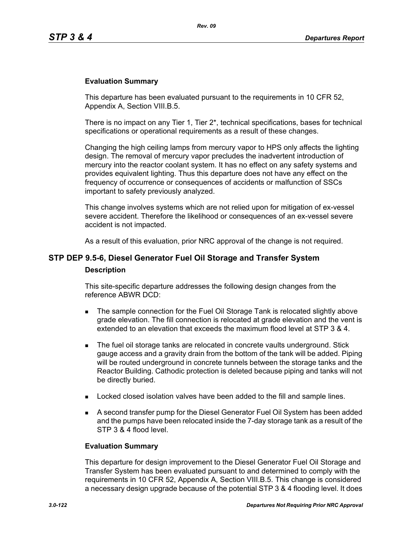#### **Evaluation Summary**

This departure has been evaluated pursuant to the requirements in 10 CFR 52, Appendix A, Section VIII.B.5.

There is no impact on any Tier 1, Tier  $2^*$ , technical specifications, bases for technical specifications or operational requirements as a result of these changes.

Changing the high ceiling lamps from mercury vapor to HPS only affects the lighting design. The removal of mercury vapor precludes the inadvertent introduction of mercury into the reactor coolant system. It has no effect on any safety systems and provides equivalent lighting. Thus this departure does not have any effect on the frequency of occurrence or consequences of accidents or malfunction of SSCs important to safety previously analyzed.

This change involves systems which are not relied upon for mitigation of ex-vessel severe accident. Therefore the likelihood or consequences of an ex-vessel severe accident is not impacted.

As a result of this evaluation, prior NRC approval of the change is not required.

# **STP DEP 9.5-6, Diesel Generator Fuel Oil Storage and Transfer System Description**

This site-specific departure addresses the following design changes from the reference ABWR DCD:

- The sample connection for the Fuel Oil Storage Tank is relocated slightly above grade elevation. The fill connection is relocated at grade elevation and the vent is extended to an elevation that exceeds the maximum flood level at STP 3 & 4.
- The fuel oil storage tanks are relocated in concrete vaults underground. Stick gauge access and a gravity drain from the bottom of the tank will be added. Piping will be routed underground in concrete tunnels between the storage tanks and the Reactor Building. Cathodic protection is deleted because piping and tanks will not be directly buried.
- **Locked closed isolation valves have been added to the fill and sample lines.**
- A second transfer pump for the Diesel Generator Fuel Oil System has been added and the pumps have been relocated inside the 7-day storage tank as a result of the STP 3 & 4 flood level.

#### **Evaluation Summary**

This departure for design improvement to the Diesel Generator Fuel Oil Storage and Transfer System has been evaluated pursuant to and determined to comply with the requirements in 10 CFR 52, Appendix A, Section VIII.B.5. This change is considered a necessary design upgrade because of the potential STP 3 & 4 flooding level. It does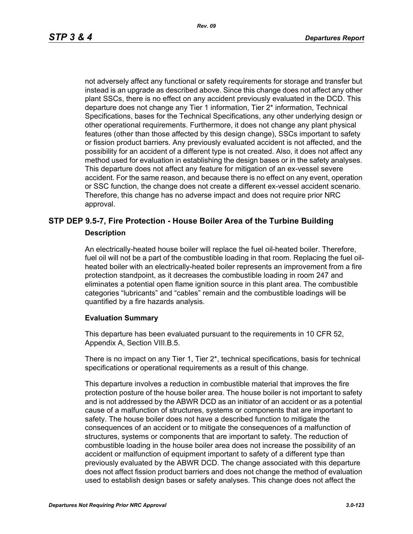not adversely affect any functional or safety requirements for storage and transfer but instead is an upgrade as described above. Since this change does not affect any other plant SSCs, there is no effect on any accident previously evaluated in the DCD. This departure does not change any Tier 1 information, Tier 2\* information, Technical Specifications, bases for the Technical Specifications, any other underlying design or other operational requirements. Furthermore, it does not change any plant physical features (other than those affected by this design change), SSCs important to safety or fission product barriers. Any previously evaluated accident is not affected, and the possibility for an accident of a different type is not created. Also, it does not affect any method used for evaluation in establishing the design bases or in the safety analyses. This departure does not affect any feature for mitigation of an ex-vessel severe accident. For the same reason, and because there is no effect on any event, operation or SSC function, the change does not create a different ex-vessel accident scenario. Therefore, this change has no adverse impact and does not require prior NRC approval.

# **STP DEP 9.5-7, Fire Protection - House Boiler Area of the Turbine Building Description**

An electrically-heated house boiler will replace the fuel oil-heated boiler. Therefore, fuel oil will not be a part of the combustible loading in that room. Replacing the fuel oilheated boiler with an electrically-heated boiler represents an improvement from a fire protection standpoint, as it decreases the combustible loading in room 247 and eliminates a potential open flame ignition source in this plant area. The combustible categories "lubricants" and "cables" remain and the combustible loadings will be quantified by a fire hazards analysis.

#### **Evaluation Summary**

This departure has been evaluated pursuant to the requirements in 10 CFR 52, Appendix A, Section VIII.B.5.

There is no impact on any Tier 1, Tier 2\*, technical specifications, basis for technical specifications or operational requirements as a result of this change.

This departure involves a reduction in combustible material that improves the fire protection posture of the house boiler area. The house boiler is not important to safety and is not addressed by the ABWR DCD as an initiator of an accident or as a potential cause of a malfunction of structures, systems or components that are important to safety. The house boiler does not have a described function to mitigate the consequences of an accident or to mitigate the consequences of a malfunction of structures, systems or components that are important to safety. The reduction of combustible loading in the house boiler area does not increase the possibility of an accident or malfunction of equipment important to safety of a different type than previously evaluated by the ABWR DCD. The change associated with this departure does not affect fission product barriers and does not change the method of evaluation used to establish design bases or safety analyses. This change does not affect the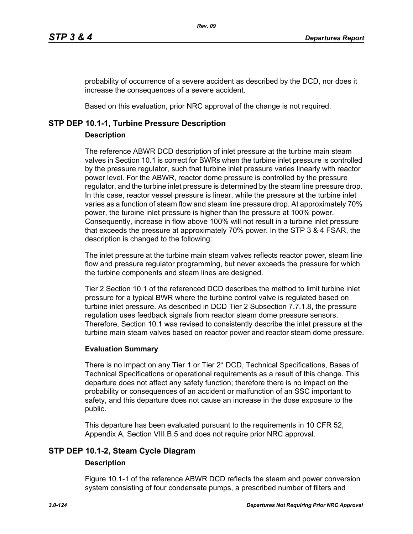probability of occurrence of a severe accident as described by the DCD, nor does it increase the consequences of a severe accident.

Based on this evaluation, prior NRC approval of the change is not required.

# **STP DEP 10.1-1, Turbine Pressure Description**

# **Description**

The reference ABWR DCD description of inlet pressure at the turbine main steam valves in Section 10.1 is correct for BWRs when the turbine inlet pressure is controlled by the pressure regulator, such that turbine inlet pressure varies linearly with reactor power level. For the ABWR, reactor dome pressure is controlled by the pressure regulator, and the turbine inlet pressure is determined by the steam line pressure drop. In this case, reactor vessel pressure is linear, while the pressure at the turbine inlet varies as a function of steam flow and steam line pressure drop. At approximately 70% power, the turbine inlet pressure is higher than the pressure at 100% power. Consequently, increase in flow above 100% will not result in a turbine inlet pressure that exceeds the pressure at approximately 70% power. In the STP 3 & 4 FSAR, the description is changed to the following:

The inlet pressure at the turbine main steam valves reflects reactor power, steam line flow and pressure regulator programming, but never exceeds the pressure for which the turbine components and steam lines are designed.

Tier 2 Section 10.1 of the referenced DCD describes the method to limit turbine inlet pressure for a typical BWR where the turbine control valve is regulated based on turbine inlet pressure. As described in DCD Tier 2 Subsection 7.7.1.8, the pressure regulation uses feedback signals from reactor steam dome pressure sensors. Therefore, Section 10.1 was revised to consistently describe the inlet pressure at the turbine main steam valves based on reactor power and reactor steam dome pressure.

# **Evaluation Summary**

There is no impact on any Tier 1 or Tier 2\* DCD, Technical Specifications, Bases of Technical Specifications or operational requirements as a result of this change. This departure does not affect any safety function; therefore there is no impact on the probability or consequences of an accident or malfunction of an SSC important to safety, and this departure does not cause an increase in the dose exposure to the public.

This departure has been evaluated pursuant to the requirements in 10 CFR 52, Appendix A, Section VIII.B.5 and does not require prior NRC approval.

# **STP DEP 10.1-2, Steam Cycle Diagram**

# **Description**

Figure 10.1-1 of the reference ABWR DCD reflects the steam and power conversion system consisting of four condensate pumps, a prescribed number of filters and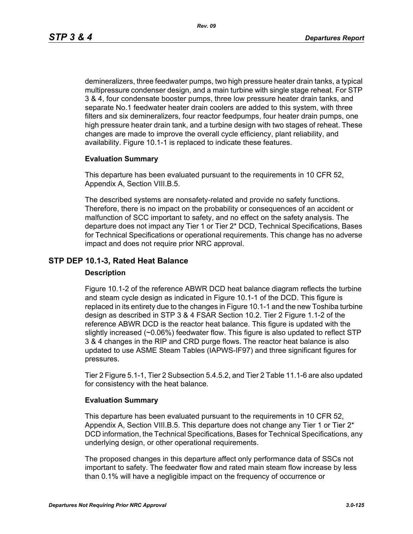demineralizers, three feedwater pumps, two high pressure heater drain tanks, a typical multipressure condenser design, and a main turbine with single stage reheat. For STP 3 & 4, four condensate booster pumps, three low pressure heater drain tanks, and separate No.1 feedwater heater drain coolers are added to this system, with three filters and six demineralizers, four reactor feedpumps, four heater drain pumps, one high pressure heater drain tank, and a turbine design with two stages of reheat. These changes are made to improve the overall cycle efficiency, plant reliability, and availability. Figure 10.1-1 is replaced to indicate these features.

## **Evaluation Summary**

This departure has been evaluated pursuant to the requirements in 10 CFR 52, Appendix A, Section VIII.B.5.

The described systems are nonsafety-related and provide no safety functions. Therefore, there is no impact on the probability or consequences of an accident or malfunction of SCC important to safety, and no effect on the safety analysis. The departure does not impact any Tier 1 or Tier 2\* DCD, Technical Specifications, Bases for Technical Specifications or operational requirements. This change has no adverse impact and does not require prior NRC approval.

# **STP DEP 10.1-3, Rated Heat Balance**

#### **Description**

Figure 10.1-2 of the reference ABWR DCD heat balance diagram reflects the turbine and steam cycle design as indicated in Figure 10.1-1 of the DCD. This figure is replaced in its entirety due to the changes in Figure 10.1-1 and the new Toshiba turbine design as described in STP 3 & 4 FSAR Section 10.2. Tier 2 Figure 1.1-2 of the reference ABWR DCD is the reactor heat balance. This figure is updated with the slightly increased (~0.06%) feedwater flow. This figure is also updated to reflect STP 3 & 4 changes in the RIP and CRD purge flows. The reactor heat balance is also updated to use ASME Steam Tables (IAPWS-IF97) and three significant figures for pressures.

Tier 2 Figure 5.1-1, Tier 2 Subsection 5.4.5.2, and Tier 2 Table 11.1-6 are also updated for consistency with the heat balance.

# **Evaluation Summary**

This departure has been evaluated pursuant to the requirements in 10 CFR 52, Appendix A, Section VIII.B.5. This departure does not change any Tier 1 or Tier 2\* DCD information, the Technical Specifications, Bases for Technical Specifications, any underlying design, or other operational requirements.

The proposed changes in this departure affect only performance data of SSCs not important to safety. The feedwater flow and rated main steam flow increase by less than 0.1% will have a negligible impact on the frequency of occurrence or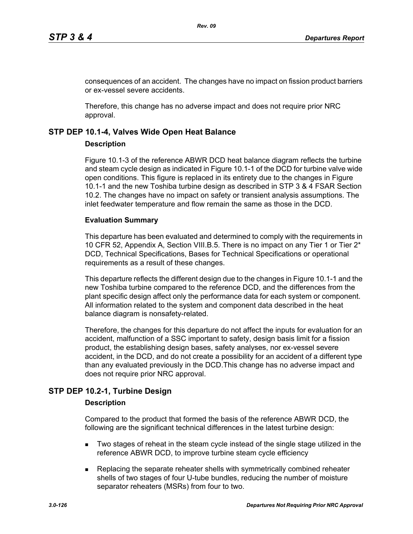consequences of an accident. The changes have no impact on fission product barriers or ex-vessel severe accidents.

Therefore, this change has no adverse impact and does not require prior NRC approval.

# **STP DEP 10.1-4, Valves Wide Open Heat Balance**

## **Description**

Figure 10.1-3 of the reference ABWR DCD heat balance diagram reflects the turbine and steam cycle design as indicated in Figure 10.1-1 of the DCD for turbine valve wide open conditions. This figure is replaced in its entirety due to the changes in Figure 10.1-1 and the new Toshiba turbine design as described in STP 3 & 4 FSAR Section 10.2. The changes have no impact on safety or transient analysis assumptions. The inlet feedwater temperature and flow remain the same as those in the DCD.

## **Evaluation Summary**

This departure has been evaluated and determined to comply with the requirements in 10 CFR 52, Appendix A, Section VIII.B.5. There is no impact on any Tier 1 or Tier 2\* DCD, Technical Specifications, Bases for Technical Specifications or operational requirements as a result of these changes.

This departure reflects the different design due to the changes in Figure 10.1-1 and the new Toshiba turbine compared to the reference DCD, and the differences from the plant specific design affect only the performance data for each system or component. All information related to the system and component data described in the heat balance diagram is nonsafety-related.

Therefore, the changes for this departure do not affect the inputs for evaluation for an accident, malfunction of a SSC important to safety, design basis limit for a fission product, the establishing design bases, safety analyses, nor ex-vessel severe accident, in the DCD, and do not create a possibility for an accident of a different type than any evaluated previously in the DCD.This change has no adverse impact and does not require prior NRC approval.

# **STP DEP 10.2-1, Turbine Design**

# **Description**

Compared to the product that formed the basis of the reference ABWR DCD, the following are the significant technical differences in the latest turbine design:

- **Two stages of reheat in the steam cycle instead of the single stage utilized in the** reference ABWR DCD, to improve turbine steam cycle efficiency
- **Replacing the separate reheater shells with symmetrically combined reheater** shells of two stages of four U-tube bundles, reducing the number of moisture separator reheaters (MSRs) from four to two.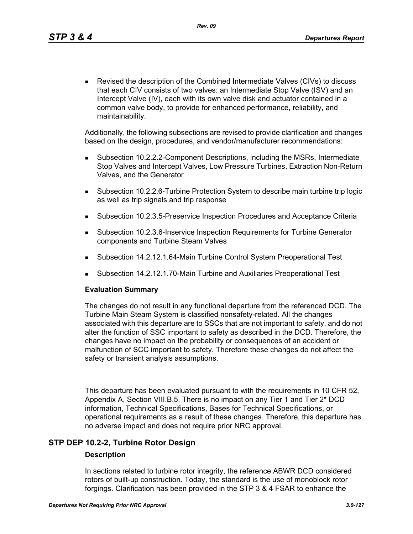Revised the description of the Combined Intermediate Valves (CIVs) to discuss that each CIV consists of two valves: an Intermediate Stop Valve (ISV) and an Intercept Valve (IV), each with its own valve disk and actuator contained in a common valve body, to provide for enhanced performance, reliability, and maintainability.

Additionally, the following subsections are revised to provide clarification and changes based on the design, procedures, and vendor/manufacturer recommendations:

- Subsection 10.2.2.2-Component Descriptions, including the MSRs, Intermediate Stop Valves and Intercept Valves, Low Pressure Turbines, Extraction Non-Return Valves, and the Generator
- Subsection 10.2.2.6-Turbine Protection System to describe main turbine trip logic as well as trip signals and trip response
- Subsection 10.2.3.5-Preservice Inspection Procedures and Acceptance Criteria
- Subsection 10.2.3.6-Inservice Inspection Requirements for Turbine Generator components and Turbine Steam Valves
- Subsection 14.2.12.1.64-Main Turbine Control System Preoperational Test
- Subsection 14.2.12.1.70-Main Turbine and Auxiliaries Preoperational Test

#### **Evaluation Summary**

The changes do not result in any functional departure from the referenced DCD. The Turbine Main Steam System is classified nonsafety-related. All the changes associated with this departure are to SSCs that are not important to safety, and do not alter the function of SSC important to safety as described in the DCD. Therefore, the changes have no impact on the probability or consequences of an accident or malfunction of SCC important to safety. Therefore these changes do not affect the safety or transient analysis assumptions.

This departure has been evaluated pursuant to with the requirements in 10 CFR 52, Appendix A, Section VIII.B.5. There is no impact on any Tier 1 and Tier 2\* DCD information, Technical Specifications, Bases for Technical Specifications, or operational requirements as a result of these changes. Therefore, this departure has no adverse impact and does not require prior NRC approval.

# **STP DEP 10.2-2, Turbine Rotor Design**

#### **Description**

In sections related to turbine rotor integrity, the reference ABWR DCD considered rotors of built-up construction. Today, the standard is the use of monoblock rotor forgings. Clarification has been provided in the STP 3 & 4 FSAR to enhance the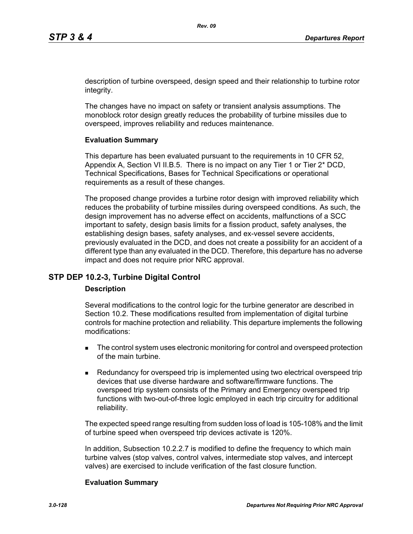description of turbine overspeed, design speed and their relationship to turbine rotor integrity.

The changes have no impact on safety or transient analysis assumptions. The monoblock rotor design greatly reduces the probability of turbine missiles due to overspeed, improves reliability and reduces maintenance.

## **Evaluation Summary**

This departure has been evaluated pursuant to the requirements in 10 CFR 52, Appendix A, Section VI II.B.5. There is no impact on any Tier 1 or Tier 2\* DCD, Technical Specifications, Bases for Technical Specifications or operational requirements as a result of these changes.

The proposed change provides a turbine rotor design with improved reliability which reduces the probability of turbine missiles during overspeed conditions. As such, the design improvement has no adverse effect on accidents, malfunctions of a SCC important to safety, design basis limits for a fission product, safety analyses, the establishing design bases, safety analyses, and ex-vessel severe accidents, previously evaluated in the DCD, and does not create a possibility for an accident of a different type than any evaluated in the DCD. Therefore, this departure has no adverse impact and does not require prior NRC approval.

# **STP DEP 10.2-3, Turbine Digital Control**

#### **Description**

Several modifications to the control logic for the turbine generator are described in Section 10.2. These modifications resulted from implementation of digital turbine controls for machine protection and reliability. This departure implements the following modifications:

- The control system uses electronic monitoring for control and overspeed protection of the main turbine.
- **Redundancy for overspeed trip is implemented using two electrical overspeed trip** devices that use diverse hardware and software/firmware functions. The overspeed trip system consists of the Primary and Emergency overspeed trip functions with two-out-of-three logic employed in each trip circuitry for additional reliability.

The expected speed range resulting from sudden loss of load is 105-108% and the limit of turbine speed when overspeed trip devices activate is 120%.

In addition, Subsection 10.2.2.7 is modified to define the frequency to which main turbine valves (stop valves, control valves, intermediate stop valves, and intercept valves) are exercised to include verification of the fast closure function.

#### **Evaluation Summary**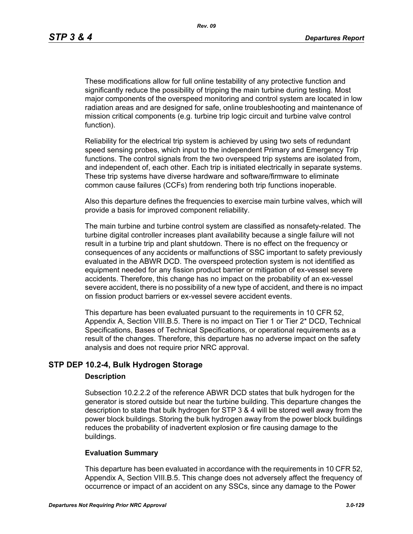These modifications allow for full online testability of any protective function and significantly reduce the possibility of tripping the main turbine during testing. Most major components of the overspeed monitoring and control system are located in low radiation areas and are designed for safe, online troubleshooting and maintenance of mission critical components (e.g. turbine trip logic circuit and turbine valve control function).

Reliability for the electrical trip system is achieved by using two sets of redundant speed sensing probes, which input to the independent Primary and Emergency Trip functions. The control signals from the two overspeed trip systems are isolated from, and independent of, each other. Each trip is initiated electrically in separate systems. These trip systems have diverse hardware and software/firmware to eliminate common cause failures (CCFs) from rendering both trip functions inoperable.

Also this departure defines the frequencies to exercise main turbine valves, which will provide a basis for improved component reliability.

The main turbine and turbine control system are classified as nonsafety-related. The turbine digital controller increases plant availability because a single failure will not result in a turbine trip and plant shutdown. There is no effect on the frequency or consequences of any accidents or malfunctions of SSC important to safety previously evaluated in the ABWR DCD. The overspeed protection system is not identified as equipment needed for any fission product barrier or mitigation of ex-vessel severe accidents. Therefore, this change has no impact on the probability of an ex-vessel severe accident, there is no possibility of a new type of accident, and there is no impact on fission product barriers or ex-vessel severe accident events.

This departure has been evaluated pursuant to the requirements in 10 CFR 52, Appendix A, Section VIII.B.5. There is no impact on Tier 1 or Tier 2\* DCD, Technical Specifications, Bases of Technical Specifications, or operational requirements as a result of the changes. Therefore, this departure has no adverse impact on the safety analysis and does not require prior NRC approval.

# **STP DEP 10.2-4, Bulk Hydrogen Storage**

#### **Description**

Subsection 10.2.2.2 of the reference ABWR DCD states that bulk hydrogen for the generator is stored outside but near the turbine building. This departure changes the description to state that bulk hydrogen for STP 3 & 4 will be stored well away from the power block buildings. Storing the bulk hydrogen away from the power block buildings reduces the probability of inadvertent explosion or fire causing damage to the buildings.

#### **Evaluation Summary**

This departure has been evaluated in accordance with the requirements in 10 CFR 52, Appendix A, Section VIII.B.5. This change does not adversely affect the frequency of occurrence or impact of an accident on any SSCs, since any damage to the Power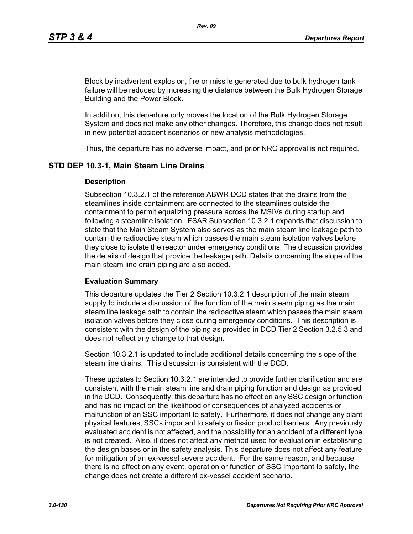Block by inadvertent explosion, fire or missile generated due to bulk hydrogen tank failure will be reduced by increasing the distance between the Bulk Hydrogen Storage Building and the Power Block.

In addition, this departure only moves the location of the Bulk Hydrogen Storage System and does not make any other changes. Therefore, this change does not result in new potential accident scenarios or new analysis methodologies.

Thus, the departure has no adverse impact, and prior NRC approval is not required.

# **STD DEP 10.3-1, Main Steam Line Drains**

#### **Description**

Subsection 10.3.2.1 of the reference ABWR DCD states that the drains from the steamlines inside containment are connected to the steamlines outside the containment to permit equalizing pressure across the MSIVs during startup and following a steamline isolation. FSAR Subsection 10.3.2.1 expands that discussion to state that the Main Steam System also serves as the main steam line leakage path to contain the radioactive steam which passes the main steam isolation valves before they close to isolate the reactor under emergency conditions. The discussion provides the details of design that provide the leakage path. Details concerning the slope of the main steam line drain piping are also added.

#### **Evaluation Summary**

This departure updates the Tier 2 Section 10.3.2.1 description of the main steam supply to include a discussion of the function of the main steam piping as the main steam line leakage path to contain the radioactive steam which passes the main steam isolation valves before they close during emergency conditions. This description is consistent with the design of the piping as provided in DCD Tier 2 Section 3.2.5.3 and does not reflect any change to that design.

Section 10.3.2.1 is updated to include additional details concerning the slope of the steam line drains. This discussion is consistent with the DCD.

These updates to Section 10.3.2.1 are intended to provide further clarification and are consistent with the main steam line and drain piping function and design as provided in the DCD. Consequently, this departure has no effect on any SSC design or function and has no impact on the likelihood or consequences of analyzed accidents or malfunction of an SSC important to safety. Furthermore, it does not change any plant physical features, SSCs important to safety or fission product barriers. Any previously evaluated accident is not affected, and the possibility for an accident of a different type is not created. Also, it does not affect any method used for evaluation in establishing the design bases or in the safety analysis. This departure does not affect any feature for mitigation of an ex-vessel severe accident. For the same reason, and because there is no effect on any event, operation or function of SSC important to safety, the change does not create a different ex-vessel accident scenario.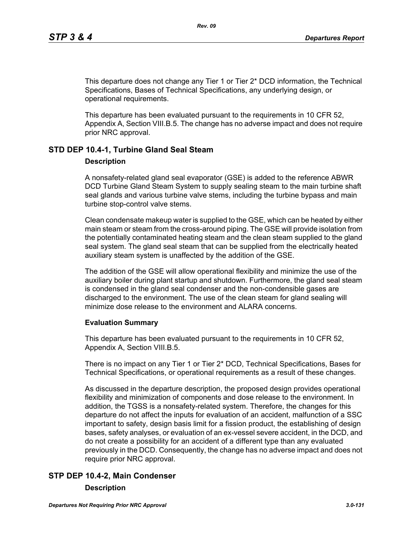This departure does not change any Tier 1 or Tier 2\* DCD information, the Technical Specifications, Bases of Technical Specifications, any underlying design, or operational requirements.

This departure has been evaluated pursuant to the requirements in 10 CFR 52, Appendix A, Section VIII.B.5. The change has no adverse impact and does not require prior NRC approval.

# **STD DEP 10.4-1, Turbine Gland Seal Steam**

#### **Description**

A nonsafety-related gland seal evaporator (GSE) is added to the reference ABWR DCD Turbine Gland Steam System to supply sealing steam to the main turbine shaft seal glands and various turbine valve stems, including the turbine bypass and main turbine stop-control valve stems.

Clean condensate makeup water is supplied to the GSE, which can be heated by either main steam or steam from the cross-around piping. The GSE will provide isolation from the potentially contaminated heating steam and the clean steam supplied to the gland seal system. The gland seal steam that can be supplied from the electrically heated auxiliary steam system is unaffected by the addition of the GSE.

The addition of the GSE will allow operational flexibility and minimize the use of the auxiliary boiler during plant startup and shutdown. Furthermore, the gland seal steam is condensed in the gland seal condenser and the non-condensible gases are discharged to the environment. The use of the clean steam for gland sealing will minimize dose release to the environment and ALARA concerns.

#### **Evaluation Summary**

This departure has been evaluated pursuant to the requirements in 10 CFR 52, Appendix A, Section VIII.B.5.

There is no impact on any Tier 1 or Tier 2\* DCD, Technical Specifications, Bases for Technical Specifications, or operational requirements as a result of these changes.

As discussed in the departure description, the proposed design provides operational flexibility and minimization of components and dose release to the environment. In addition, the TGSS is a nonsafety-related system. Therefore, the changes for this departure do not affect the inputs for evaluation of an accident, malfunction of a SSC important to safety, design basis limit for a fission product, the establishing of design bases, safety analyses, or evaluation of an ex-vessel severe accident, in the DCD, and do not create a possibility for an accident of a different type than any evaluated previously in the DCD. Consequently, the change has no adverse impact and does not require prior NRC approval.

# **STP DEP 10.4-2, Main Condenser**

#### **Description**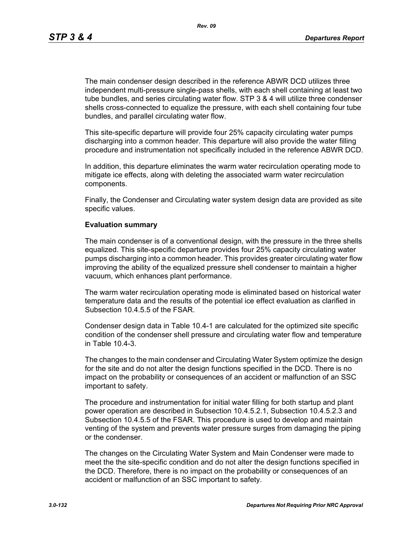*Rev. 09*

The main condenser design described in the reference ABWR DCD utilizes three independent multi-pressure single-pass shells, with each shell containing at least two tube bundles, and series circulating water flow. STP 3 & 4 will utilize three condenser shells cross-connected to equalize the pressure, with each shell containing four tube bundles, and parallel circulating water flow.

This site-specific departure will provide four 25% capacity circulating water pumps discharging into a common header. This departure will also provide the water filling procedure and instrumentation not specifically included in the reference ABWR DCD.

In addition, this departure eliminates the warm water recirculation operating mode to mitigate ice effects, along with deleting the associated warm water recirculation components.

Finally, the Condenser and Circulating water system design data are provided as site specific values.

#### **Evaluation summary**

The main condenser is of a conventional design, with the pressure in the three shells equalized. This site-specific departure provides four 25% capacity circulating water pumps discharging into a common header. This provides greater circulating water flow improving the ability of the equalized pressure shell condenser to maintain a higher vacuum, which enhances plant performance.

The warm water recirculation operating mode is eliminated based on historical water temperature data and the results of the potential ice effect evaluation as clarified in Subsection 10.4.5.5 of the FSAR.

Condenser design data in Table 10.4-1 are calculated for the optimized site specific condition of the condenser shell pressure and circulating water flow and temperature in Table 10.4-3.

The changes to the main condenser and Circulating Water System optimize the design for the site and do not alter the design functions specified in the DCD. There is no impact on the probability or consequences of an accident or malfunction of an SSC important to safety.

The procedure and instrumentation for initial water filling for both startup and plant power operation are described in Subsection 10.4.5.2.1, Subsection 10.4.5.2.3 and Subsection 10.4.5.5 of the FSAR. This procedure is used to develop and maintain venting of the system and prevents water pressure surges from damaging the piping or the condenser.

The changes on the Circulating Water System and Main Condenser were made to meet the the site-specific condition and do not alter the design functions specified in the DCD. Therefore, there is no impact on the probability or consequences of an accident or malfunction of an SSC important to safety.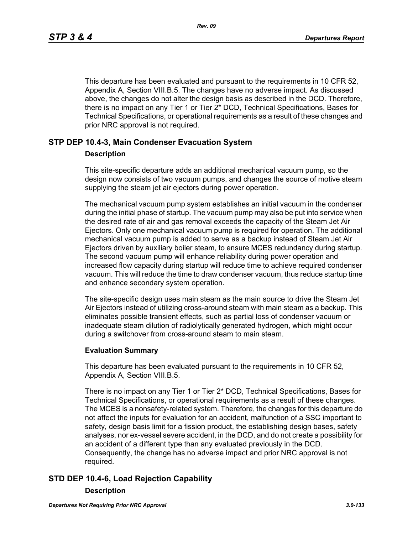This departure has been evaluated and pursuant to the requirements in 10 CFR 52, Appendix A, Section VIII.B.5. The changes have no adverse impact. As discussed above, the changes do not alter the design basis as described in the DCD. Therefore, there is no impact on any Tier 1 or Tier 2\* DCD, Technical Specifications, Bases for Technical Specifications, or operational requirements as a result of these changes and prior NRC approval is not required.

# **STP DEP 10.4-3, Main Condenser Evacuation System**

#### **Description**

This site-specific departure adds an additional mechanical vacuum pump, so the design now consists of two vacuum pumps, and changes the source of motive steam supplying the steam jet air ejectors during power operation.

The mechanical vacuum pump system establishes an initial vacuum in the condenser during the initial phase of startup. The vacuum pump may also be put into service when the desired rate of air and gas removal exceeds the capacity of the Steam Jet Air Ejectors. Only one mechanical vacuum pump is required for operation. The additional mechanical vacuum pump is added to serve as a backup instead of Steam Jet Air Ejectors driven by auxiliary boiler steam, to ensure MCES redundancy during startup. The second vacuum pump will enhance reliability during power operation and increased flow capacity during startup will reduce time to achieve required condenser vacuum. This will reduce the time to draw condenser vacuum, thus reduce startup time and enhance secondary system operation.

The site-specific design uses main steam as the main source to drive the Steam Jet Air Ejectors instead of utilizing cross-around steam with main steam as a backup. This eliminates possible transient effects, such as partial loss of condenser vacuum or inadequate steam dilution of radiolytically generated hydrogen, which might occur during a switchover from cross-around steam to main steam.

#### **Evaluation Summary**

This departure has been evaluated pursuant to the requirements in 10 CFR 52, Appendix A, Section VIII.B.5.

There is no impact on any Tier 1 or Tier 2\* DCD, Technical Specifications, Bases for Technical Specifications, or operational requirements as a result of these changes. The MCES is a nonsafety-related system. Therefore, the changes for this departure do not affect the inputs for evaluation for an accident, malfunction of a SSC important to safety, design basis limit for a fission product, the establishing design bases, safety analyses, nor ex-vessel severe accident, in the DCD, and do not create a possibility for an accident of a different type than any evaluated previously in the DCD. Consequently, the change has no adverse impact and prior NRC approval is not required.

# **STD DEP 10.4-6, Load Rejection Capability**

#### **Description**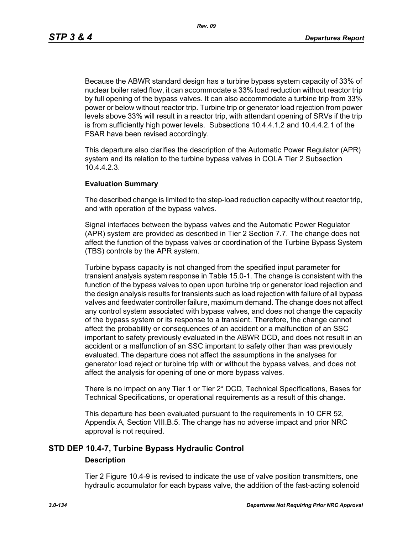Because the ABWR standard design has a turbine bypass system capacity of 33% of nuclear boiler rated flow, it can accommodate a 33% load reduction without reactor trip by full opening of the bypass valves. It can also accommodate a turbine trip from 33% power or below without reactor trip. Turbine trip or generator load rejection from power levels above 33% will result in a reactor trip, with attendant opening of SRVs if the trip is from sufficiently high power levels. Subsections 10.4.4.1.2 and 10.4.4.2.1 of the FSAR have been revised accordingly.

This departure also clarifies the description of the Automatic Power Regulator (APR) system and its relation to the turbine bypass valves in COLA Tier 2 Subsection 10.4.4.2.3.

#### **Evaluation Summary**

The described change is limited to the step-load reduction capacity without reactor trip, and with operation of the bypass valves.

Signal interfaces between the bypass valves and the Automatic Power Regulator (APR) system are provided as described in Tier 2 Section 7.7. The change does not affect the function of the bypass valves or coordination of the Turbine Bypass System (TBS) controls by the APR system.

Turbine bypass capacity is not changed from the specified input parameter for transient analysis system response in Table 15.0-1. The change is consistent with the function of the bypass valves to open upon turbine trip or generator load rejection and the design analysis results for transients such as load rejection with failure of all bypass valves and feedwater controller failure, maximum demand. The change does not affect any control system associated with bypass valves, and does not change the capacity of the bypass system or its response to a transient. Therefore, the change cannot affect the probability or consequences of an accident or a malfunction of an SSC important to safety previously evaluated in the ABWR DCD, and does not result in an accident or a malfunction of an SSC important to safety other than was previously evaluated. The departure does not affect the assumptions in the analyses for generator load reject or turbine trip with or without the bypass valves, and does not affect the analysis for opening of one or more bypass valves.

There is no impact on any Tier 1 or Tier 2\* DCD, Technical Specifications, Bases for Technical Specifications, or operational requirements as a result of this change.

This departure has been evaluated pursuant to the requirements in 10 CFR 52, Appendix A, Section VIII.B.5. The change has no adverse impact and prior NRC approval is not required.

# **STD DEP 10.4-7, Turbine Bypass Hydraulic Control**

# **Description**

Tier 2 Figure 10.4-9 is revised to indicate the use of valve position transmitters, one hydraulic accumulator for each bypass valve, the addition of the fast-acting solenoid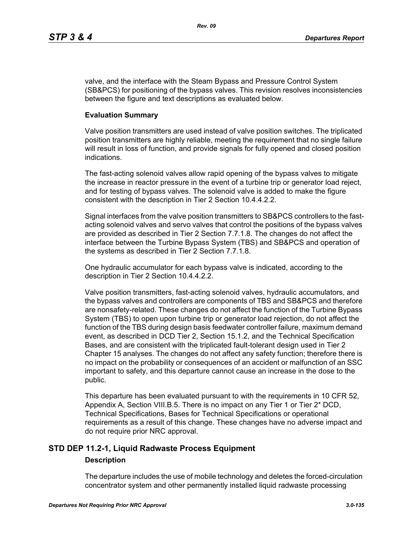valve, and the interface with the Steam Bypass and Pressure Control System (SB&PCS) for positioning of the bypass valves. This revision resolves inconsistencies between the figure and text descriptions as evaluated below.

#### **Evaluation Summary**

Valve position transmitters are used instead of valve position switches. The triplicated position transmitters are highly reliable, meeting the requirement that no single failure will result in loss of function, and provide signals for fully opened and closed position indications.

The fast-acting solenoid valves allow rapid opening of the bypass valves to mitigate the increase in reactor pressure in the event of a turbine trip or generator load reject, and for testing of bypass valves. The solenoid valve is added to make the figure consistent with the description in Tier 2 Section 10.4.4.2.2.

Signal interfaces from the valve position transmitters to SB&PCS controllers to the fastacting solenoid valves and servo valves that control the positions of the bypass valves are provided as described in Tier 2 Section 7.7.1.8. The changes do not affect the interface between the Turbine Bypass System (TBS) and SB&PCS and operation of the systems as described in Tier 2 Section 7.7.1.8.

One hydraulic accumulator for each bypass valve is indicated, according to the description in Tier 2 Section 10.4.4.2.2.

Valve position transmitters, fast-acting solenoid valves, hydraulic accumulators, and the bypass valves and controllers are components of TBS and SB&PCS and therefore are nonsafety-related. These changes do not affect the function of the Turbine Bypass System (TBS) to open upon turbine trip or generator load rejection, do not affect the function of the TBS during design basis feedwater controller failure, maximum demand event, as described in DCD Tier 2, Section 15.1.2, and the Technical Specification Bases, and are consistent with the triplicated fault-tolerant design used in Tier 2 Chapter 15 analyses. The changes do not affect any safety function; therefore there is no impact on the probability or consequences of an accident or malfunction of an SSC important to safety, and this departure cannot cause an increase in the dose to the public.

This departure has been evaluated pursuant to with the requirements in 10 CFR 52, Appendix A, Section VIII.B.5. There is no impact on any Tier 1 or Tier 2\* DCD, Technical Specifications, Bases for Technical Specifications or operational requirements as a result of this change. These changes have no adverse impact and do not require prior NRC approval.

# **STD DEP 11.2-1, Liquid Radwaste Process Equipment**

#### **Description**

The departure includes the use of mobile technology and deletes the forced-circulation concentrator system and other permanently installed liquid radwaste processing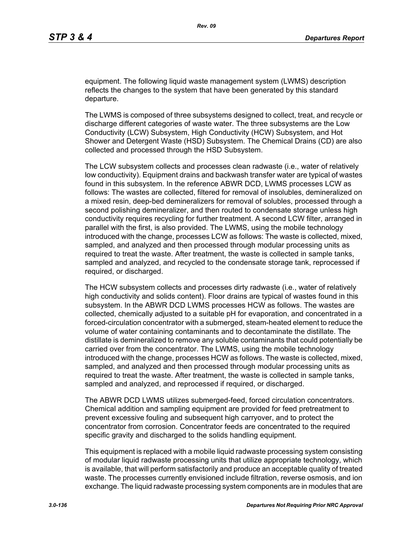equipment. The following liquid waste management system (LWMS) description reflects the changes to the system that have been generated by this standard departure.

The LWMS is composed of three subsystems designed to collect, treat, and recycle or discharge different categories of waste water. The three subsystems are the Low Conductivity (LCW) Subsystem, High Conductivity (HCW) Subsystem, and Hot Shower and Detergent Waste (HSD) Subsystem. The Chemical Drains (CD) are also collected and processed through the HSD Subsystem.

The LCW subsystem collects and processes clean radwaste (i.e., water of relatively low conductivity). Equipment drains and backwash transfer water are typical of wastes found in this subsystem. In the reference ABWR DCD, LWMS processes LCW as follows: The wastes are collected, filtered for removal of insolubles, demineralized on a mixed resin, deep-bed demineralizers for removal of solubles, processed through a second polishing demineralizer, and then routed to condensate storage unless high conductivity requires recycling for further treatment. A second LCW filter, arranged in parallel with the first, is also provided. The LWMS, using the mobile technology introduced with the change, processes LCW as follows: The waste is collected, mixed, sampled, and analyzed and then processed through modular processing units as required to treat the waste. After treatment, the waste is collected in sample tanks, sampled and analyzed, and recycled to the condensate storage tank, reprocessed if required, or discharged.

The HCW subsystem collects and processes dirty radwaste (i.e., water of relatively high conductivity and solids content). Floor drains are typical of wastes found in this subsystem. In the ABWR DCD LWMS processes HCW as follows. The wastes are collected, chemically adjusted to a suitable pH for evaporation, and concentrated in a forced-circulation concentrator with a submerged, steam-heated element to reduce the volume of water containing contaminants and to decontaminate the distillate. The distillate is demineralized to remove any soluble contaminants that could potentially be carried over from the concentrator. The LWMS, using the mobile technology introduced with the change, processes HCW as follows. The waste is collected, mixed, sampled, and analyzed and then processed through modular processing units as required to treat the waste. After treatment, the waste is collected in sample tanks, sampled and analyzed, and reprocessed if required, or discharged.

The ABWR DCD LWMS utilizes submerged-feed, forced circulation concentrators. Chemical addition and sampling equipment are provided for feed pretreatment to prevent excessive fouling and subsequent high carryover, and to protect the concentrator from corrosion. Concentrator feeds are concentrated to the required specific gravity and discharged to the solids handling equipment.

This equipment is replaced with a mobile liquid radwaste processing system consisting of modular liquid radwaste processing units that utilize appropriate technology, which is available, that will perform satisfactorily and produce an acceptable quality of treated waste. The processes currently envisioned include filtration, reverse osmosis, and ion exchange. The liquid radwaste processing system components are in modules that are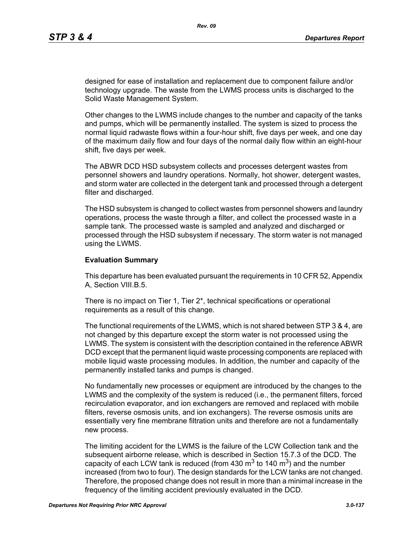designed for ease of installation and replacement due to component failure and/or technology upgrade. The waste from the LWMS process units is discharged to the Solid Waste Management System.

Other changes to the LWMS include changes to the number and capacity of the tanks and pumps, which will be permanently installed. The system is sized to process the normal liquid radwaste flows within a four-hour shift, five days per week, and one day of the maximum daily flow and four days of the normal daily flow within an eight-hour shift, five days per week.

The ABWR DCD HSD subsystem collects and processes detergent wastes from personnel showers and laundry operations. Normally, hot shower, detergent wastes, and storm water are collected in the detergent tank and processed through a detergent filter and discharged.

The HSD subsystem is changed to collect wastes from personnel showers and laundry operations, process the waste through a filter, and collect the processed waste in a sample tank. The processed waste is sampled and analyzed and discharged or processed through the HSD subsystem if necessary. The storm water is not managed using the LWMS.

#### **Evaluation Summary**

This departure has been evaluated pursuant the requirements in 10 CFR 52, Appendix A, Section VIII.B.5.

There is no impact on Tier 1, Tier 2\*, technical specifications or operational requirements as a result of this change.

The functional requirements of the LWMS, which is not shared between STP 3 & 4, are not changed by this departure except the storm water is not processed using the LWMS. The system is consistent with the description contained in the reference ABWR DCD except that the permanent liquid waste processing components are replaced with mobile liquid waste processing modules. In addition, the number and capacity of the permanently installed tanks and pumps is changed.

No fundamentally new processes or equipment are introduced by the changes to the LWMS and the complexity of the system is reduced (i.e., the permanent filters, forced recirculation evaporator, and ion exchangers are removed and replaced with mobile filters, reverse osmosis units, and ion exchangers). The reverse osmosis units are essentially very fine membrane filtration units and therefore are not a fundamentally new process.

The limiting accident for the LWMS is the failure of the LCW Collection tank and the subsequent airborne release, which is described in Section 15.7.3 of the DCD. The capacity of each LCW tank is reduced (from 430  $\text{m}^3$  to 140  $\text{m}^3$ ) and the number increased (from two to four). The design standards for the LCW tanks are not changed. Therefore, the proposed change does not result in more than a minimal increase in the frequency of the limiting accident previously evaluated in the DCD.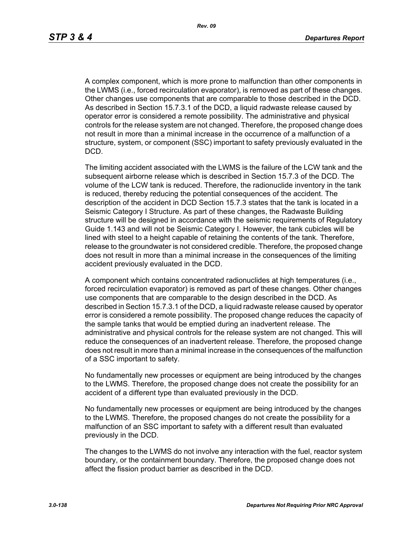A complex component, which is more prone to malfunction than other components in the LWMS (i.e., forced recirculation evaporator), is removed as part of these changes. Other changes use components that are comparable to those described in the DCD. As described in Section 15.7.3.1 of the DCD, a liquid radwaste release caused by operator error is considered a remote possibility. The administrative and physical controls for the release system are not changed. Therefore, the proposed change does not result in more than a minimal increase in the occurrence of a malfunction of a structure, system, or component (SSC) important to safety previously evaluated in the DCD.

The limiting accident associated with the LWMS is the failure of the LCW tank and the subsequent airborne release which is described in Section 15.7.3 of the DCD. The volume of the LCW tank is reduced. Therefore, the radionuclide inventory in the tank is reduced, thereby reducing the potential consequences of the accident. The description of the accident in DCD Section 15.7.3 states that the tank is located in a Seismic Category I Structure. As part of these changes, the Radwaste Building structure will be designed in accordance with the seismic requirements of Regulatory Guide 1.143 and will not be Seismic Category I. However, the tank cubicles will be lined with steel to a height capable of retaining the contents of the tank. Therefore, release to the groundwater is not considered credible. Therefore, the proposed change does not result in more than a minimal increase in the consequences of the limiting accident previously evaluated in the DCD.

A component which contains concentrated radionuclides at high temperatures (i.e., forced recirculation evaporator) is removed as part of these changes. Other changes use components that are comparable to the design described in the DCD. As described in Section 15.7.3.1 of the DCD, a liquid radwaste release caused by operator error is considered a remote possibility. The proposed change reduces the capacity of the sample tanks that would be emptied during an inadvertent release. The administrative and physical controls for the release system are not changed. This will reduce the consequences of an inadvertent release. Therefore, the proposed change does not result in more than a minimal increase in the consequences of the malfunction of a SSC important to safety.

No fundamentally new processes or equipment are being introduced by the changes to the LWMS. Therefore, the proposed change does not create the possibility for an accident of a different type than evaluated previously in the DCD.

No fundamentally new processes or equipment are being introduced by the changes to the LWMS. Therefore, the proposed changes do not create the possibility for a malfunction of an SSC important to safety with a different result than evaluated previously in the DCD.

The changes to the LWMS do not involve any interaction with the fuel, reactor system boundary, or the containment boundary. Therefore, the proposed change does not affect the fission product barrier as described in the DCD.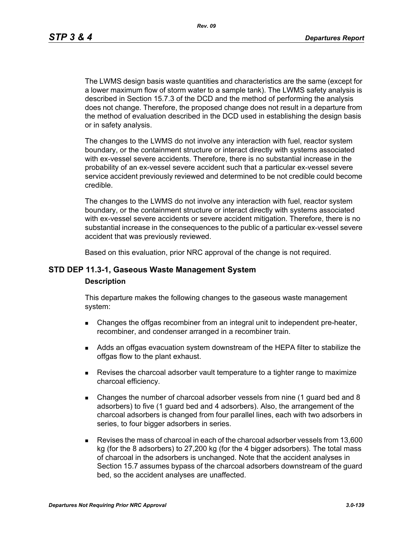*Rev. 09*

The LWMS design basis waste quantities and characteristics are the same (except for a lower maximum flow of storm water to a sample tank). The LWMS safety analysis is described in Section 15.7.3 of the DCD and the method of performing the analysis does not change. Therefore, the proposed change does not result in a departure from the method of evaluation described in the DCD used in establishing the design basis or in safety analysis.

The changes to the LWMS do not involve any interaction with fuel, reactor system boundary, or the containment structure or interact directly with systems associated with ex-vessel severe accidents. Therefore, there is no substantial increase in the probability of an ex-vessel severe accident such that a particular ex-vessel severe service accident previously reviewed and determined to be not credible could become credible.

The changes to the LWMS do not involve any interaction with fuel, reactor system boundary, or the containment structure or interact directly with systems associated with ex-vessel severe accidents or severe accident mitigation. Therefore, there is no substantial increase in the consequences to the public of a particular ex-vessel severe accident that was previously reviewed.

Based on this evaluation, prior NRC approval of the change is not required.

## **STD DEP 11.3-1, Gaseous Waste Management System**

#### **Description**

This departure makes the following changes to the gaseous waste management system:

- **EXECH** Changes the offgas recombiner from an integral unit to independent pre-heater, recombiner, and condenser arranged in a recombiner train.
- Adds an offgas evacuation system downstream of the HEPA filter to stabilize the offgas flow to the plant exhaust.
- Revises the charcoal adsorber vault temperature to a tighter range to maximize charcoal efficiency.
- Changes the number of charcoal adsorber vessels from nine (1 guard bed and 8 adsorbers) to five (1 guard bed and 4 adsorbers). Also, the arrangement of the charcoal adsorbers is changed from four parallel lines, each with two adsorbers in series, to four bigger adsorbers in series.
- Revises the mass of charcoal in each of the charcoal adsorber vessels from 13,600 kg (for the 8 adsorbers) to 27,200 kg (for the 4 bigger adsorbers). The total mass of charcoal in the adsorbers is unchanged. Note that the accident analyses in Section 15.7 assumes bypass of the charcoal adsorbers downstream of the guard bed, so the accident analyses are unaffected.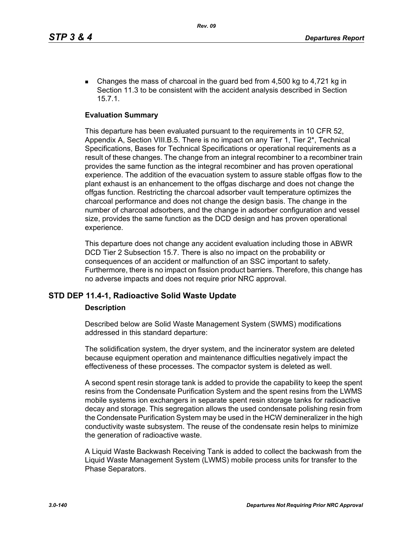Changes the mass of charcoal in the guard bed from  $4,500$  kg to  $4,721$  kg in Section 11.3 to be consistent with the accident analysis described in Section 15.7.1.

## **Evaluation Summary**

This departure has been evaluated pursuant to the requirements in 10 CFR 52, Appendix A, Section VIII.B.5. There is no impact on any Tier 1, Tier 2\*, Technical Specifications, Bases for Technical Specifications or operational requirements as a result of these changes. The change from an integral recombiner to a recombiner train provides the same function as the integral recombiner and has proven operational experience. The addition of the evacuation system to assure stable offgas flow to the plant exhaust is an enhancement to the offgas discharge and does not change the offgas function. Restricting the charcoal adsorber vault temperature optimizes the charcoal performance and does not change the design basis. The change in the number of charcoal adsorbers, and the change in adsorber configuration and vessel size, provides the same function as the DCD design and has proven operational experience.

This departure does not change any accident evaluation including those in ABWR DCD Tier 2 Subsection 15.7. There is also no impact on the probability or consequences of an accident or malfunction of an SSC important to safety. Furthermore, there is no impact on fission product barriers. Therefore, this change has no adverse impacts and does not require prior NRC approval.

# **STD DEP 11.4-1, Radioactive Solid Waste Update**

#### **Description**

Described below are Solid Waste Management System (SWMS) modifications addressed in this standard departure:

The solidification system, the dryer system, and the incinerator system are deleted because equipment operation and maintenance difficulties negatively impact the effectiveness of these processes. The compactor system is deleted as well.

A second spent resin storage tank is added to provide the capability to keep the spent resins from the Condensate Purification System and the spent resins from the LWMS mobile systems ion exchangers in separate spent resin storage tanks for radioactive decay and storage. This segregation allows the used condensate polishing resin from the Condensate Purification System may be used in the HCW demineralizer in the high conductivity waste subsystem. The reuse of the condensate resin helps to minimize the generation of radioactive waste.

A Liquid Waste Backwash Receiving Tank is added to collect the backwash from the Liquid Waste Management System (LWMS) mobile process units for transfer to the Phase Separators.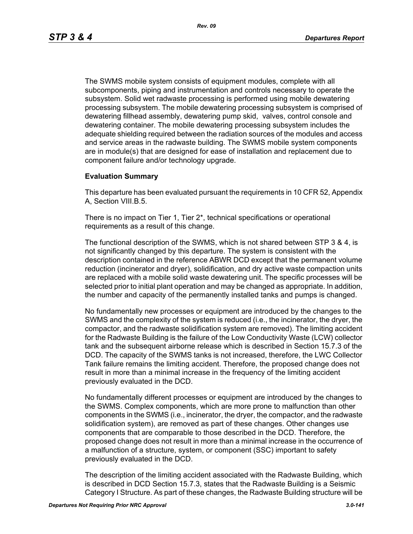The SWMS mobile system consists of equipment modules, complete with all subcomponents, piping and instrumentation and controls necessary to operate the subsystem. Solid wet radwaste processing is performed using mobile dewatering processing subsystem. The mobile dewatering processing subsystem is comprised of dewatering fillhead assembly, dewatering pump skid, valves, control console and dewatering container. The mobile dewatering processing subsystem includes the adequate shielding required between the radiation sources of the modules and access and service areas in the radwaste building. The SWMS mobile system components are in module(s) that are designed for ease of installation and replacement due to component failure and/or technology upgrade.

## **Evaluation Summary**

This departure has been evaluated pursuant the requirements in 10 CFR 52, Appendix A, Section VIII.B.5.

There is no impact on Tier 1, Tier 2\*, technical specifications or operational requirements as a result of this change.

The functional description of the SWMS, which is not shared between STP 3 & 4, is not significantly changed by this departure. The system is consistent with the description contained in the reference ABWR DCD except that the permanent volume reduction (incinerator and dryer), solidification, and dry active waste compaction units are replaced with a mobile solid waste dewatering unit. The specific processes will be selected prior to initial plant operation and may be changed as appropriate. In addition, the number and capacity of the permanently installed tanks and pumps is changed.

No fundamentally new processes or equipment are introduced by the changes to the SWMS and the complexity of the system is reduced (i.e., the incinerator, the dryer, the compactor, and the radwaste solidification system are removed). The limiting accident for the Radwaste Building is the failure of the Low Conductivity Waste (LCW) collector tank and the subsequent airborne release which is described in Section 15.7.3 of the DCD. The capacity of the SWMS tanks is not increased, therefore, the LWC Collector Tank failure remains the limiting accident. Therefore, the proposed change does not result in more than a minimal increase in the frequency of the limiting accident previously evaluated in the DCD.

No fundamentally different processes or equipment are introduced by the changes to the SWMS. Complex components, which are more prone to malfunction than other components in the SWMS (i.e., incinerator, the dryer, the compactor, and the radwaste solidification system), are removed as part of these changes. Other changes use components that are comparable to those described in the DCD. Therefore, the proposed change does not result in more than a minimal increase in the occurrence of a malfunction of a structure, system, or component (SSC) important to safety previously evaluated in the DCD.

The description of the limiting accident associated with the Radwaste Building, which is described in DCD Section 15.7.3, states that the Radwaste Building is a Seismic Category I Structure. As part of these changes, the Radwaste Building structure will be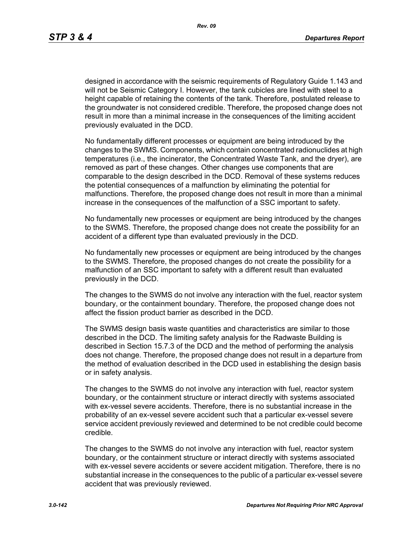designed in accordance with the seismic requirements of Regulatory Guide 1.143 and will not be Seismic Category I. However, the tank cubicles are lined with steel to a height capable of retaining the contents of the tank. Therefore, postulated release to the groundwater is not considered credible. Therefore, the proposed change does not result in more than a minimal increase in the consequences of the limiting accident previously evaluated in the DCD.

No fundamentally different processes or equipment are being introduced by the changes to the SWMS. Components, which contain concentrated radionuclides at high temperatures (i.e., the incinerator, the Concentrated Waste Tank, and the dryer), are removed as part of these changes. Other changes use components that are comparable to the design described in the DCD. Removal of these systems reduces the potential consequences of a malfunction by eliminating the potential for malfunctions. Therefore, the proposed change does not result in more than a minimal increase in the consequences of the malfunction of a SSC important to safety.

No fundamentally new processes or equipment are being introduced by the changes to the SWMS. Therefore, the proposed change does not create the possibility for an accident of a different type than evaluated previously in the DCD.

No fundamentally new processes or equipment are being introduced by the changes to the SWMS. Therefore, the proposed changes do not create the possibility for a malfunction of an SSC important to safety with a different result than evaluated previously in the DCD.

The changes to the SWMS do not involve any interaction with the fuel, reactor system boundary, or the containment boundary. Therefore, the proposed change does not affect the fission product barrier as described in the DCD.

The SWMS design basis waste quantities and characteristics are similar to those described in the DCD. The limiting safety analysis for the Radwaste Building is described in Section 15.7.3 of the DCD and the method of performing the analysis does not change. Therefore, the proposed change does not result in a departure from the method of evaluation described in the DCD used in establishing the design basis or in safety analysis.

The changes to the SWMS do not involve any interaction with fuel, reactor system boundary, or the containment structure or interact directly with systems associated with ex-vessel severe accidents. Therefore, there is no substantial increase in the probability of an ex-vessel severe accident such that a particular ex-vessel severe service accident previously reviewed and determined to be not credible could become credible.

The changes to the SWMS do not involve any interaction with fuel, reactor system boundary, or the containment structure or interact directly with systems associated with ex-vessel severe accidents or severe accident mitigation. Therefore, there is no substantial increase in the consequences to the public of a particular ex-vessel severe accident that was previously reviewed.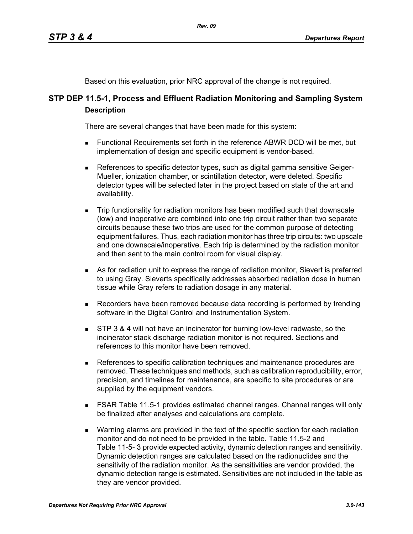Based on this evaluation, prior NRC approval of the change is not required.

# **STP DEP 11.5-1, Process and Effluent Radiation Monitoring and Sampling System Description**

There are several changes that have been made for this system:

- Functional Requirements set forth in the reference ABWR DCD will be met, but implementation of design and specific equipment is vendor-based.
- References to specific detector types, such as digital gamma sensitive Geiger-Mueller, ionization chamber, or scintillation detector, were deleted. Specific detector types will be selected later in the project based on state of the art and availability.
- Trip functionality for radiation monitors has been modified such that downscale (low) and inoperative are combined into one trip circuit rather than two separate circuits because these two trips are used for the common purpose of detecting equipment failures. Thus, each radiation monitor has three trip circuits: two upscale and one downscale/inoperative. Each trip is determined by the radiation monitor and then sent to the main control room for visual display.
- As for radiation unit to express the range of radiation monitor, Sievert is preferred to using Gray. Sieverts specifically addresses absorbed radiation dose in human tissue while Gray refers to radiation dosage in any material.
- **Recorders have been removed because data recording is performed by trending** software in the Digital Control and Instrumentation System.
- **STP 3 & 4 will not have an incinerator for burning low-level radwaste, so the** incinerator stack discharge radiation monitor is not required. Sections and references to this monitor have been removed.
- References to specific calibration techniques and maintenance procedures are removed. These techniques and methods, such as calibration reproducibility, error, precision, and timelines for maintenance, are specific to site procedures or are supplied by the equipment vendors.
- **FSAR Table 11.5-1 provides estimated channel ranges. Channel ranges will only** be finalized after analyses and calculations are complete.
- **Narning alarms are provided in the text of the specific section for each radiation** monitor and do not need to be provided in the table. Table 11.5-2 and Table 11-5- 3 provide expected activity, dynamic detection ranges and sensitivity. Dynamic detection ranges are calculated based on the radionuclides and the sensitivity of the radiation monitor. As the sensitivities are vendor provided, the dynamic detection range is estimated. Sensitivities are not included in the table as they are vendor provided.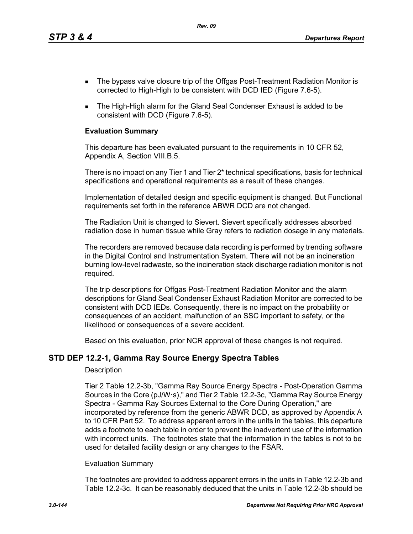*Rev. 09*

- The bypass valve closure trip of the Offgas Post-Treatment Radiation Monitor is corrected to High-High to be consistent with DCD IED (Figure 7.6-5).
- The High-High alarm for the Gland Seal Condenser Exhaust is added to be consistent with DCD (Figure 7.6-5).

## **Evaluation Summary**

This departure has been evaluated pursuant to the requirements in 10 CFR 52, Appendix A, Section VIII.B.5.

There is no impact on any Tier 1 and Tier 2\* technical specifications, basis for technical specifications and operational requirements as a result of these changes.

Implementation of detailed design and specific equipment is changed. But Functional requirements set forth in the reference ABWR DCD are not changed.

The Radiation Unit is changed to Sievert. Sievert specifically addresses absorbed radiation dose in human tissue while Gray refers to radiation dosage in any materials.

The recorders are removed because data recording is performed by trending software in the Digital Control and Instrumentation System. There will not be an incineration burning low-level radwaste, so the incineration stack discharge radiation monitor is not required.

The trip descriptions for Offgas Post-Treatment Radiation Monitor and the alarm descriptions for Gland Seal Condenser Exhaust Radiation Monitor are corrected to be consistent with DCD IEDs. Consequently, there is no impact on the probability or consequences of an accident, malfunction of an SSC important to safety, or the likelihood or consequences of a severe accident.

Based on this evaluation, prior NCR approval of these changes is not required.

# **STD DEP 12.2-1, Gamma Ray Source Energy Spectra Tables**

#### **Description**

Tier 2 Table 12.2-3b, "Gamma Ray Source Energy Spectra - Post-Operation Gamma Sources in the Core (pJ/W·s)," and Tier 2 Table 12.2-3c, "Gamma Ray Source Energy Spectra - Gamma Ray Sources External to the Core During Operation," are incorporated by reference from the generic ABWR DCD, as approved by Appendix A to 10 CFR Part 52. To address apparent errors in the units in the tables, this departure adds a footnote to each table in order to prevent the inadvertent use of the information with incorrect units. The footnotes state that the information in the tables is not to be used for detailed facility design or any changes to the FSAR.

#### Evaluation Summary

The footnotes are provided to address apparent errors in the units in Table 12.2-3b and Table 12.2-3c. It can be reasonably deduced that the units in Table 12.2-3b should be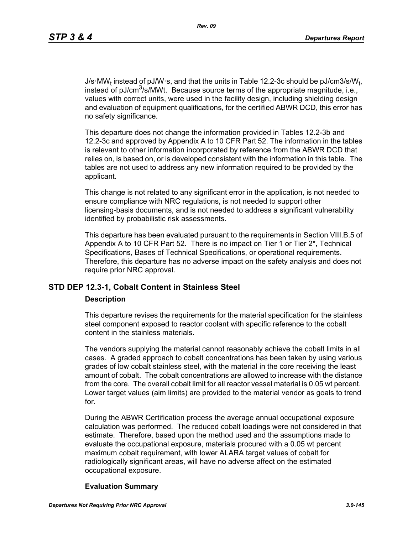J/s·MW<sub>t</sub> instead of pJ/W·s, and that the units in Table 12.2-3c should be pJ/cm3/s/W<sub>t</sub>, instead of pJ/cm<sup>3</sup>/s/MWt. Because source terms of the appropriate magnitude, i.e., values with correct units, were used in the facility design, including shielding design and evaluation of equipment qualifications, for the certified ABWR DCD, this error has no safety significance.

This departure does not change the information provided in Tables 12.2-3b and 12.2-3c and approved by Appendix A to 10 CFR Part 52. The information in the tables is relevant to other information incorporated by reference from the ABWR DCD that relies on, is based on, or is developed consistent with the information in this table. The tables are not used to address any new information required to be provided by the applicant.

This change is not related to any significant error in the application, is not needed to ensure compliance with NRC regulations, is not needed to support other licensing-basis documents, and is not needed to address a significant vulnerability identified by probabilistic risk assessments.

This departure has been evaluated pursuant to the requirements in Section VIII.B.5 of Appendix A to 10 CFR Part 52. There is no impact on Tier 1 or Tier 2<sup>\*</sup>, Technical Specifications, Bases of Technical Specifications, or operational requirements. Therefore, this departure has no adverse impact on the safety analysis and does not require prior NRC approval.

# **STD DEP 12.3-1, Cobalt Content in Stainless Steel**

#### **Description**

This departure revises the requirements for the material specification for the stainless steel component exposed to reactor coolant with specific reference to the cobalt content in the stainless materials.

The vendors supplying the material cannot reasonably achieve the cobalt limits in all cases. A graded approach to cobalt concentrations has been taken by using various grades of low cobalt stainless steel, with the material in the core receiving the least amount of cobalt. The cobalt concentrations are allowed to increase with the distance from the core. The overall cobalt limit for all reactor vessel material is 0.05 wt percent. Lower target values (aim limits) are provided to the material vendor as goals to trend for.

During the ABWR Certification process the average annual occupational exposure calculation was performed. The reduced cobalt loadings were not considered in that estimate. Therefore, based upon the method used and the assumptions made to evaluate the occupational exposure, materials procured with a 0.05 wt percent maximum cobalt requirement, with lower ALARA target values of cobalt for radiologically significant areas, will have no adverse affect on the estimated occupational exposure.

#### **Evaluation Summary**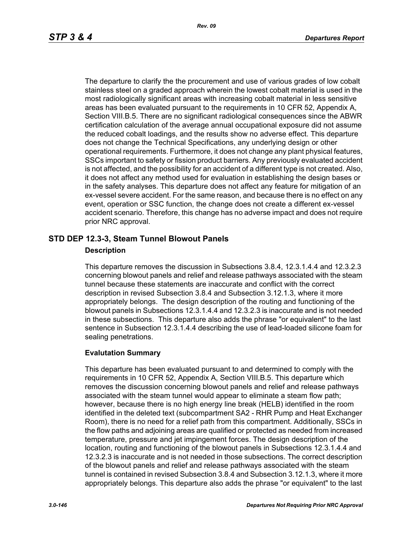The departure to clarify the the procurement and use of various grades of low cobalt stainless steel on a graded approach wherein the lowest cobalt material is used in the most radiologically significant areas with increasing cobalt material in less sensitive areas has been evaluated pursuant to the requirements in 10 CFR 52, Appendix A, Section VIII.B.5. There are no significant radiological consequences since the ABWR certification calculation of the average annual occupational exposure did not assume the reduced cobalt loadings, and the results show no adverse effect. This departure does not change the Technical Specifications, any underlying design or other operational requirements. Furthermore, it does not change any plant physical features, SSCs important to safety or fission product barriers. Any previously evaluated accident is not affected, and the possibility for an accident of a different type is not created. Also, it does not affect any method used for evaluation in establishing the design bases or in the safety analyses. This departure does not affect any feature for mitigation of an ex-vessel severe accident. For the same reason, and because there is no effect on any event, operation or SSC function, the change does not create a different ex-vessel accident scenario. Therefore, this change has no adverse impact and does not require prior NRC approval.

# **STD DEP 12.3-3, Steam Tunnel Blowout Panels**

#### **Description**

This departure removes the discussion in Subsections 3.8.4, 12.3.1.4.4 and 12.3.2.3 concerning blowout panels and relief and release pathways associated with the steam tunnel because these statements are inaccurate and conflict with the correct description in revised Subsection 3.8.4 and Subsection 3.12.1.3, where it more appropriately belongs. The design description of the routing and functioning of the blowout panels in Subsections 12.3.1.4.4 and 12.3.2.3 is inaccurate and is not needed in these subsections. This departure also adds the phrase "or equivalent" to the last sentence in Subsection 12.3.1.4.4 describing the use of lead-loaded silicone foam for sealing penetrations.

# **Evalutation Summary**

This departure has been evaluated pursuant to and determined to comply with the requirements in 10 CFR 52, Appendix A, Section VIII.B.5. This departure which removes the discussion concerning blowout panels and relief and release pathways associated with the steam tunnel would appear to eliminate a steam flow path; however, because there is no high energy line break (HELB) identified in the room identified in the deleted text (subcompartment SA2 - RHR Pump and Heat Exchanger Room), there is no need for a relief path from this compartment. Additionally, SSCs in the flow paths and adjoining areas are qualified or protected as needed from increased temperature, pressure and jet impingement forces. The design description of the location, routing and functioning of the blowout panels in Subsections 12.3.1.4.4 and 12.3.2.3 is inaccurate and is not needed in those subsections. The correct description of the blowout panels and relief and release pathways associated with the steam tunnel is contained in revised Subsection 3.8.4 and Subsection 3.12.1.3, where it more appropriately belongs. This departure also adds the phrase "or equivalent" to the last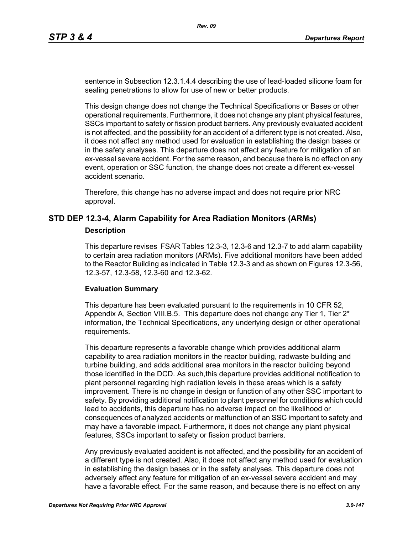sentence in Subsection 12.3.1.4.4 describing the use of lead-loaded silicone foam for sealing penetrations to allow for use of new or better products.

This design change does not change the Technical Specifications or Bases or other operational requirements. Furthermore, it does not change any plant physical features, SSCs important to safety or fission product barriers. Any previously evaluated accident is not affected, and the possibility for an accident of a different type is not created. Also, it does not affect any method used for evaluation in establishing the design bases or in the safety analyses. This departure does not affect any feature for mitigation of an ex-vessel severe accident. For the same reason, and because there is no effect on any event, operation or SSC function, the change does not create a different ex-vessel accident scenario.

Therefore, this change has no adverse impact and does not require prior NRC approval.

# **STD DEP 12.3-4, Alarm Capability for Area Radiation Monitors (ARMs)**

#### **Description**

This departure revises FSAR Tables 12.3-3, 12.3-6 and 12.3-7 to add alarm capability to certain area radiation monitors (ARMs). Five additional monitors have been added to the Reactor Building as indicated in Table 12.3-3 and as shown on Figures 12.3-56, 12.3-57, 12.3-58, 12.3-60 and 12.3-62.

#### **Evaluation Summary**

This departure has been evaluated pursuant to the requirements in 10 CFR 52, Appendix A, Section VIII.B.5. This departure does not change any Tier 1, Tier  $2^*$ information, the Technical Specifications, any underlying design or other operational requirements.

This departure represents a favorable change which provides additional alarm capability to area radiation monitors in the reactor building, radwaste building and turbine building, and adds additional area monitors in the reactor building beyond those identified in the DCD. As such,this departure provides additional notification to plant personnel regarding high radiation levels in these areas which is a safety improvement. There is no change in design or function of any other SSC important to safety. By providing additional notification to plant personnel for conditions which could lead to accidents, this departure has no adverse impact on the likelihood or consequences of analyzed accidents or malfunction of an SSC important to safety and may have a favorable impact. Furthermore, it does not change any plant physical features, SSCs important to safety or fission product barriers.

Any previously evaluated accident is not affected, and the possibility for an accident of a different type is not created. Also, it does not affect any method used for evaluation in establishing the design bases or in the safety analyses. This departure does not adversely affect any feature for mitigation of an ex-vessel severe accident and may have a favorable effect. For the same reason, and because there is no effect on any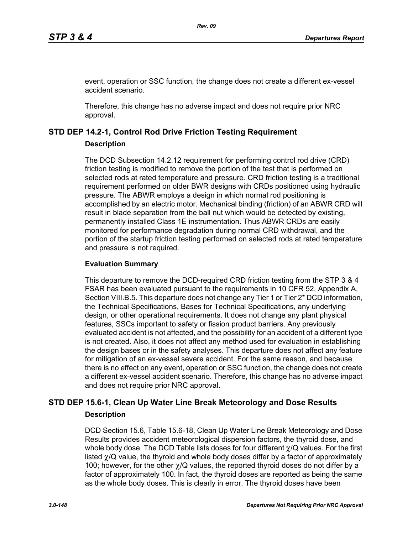event, operation or SSC function, the change does not create a different ex-vessel accident scenario.

Therefore, this change has no adverse impact and does not require prior NRC approval.

# **STD DEP 14.2-1, Control Rod Drive Friction Testing Requirement**

#### **Description**

The DCD Subsection 14.2.12 requirement for performing control rod drive (CRD) friction testing is modified to remove the portion of the test that is performed on selected rods at rated temperature and pressure. CRD friction testing is a traditional requirement performed on older BWR designs with CRDs positioned using hydraulic pressure. The ABWR employs a design in which normal rod positioning is accomplished by an electric motor. Mechanical binding (friction) of an ABWR CRD will result in blade separation from the ball nut which would be detected by existing, permanently installed Class 1E instrumentation. Thus ABWR CRDs are easily monitored for performance degradation during normal CRD withdrawal, and the portion of the startup friction testing performed on selected rods at rated temperature and pressure is not required.

### **Evaluation Summary**

This departure to remove the DCD-required CRD friction testing from the STP 3 & 4 FSAR has been evaluated pursuant to the requirements in 10 CFR 52, Appendix A, Section VIII.B.5. This departure does not change any Tier 1 or Tier 2<sup>\*</sup> DCD information, the Technical Specifications, Bases for Technical Specifications, any underlying design, or other operational requirements. It does not change any plant physical features, SSCs important to safety or fission product barriers. Any previously evaluated accident is not affected, and the possibility for an accident of a different type is not created. Also, it does not affect any method used for evaluation in establishing the design bases or in the safety analyses. This departure does not affect any feature for mitigation of an ex-vessel severe accident. For the same reason, and because there is no effect on any event, operation or SSC function, the change does not create a different ex-vessel accident scenario. Therefore, this change has no adverse impact and does not require prior NRC approval.

# **STD DEP 15.6-1, Clean Up Water Line Break Meteorology and Dose Results Description**

DCD Section 15.6, Table 15.6-18, Clean Up Water Line Break Meteorology and Dose Results provides accident meteorological dispersion factors, the thyroid dose, and whole body dose. The DCD Table lists doses for four different χ/Q values. For the first listed χ/Q value, the thyroid and whole body doses differ by a factor of approximately 100; however, for the other  $\gamma$ /Q values, the reported thyroid doses do not differ by a factor of approximately 100. In fact, the thyroid doses are reported as being the same as the whole body doses. This is clearly in error. The thyroid doses have been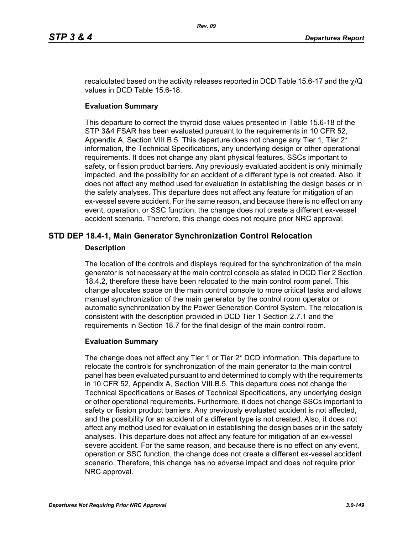recalculated based on the activity releases reported in DCD Table 15.6-17 and the  $\chi$ /Q values in DCD Table 15.6-18.

#### **Evaluation Summary**

This departure to correct the thyroid dose values presented in Table 15.6-18 of the STP 3&4 FSAR has been evaluated pursuant to the requirements in 10 CFR 52, Appendix A, Section VIII.B.5. This departure does not change any Tier 1, Tier  $2^*$ information, the Technical Specifications, any underlying design or other operational requirements. It does not change any plant physical features, SSCs important to safety, or fission product barriers. Any previously evaluated accident is only minimally impacted, and the possibility for an accident of a different type is not created. Also, it does not affect any method used for evaluation in establishing the design bases or in the safety analyses. This departure does not affect any feature for mitigation of an ex-vessel severe accident. For the same reason, and because there is no effect on any event, operation, or SSC function, the change does not create a different ex-vessel accident scenario. Therefore, this change does not require prior NRC approval.

# **STD DEP 18.4-1, Main Generator Synchronization Control Relocation Description**

The location of the controls and displays required for the synchronization of the main generator is not necessary at the main control console as stated in DCD Tier 2 Section 18.4.2, therefore these have been relocated to the main control room panel. This change allocates space on the main control console to more critical tasks and allows manual synchronization of the main generator by the control room operator or automatic synchronization by the Power Generation Control System. The relocation is consistent with the description provided in DCD Tier 1 Section 2.7.1 and the requirements in Section 18.7 for the final design of the main control room.

#### **Evaluation Summary**

The change does not affect any Tier 1 or Tier 2\* DCD information. This departure to relocate the controls for synchronization of the main generator to the main control panel has been evaluated pursuant to and determined to comply with the requirements in 10 CFR 52, Appendix A, Section VIII.B.5. This departure does not change the Technical Specifications or Bases of Technical Specifications, any underlying design or other operational requirements. Furthermore, it does not change SSCs important to safety or fission product barriers. Any previously evaluated accident is not affected, and the possibility for an accident of a different type is not created. Also, it does not affect any method used for evaluation in establishing the design bases or in the safety analyses. This departure does not affect any feature for mitigation of an ex-vessel severe accident. For the same reason, and because there is no effect on any event, operation or SSC function, the change does not create a different ex-vessel accident scenario. Therefore, this change has no adverse impact and does not require prior NRC approval.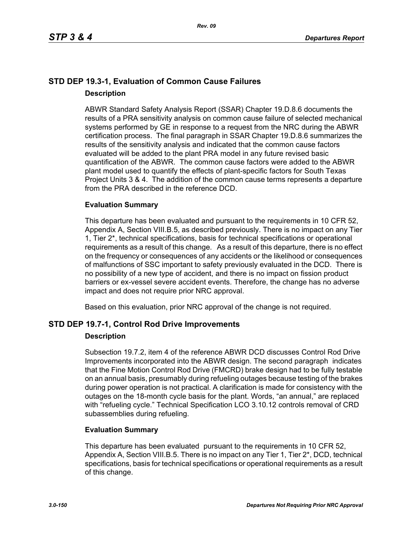# **STD DEP 19.3-1, Evaluation of Common Cause Failures Description**

ABWR Standard Safety Analysis Report (SSAR) Chapter 19.D.8.6 documents the results of a PRA sensitivity analysis on common cause failure of selected mechanical systems performed by GE in response to a request from the NRC during the ABWR certification process. The final paragraph in SSAR Chapter 19.D.8.6 summarizes the results of the sensitivity analysis and indicated that the common cause factors evaluated will be added to the plant PRA model in any future revised basic quantification of the ABWR. The common cause factors were added to the ABWR plant model used to quantify the effects of plant-specific factors for South Texas Project Units 3 & 4. The addition of the common cause terms represents a departure from the PRA described in the reference DCD.

# **Evaluation Summary**

This departure has been evaluated and pursuant to the requirements in 10 CFR 52, Appendix A, Section VIII.B.5, as described previously. There is no impact on any Tier 1, Tier 2\*, technical specifications, basis for technical specifications or operational requirements as a result of this change. As a result of this departure, there is no effect on the frequency or consequences of any accidents or the likelihood or consequences of malfunctions of SSC important to safety previously evaluated in the DCD. There is no possibility of a new type of accident, and there is no impact on fission product barriers or ex-vessel severe accident events. Therefore, the change has no adverse impact and does not require prior NRC approval.

Based on this evaluation, prior NRC approval of the change is not required.

# **STD DEP 19.7-1, Control Rod Drive Improvements**

# **Description**

Subsection 19.7.2, item 4 of the reference ABWR DCD discusses Control Rod Drive Improvements incorporated into the ABWR design. The second paragraph indicates that the Fine Motion Control Rod Drive (FMCRD) brake design had to be fully testable on an annual basis, presumably during refueling outages because testing of the brakes during power operation is not practical. A clarification is made for consistency with the outages on the 18-month cycle basis for the plant. Words, "an annual," are replaced with "refueling cycle." Technical Specification LCO 3.10.12 controls removal of CRD subassemblies during refueling.

# **Evaluation Summary**

This departure has been evaluated pursuant to the requirements in 10 CFR 52, Appendix A, Section VIII.B.5. There is no impact on any Tier 1, Tier 2<sup>\*</sup>, DCD, technical specifications, basis for technical specifications or operational requirements as a result of this change.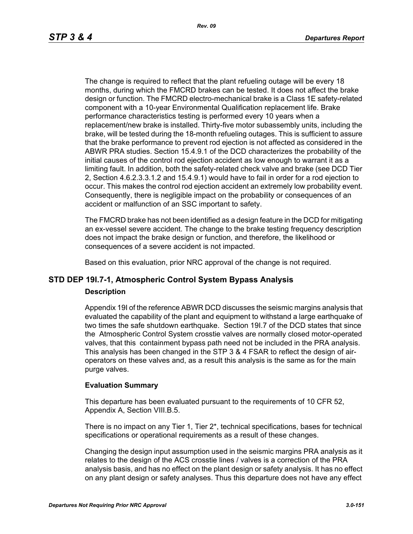The change is required to reflect that the plant refueling outage will be every 18 months, during which the FMCRD brakes can be tested. It does not affect the brake design or function. The FMCRD electro-mechanical brake is a Class 1E safety-related component with a 10-year Environmental Qualification replacement life. Brake performance characteristics testing is performed every 10 years when a replacement/new brake is installed. Thirty-five motor subassembly units, including the brake, will be tested during the 18-month refueling outages. This is sufficient to assure that the brake performance to prevent rod ejection is not affected as considered in the ABWR PRA studies. Section 15.4.9.1 of the DCD characterizes the probability of the initial causes of the control rod ejection accident as low enough to warrant it as a limiting fault. In addition, both the safety-related check valve and brake (see DCD Tier 2, Section 4.6.2.3.3.1.2 and 15.4.9.1) would have to fail in order for a rod ejection to occur. This makes the control rod ejection accident an extremely low probability event. Consequently, there is negligible impact on the probability or consequences of an accident or malfunction of an SSC important to safety.

The FMCRD brake has not been identified as a design feature in the DCD for mitigating an ex-vessel severe accident. The change to the brake testing frequency description does not impact the brake design or function, and therefore, the likelihood or consequences of a severe accident is not impacted.

Based on this evaluation, prior NRC approval of the change is not required.

# **STD DEP 19I.7-1, Atmospheric Control System Bypass Analysis**

#### **Description**

Appendix 19I of the reference ABWR DCD discusses the seismic margins analysis that evaluated the capability of the plant and equipment to withstand a large earthquake of two times the safe shutdown earthquake. Section 19I.7 of the DCD states that since the Atmospheric Control System crosstie valves are normally closed motor-operated valves, that this containment bypass path need not be included in the PRA analysis. This analysis has been changed in the STP 3 & 4 FSAR to reflect the design of airoperators on these valves and, as a result this analysis is the same as for the main purge valves.

#### **Evaluation Summary**

This departure has been evaluated pursuant to the requirements of 10 CFR 52, Appendix A, Section VIII.B.5.

There is no impact on any Tier 1, Tier 2\*, technical specifications, bases for technical specifications or operational requirements as a result of these changes.

Changing the design input assumption used in the seismic margins PRA analysis as it relates to the design of the ACS crosstie lines / valves is a correction of the PRA analysis basis, and has no effect on the plant design or safety analysis. It has no effect on any plant design or safety analyses. Thus this departure does not have any effect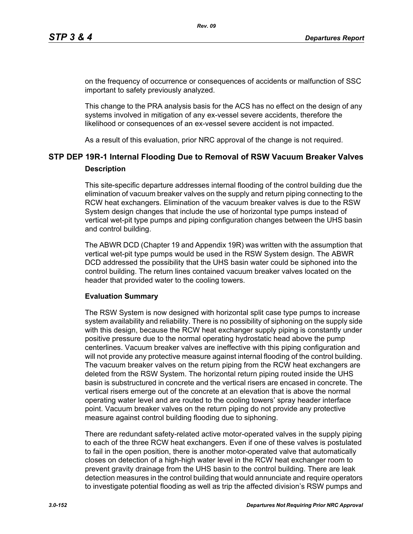on the frequency of occurrence or consequences of accidents or malfunction of SSC important to safety previously analyzed.

This change to the PRA analysis basis for the ACS has no effect on the design of any systems involved in mitigation of any ex-vessel severe accidents, therefore the likelihood or consequences of an ex-vessel severe accident is not impacted.

As a result of this evaluation, prior NRC approval of the change is not required.

# **STP DEP 19R-1 Internal Flooding Due to Removal of RSW Vacuum Breaker Valves Description**

This site-specific departure addresses internal flooding of the control building due the elimination of vacuum breaker valves on the supply and return piping connecting to the RCW heat exchangers. Elimination of the vacuum breaker valves is due to the RSW System design changes that include the use of horizontal type pumps instead of vertical wet-pit type pumps and piping configuration changes between the UHS basin and control building.

The ABWR DCD (Chapter 19 and Appendix 19R) was written with the assumption that vertical wet-pit type pumps would be used in the RSW System design. The ABWR DCD addressed the possibility that the UHS basin water could be siphoned into the control building. The return lines contained vacuum breaker valves located on the header that provided water to the cooling towers.

# **Evaluation Summary**

The RSW System is now designed with horizontal split case type pumps to increase system availability and reliability. There is no possibility of siphoning on the supply side with this design, because the RCW heat exchanger supply piping is constantly under positive pressure due to the normal operating hydrostatic head above the pump centerlines. Vacuum breaker valves are ineffective with this piping configuration and will not provide any protective measure against internal flooding of the control building. The vacuum breaker valves on the return piping from the RCW heat exchangers are deleted from the RSW System. The horizontal return piping routed inside the UHS basin is substructured in concrete and the vertical risers are encased in concrete. The vertical risers emerge out of the concrete at an elevation that is above the normal operating water level and are routed to the cooling towers' spray header interface point. Vacuum breaker valves on the return piping do not provide any protective measure against control building flooding due to siphoning.

There are redundant safety-related active motor-operated valves in the supply piping to each of the three RCW heat exchangers. Even if one of these valves is postulated to fail in the open position, there is another motor-operated valve that automatically closes on detection of a high-high water level in the RCW heat exchanger room to prevent gravity drainage from the UHS basin to the control building. There are leak detection measures in the control building that would annunciate and require operators to investigate potential flooding as well as trip the affected division's RSW pumps and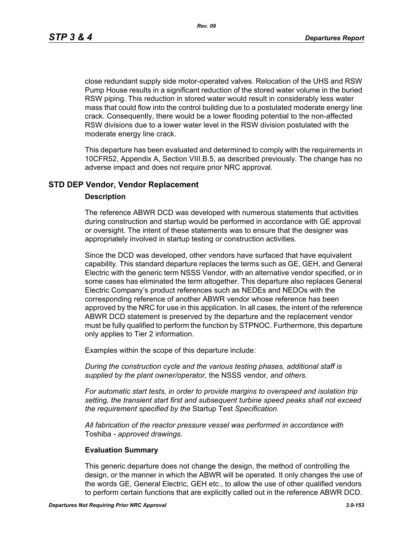*Rev. 09*

close redundant supply side motor-operated valves. Relocation of the UHS and RSW Pump House results in a significant reduction of the stored water volume in the buried RSW piping. This reduction in stored water would result in considerably less water mass that could flow into the control building due to a postulated moderate energy line crack. Consequently, there would be a lower flooding potential to the non-affected RSW divisions due to a lower water level in the RSW division postulated with the moderate energy line crack.

This departure has been evaluated and determined to comply with the requirements in 10CFR52, Appendix A, Section VIII.B.5, as described previously. The change has no adverse impact and does not require prior NRC approval.

# **STD DEP Vendor, Vendor Replacement**

#### **Description**

The reference ABWR DCD was developed with numerous statements that activities during construction and startup would be performed in accordance with GE approval or oversight. The intent of these statements was to ensure that the designer was appropriately involved in startup testing or construction activities.

Since the DCD was developed, other vendors have surfaced that have equivalent capability. This standard departure replaces the terms such as GE, GEH, and General Electric with the generic term NSSS Vendor, with an alternative vendor specified, or in some cases has eliminated the term altogether. This departure also replaces General Electric Company's product references such as NEDEs and NEDOs with the corresponding reference of another ABWR vendor whose reference has been approved by the NRC for use in this application. In all cases, the intent of the reference ABWR DCD statement is preserved by the departure and the replacement vendor must be fully qualified to perform the function by STPNOC. Furthermore, this departure only applies to Tier 2 information.

Examples within the scope of this departure include:

*During the construction cycle and the various testing phases, additional staff is supplied by the plant owner/operator,* the NSSS vendor*, and others.*

*For automatic start tests, in order to provide margins to overspeed and isolation trip setting, the transient start first and subsequent turbine speed peaks shall not exceed the requirement specified by the* Startup Test *Specification.*

*All fabrication of the reactor pressure vessel was performed in accordance with*  Toshiba *- approved drawings.*

#### **Evaluation Summary**

This generic departure does not change the design, the method of controlling the design, or the manner in which the ABWR will be operated. It only changes the use of the words GE, General Electric, GEH etc., to allow the use of other qualified vendors to perform certain functions that are explicitly called out in the reference ABWR DCD.